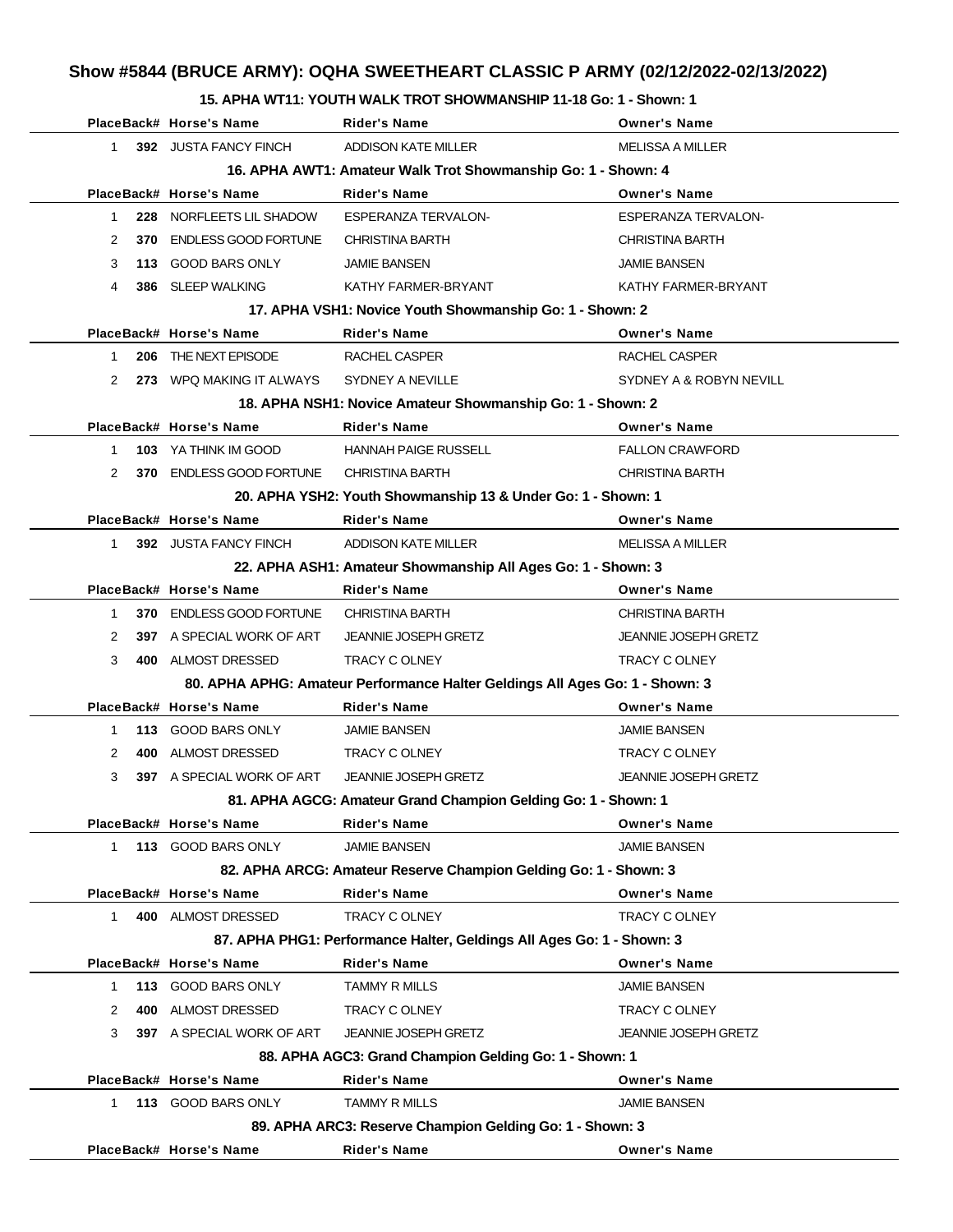# **Show #5844 (BRUCE ARMY): OQHA SWEETHEART CLASSIC P ARMY (02/12/2022-02/13/2022)**

### **15. APHA WT11: YOUTH WALK TROT SHOWMANSHIP 11-18 Go: 1 - Shown: 1**

|                     | PlaceBack# Horse's Name                                       | <b>Rider's Name</b>                                                          | <b>Owner's Name</b>         |  |  |  |  |
|---------------------|---------------------------------------------------------------|------------------------------------------------------------------------------|-----------------------------|--|--|--|--|
| 1.                  | 392 JUSTA FANCY FINCH                                         | ADDISON KATE MILLER                                                          | <b>MELISSA A MILLER</b>     |  |  |  |  |
|                     | 16. APHA AWT1: Amateur Walk Trot Showmanship Go: 1 - Shown: 4 |                                                                              |                             |  |  |  |  |
|                     | PlaceBack# Horse's Name                                       | <b>Rider's Name</b>                                                          | <b>Owner's Name</b>         |  |  |  |  |
| 228<br>1.           | NORFLEETS LIL SHADOW                                          | <b>ESPERANZA TERVALON-</b>                                                   | ESPERANZA TERVALON-         |  |  |  |  |
| 2<br>370            | <b>ENDLESS GOOD FORTUNE</b>                                   | <b>CHRISTINA BARTH</b>                                                       | <b>CHRISTINA BARTH</b>      |  |  |  |  |
| 3                   | 113 GOOD BARS ONLY                                            | <b>JAMIE BANSEN</b>                                                          | <b>JAMIE BANSEN</b>         |  |  |  |  |
| 4                   | 386 SLEEP WALKING                                             | KATHY FARMER-BRYANT                                                          | KATHY FARMER-BRYANT         |  |  |  |  |
|                     |                                                               | 17. APHA VSH1: Novice Youth Showmanship Go: 1 - Shown: 2                     |                             |  |  |  |  |
|                     | PlaceBack# Horse's Name                                       | <b>Rider's Name</b>                                                          | <b>Owner's Name</b>         |  |  |  |  |
| 206<br>$\mathbf{1}$ | THE NEXT EPISODE                                              | RACHEL CASPER                                                                | RACHEL CASPER               |  |  |  |  |
| 2                   | 273 WPQ MAKING IT ALWAYS                                      | SYDNEY A NEVILLE                                                             | SYDNEY A & ROBYN NEVILL     |  |  |  |  |
|                     |                                                               | 18. APHA NSH1: Novice Amateur Showmanship Go: 1 - Shown: 2                   |                             |  |  |  |  |
|                     | PlaceBack# Horse's Name                                       | <b>Rider's Name</b>                                                          | <b>Owner's Name</b>         |  |  |  |  |
| 1                   | 103 YA THINK IM GOOD                                          | <b>HANNAH PAIGE RUSSELL</b>                                                  | <b>FALLON CRAWFORD</b>      |  |  |  |  |
| 2                   | 370 ENDLESS GOOD FORTUNE                                      | <b>CHRISTINA BARTH</b>                                                       | <b>CHRISTINA BARTH</b>      |  |  |  |  |
|                     |                                                               | 20. APHA YSH2: Youth Showmanship 13 & Under Go: 1 - Shown: 1                 |                             |  |  |  |  |
|                     | PlaceBack# Horse's Name                                       | <b>Rider's Name</b>                                                          | <b>Owner's Name</b>         |  |  |  |  |
| 1.                  | 392 JUSTA FANCY FINCH                                         | <b>ADDISON KATE MILLER</b>                                                   | <b>MELISSA A MILLER</b>     |  |  |  |  |
|                     |                                                               | 22. APHA ASH1: Amateur Showmanship All Ages Go: 1 - Shown: 3                 |                             |  |  |  |  |
|                     | PlaceBack# Horse's Name                                       | <b>Rider's Name</b>                                                          | <b>Owner's Name</b>         |  |  |  |  |
| 1                   | 370 ENDLESS GOOD FORTUNE                                      | CHRISTINA BARTH                                                              | <b>CHRISTINA BARTH</b>      |  |  |  |  |
| 2                   | 397 A SPECIAL WORK OF ART                                     | <b>JEANNIE JOSEPH GRETZ</b>                                                  | <b>JEANNIE JOSEPH GRETZ</b> |  |  |  |  |
| 3                   | 400 ALMOST DRESSED                                            | <b>TRACY C OLNEY</b>                                                         | <b>TRACY C OLNEY</b>        |  |  |  |  |
|                     |                                                               | 80. APHA APHG: Amateur Performance Halter Geldings All Ages Go: 1 - Shown: 3 |                             |  |  |  |  |
|                     | PlaceBack# Horse's Name                                       | <b>Rider's Name</b>                                                          | <b>Owner's Name</b>         |  |  |  |  |
| 1                   | 113 GOOD BARS ONLY                                            | <b>JAMIE BANSEN</b>                                                          | <b>JAMIE BANSEN</b>         |  |  |  |  |
| 2<br>400            | ALMOST DRESSED                                                | TRACY C OLNEY                                                                | TRACY C OLNEY               |  |  |  |  |
| 3                   | 397 A SPECIAL WORK OF ART                                     | <b>JEANNIE JOSEPH GRETZ</b>                                                  | <b>JEANNIE JOSEPH GRETZ</b> |  |  |  |  |
|                     |                                                               | 81. APHA AGCG: Amateur Grand Champion Gelding Go: 1 - Shown: 1               |                             |  |  |  |  |
|                     | PlaceBack# Horse's Name                                       | <b>Rider's Name</b>                                                          | <b>Owner's Name</b>         |  |  |  |  |
| 1                   | 113 GOOD BARS ONLY                                            | <b>JAMIE BANSEN</b>                                                          | <b>JAMIE BANSEN</b>         |  |  |  |  |
|                     |                                                               | 82. APHA ARCG: Amateur Reserve Champion Gelding Go: 1 - Shown: 3             |                             |  |  |  |  |
|                     | PlaceBack# Horse's Name                                       | <b>Rider's Name</b>                                                          | <b>Owner's Name</b>         |  |  |  |  |
| 1                   | 400 ALMOST DRESSED                                            | TRACY C OLNEY                                                                | TRACY C OLNEY               |  |  |  |  |
|                     |                                                               | 87. APHA PHG1: Performance Halter, Geldings All Ages Go: 1 - Shown: 3        |                             |  |  |  |  |
|                     | PlaceBack# Horse's Name                                       | <b>Rider's Name</b>                                                          | <b>Owner's Name</b>         |  |  |  |  |
| 1.                  | 113 GOOD BARS ONLY                                            | <b>TAMMY R MILLS</b>                                                         | <b>JAMIE BANSEN</b>         |  |  |  |  |
| 2                   | ALMOST DRESSED<br>400                                         | TRACY C OLNEY                                                                | TRACY C OLNEY               |  |  |  |  |
| 3                   | 397 A SPECIAL WORK OF ART                                     | <b>JEANNIE JOSEPH GRETZ</b>                                                  | <b>JEANNIE JOSEPH GRETZ</b> |  |  |  |  |
|                     |                                                               | 88. APHA AGC3: Grand Champion Gelding Go: 1 - Shown: 1                       |                             |  |  |  |  |
|                     | PlaceBack# Horse's Name                                       | <b>Rider's Name</b>                                                          | <b>Owner's Name</b>         |  |  |  |  |
| 1.                  | 113 GOOD BARS ONLY                                            | <b>TAMMY R MILLS</b>                                                         | <b>JAMIE BANSEN</b>         |  |  |  |  |
|                     |                                                               | 89. APHA ARC3: Reserve Champion Gelding Go: 1 - Shown: 3                     |                             |  |  |  |  |
|                     | PlaceBack# Horse's Name                                       | <b>Rider's Name</b>                                                          | <b>Owner's Name</b>         |  |  |  |  |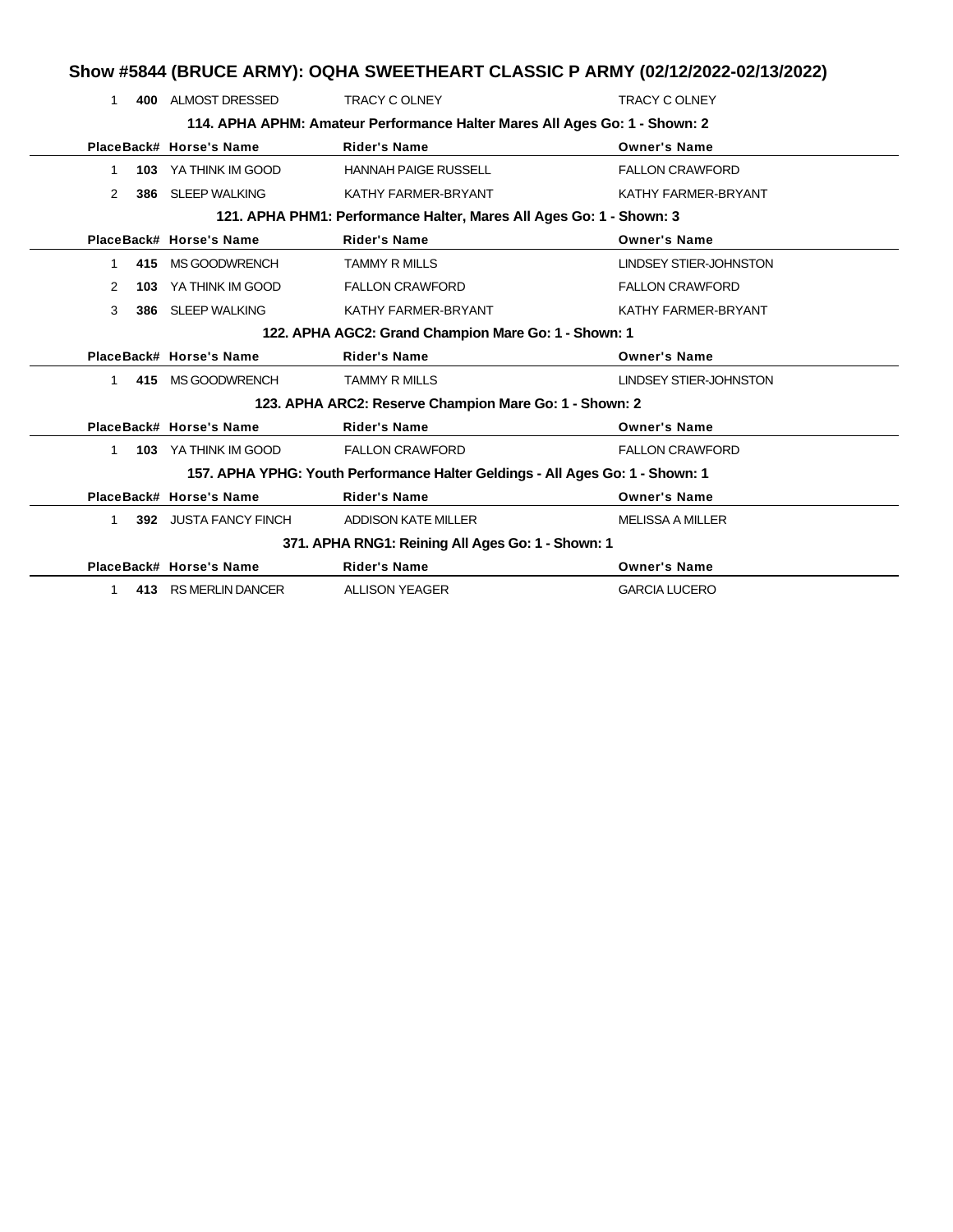|              |     |                         |                                                                               | Show #5844 (BRUCE ARMY): OQHA SWEETHEART CLASSIC P ARMY (02/12/2022-02/13/2022) |
|--------------|-----|-------------------------|-------------------------------------------------------------------------------|---------------------------------------------------------------------------------|
| 1            | 400 | ALMOST DRESSED          | <b>TRACY C OLNEY</b>                                                          | <b>TRACY C OLNEY</b>                                                            |
|              |     |                         | 114. APHA APHM: Amateur Performance Halter Mares All Ages Go: 1 - Shown: 2    |                                                                                 |
|              |     | PlaceBack# Horse's Name | <b>Rider's Name</b>                                                           | <b>Owner's Name</b>                                                             |
| 1            |     | 103 YA THINK IM GOOD    | <b>HANNAH PAIGE RUSSELL</b>                                                   | <b>FALLON CRAWFORD</b>                                                          |
| 2            | 386 | <b>SLEEP WALKING</b>    | KATHY FARMER-BRYANT                                                           | KATHY FARMER-BRYANT                                                             |
|              |     |                         | 121. APHA PHM1: Performance Halter, Mares All Ages Go: 1 - Shown: 3           |                                                                                 |
|              |     | PlaceBack# Horse's Name | <b>Rider's Name</b>                                                           | <b>Owner's Name</b>                                                             |
| 1            | 415 | MS GOODWRENCH           | <b>TAMMY R MILLS</b>                                                          | <b>LINDSEY STIER-JOHNSTON</b>                                                   |
| 2            | 103 | YA THINK IM GOOD        | <b>FALLON CRAWFORD</b>                                                        | <b>FALLON CRAWFORD</b>                                                          |
| 3            | 386 | <b>SLEEP WALKING</b>    | KATHY FARMER-BRYANT                                                           | KATHY FARMER-BRYANT                                                             |
|              |     |                         | 122. APHA AGC2: Grand Champion Mare Go: 1 - Shown: 1                          |                                                                                 |
|              |     | PlaceBack# Horse's Name | <b>Rider's Name</b>                                                           | <b>Owner's Name</b>                                                             |
| $\mathbf{1}$ |     | 415 MS GOODWRENCH       | <b>TAMMY R MILLS</b>                                                          | <b>LINDSEY STIER-JOHNSTON</b>                                                   |
|              |     |                         | 123. APHA ARC2: Reserve Champion Mare Go: 1 - Shown: 2                        |                                                                                 |
|              |     | PlaceBack# Horse's Name | <b>Rider's Name</b>                                                           | <b>Owner's Name</b>                                                             |
| 1            |     | 103 YA THINK IM GOOD    | <b>FALLON CRAWFORD</b>                                                        | <b>FALLON CRAWFORD</b>                                                          |
|              |     |                         | 157. APHA YPHG: Youth Performance Halter Geldings - All Ages Go: 1 - Shown: 1 |                                                                                 |
|              |     | PlaceBack# Horse's Name | <b>Rider's Name</b>                                                           | <b>Owner's Name</b>                                                             |
| $\mathbf{1}$ |     | 392 JUSTA FANCY FINCH   | <b>ADDISON KATE MILLER</b>                                                    | <b>MELISSA A MILLER</b>                                                         |
|              |     |                         | 371. APHA RNG1: Reining All Ages Go: 1 - Shown: 1                             |                                                                                 |
|              |     | PlaceBack# Horse's Name | <b>Rider's Name</b>                                                           | <b>Owner's Name</b>                                                             |
| 1            |     | 413 RS MERLIN DANCER    | <b>ALLISON YEAGER</b>                                                         | <b>GARCIA LUCERO</b>                                                            |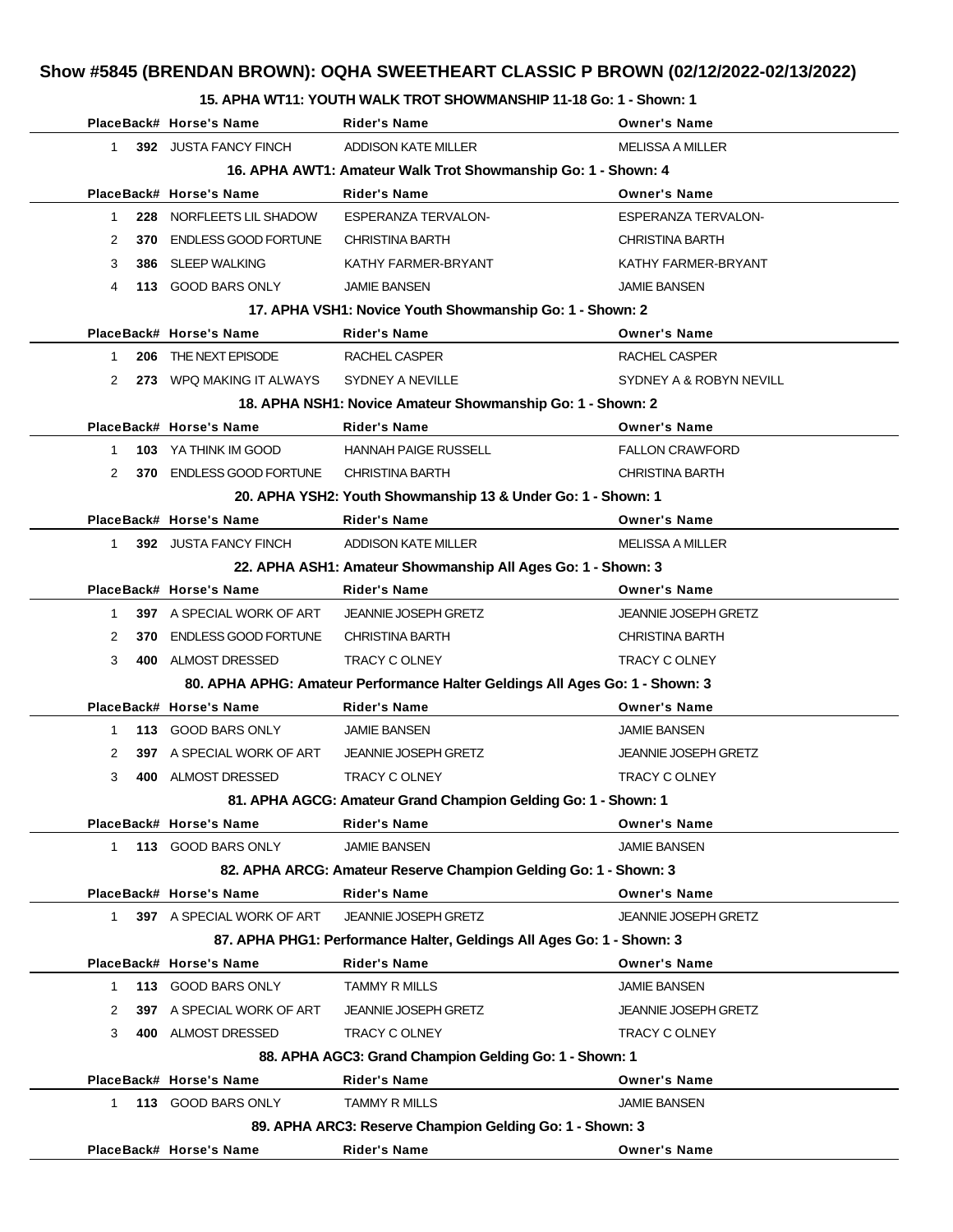## **Show #5845 (BRENDAN BROWN): OQHA SWEETHEART CLASSIC P BROWN (02/12/2022-02/13/2022)**

### **15. APHA WT11: YOUTH WALK TROT SHOWMANSHIP 11-18 Go: 1 - Shown: 1**

|              | PlaceBack# Horse's Name                                       | <b>Rider's Name</b>                                                          | <b>Owner's Name</b>         |  |  |  |  |
|--------------|---------------------------------------------------------------|------------------------------------------------------------------------------|-----------------------------|--|--|--|--|
| $\mathbf{1}$ | 392 JUSTA FANCY FINCH                                         | <b>ADDISON KATE MILLER</b>                                                   | <b>MELISSA A MILLER</b>     |  |  |  |  |
|              | 16. APHA AWT1: Amateur Walk Trot Showmanship Go: 1 - Shown: 4 |                                                                              |                             |  |  |  |  |
|              | PlaceBack# Horse's Name                                       | <b>Rider's Name</b>                                                          | <b>Owner's Name</b>         |  |  |  |  |
| 228<br>1     | NORFLEETS LIL SHADOW                                          | <b>ESPERANZA TERVALON-</b>                                                   | <b>ESPERANZA TERVALON-</b>  |  |  |  |  |
| 2<br>370     | <b>ENDLESS GOOD FORTUNE</b>                                   | <b>CHRISTINA BARTH</b>                                                       | <b>CHRISTINA BARTH</b>      |  |  |  |  |
| 3<br>386     | SLEEP WALKING                                                 | KATHY FARMER-BRYANT                                                          | KATHY FARMER-BRYANT         |  |  |  |  |
| 4            | 113 GOOD BARS ONLY                                            | <b>JAMIE BANSEN</b>                                                          | <b>JAMIE BANSEN</b>         |  |  |  |  |
|              |                                                               | 17. APHA VSH1: Novice Youth Showmanship Go: 1 - Shown: 2                     |                             |  |  |  |  |
|              | PlaceBack# Horse's Name                                       | Rider's Name                                                                 | <b>Owner's Name</b>         |  |  |  |  |
| 1            | 206 THE NEXT EPISODE                                          | RACHEL CASPER                                                                | RACHEL CASPER               |  |  |  |  |
| 2            | 273 WPQ MAKING IT ALWAYS                                      | SYDNEY A NEVILLE                                                             | SYDNEY A & ROBYN NEVILL     |  |  |  |  |
|              |                                                               | 18. APHA NSH1: Novice Amateur Showmanship Go: 1 - Shown: 2                   |                             |  |  |  |  |
|              | PlaceBack# Horse's Name                                       | <b>Rider's Name</b>                                                          | <b>Owner's Name</b>         |  |  |  |  |
| 1            | 103 YA THINK IM GOOD                                          | <b>HANNAH PAIGE RUSSELL</b>                                                  | <b>FALLON CRAWFORD</b>      |  |  |  |  |
| 2            | 370 ENDLESS GOOD FORTUNE                                      | <b>CHRISTINA BARTH</b>                                                       | <b>CHRISTINA BARTH</b>      |  |  |  |  |
|              |                                                               | 20. APHA YSH2: Youth Showmanship 13 & Under Go: 1 - Shown: 1                 |                             |  |  |  |  |
|              | PlaceBack# Horse's Name                                       | <b>Rider's Name</b>                                                          | <b>Owner's Name</b>         |  |  |  |  |
| $\mathbf{1}$ | 392 JUSTA FANCY FINCH                                         | <b>ADDISON KATE MILLER</b>                                                   | <b>MELISSA A MILLER</b>     |  |  |  |  |
|              |                                                               | 22. APHA ASH1: Amateur Showmanship All Ages Go: 1 - Shown: 3                 |                             |  |  |  |  |
|              | PlaceBack# Horse's Name                                       | <b>Rider's Name</b>                                                          | <b>Owner's Name</b>         |  |  |  |  |
| 1            | <b>397</b> A SPECIAL WORK OF ART                              | <b>JEANNIE JOSEPH GRETZ</b>                                                  | <b>JEANNIE JOSEPH GRETZ</b> |  |  |  |  |
| 2            | 370 ENDLESS GOOD FORTUNE                                      | <b>CHRISTINA BARTH</b>                                                       | <b>CHRISTINA BARTH</b>      |  |  |  |  |
| 3            | 400 ALMOST DRESSED                                            | TRACY C OLNEY                                                                | TRACY C OLNEY               |  |  |  |  |
|              |                                                               | 80. APHA APHG: Amateur Performance Halter Geldings All Ages Go: 1 - Shown: 3 |                             |  |  |  |  |
|              | PlaceBack# Horse's Name                                       | <b>Rider's Name</b>                                                          | <b>Owner's Name</b>         |  |  |  |  |
| $\mathbf{1}$ | 113 GOOD BARS ONLY                                            | <b>JAMIE BANSEN</b>                                                          | <b>JAMIE BANSEN</b>         |  |  |  |  |
| 2            | <b>397</b> A SPECIAL WORK OF ART                              | <b>JEANNIE JOSEPH GRETZ</b>                                                  | <b>JEANNIE JOSEPH GRETZ</b> |  |  |  |  |
| 3            | 400 ALMOST DRESSED                                            | TRACY C OLNEY                                                                | <b>TRACY C OLNEY</b>        |  |  |  |  |
|              |                                                               | 81. APHA AGCG: Amateur Grand Champion Gelding Go: 1 - Shown: 1               |                             |  |  |  |  |
|              | PlaceBack# Horse's Name                                       | <b>Rider's Name</b>                                                          | <b>Owner's Name</b>         |  |  |  |  |
| 1            | 113 GOOD BARS ONLY                                            | <b>JAMIE BANSEN</b>                                                          | <b>JAMIE BANSEN</b>         |  |  |  |  |
|              |                                                               | 82. APHA ARCG: Amateur Reserve Champion Gelding Go: 1 - Shown: 3             |                             |  |  |  |  |
|              | PlaceBack# Horse's Name                                       | <b>Rider's Name</b>                                                          | <b>Owner's Name</b>         |  |  |  |  |
| $1 \quad$    | 397 A SPECIAL WORK OF ART                                     | <b>JEANNIE JOSEPH GRETZ</b>                                                  | JEANNIE JOSEPH GRETZ        |  |  |  |  |
|              |                                                               | 87. APHA PHG1: Performance Halter, Geldings All Ages Go: 1 - Shown: 3        |                             |  |  |  |  |
|              | PlaceBack# Horse's Name                                       | <b>Rider's Name</b>                                                          | <b>Owner's Name</b>         |  |  |  |  |
| 1            | 113 GOOD BARS ONLY                                            | <b>TAMMY R MILLS</b>                                                         | <b>JAMIE BANSEN</b>         |  |  |  |  |
| 2            | 397 A SPECIAL WORK OF ART                                     | <b>JEANNIE JOSEPH GRETZ</b>                                                  | <b>JEANNIE JOSEPH GRETZ</b> |  |  |  |  |
| 3            | 400 ALMOST DRESSED                                            | TRACY C OLNEY                                                                | TRACY C OLNEY               |  |  |  |  |
|              |                                                               | 88. APHA AGC3: Grand Champion Gelding Go: 1 - Shown: 1                       |                             |  |  |  |  |
|              | PlaceBack# Horse's Name                                       | <b>Rider's Name</b>                                                          | <b>Owner's Name</b>         |  |  |  |  |
| 1            | 113 GOOD BARS ONLY                                            | <b>TAMMY R MILLS</b>                                                         | <b>JAMIE BANSEN</b>         |  |  |  |  |
|              |                                                               | 89. APHA ARC3: Reserve Champion Gelding Go: 1 - Shown: 3                     |                             |  |  |  |  |
|              | PlaceBack# Horse's Name                                       | <b>Rider's Name</b>                                                          | <b>Owner's Name</b>         |  |  |  |  |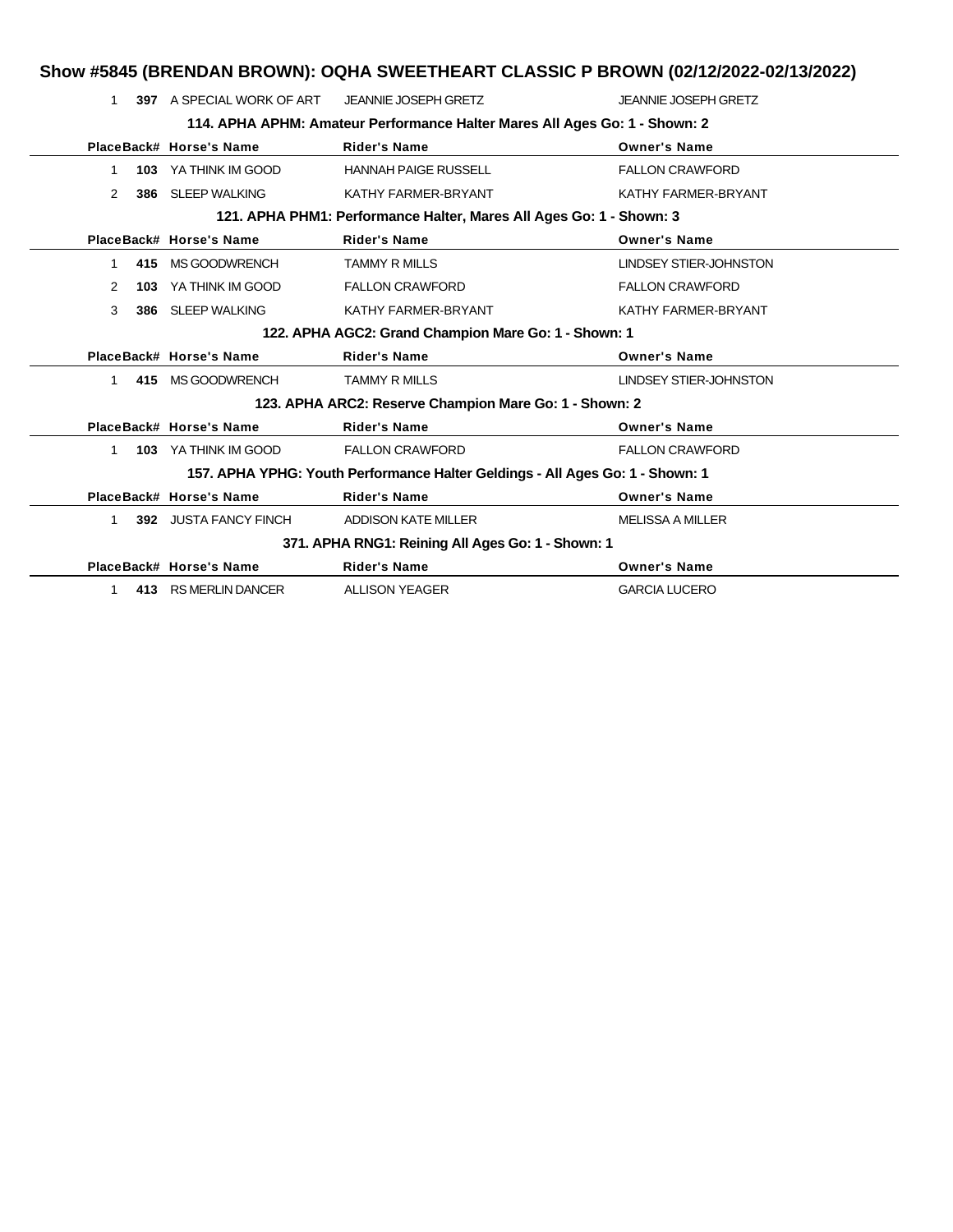|              |     |                           | Show #5845 (BRENDAN BROWN): OQHA SWEETHEART CLASSIC P BROWN (02/12/2022-02/13/2022) |                               |
|--------------|-----|---------------------------|-------------------------------------------------------------------------------------|-------------------------------|
|              |     | 397 A SPECIAL WORK OF ART | JEANNIE JOSEPH GRETZ                                                                | <b>JEANNIE JOSEPH GRETZ</b>   |
|              |     |                           | 114. APHA APHM: Amateur Performance Halter Mares All Ages Go: 1 - Shown: 2          |                               |
|              |     | PlaceBack# Horse's Name   | <b>Rider's Name</b>                                                                 | <b>Owner's Name</b>           |
| 1            | 103 | YA THINK IM GOOD          | <b>HANNAH PAIGE RUSSELL</b>                                                         | <b>FALLON CRAWFORD</b>        |
| 2            | 386 | <b>SLEEP WALKING</b>      | KATHY FARMER-BRYANT                                                                 | KATHY FARMER-BRYANT           |
|              |     |                           | 121. APHA PHM1: Performance Halter, Mares All Ages Go: 1 - Shown: 3                 |                               |
|              |     | PlaceBack# Horse's Name   | <b>Rider's Name</b>                                                                 | <b>Owner's Name</b>           |
| 1            | 415 | <b>MS GOODWRENCH</b>      | <b>TAMMY R MILLS</b>                                                                | <b>LINDSEY STIER-JOHNSTON</b> |
| 2            | 103 | YA THINK IM GOOD          | <b>FALLON CRAWFORD</b>                                                              | <b>FALLON CRAWFORD</b>        |
| 3            |     | 386 SLEEP WALKING         | KATHY FARMER-BRYANT                                                                 | KATHY FARMER-BRYANT           |
|              |     |                           | 122. APHA AGC2: Grand Champion Mare Go: 1 - Shown: 1                                |                               |
|              |     | PlaceBack# Horse's Name   | <b>Rider's Name</b>                                                                 | <b>Owner's Name</b>           |
| $\mathbf{1}$ |     | 415 MS GOODWRENCH         | <b>TAMMY R MILLS</b>                                                                | <b>LINDSEY STIER-JOHNSTON</b> |
|              |     |                           | 123. APHA ARC2: Reserve Champion Mare Go: 1 - Shown: 2                              |                               |
|              |     | PlaceBack# Horse's Name   | <b>Rider's Name</b>                                                                 | <b>Owner's Name</b>           |
| 1            |     | 103 YA THINK IM GOOD      | <b>FALLON CRAWFORD</b>                                                              | <b>FALLON CRAWFORD</b>        |
|              |     |                           | 157. APHA YPHG: Youth Performance Halter Geldings - All Ages Go: 1 - Shown: 1       |                               |
|              |     | PlaceBack# Horse's Name   | <b>Rider's Name</b>                                                                 | <b>Owner's Name</b>           |
| 1            |     | 392 JUSTA FANCY FINCH     | <b>ADDISON KATE MILLER</b>                                                          | <b>MELISSA A MILLER</b>       |
|              |     |                           | 371. APHA RNG1: Reining All Ages Go: 1 - Shown: 1                                   |                               |
|              |     | PlaceBack# Horse's Name   | <b>Rider's Name</b>                                                                 | <b>Owner's Name</b>           |
| 1            |     | 413 RS MERLIN DANCER      | <b>ALLISON YEAGER</b>                                                               | <b>GARCIA LUCERO</b>          |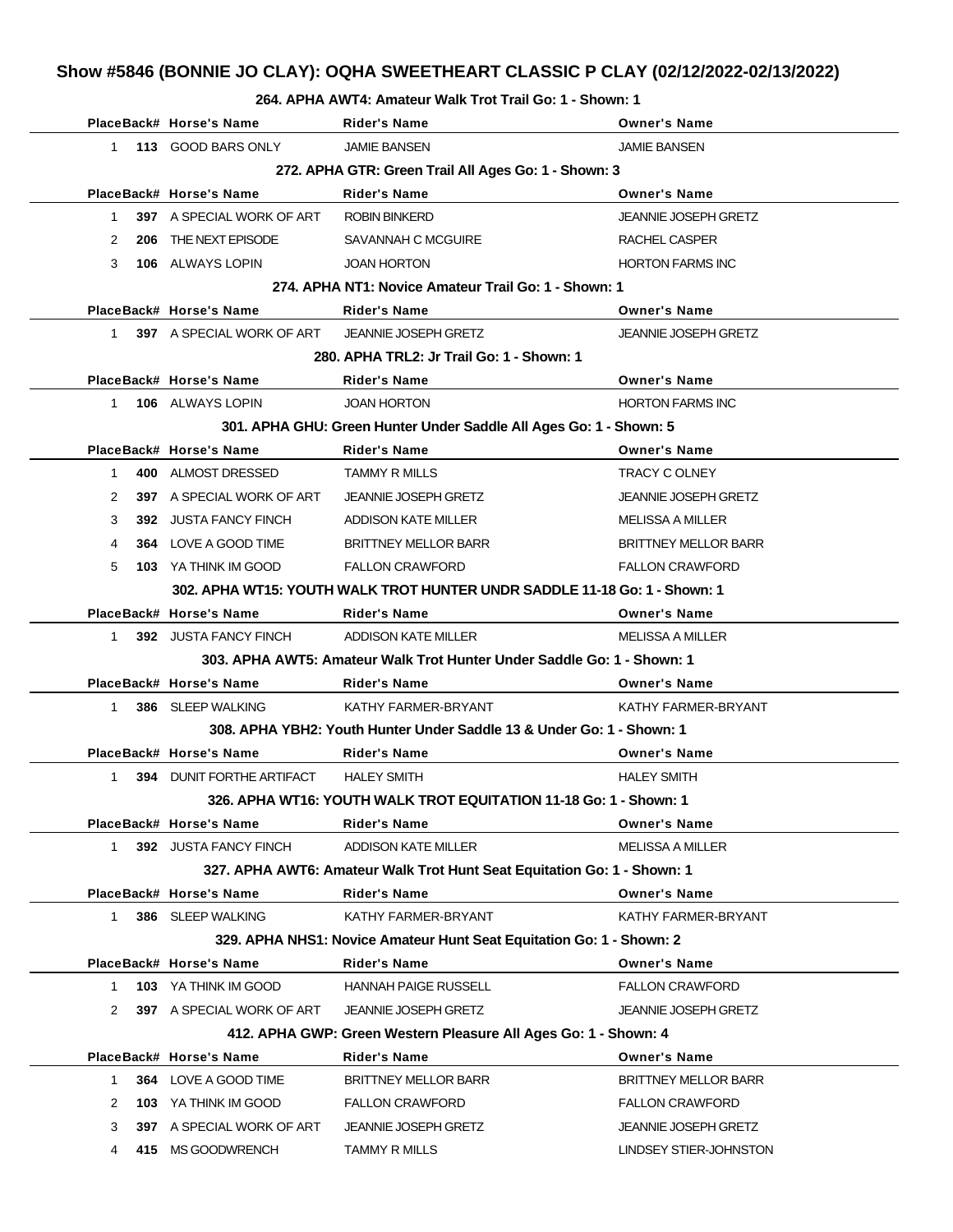#### **264. APHA AWT4: Amateur Walk Trot Trail Go: 1 - Shown: 1**

|              | PlaceBack# Horse's Name                              | <b>Rider's Name</b>                                                       | <b>Owner's Name</b>         |  |  |  |  |
|--------------|------------------------------------------------------|---------------------------------------------------------------------------|-----------------------------|--|--|--|--|
| $\mathbf{1}$ | 113 GOOD BARS ONLY                                   | <b>JAMIE BANSEN</b>                                                       | <b>JAMIE BANSEN</b>         |  |  |  |  |
|              | 272. APHA GTR: Green Trail All Ages Go: 1 - Shown: 3 |                                                                           |                             |  |  |  |  |
|              | PlaceBack# Horse's Name                              | <b>Rider's Name</b>                                                       | <b>Owner's Name</b>         |  |  |  |  |
| $\mathbf{1}$ | 397 A SPECIAL WORK OF ART                            | <b>ROBIN BINKERD</b>                                                      | JEANNIE JOSEPH GRETZ        |  |  |  |  |
| 2            | 206 THE NEXT EPISODE                                 | SAVANNAH C MCGUIRE                                                        | RACHEL CASPER               |  |  |  |  |
| 3            | 106 ALWAYS LOPIN                                     | <b>JOAN HORTON</b>                                                        | <b>HORTON FARMS INC</b>     |  |  |  |  |
|              |                                                      | 274. APHA NT1: Novice Amateur Trail Go: 1 - Shown: 1                      |                             |  |  |  |  |
|              | PlaceBack# Horse's Name                              | <b>Rider's Name</b>                                                       | <b>Owner's Name</b>         |  |  |  |  |
| 1            | 397 A SPECIAL WORK OF ART                            | <b>JEANNIE JOSEPH GRETZ</b>                                               | <b>JEANNIE JOSEPH GRETZ</b> |  |  |  |  |
|              |                                                      | 280. APHA TRL2: Jr Trail Go: 1 - Shown: 1                                 |                             |  |  |  |  |
|              | PlaceBack# Horse's Name                              | Rider's Name                                                              | <b>Owner's Name</b>         |  |  |  |  |
| $\mathbf{1}$ | 106 ALWAYS LOPIN                                     | <b>JOAN HORTON</b>                                                        | <b>HORTON FARMS INC</b>     |  |  |  |  |
|              |                                                      | 301. APHA GHU: Green Hunter Under Saddle All Ages Go: 1 - Shown: 5        |                             |  |  |  |  |
|              | PlaceBack# Horse's Name                              | <b>Rider's Name</b>                                                       | <b>Owner's Name</b>         |  |  |  |  |
| $\mathbf 1$  | 400 ALMOST DRESSED                                   | <b>TAMMY R MILLS</b>                                                      | TRACY C OLNEY               |  |  |  |  |
| 2            | 397 A SPECIAL WORK OF ART                            | <b>JEANNIE JOSEPH GRETZ</b>                                               | <b>JEANNIE JOSEPH GRETZ</b> |  |  |  |  |
| 3            | 392 JUSTA FANCY FINCH                                | ADDISON KATE MILLER                                                       | <b>MELISSA A MILLER</b>     |  |  |  |  |
| 4            | 364 LOVE A GOOD TIME                                 | BRITTNEY MELLOR BARR                                                      | <b>BRITTNEY MELLOR BARR</b> |  |  |  |  |
| 5            | <b>103</b> YA THINK IM GOOD                          | <b>FALLON CRAWFORD</b>                                                    | <b>FALLON CRAWFORD</b>      |  |  |  |  |
|              |                                                      | 302. APHA WT15: YOUTH WALK TROT HUNTER UNDR SADDLE 11-18 Go: 1 - Shown: 1 |                             |  |  |  |  |
|              | PlaceBack# Horse's Name                              | <b>Rider's Name</b>                                                       | <b>Owner's Name</b>         |  |  |  |  |
| $\mathbf{1}$ | 392 JUSTA FANCY FINCH                                | ADDISON KATE MILLER                                                       | <b>MELISSA A MILLER</b>     |  |  |  |  |
|              |                                                      | 303. APHA AWT5: Amateur Walk Trot Hunter Under Saddle Go: 1 - Shown: 1    |                             |  |  |  |  |
|              | PlaceBack# Horse's Name                              | <b>Rider's Name</b>                                                       | <b>Owner's Name</b>         |  |  |  |  |
| 1            | 386 SLEEP WALKING                                    | KATHY FARMER-BRYANT                                                       | KATHY FARMER-BRYANT         |  |  |  |  |
|              |                                                      | 308. APHA YBH2: Youth Hunter Under Saddle 13 & Under Go: 1 - Shown: 1     |                             |  |  |  |  |
|              | PlaceBack# Horse's Name                              | <b>Rider's Name</b>                                                       | <b>Owner's Name</b>         |  |  |  |  |
| $\mathbf 1$  | <b>394 DUNIT FORTHE ARTIFACT</b>                     | <b>HALEY SMITH</b>                                                        | <b>HALEY SMITH</b>          |  |  |  |  |
|              |                                                      | 326. APHA WT16: YOUTH WALK TROT EQUITATION 11-18 Go: 1 - Shown: 1         |                             |  |  |  |  |
|              | PlaceBack# Horse's Name                              | <b>Rider's Name</b>                                                       | <b>Owner's Name</b>         |  |  |  |  |
| $\mathbf 1$  | 392 JUSTA FANCY FINCH                                | <b>ADDISON KATE MILLER</b>                                                | <b>MELISSA A MILLER</b>     |  |  |  |  |
|              |                                                      | 327. APHA AWT6: Amateur Walk Trot Hunt Seat Equitation Go: 1 - Shown: 1   |                             |  |  |  |  |
|              | PlaceBack# Horse's Name                              | <b>Rider's Name</b>                                                       | <b>Owner's Name</b>         |  |  |  |  |
| $\mathbf{1}$ | 386 SLEEP WALKING                                    | KATHY FARMER-BRYANT                                                       | KATHY FARMER-BRYANT         |  |  |  |  |
|              |                                                      | 329. APHA NHS1: Novice Amateur Hunt Seat Equitation Go: 1 - Shown: 2      |                             |  |  |  |  |
|              | PlaceBack# Horse's Name                              | <b>Rider's Name</b>                                                       | <b>Owner's Name</b>         |  |  |  |  |
| 1            | 103 YA THINK IM GOOD                                 | <b>HANNAH PAIGE RUSSELL</b>                                               | <b>FALLON CRAWFORD</b>      |  |  |  |  |
| 2            | 397 A SPECIAL WORK OF ART                            | <b>JEANNIE JOSEPH GRETZ</b>                                               | <b>JEANNIE JOSEPH GRETZ</b> |  |  |  |  |
|              |                                                      | 412. APHA GWP: Green Western Pleasure All Ages Go: 1 - Shown: 4           |                             |  |  |  |  |
|              | PlaceBack# Horse's Name                              | <b>Rider's Name</b>                                                       | <b>Owner's Name</b>         |  |  |  |  |
| 1            | 364 LOVE A GOOD TIME                                 | <b>BRITTNEY MELLOR BARR</b>                                               | <b>BRITTNEY MELLOR BARR</b> |  |  |  |  |
| 2            | 103 YA THINK IM GOOD                                 | <b>FALLON CRAWFORD</b>                                                    | <b>FALLON CRAWFORD</b>      |  |  |  |  |
| 3            | 397 A SPECIAL WORK OF ART                            | <b>JEANNIE JOSEPH GRETZ</b>                                               | <b>JEANNIE JOSEPH GRETZ</b> |  |  |  |  |
| 4            | 415 MS GOODWRENCH                                    | <b>TAMMY R MILLS</b>                                                      | LINDSEY STIER-JOHNSTON      |  |  |  |  |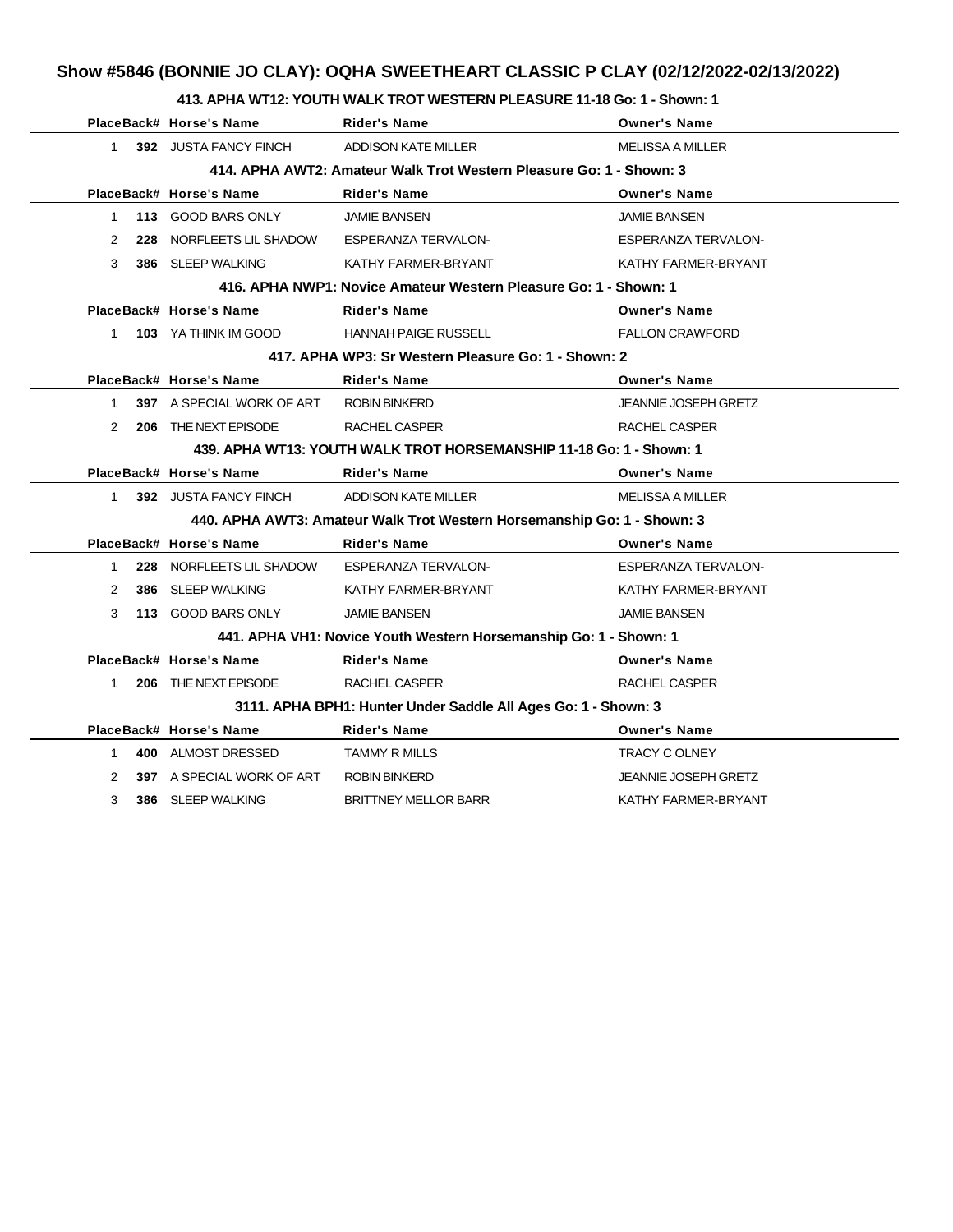### **413. APHA WT12: YOUTH WALK TROT WESTERN PLEASURE 11-18 Go: 1 - Shown: 1**

|                                                                     |     | PlaceBack# Horse's Name                     | <b>Rider's Name</b>                                                     | <b>Owner's Name</b>         |  |  |
|---------------------------------------------------------------------|-----|---------------------------------------------|-------------------------------------------------------------------------|-----------------------------|--|--|
| $1 \quad$                                                           |     | 392 JUSTA FANCY FINCH                       | ADDISON KATE MILLER                                                     | <b>MELISSA A MILLER</b>     |  |  |
| 414. APHA AWT2: Amateur Walk Trot Western Pleasure Go: 1 - Shown: 3 |     |                                             |                                                                         |                             |  |  |
|                                                                     |     | PlaceBack# Horse's Name                     | <b>Rider's Name</b>                                                     | <b>Owner's Name</b>         |  |  |
|                                                                     |     | 1 113 GOOD BARS ONLY                        | <b>JAMIE BANSEN</b>                                                     | <b>JAMIE BANSEN</b>         |  |  |
| $\mathcal{P}$                                                       | 228 | NORFLEETS LIL SHADOW ESPERANZA TERVALON-    |                                                                         | <b>ESPERANZA TERVALON-</b>  |  |  |
| 3                                                                   |     | 386 SLEEP WALKING                           | KATHY FARMER-BRYANT                                                     | KATHY FARMER-BRYANT         |  |  |
|                                                                     |     |                                             | 416. APHA NWP1: Novice Amateur Western Pleasure Go: 1 - Shown: 1        |                             |  |  |
|                                                                     |     | PlaceBack# Horse's Name                     | <b>Rider's Name</b>                                                     | <b>Owner's Name</b>         |  |  |
|                                                                     |     | 1 103 YA THINK IM GOOD                      | <b>HANNAH PAIGE RUSSELL</b>                                             | <b>FALLON CRAWFORD</b>      |  |  |
|                                                                     |     |                                             | 417. APHA WP3: Sr Western Pleasure Go: 1 - Shown: 2                     |                             |  |  |
|                                                                     |     | PlaceBack# Horse's Name                     | <b>Rider's Name</b>                                                     | <b>Owner's Name</b>         |  |  |
| $1 \quad$                                                           |     | 397 A SPECIAL WORK OF ART                   | <b>ROBIN BINKERD</b>                                                    | <b>JEANNIE JOSEPH GRETZ</b> |  |  |
| 2                                                                   | 206 | THE NEXT EPISODE                            | RACHEL CASPER                                                           | RACHEL CASPER               |  |  |
|                                                                     |     |                                             | 439. APHA WT13: YOUTH WALK TROT HORSEMANSHIP 11-18 Go: 1 - Shown: 1     |                             |  |  |
|                                                                     |     | PlaceBack# Horse's Name                     | <b>Rider's Name</b>                                                     | <b>Owner's Name</b>         |  |  |
|                                                                     |     | 1 392 JUSTA FANCY FINCH ADDISON KATE MILLER |                                                                         | <b>MELISSA A MILLER</b>     |  |  |
|                                                                     |     |                                             | 440. APHA AWT3: Amateur Walk Trot Western Horsemanship Go: 1 - Shown: 3 |                             |  |  |
|                                                                     |     | PlaceBack# Horse's Name                     | <b>Rider's Name</b>                                                     | <b>Owner's Name</b>         |  |  |
| $\mathbf{1}$                                                        |     | 228 NORFLEETS LIL SHADOW                    | <b>ESPERANZA TERVALON-</b>                                              | <b>ESPERANZA TERVALON-</b>  |  |  |
| 2                                                                   |     | 386 SLEEP WALKING                           | KATHY FARMER-BRYANT                                                     | KATHY FARMER-BRYANT         |  |  |
| 3                                                                   |     | 113 GOOD BARS ONLY                          | <b>JAMIE BANSEN</b>                                                     | <b>JAMIE BANSEN</b>         |  |  |
|                                                                     |     |                                             | 441. APHA VH1: Novice Youth Western Horsemanship Go: 1 - Shown: 1       |                             |  |  |
|                                                                     |     | PlaceBack# Horse's Name                     | <b>Rider's Name</b>                                                     | <b>Owner's Name</b>         |  |  |
| $1 \quad$                                                           |     | 206 THE NEXT EPISODE                        | RACHEL CASPER                                                           | <b>RACHEL CASPER</b>        |  |  |
|                                                                     |     |                                             | 3111. APHA BPH1: Hunter Under Saddle All Ages Go: 1 - Shown: 3          |                             |  |  |
|                                                                     |     | PlaceBack# Horse's Name                     | <b>Rider's Name</b>                                                     | <b>Owner's Name</b>         |  |  |
| 1                                                                   |     | 400 ALMOST DRESSED                          | <b>TAMMY R MILLS</b>                                                    | TRACY C OLNEY               |  |  |
| 2                                                                   |     | 397 A SPECIAL WORK OF ART                   | <b>ROBIN BINKERD</b>                                                    | <b>JEANNIE JOSEPH GRETZ</b> |  |  |
| 3                                                                   |     | 386 SLEEP WALKING                           | <b>BRITTNEY MELLOR BARR</b>                                             | KATHY FARMER-BRYANT         |  |  |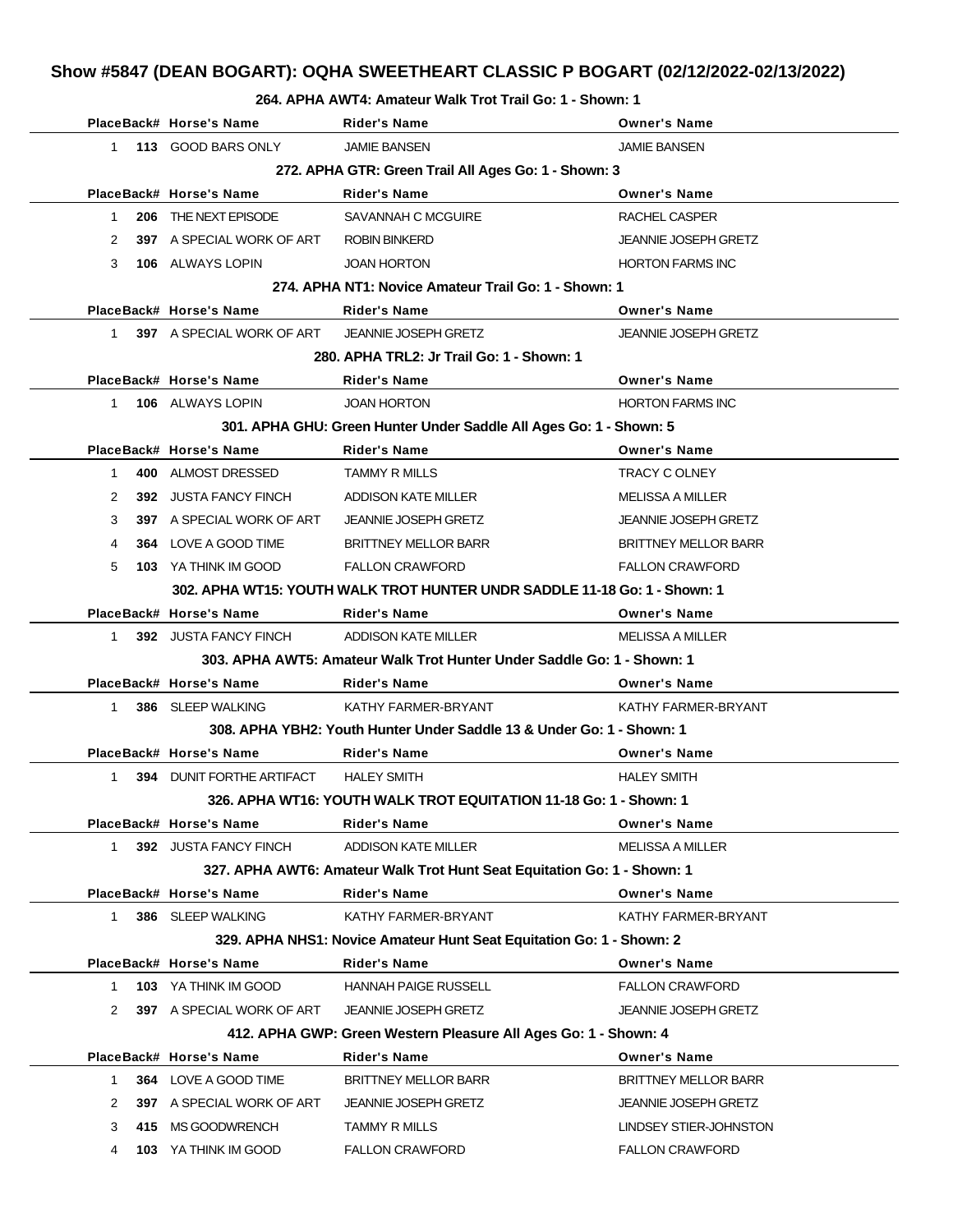## **Show #5847 (DEAN BOGART): OQHA SWEETHEART CLASSIC P BOGART (02/12/2022-02/13/2022)**

#### **264. APHA AWT4: Amateur Walk Trot Trail Go: 1 - Shown: 1**

|              | PlaceBack# Horse's Name                              | <b>Rider's Name</b>                                                       | <b>Owner's Name</b>         |
|--------------|------------------------------------------------------|---------------------------------------------------------------------------|-----------------------------|
| $1 \quad$    | 113 GOOD BARS ONLY                                   | <b>JAMIE BANSEN</b>                                                       | <b>JAMIE BANSEN</b>         |
|              | 272. APHA GTR: Green Trail All Ages Go: 1 - Shown: 3 |                                                                           |                             |
|              | PlaceBack# Horse's Name                              | <b>Rider's Name</b>                                                       | <b>Owner's Name</b>         |
| 1            | 206 THE NEXT EPISODE                                 | SAVANNAH C MCGUIRE                                                        | RACHEL CASPER               |
| 2            | 397 A SPECIAL WORK OF ART                            | <b>ROBIN BINKERD</b>                                                      | <b>JEANNIE JOSEPH GRETZ</b> |
| 3            | <b>106 ALWAYS LOPIN</b>                              | <b>JOAN HORTON</b>                                                        | <b>HORTON FARMS INC</b>     |
|              |                                                      | 274. APHA NT1: Novice Amateur Trail Go: 1 - Shown: 1                      |                             |
|              | PlaceBack# Horse's Name                              | <b>Rider's Name</b>                                                       | <b>Owner's Name</b>         |
| $1 \quad$    | 397 A SPECIAL WORK OF ART                            | <b>JEANNIE JOSEPH GRETZ</b>                                               | <b>JEANNIE JOSEPH GRETZ</b> |
|              |                                                      | 280. APHA TRL2: Jr Trail Go: 1 - Shown: 1                                 |                             |
|              | PlaceBack# Horse's Name                              | Rider's Name                                                              | <b>Owner's Name</b>         |
| 1            | 106 ALWAYS LOPIN                                     | <b>JOAN HORTON</b>                                                        | <b>HORTON FARMS INC</b>     |
|              |                                                      | 301. APHA GHU: Green Hunter Under Saddle All Ages Go: 1 - Shown: 5        |                             |
|              | PlaceBack# Horse's Name                              | <b>Rider's Name</b>                                                       | <b>Owner's Name</b>         |
| 1            | 400 ALMOST DRESSED                                   | <b>TAMMY R MILLS</b>                                                      | TRACY C OLNEY               |
| 2            | 392 JUSTA FANCY FINCH                                | ADDISON KATE MILLER                                                       | MELISSA A MILLER            |
| 3            | 397 A SPECIAL WORK OF ART                            | <b>JEANNIE JOSEPH GRETZ</b>                                               | <b>JEANNIE JOSEPH GRETZ</b> |
| 4            | 364 LOVE A GOOD TIME                                 | <b>BRITTNEY MELLOR BARR</b>                                               | <b>BRITTNEY MELLOR BARR</b> |
| 5            | 103 YA THINK IM GOOD                                 | <b>FALLON CRAWFORD</b>                                                    | <b>FALLON CRAWFORD</b>      |
|              |                                                      | 302. APHA WT15: YOUTH WALK TROT HUNTER UNDR SADDLE 11-18 Go: 1 - Shown: 1 |                             |
|              | PlaceBack# Horse's Name                              | Rider's Name                                                              | <b>Owner's Name</b>         |
| $1 \quad$    | 392 JUSTA FANCY FINCH                                | ADDISON KATE MILLER                                                       | <b>MELISSA A MILLER</b>     |
|              |                                                      | 303. APHA AWT5: Amateur Walk Trot Hunter Under Saddle Go: 1 - Shown: 1    |                             |
|              | PlaceBack# Horse's Name                              | <b>Rider's Name</b>                                                       | <b>Owner's Name</b>         |
| $\mathbf{1}$ | 386 SLEEP WALKING                                    | KATHY FARMER-BRYANT                                                       | KATHY FARMER-BRYANT         |
|              |                                                      | 308. APHA YBH2: Youth Hunter Under Saddle 13 & Under Go: 1 - Shown: 1     |                             |
|              | PlaceBack# Horse's Name                              | Rider's Name                                                              | <b>Owner's Name</b>         |
| $\mathbf{1}$ | <b>394 DUNIT FORTHE ARTIFACT</b>                     | <b>HALEY SMITH</b>                                                        | <b>HALEY SMITH</b>          |
|              |                                                      | 326. APHA WT16: YOUTH WALK TROT EQUITATION 11-18 Go: 1 - Shown: 1         |                             |
|              | PlaceBack# Horse's Name                              | <b>Rider's Name</b>                                                       | <b>Owner's Name</b>         |
| 1            | 392 JUSTA FANCY FINCH                                | ADDISON KATE MILLER                                                       | <b>MELISSA A MILLER</b>     |
|              |                                                      | 327. APHA AWT6: Amateur Walk Trot Hunt Seat Equitation Go: 1 - Shown: 1   |                             |
|              | PlaceBack# Horse's Name                              | <b>Rider's Name</b>                                                       | <b>Owner's Name</b>         |
| 1            | 386 SLEEP WALKING                                    | KATHY FARMER-BRYANT                                                       | KATHY FARMER-BRYANT         |
|              |                                                      | 329. APHA NHS1: Novice Amateur Hunt Seat Equitation Go: 1 - Shown: 2      |                             |
|              | PlaceBack# Horse's Name                              | <b>Rider's Name</b>                                                       | <b>Owner's Name</b>         |
| 1            | <b>103 YA THINK IM GOOD</b>                          | <b>HANNAH PAIGE RUSSELL</b>                                               | <b>FALLON CRAWFORD</b>      |
| 2            | 397 A SPECIAL WORK OF ART                            | <b>JEANNIE JOSEPH GRETZ</b>                                               | <b>JEANNIE JOSEPH GRETZ</b> |
|              |                                                      | 412. APHA GWP: Green Western Pleasure All Ages Go: 1 - Shown: 4           |                             |
|              | PlaceBack# Horse's Name                              | <b>Rider's Name</b>                                                       | <b>Owner's Name</b>         |
| 1            | 364 LOVE A GOOD TIME                                 | <b>BRITTNEY MELLOR BARR</b>                                               | <b>BRITTNEY MELLOR BARR</b> |
| 2            | <b>397</b> A SPECIAL WORK OF ART                     | <b>JEANNIE JOSEPH GRETZ</b>                                               | <b>JEANNIE JOSEPH GRETZ</b> |
| 3<br>415     | MS GOODWRENCH                                        | <b>TAMMY R MILLS</b>                                                      | LINDSEY STIER-JOHNSTON      |
| 4            | 103 YA THINK IM GOOD                                 | <b>FALLON CRAWFORD</b>                                                    | <b>FALLON CRAWFORD</b>      |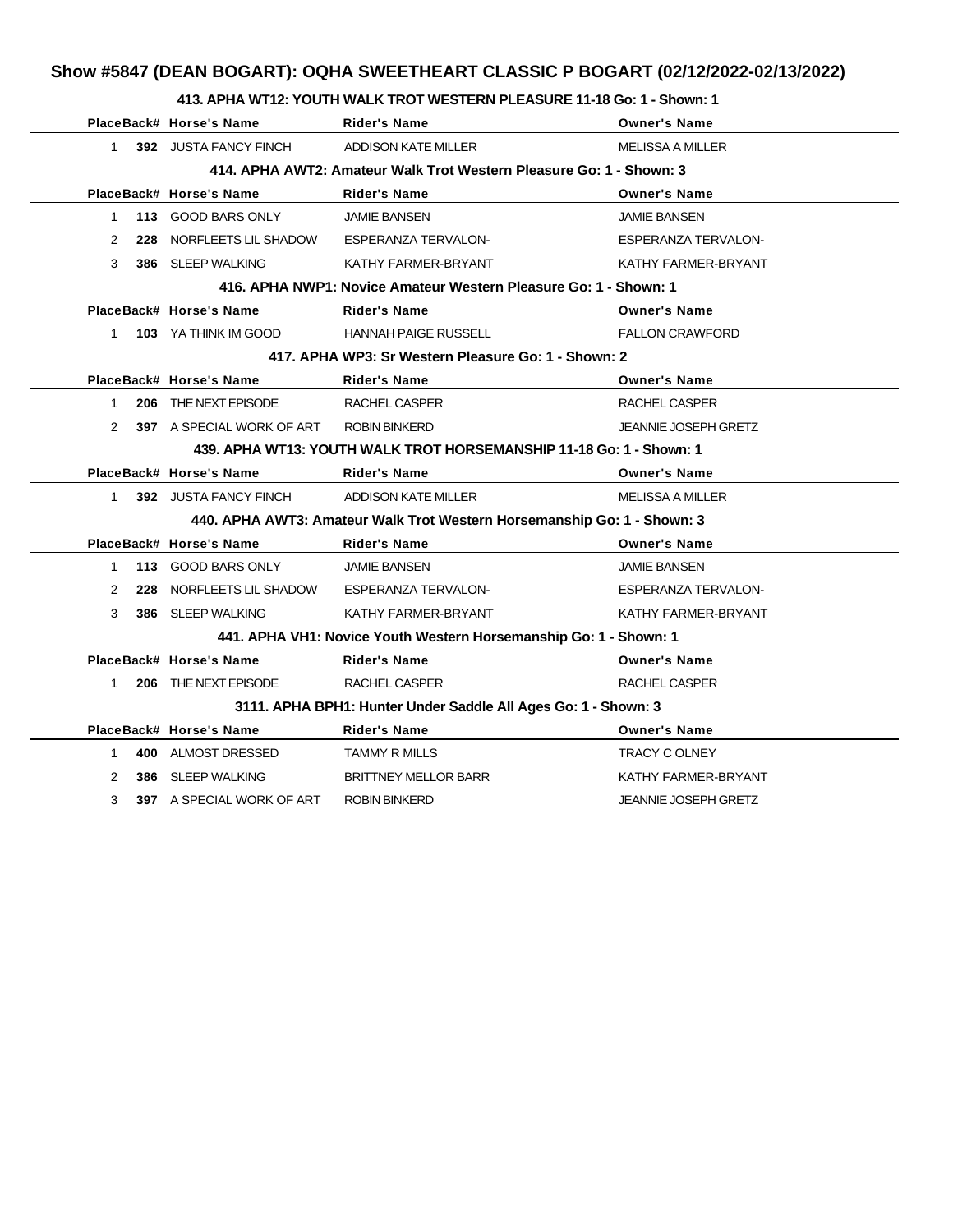## **Show #5847 (DEAN BOGART): OQHA SWEETHEART CLASSIC P BOGART (02/12/2022-02/13/2022)**

### **413. APHA WT12: YOUTH WALK TROT WESTERN PLEASURE 11-18 Go: 1 - Shown: 1**

|                                                                     |  | PlaceBack# Horse's Name                      | <b>Rider's Name</b>                                                     | <b>Owner's Name</b>         |  |  |
|---------------------------------------------------------------------|--|----------------------------------------------|-------------------------------------------------------------------------|-----------------------------|--|--|
| $1 \quad$                                                           |  | 392 JUSTA FANCY FINCH                        | <b>ADDISON KATE MILLER</b>                                              | <b>MELISSA A MILLER</b>     |  |  |
| 414, APHA AWT2: Amateur Walk Trot Western Pleasure Go: 1 - Shown: 3 |  |                                              |                                                                         |                             |  |  |
|                                                                     |  | PlaceBack# Horse's Name                      | <b>Rider's Name</b>                                                     | <b>Owner's Name</b>         |  |  |
| $\mathbf 1$                                                         |  | 113 GOOD BARS ONLY                           | <b>JAMIE BANSEN</b>                                                     | <b>JAMIE BANSEN</b>         |  |  |
| 2                                                                   |  | 228 NORFLEETS LIL SHADOW ESPERANZA TERVALON- |                                                                         | <b>ESPERANZA TERVALON-</b>  |  |  |
| 3                                                                   |  | 386 SLEEP WALKING                            | KATHY FARMER-BRYANT                                                     | KATHY FARMER-BRYANT         |  |  |
|                                                                     |  |                                              | 416. APHA NWP1: Novice Amateur Western Pleasure Go: 1 - Shown: 1        |                             |  |  |
|                                                                     |  | PlaceBack# Horse's Name                      | <b>Rider's Name</b>                                                     | <b>Owner's Name</b>         |  |  |
| $1 \quad$                                                           |  | <b>103 YA THINK IM GOOD</b>                  | <b>HANNAH PAIGE RUSSELL</b>                                             | <b>FALLON CRAWFORD</b>      |  |  |
|                                                                     |  |                                              | 417. APHA WP3: Sr Western Pleasure Go: 1 - Shown: 2                     |                             |  |  |
|                                                                     |  | PlaceBack# Horse's Name                      | <b>Rider's Name</b>                                                     | <b>Owner's Name</b>         |  |  |
| $\mathbf{1}$                                                        |  | 206 THE NEXT EPISODE                         | RACHEL CASPER                                                           | RACHEL CASPER               |  |  |
| 2                                                                   |  | 397 A SPECIAL WORK OF ART ROBIN BINKERD      |                                                                         | <b>JEANNIE JOSEPH GRETZ</b> |  |  |
|                                                                     |  |                                              | 439. APHA WT13: YOUTH WALK TROT HORSEMANSHIP 11-18 Go: 1 - Shown: 1     |                             |  |  |
|                                                                     |  | PlaceBack# Horse's Name                      | <b>Rider's Name</b>                                                     | <b>Owner's Name</b>         |  |  |
| $1 \quad$                                                           |  | 392 JUSTA FANCY FINCH                        | ADDISON KATE MILLER                                                     | <b>MELISSA A MILLER</b>     |  |  |
|                                                                     |  |                                              | 440. APHA AWT3: Amateur Walk Trot Western Horsemanship Go: 1 - Shown: 3 |                             |  |  |
|                                                                     |  | PlaceBack# Horse's Name                      | <b>Rider's Name</b>                                                     | <b>Owner's Name</b>         |  |  |
| 1                                                                   |  | 113 GOOD BARS ONLY                           | <b>JAMIE BANSEN</b>                                                     | <b>JAMIE BANSEN</b>         |  |  |
| 2                                                                   |  | 228 NORFLEETS LIL SHADOW                     | ESPERANZA TERVALON-                                                     | <b>ESPERANZA TERVALON-</b>  |  |  |
| 3                                                                   |  | 386 SLEEP WALKING                            | KATHY FARMER-BRYANT                                                     | KATHY FARMER-BRYANT         |  |  |
|                                                                     |  |                                              | 441. APHA VH1: Novice Youth Western Horsemanship Go: 1 - Shown: 1       |                             |  |  |
|                                                                     |  | PlaceBack# Horse's Name                      | <b>Rider's Name</b>                                                     | <b>Owner's Name</b>         |  |  |
| 1                                                                   |  | 206 THE NEXT EPISODE                         | RACHEL CASPER                                                           | <b>RACHEL CASPER</b>        |  |  |
|                                                                     |  |                                              | 3111. APHA BPH1: Hunter Under Saddle All Ages Go: 1 - Shown: 3          |                             |  |  |
|                                                                     |  | PlaceBack# Horse's Name                      | <b>Rider's Name</b>                                                     | <b>Owner's Name</b>         |  |  |
| $\mathbf{1}$                                                        |  | 400 ALMOST DRESSED                           | <b>TAMMY R MILLS</b>                                                    | TRACY C OLNEY               |  |  |
| 2                                                                   |  | 386 SLEEP WALKING                            | <b>BRITTNEY MELLOR BARR</b>                                             | KATHY FARMER-BRYANT         |  |  |
| 3                                                                   |  | <b>397 A SPECIAL WORK OF ART</b>             | <b>ROBIN BINKERD</b>                                                    | <b>JEANNIE JOSEPH GRETZ</b> |  |  |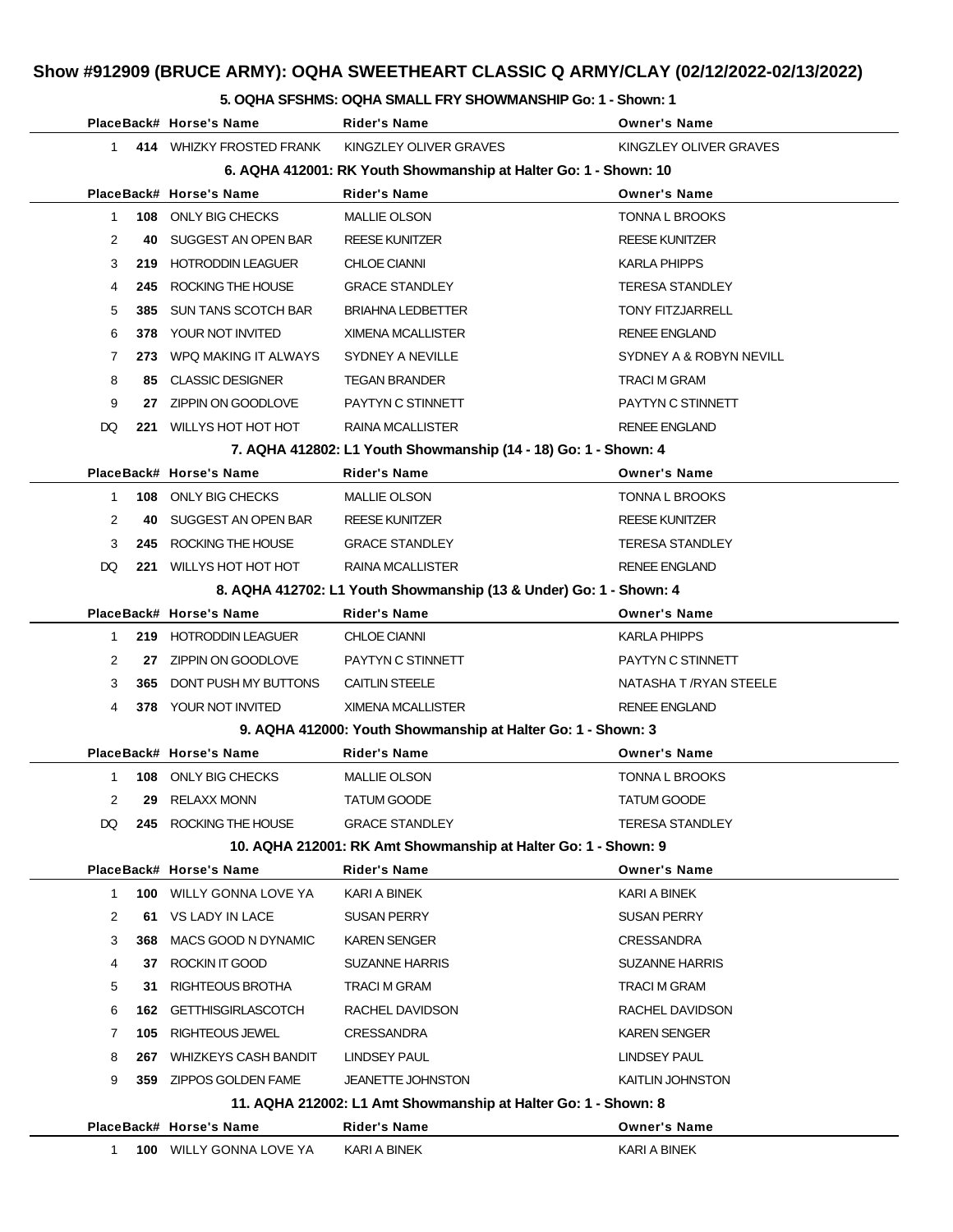#### **5. OQHA SFSHMS: OQHA SMALL FRY SHOWMANSHIP Go: 1 - Shown: 1**

|                                                                  | PlaceBack# Horse's Name        | <b>Rider's Name</b>                                                | <b>Owner's Name</b>     |  |  |
|------------------------------------------------------------------|--------------------------------|--------------------------------------------------------------------|-------------------------|--|--|
| $\mathbf{1}$                                                     | 414 WHIZKY FROSTED FRANK       | KINGZLEY OLIVER GRAVES                                             | KINGZLEY OLIVER GRAVES  |  |  |
| 6. AQHA 412001: RK Youth Showmanship at Halter Go: 1 - Shown: 10 |                                |                                                                    |                         |  |  |
|                                                                  | PlaceBack# Horse's Name        | <b>Rider's Name</b>                                                | <b>Owner's Name</b>     |  |  |
| 1                                                                | 108 ONLY BIG CHECKS            | <b>MALLIE OLSON</b>                                                | <b>TONNA L BROOKS</b>   |  |  |
| 2<br>40                                                          | SUGGEST AN OPEN BAR            | <b>REESE KUNITZER</b>                                              | <b>REESE KUNITZER</b>   |  |  |
| 3                                                                | 219 HOTRODDIN LEAGUER          | <b>CHLOE CIANNI</b>                                                | KARLA PHIPPS            |  |  |
| 4<br>245                                                         | ROCKING THE HOUSE              | <b>GRACE STANDLEY</b>                                              | <b>TERESA STANDLEY</b>  |  |  |
| 5<br>385                                                         | SUN TANS SCOTCH BAR            | <b>BRIAHNA LEDBETTER</b>                                           | <b>TONY FITZJARRELL</b> |  |  |
| 6<br>378                                                         | YOUR NOT INVITED               | XIMENA MCALLISTER                                                  | <b>RENEE ENGLAND</b>    |  |  |
| 7                                                                | 273 WPQ MAKING IT ALWAYS       | SYDNEY A NEVILLE                                                   | SYDNEY A & ROBYN NEVILL |  |  |
| 8                                                                | 85 CLASSIC DESIGNER            | <b>TEGAN BRANDER</b>                                               | TRACI M GRAM            |  |  |
| 9                                                                | 27 ZIPPIN ON GOODLOVE          | PAYTYN C STINNETT                                                  | PAYTYN C STINNETT       |  |  |
| DQ                                                               | 221 WILLYS HOT HOT HOT         | RAINA MCALLISTER                                                   | <b>RENEE ENGLAND</b>    |  |  |
|                                                                  |                                | 7. AQHA 412802: L1 Youth Showmanship (14 - 18) Go: 1 - Shown: 4    |                         |  |  |
|                                                                  | PlaceBack# Horse's Name        | Rider's Name                                                       | <b>Owner's Name</b>     |  |  |
| 1                                                                | 108 ONLY BIG CHECKS            | <b>MALLIE OLSON</b>                                                | <b>TONNA L BROOKS</b>   |  |  |
| 2<br>40                                                          | SUGGEST AN OPEN BAR            | <b>REESE KUNITZER</b>                                              | <b>REESE KUNITZER</b>   |  |  |
| 3                                                                | 245 ROCKING THE HOUSE          | <b>GRACE STANDLEY</b>                                              | <b>TERESA STANDLEY</b>  |  |  |
| DQ.                                                              | 221 WILLYS HOT HOT HOT         | RAINA MCALLISTER                                                   | <b>RENEE ENGLAND</b>    |  |  |
|                                                                  |                                | 8. AQHA 412702: L1 Youth Showmanship (13 & Under) Go: 1 - Shown: 4 |                         |  |  |
|                                                                  | PlaceBack# Horse's Name        | <b>Rider's Name</b>                                                | <b>Owner's Name</b>     |  |  |
| 1                                                                | 219 HOTRODDIN LEAGUER          | <b>CHLOE CIANNI</b>                                                | KARLA PHIPPS            |  |  |
| 2                                                                | 27 ZIPPIN ON GOODLOVE          | PAYTYN C STINNETT                                                  | PAYTYN C STINNETT       |  |  |
| 3<br>365                                                         | DONT PUSH MY BUTTONS           | <b>CAITLIN STEELE</b>                                              | NATASHA T /RYAN STEELE  |  |  |
| 4                                                                | 378 YOUR NOT INVITED           | XIMENA MCALLISTER                                                  | <b>RENEE ENGLAND</b>    |  |  |
|                                                                  |                                | 9. AQHA 412000: Youth Showmanship at Halter Go: 1 - Shown: 3       |                         |  |  |
|                                                                  | PlaceBack# Horse's Name        | Rider's Name                                                       | <b>Owner's Name</b>     |  |  |
| 1                                                                | 108 ONLY BIG CHECKS            | <b>MALLIE OLSON</b>                                                | <b>TONNA L BROOKS</b>   |  |  |
| 2                                                                | 29 RELAXX MONN                 | <b>TATUM GOODE</b>                                                 | <b>TATUM GOODE</b>      |  |  |
| DQ                                                               | 245 ROCKING THE HOUSE          | <b>GRACE STANDLEY</b>                                              | <b>TERESA STANDLEY</b>  |  |  |
|                                                                  |                                | 10. AQHA 212001: RK Amt Showmanship at Halter Go: 1 - Shown: 9     |                         |  |  |
|                                                                  | PlaceBack# Horse's Name        | <b>Rider's Name</b>                                                | <b>Owner's Name</b>     |  |  |
| 1                                                                | 100 WILLY GONNA LOVE YA        | KARI A BINEK                                                       | KARI A BINEK            |  |  |
| 2<br>61                                                          | VS LADY IN LACE                | SUSAN PERRY                                                        | <b>SUSAN PERRY</b>      |  |  |
| 3<br>368                                                         | MACS GOOD N DYNAMIC            | <b>KAREN SENGER</b>                                                | <b>CRESSANDRA</b>       |  |  |
| 4                                                                | 37 ROCKIN IT GOOD              | SUZANNE HARRIS                                                     | <b>SUZANNE HARRIS</b>   |  |  |
| 5<br>31                                                          | RIGHTEOUS BROTHA               | TRACI M GRAM                                                       | <b>TRACI M GRAM</b>     |  |  |
| 6                                                                | 162 GETTHISGIRLASCOTCH         | RACHEL DAVIDSON                                                    | RACHEL DAVIDSON         |  |  |
| 7<br>105                                                         | RIGHTEOUS JEWEL                | <b>CRESSANDRA</b>                                                  | <b>KAREN SENGER</b>     |  |  |
| 8                                                                | 267 WHIZKEYS CASH BANDIT       | LINDSEY PAUL                                                       | LINDSEY PAUL            |  |  |
| 9                                                                | 359 ZIPPOS GOLDEN FAME         | <b>JEANETTE JOHNSTON</b>                                           | KAITLIN JOHNSTON        |  |  |
|                                                                  |                                | 11. AQHA 212002: L1 Amt Showmanship at Halter Go: 1 - Shown: 8     |                         |  |  |
|                                                                  | PlaceBack# Horse's Name        | <b>Rider's Name</b>                                                | <b>Owner's Name</b>     |  |  |
| 1                                                                | <b>100 WILLY GONNA LOVE YA</b> | KARI A BINEK                                                       | KARI A BINEK            |  |  |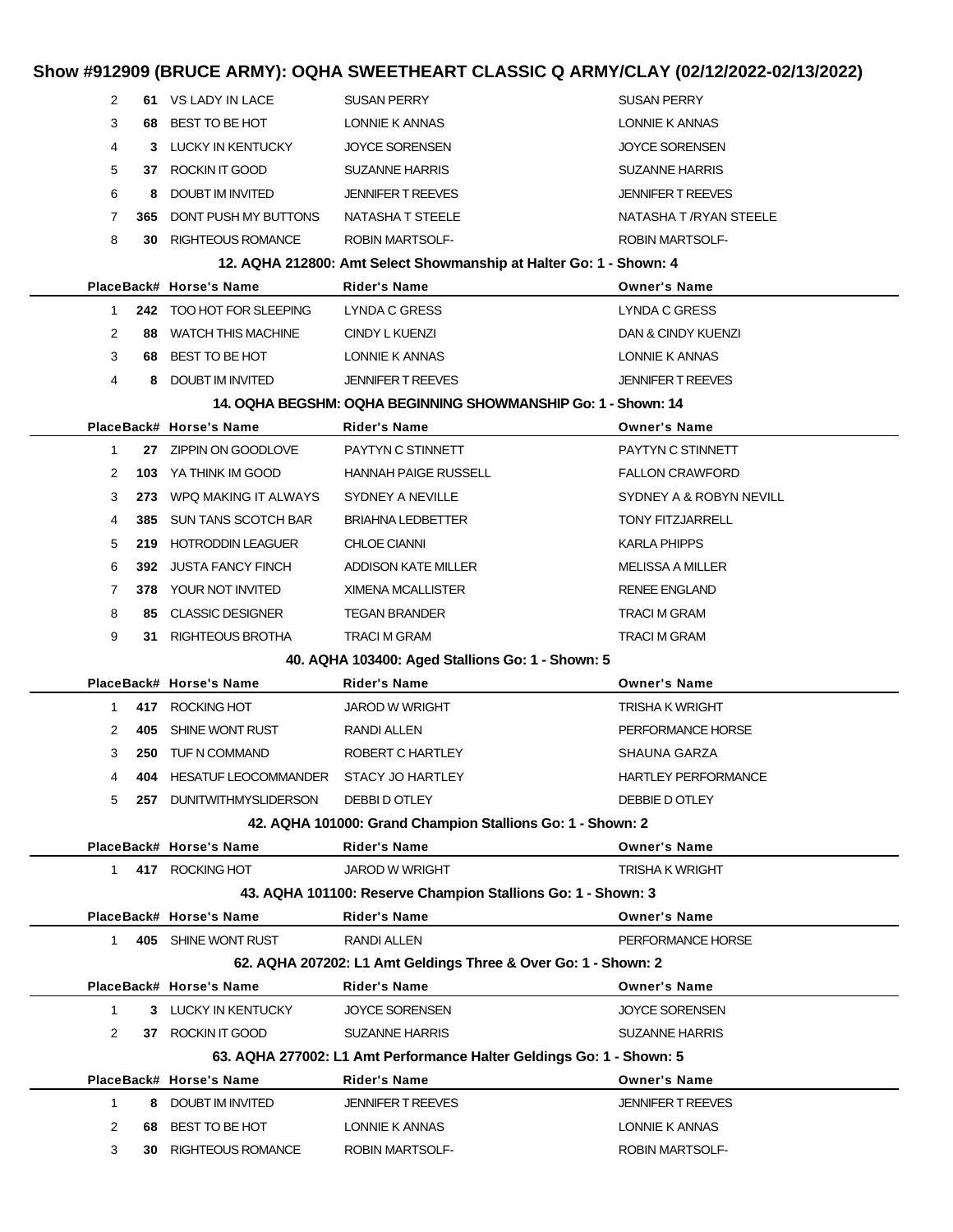| 2            |     | 61 VS LADY IN LACE          | <b>SUSAN PERRY</b>                                                   | SUSAN PERRY                |
|--------------|-----|-----------------------------|----------------------------------------------------------------------|----------------------------|
| 3            | 68  | BEST TO BE HOT              | LONNIE K ANNAS                                                       | LONNIE K ANNAS             |
| 4            |     | 3 LUCKY IN KENTUCKY         | <b>JOYCE SORENSEN</b>                                                | <b>JOYCE SORENSEN</b>      |
| 5            |     | 37 ROCKIN IT GOOD           | <b>SUZANNE HARRIS</b>                                                | <b>SUZANNE HARRIS</b>      |
| 6            | 8   | DOUBT IM INVITED            | <b>JENNIFER T REEVES</b>                                             | <b>JENNIFER T REEVES</b>   |
| 7            | 365 | DONT PUSH MY BUTTONS        | NATASHA T STEELE                                                     | NATASHA T /RYAN STEELE     |
| 8            | 30  | <b>RIGHTEOUS ROMANCE</b>    | <b>ROBIN MARTSOLF-</b>                                               | <b>ROBIN MARTSOLF-</b>     |
|              |     |                             | 12. AQHA 212800: Amt Select Showmanship at Halter Go: 1 - Shown: 4   |                            |
|              |     | PlaceBack# Horse's Name     | Rider's Name                                                         | <b>Owner's Name</b>        |
| 1            |     | 242 TOO HOT FOR SLEEPING    | LYNDA C GRESS                                                        | LYNDA C GRESS              |
| 2            | 88  | <b>WATCH THIS MACHINE</b>   | CINDY L KUENZI                                                       | DAN & CINDY KUENZI         |
| 3            |     | 68 BEST TO BE HOT           | LONNIE K ANNAS                                                       | LONNIE K ANNAS             |
| 4            |     | 8 DOUBT IM INVITED          | <b>JENNIFER T REEVES</b>                                             | <b>JENNIFER T REEVES</b>   |
|              |     |                             | 14. OQHA BEGSHM: OQHA BEGINNING SHOWMANSHIP Go: 1 - Shown: 14        |                            |
|              |     | PlaceBack# Horse's Name     | Rider's Name                                                         | <b>Owner's Name</b>        |
| $\mathbf{1}$ |     | 27 ZIPPIN ON GOODLOVE       | PAYTYN C STINNETT                                                    | PAYTYN C STINNETT          |
| 2            |     | 103 YA THINK IM GOOD        | <b>HANNAH PAIGE RUSSELL</b>                                          | <b>FALLON CRAWFORD</b>     |
| 3            | 273 | WPQ MAKING IT ALWAYS        | SYDNEY A NEVILLE                                                     | SYDNEY A & ROBYN NEVILL    |
| 4            | 385 | SUN TANS SCOTCH BAR         | <b>BRIAHNA LEDBETTER</b>                                             | <b>TONY FITZJARRELL</b>    |
| 5            | 219 | <b>HOTRODDIN LEAGUER</b>    | <b>CHLOE CIANNI</b>                                                  | KARLA PHIPPS               |
| 6            | 392 | <b>JUSTA FANCY FINCH</b>    | ADDISON KATE MILLER                                                  | MELISSA A MILLER           |
| 7            | 378 | YOUR NOT INVITED            | <b>XIMENA MCALLISTER</b>                                             | <b>RENEE ENGLAND</b>       |
| 8            | 85  | <b>CLASSIC DESIGNER</b>     | <b>TEGAN BRANDER</b>                                                 | <b>TRACI M GRAM</b>        |
| 9            |     | 31 RIGHTEOUS BROTHA         | <b>TRACI M GRAM</b>                                                  | TRACI M GRAM               |
|              |     |                             | 40. AQHA 103400: Aged Stallions Go: 1 - Shown: 5                     |                            |
|              |     | PlaceBack# Horse's Name     | Rider's Name                                                         | <b>Owner's Name</b>        |
| 1            |     | 417 ROCKING HOT             | <b>JAROD W WRIGHT</b>                                                | TRISHA K WRIGHT            |
| 2            | 405 | SHINE WONT RUST             | RANDI ALLEN                                                          | PERFORMANCE HORSE          |
| 3            | 250 | TUF N COMMAND               | ROBERT C HARTLEY                                                     | SHAUNA GARZA               |
| 4            |     | 404 HESATUF LEOCOMMANDER    | STACY JO HARTLEY                                                     | <b>HARTLEY PERFORMANCE</b> |
| 5            |     | 257 DUNITWITHMYSLIDERSON    | DEBBI D OTLEY                                                        | DEBBIE DOTLEY              |
|              |     |                             | 42. AQHA 101000: Grand Champion Stallions Go: 1 - Shown: 2           |                            |
|              |     | PlaceBack# Horse's Name     | <b>Rider's Name</b>                                                  | <b>Owner's Name</b>        |
| 1            |     | 417 ROCKING HOT             | <b>JAROD W WRIGHT</b>                                                | TRISHA K WRIGHT            |
|              |     |                             | 43. AQHA 101100: Reserve Champion Stallions Go: 1 - Shown: 3         |                            |
|              |     | PlaceBack# Horse's Name     | <b>Rider's Name</b>                                                  | <b>Owner's Name</b>        |
| $\mathbf{1}$ |     | 405 SHINE WONT RUST         | <b>RANDI ALLEN</b>                                                   | PERFORMANCE HORSE          |
|              |     |                             | 62. AQHA 207202: L1 Amt Geldings Three & Over Go: 1 - Shown: 2       |                            |
|              |     | PlaceBack# Horse's Name     | <b>Rider's Name</b>                                                  | <b>Owner's Name</b>        |
| 1            |     | 3 LUCKY IN KENTUCKY         | <b>JOYCE SORENSEN</b>                                                | <b>JOYCE SORENSEN</b>      |
| 2            |     | 37 ROCKIN IT GOOD           | <b>SUZANNE HARRIS</b>                                                | <b>SUZANNE HARRIS</b>      |
|              |     |                             | 63. AQHA 277002: L1 Amt Performance Halter Geldings Go: 1 - Shown: 5 |                            |
|              |     | PlaceBack# Horse's Name     | <b>Rider's Name</b>                                                  | <b>Owner's Name</b>        |
| 1            | 8   | DOUBT IM INVITED            | <b>JENNIFER T REEVES</b>                                             | <b>JENNIFER T REEVES</b>   |
| 2            | 68. | BEST TO BE HOT              | LONNIE K ANNAS                                                       | LONNIE K ANNAS             |
| 3            |     | <b>30 RIGHTEOUS ROMANCE</b> | ROBIN MARTSOLF-                                                      | ROBIN MARTSOLF-            |
|              |     |                             |                                                                      |                            |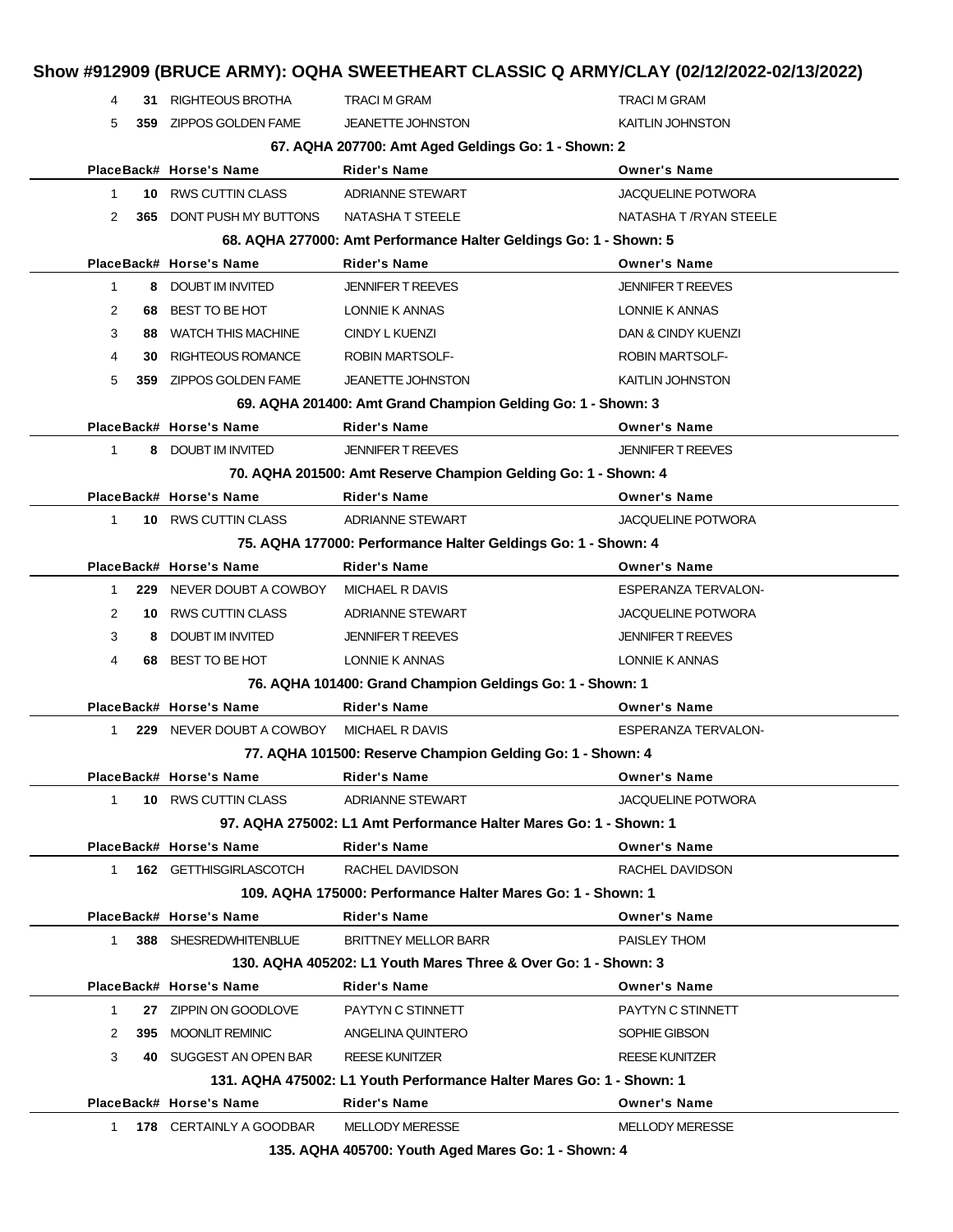|                |      |                                 | Show #912909 (BRUCE ARMY): OQHA SWEETHEART CLASSIC Q ARMY/CLAY (02/12/2022-02/13/2022) |                           |
|----------------|------|---------------------------------|----------------------------------------------------------------------------------------|---------------------------|
| 4              |      | 31 RIGHTEOUS BROTHA             | <b>TRACI M GRAM</b>                                                                    | <b>TRACI M GRAM</b>       |
| 5              |      | 359 ZIPPOS GOLDEN FAME          | <b>JEANETTE JOHNSTON</b>                                                               | <b>KAITLIN JOHNSTON</b>   |
|                |      |                                 | 67. AQHA 207700: Amt Aged Geldings Go: 1 - Shown: 2                                    |                           |
|                |      | PlaceBack# Horse's Name         | <b>Rider's Name</b>                                                                    | <b>Owner's Name</b>       |
| $\mathbf{1}$   | 10   | RWS CUTTIN CLASS                | <b>ADRIANNE STEWART</b>                                                                | JACQUELINE POTWORA        |
| 2              |      | <b>365 DONT PUSH MY BUTTONS</b> | NATASHA T STEELE                                                                       | NATASHA T / RYAN STEELE   |
|                |      |                                 | 68. AQHA 277000: Amt Performance Halter Geldings Go: 1 - Shown: 5                      |                           |
|                |      | PlaceBack# Horse's Name         | <b>Rider's Name</b>                                                                    | <b>Owner's Name</b>       |
| $\mathbf{1}$   | 8    | DOUBT IM INVITED                | <b>JENNIFER T REEVES</b>                                                               | <b>JENNIFER T REEVES</b>  |
| 2              | 68   | BEST TO BE HOT                  | LONNIE K ANNAS                                                                         | LONNIE K ANNAS            |
| 3              | 88   | <b>WATCH THIS MACHINE</b>       | <b>CINDY L KUENZI</b>                                                                  | DAN & CINDY KUENZI        |
| 4              | 30   | <b>RIGHTEOUS ROMANCE</b>        | ROBIN MARTSOLF-                                                                        | <b>ROBIN MARTSOLF-</b>    |
| 5              | 359  | ZIPPOS GOLDEN FAME              | <b>JEANETTE JOHNSTON</b>                                                               | <b>KAITLIN JOHNSTON</b>   |
|                |      |                                 | 69. AQHA 201400: Amt Grand Champion Gelding Go: 1 - Shown: 3                           |                           |
|                |      | PlaceBack# Horse's Name         | <b>Rider's Name</b>                                                                    | <b>Owner's Name</b>       |
| $\mathbf 1$    |      | 8 DOUBT IM INVITED              | <b>JENNIFER T REEVES</b>                                                               | <b>JENNIFER T REEVES</b>  |
|                |      |                                 | 70. AQHA 201500: Amt Reserve Champion Gelding Go: 1 - Shown: 4                         |                           |
|                |      | PlaceBack# Horse's Name         | <b>Rider's Name</b>                                                                    | <b>Owner's Name</b>       |
| $\mathbf{1}$   |      | 10 RWS CUTTIN CLASS             | <b>ADRIANNE STEWART</b>                                                                | <b>JACQUELINE POTWORA</b> |
|                |      |                                 | 75. AQHA 177000: Performance Halter Geldings Go: 1 - Shown: 4                          |                           |
|                |      | PlaceBack# Horse's Name         | <b>Rider's Name</b>                                                                    | <b>Owner's Name</b>       |
| $\mathbf 1$    | 229. | NEVER DOUBT A COWBOY            | MICHAEL R DAVIS                                                                        | ESPERANZA TERVALON-       |
| $\overline{2}$ | 10   | RWS CUTTIN CLASS                | <b>ADRIANNE STEWART</b>                                                                | <b>JACQUELINE POTWORA</b> |
| 3              | 8    | DOUBT IM INVITED                | <b>JENNIFER T REEVES</b>                                                               | <b>JENNIFER T REEVES</b>  |
| 4              | 68   | BEST TO BE HOT                  | LONNIE K ANNAS                                                                         | LONNIE K ANNAS            |
|                |      |                                 | 76. AQHA 101400: Grand Champion Geldings Go: 1 - Shown: 1                              |                           |
|                |      | PlaceBack# Horse's Name         | <b>Rider's Name</b>                                                                    | <b>Owner's Name</b>       |
| 1              |      | 229 NEVER DOUBT A COWBOY        | MICHAEL R DAVIS                                                                        | ESPERANZA TERVALON-       |
|                |      |                                 | 77. AQHA 101500: Reserve Champion Gelding Go: 1 - Shown: 4                             |                           |
|                |      | PlaceBack# Horse's Name         | <b>Rider's Name</b>                                                                    | <b>Owner's Name</b>       |
| $\mathbf{1}$   |      | 10 RWS CUTTIN CLASS             | ADRIANNE STEWART                                                                       | <b>JACQUELINE POTWORA</b> |
|                |      |                                 | 97. AQHA 275002: L1 Amt Performance Halter Mares Go: 1 - Shown: 1                      |                           |
|                |      | PlaceBack# Horse's Name         | <b>Rider's Name</b>                                                                    | <b>Owner's Name</b>       |
| 1              |      | 162 GETTHISGIRLASCOTCH          | RACHEL DAVIDSON                                                                        | RACHEL DAVIDSON           |
|                |      |                                 | 109. AQHA 175000: Performance Halter Mares Go: 1 - Shown: 1                            |                           |
|                |      | PlaceBack# Horse's Name         | Rider's Name                                                                           | <b>Owner's Name</b>       |
| 1              |      | 388 SHESREDWHITENBLUE           | <b>BRITTNEY MELLOR BARR</b>                                                            | PAISLEY THOM              |
|                |      |                                 | 130. AQHA 405202: L1 Youth Mares Three & Over Go: 1 - Shown: 3                         |                           |
|                |      | PlaceBack# Horse's Name         | <b>Rider's Name</b>                                                                    | <b>Owner's Name</b>       |
| $\mathbf{1}$   |      | 27 ZIPPIN ON GOODLOVE           | PAYTYN C STINNETT                                                                      | PAYTYN C STINNETT         |
| 2              |      | 395 MOONLIT REMINIC             | ANGELINA QUINTERO                                                                      | SOPHIE GIBSON             |
| 3              |      | 40 SUGGEST AN OPEN BAR          | <b>REESE KUNITZER</b>                                                                  | <b>REESE KUNITZER</b>     |
|                |      |                                 | 131. AQHA 475002: L1 Youth Performance Halter Mares Go: 1 - Shown: 1                   |                           |
|                |      | PlaceBack# Horse's Name         | <b>Rider's Name</b>                                                                    | <b>Owner's Name</b>       |
| $\mathbf{1}$   |      | 178 CERTAINLY A GOODBAR         | <b>MELLODY MERESSE</b>                                                                 | MELLODY MERESSE           |
|                |      |                                 | 135. AQHA 405700: Youth Aged Mares Go: 1 - Shown: 4                                    |                           |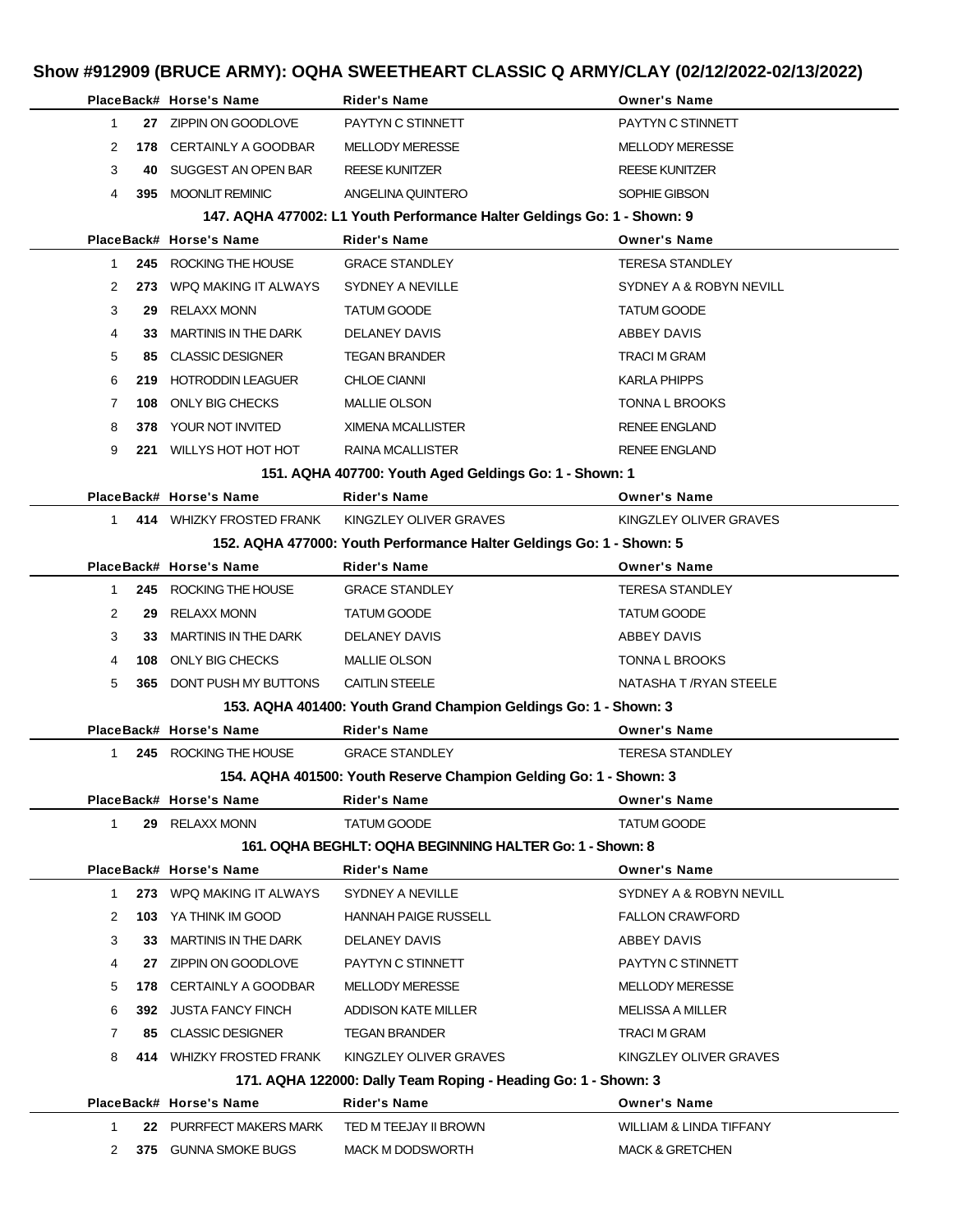|              |     | PlaceBack# Horse's Name         | <b>Rider's Name</b>                                                     | <b>Owner's Name</b>        |
|--------------|-----|---------------------------------|-------------------------------------------------------------------------|----------------------------|
| 1            |     | 27 ZIPPIN ON GOODLOVE           | PAYTYN C STINNETT                                                       | PAYTYN C STINNETT          |
| 2            |     | 178 CERTAINLY A GOODBAR         | <b>MELLODY MERESSE</b>                                                  | <b>MELLODY MERESSE</b>     |
| 3            | 40  | SUGGEST AN OPEN BAR             | <b>REESE KUNITZER</b>                                                   | <b>REESE KUNITZER</b>      |
| 4            |     | 395 MOONLIT REMINIC             | ANGELINA QUINTERO                                                       | SOPHIE GIBSON              |
|              |     |                                 | 147. AQHA 477002: L1 Youth Performance Halter Geldings Go: 1 - Shown: 9 |                            |
|              |     | PlaceBack# Horse's Name         | <b>Rider's Name</b>                                                     | <b>Owner's Name</b>        |
| 1            |     | 245 ROCKING THE HOUSE           | <b>GRACE STANDLEY</b>                                                   | <b>TERESA STANDLEY</b>     |
| 2            | 273 | WPQ MAKING IT ALWAYS            | SYDNEY A NEVILLE                                                        | SYDNEY A & ROBYN NEVILL    |
| 3            | 29  | RELAXX MONN                     | <b>TATUM GOODE</b>                                                      | <b>TATUM GOODE</b>         |
| 4            | 33. | MARTINIS IN THE DARK            | DELANEY DAVIS                                                           | ABBEY DAVIS                |
| 5            |     | 85 CLASSIC DESIGNER             | TEGAN BRANDER                                                           | TRACI M GRAM               |
| 6            | 219 | <b>HOTRODDIN LEAGUER</b>        | <b>CHLOE CIANNI</b>                                                     | <b>KARLA PHIPPS</b>        |
| 7            | 108 | <b>ONLY BIG CHECKS</b>          | <b>MALLIE OLSON</b>                                                     | <b>TONNA L BROOKS</b>      |
| 8            | 378 | YOUR NOT INVITED                | <b>XIMENA MCALLISTER</b>                                                | <b>RENEE ENGLAND</b>       |
| 9            |     | 221 WILLYS HOT HOT HOT          | <b>RAINA MCALLISTER</b>                                                 | <b>RENEE ENGLAND</b>       |
|              |     |                                 | 151. AQHA 407700: Youth Aged Geldings Go: 1 - Shown: 1                  |                            |
|              |     | PlaceBack# Horse's Name         | <b>Rider's Name</b>                                                     | <b>Owner's Name</b>        |
| 1            |     | 414 WHIZKY FROSTED FRANK        | KINGZLEY OLIVER GRAVES                                                  | KINGZLEY OLIVER GRAVES     |
|              |     |                                 | 152. AQHA 477000: Youth Performance Halter Geldings Go: 1 - Shown: 5    |                            |
|              |     | PlaceBack# Horse's Name         | Rider's Name                                                            | <b>Owner's Name</b>        |
| $\mathbf{1}$ |     | 245 ROCKING THE HOUSE           | <b>GRACE STANDLEY</b>                                                   | <b>TERESA STANDLEY</b>     |
| 2            | 29  | RELAXX MONN                     | <b>TATUM GOODE</b>                                                      | <b>TATUM GOODE</b>         |
| 3            | 33  | MARTINIS IN THE DARK            | DELANEY DAVIS                                                           | ABBEY DAVIS                |
| 4            | 108 | ONLY BIG CHECKS                 | <b>MALLIE OLSON</b>                                                     | <b>TONNA L BROOKS</b>      |
| 5            |     | <b>365 DONT PUSH MY BUTTONS</b> | <b>CAITLIN STEELE</b>                                                   | NATASHA T /RYAN STEELE     |
|              |     |                                 | 153. AQHA 401400: Youth Grand Champion Geldings Go: 1 - Shown: 3        |                            |
|              |     | PlaceBack# Horse's Name         | Rider's Name                                                            | <b>Owner's Name</b>        |
| $\mathbf{1}$ |     | 245 ROCKING THE HOUSE           | <b>GRACE STANDLEY</b>                                                   | <b>TERESA STANDLEY</b>     |
|              |     |                                 | 154. AQHA 401500: Youth Reserve Champion Gelding Go: 1 - Shown: 3       |                            |
|              |     | PlaceBack# Horse's Name         | Rider's Name                                                            | <b>Owner's Name</b>        |
| 1.           |     | 29 RELAXX MONN                  | TATUM GOODE                                                             | <b>TATUM GOODE</b>         |
|              |     |                                 | 161, OQHA BEGHLT: OQHA BEGINNING HALTER Go: 1 - Shown: 8                |                            |
|              |     | PlaceBack# Horse's Name         | Rider's Name                                                            | <b>Owner's Name</b>        |
| 1            |     | 273 WPQ MAKING IT ALWAYS        | SYDNEY A NEVILLE                                                        | SYDNEY A & ROBYN NEVILL    |
| 2            |     | 103 YA THINK IM GOOD            | HANNAH PAIGE RUSSELL                                                    | <b>FALLON CRAWFORD</b>     |
| 3            | 33. | <b>MARTINIS IN THE DARK</b>     | DELANEY DAVIS                                                           | ABBEY DAVIS                |
| 4            |     | 27 ZIPPIN ON GOODLOVE           | PAYTYN C STINNETT                                                       | PAYTYN C STINNETT          |
| 5            |     | 178 CERTAINLY A GOODBAR         | <b>MELLODY MERESSE</b>                                                  | <b>MELLODY MERESSE</b>     |
| 6            |     | 392 JUSTA FANCY FINCH           | ADDISON KATE MILLER                                                     | MELISSA A MILLER           |
| 7            |     | 85 CLASSIC DESIGNER             | <b>TEGAN BRANDER</b>                                                    | TRACI M GRAM               |
| 8            |     | 414 WHIZKY FROSTED FRANK        | KINGZLEY OLIVER GRAVES                                                  | KINGZLEY OLIVER GRAVES     |
|              |     |                                 | 171. AQHA 122000: Dally Team Roping - Heading Go: 1 - Shown: 3          |                            |
|              |     | PlaceBack# Horse's Name         | <b>Rider's Name</b>                                                     | <b>Owner's Name</b>        |
| $\mathbf{1}$ |     | 22 PURRFECT MAKERS MARK         | TED M TEEJAY II BROWN                                                   | WILLIAM & LINDA TIFFANY    |
| 2            |     | 375 GUNNA SMOKE BUGS            | <b>MACK M DODSWORTH</b>                                                 | <b>MACK &amp; GRETCHEN</b> |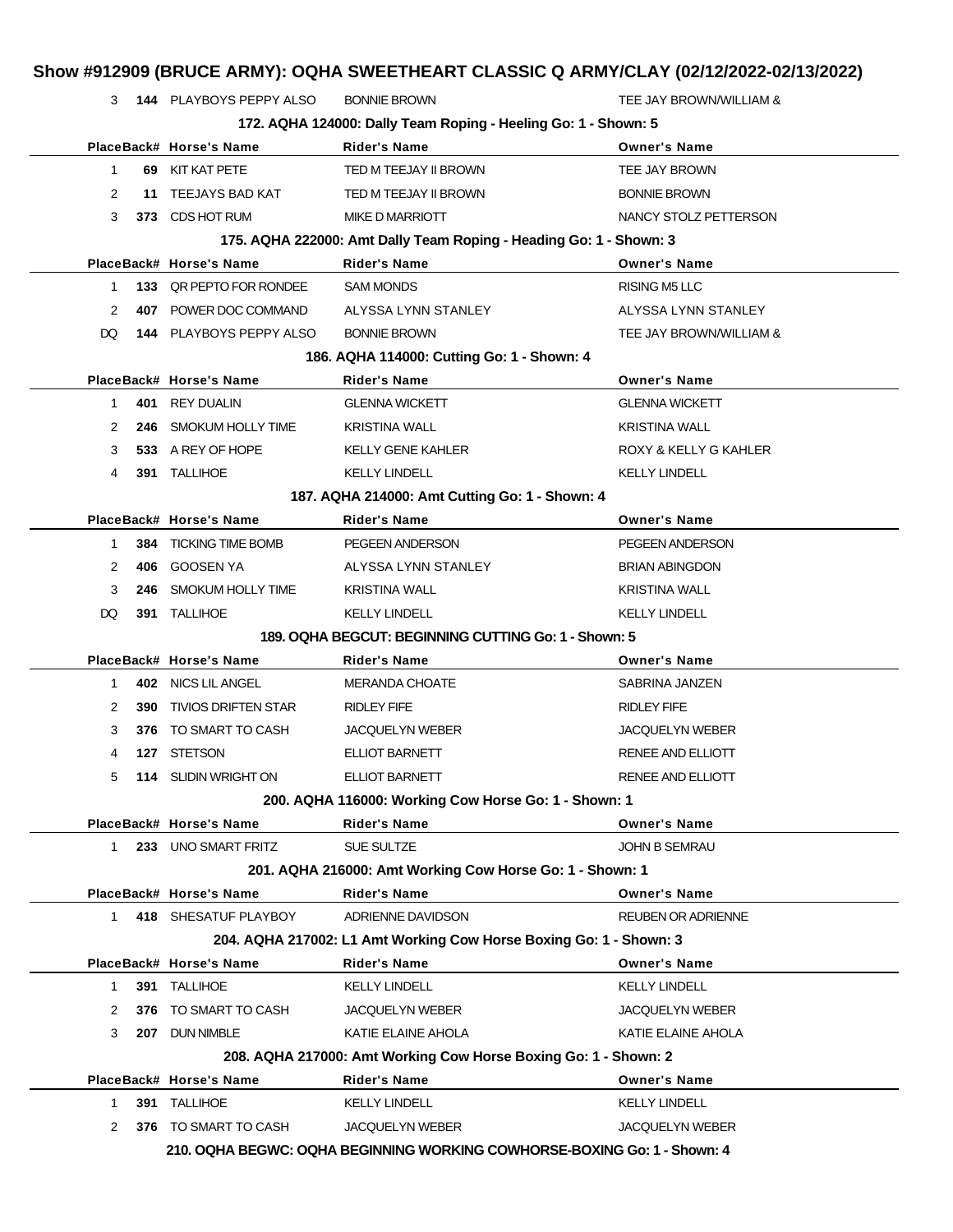|                                            |     |                            |                                                                          | Show #912909 (BRUCE ARMY): OQHA SWEETHEART CLASSIC Q ARMY/CLAY (02/12/2022-02/13/2022) |  |
|--------------------------------------------|-----|----------------------------|--------------------------------------------------------------------------|----------------------------------------------------------------------------------------|--|
|                                            |     | 3 144 PLAYBOYS PEPPY ALSO  | <b>BONNIE BROWN</b>                                                      | TEE JAY BROWN/WILLIAM &                                                                |  |
|                                            |     |                            | 172. AQHA 124000: Dally Team Roping - Heeling Go: 1 - Shown: 5           |                                                                                        |  |
|                                            |     | PlaceBack# Horse's Name    | <b>Rider's Name</b>                                                      | <b>Owner's Name</b>                                                                    |  |
| $\mathbf{1}$                               |     | 69 KIT KAT PETE            | TED M TEEJAY II BROWN                                                    | TEE JAY BROWN                                                                          |  |
| 2                                          | 11  | TEEJAYS BAD KAT            | TED M TEEJAY II BROWN                                                    | <b>BONNIE BROWN</b>                                                                    |  |
| 3                                          |     | 373 CDS HOT RUM            | <b>MIKE D MARRIOTT</b>                                                   | NANCY STOLZ PETTERSON                                                                  |  |
|                                            |     |                            | 175. AQHA 222000: Amt Dally Team Roping - Heading Go: 1 - Shown: 3       |                                                                                        |  |
|                                            |     | PlaceBack# Horse's Name    | <b>Rider's Name</b>                                                      | <b>Owner's Name</b>                                                                    |  |
| $\mathbf 1$                                | 133 | QR PEPTO FOR RONDEE        | <b>SAM MONDS</b>                                                         | RISING M5 LLC                                                                          |  |
| 2                                          |     | 407 POWER DOC COMMAND      | ALYSSA LYNN STANLEY                                                      | ALYSSA LYNN STANLEY                                                                    |  |
| DQ                                         |     | 144 PLAYBOYS PEPPY ALSO    | <b>BONNIE BROWN</b>                                                      | TEE JAY BROWN/WILLIAM &                                                                |  |
| 186. AQHA 114000: Cutting Go: 1 - Shown: 4 |     |                            |                                                                          |                                                                                        |  |
|                                            |     | PlaceBack# Horse's Name    | Rider's Name                                                             | <b>Owner's Name</b>                                                                    |  |
| 1.                                         |     | 401 REY DUALIN             | <b>GLENNA WICKETT</b>                                                    | <b>GLENNA WICKETT</b>                                                                  |  |
| 2                                          | 246 | SMOKUM HOLLY TIME          | <b>KRISTINA WALL</b>                                                     | <b>KRISTINA WALL</b>                                                                   |  |
| 3                                          | 533 | A REY OF HOPE              | <b>KELLY GENE KAHLER</b>                                                 | ROXY & KELLY G KAHLER                                                                  |  |
| 4                                          |     | 391 TALLIHOE               | <b>KELLY LINDELL</b>                                                     | <b>KELLY LINDELL</b>                                                                   |  |
|                                            |     |                            | 187. AQHA 214000: Amt Cutting Go: 1 - Shown: 4                           |                                                                                        |  |
|                                            |     | PlaceBack# Horse's Name    | <b>Rider's Name</b>                                                      | <b>Owner's Name</b>                                                                    |  |
| 1                                          | 384 | <b>TICKING TIME BOMB</b>   | PEGEEN ANDERSON                                                          | PEGEEN ANDERSON                                                                        |  |
| 2                                          | 406 | GOOSEN YA                  | ALYSSA LYNN STANLEY                                                      | <b>BRIAN ABINGDON</b>                                                                  |  |
| 3                                          | 246 | SMOKUM HOLLY TIME          | <b>KRISTINA WALL</b>                                                     | <b>KRISTINA WALL</b>                                                                   |  |
| DQ                                         |     | 391 TALLIHOE               | <b>KELLY LINDELL</b>                                                     | <b>KELLY LINDELL</b>                                                                   |  |
|                                            |     |                            | 189. OQHA BEGCUT: BEGINNING CUTTING Go: 1 - Shown: 5                     |                                                                                        |  |
|                                            |     | PlaceBack# Horse's Name    | Rider's Name                                                             | <b>Owner's Name</b>                                                                    |  |
| 1.                                         | 402 | NICS LIL ANGEL             | <b>MERANDA CHOATE</b>                                                    | SABRINA JANZEN                                                                         |  |
| 2                                          | 390 | <b>TIVIOS DRIFTEN STAR</b> | <b>RIDLEY FIFE</b>                                                       | <b>RIDLEY FIFE</b>                                                                     |  |
| 3                                          | 376 | TO SMART TO CASH           | <b>JACQUELYN WEBER</b>                                                   | <b>JACQUELYN WEBER</b>                                                                 |  |
| 4                                          |     | 127 STETSON                | ELLIOT BARNETT                                                           | RENEE AND ELLIOTT                                                                      |  |
| 5                                          |     | 114 SLIDIN WRIGHT ON       | <b>ELLIOT BARNETT</b>                                                    | RENEE AND ELLIOTT                                                                      |  |
|                                            |     |                            | 200. AQHA 116000: Working Cow Horse Go: 1 - Shown: 1                     |                                                                                        |  |
|                                            |     | PlaceBack# Horse's Name    | <b>Rider's Name</b>                                                      | <b>Owner's Name</b>                                                                    |  |
| $\mathbf{1}$                               |     | 233 UNO SMART FRITZ        | SUE SULTZE                                                               | <b>JOHN B SEMRAU</b>                                                                   |  |
|                                            |     |                            | 201. AQHA 216000: Amt Working Cow Horse Go: 1 - Shown: 1                 |                                                                                        |  |
|                                            |     | PlaceBack# Horse's Name    | <b>Rider's Name</b>                                                      | <b>Owner's Name</b>                                                                    |  |
| 1                                          |     | 418 SHESATUF PLAYBOY       | ADRIENNE DAVIDSON                                                        | <b>REUBEN OR ADRIENNE</b>                                                              |  |
|                                            |     |                            | 204. AQHA 217002: L1 Amt Working Cow Horse Boxing Go: 1 - Shown: 3       |                                                                                        |  |
|                                            |     | PlaceBack# Horse's Name    | <b>Rider's Name</b>                                                      | <b>Owner's Name</b>                                                                    |  |
| 1                                          |     | 391 TALLIHOE               | <b>KELLY LINDELL</b>                                                     | <b>KELLY LINDELL</b>                                                                   |  |
| 2                                          | 376 | TO SMART TO CASH           | <b>JACQUELYN WEBER</b>                                                   | JACQUELYN WEBER                                                                        |  |
| 3                                          |     | 207 DUN NIMBLE             | KATIE ELAINE AHOLA                                                       | KATIE ELAINE AHOLA                                                                     |  |
|                                            |     |                            | 208. AQHA 217000: Amt Working Cow Horse Boxing Go: 1 - Shown: 2          |                                                                                        |  |
|                                            |     | PlaceBack# Horse's Name    | <b>Rider's Name</b>                                                      | <b>Owner's Name</b>                                                                    |  |
| 1                                          | 391 | TALLIHOE                   | <b>KELLY LINDELL</b>                                                     | <b>KELLY LINDELL</b>                                                                   |  |
| 2                                          | 376 | TO SMART TO CASH           | JACQUELYN WEBER                                                          | <b>JACQUELYN WEBER</b>                                                                 |  |
|                                            |     |                            | 210. OQHA BEGWC: OQHA BEGINNING WORKING COWHORSE-BOXING Go: 1 - Shown: 4 |                                                                                        |  |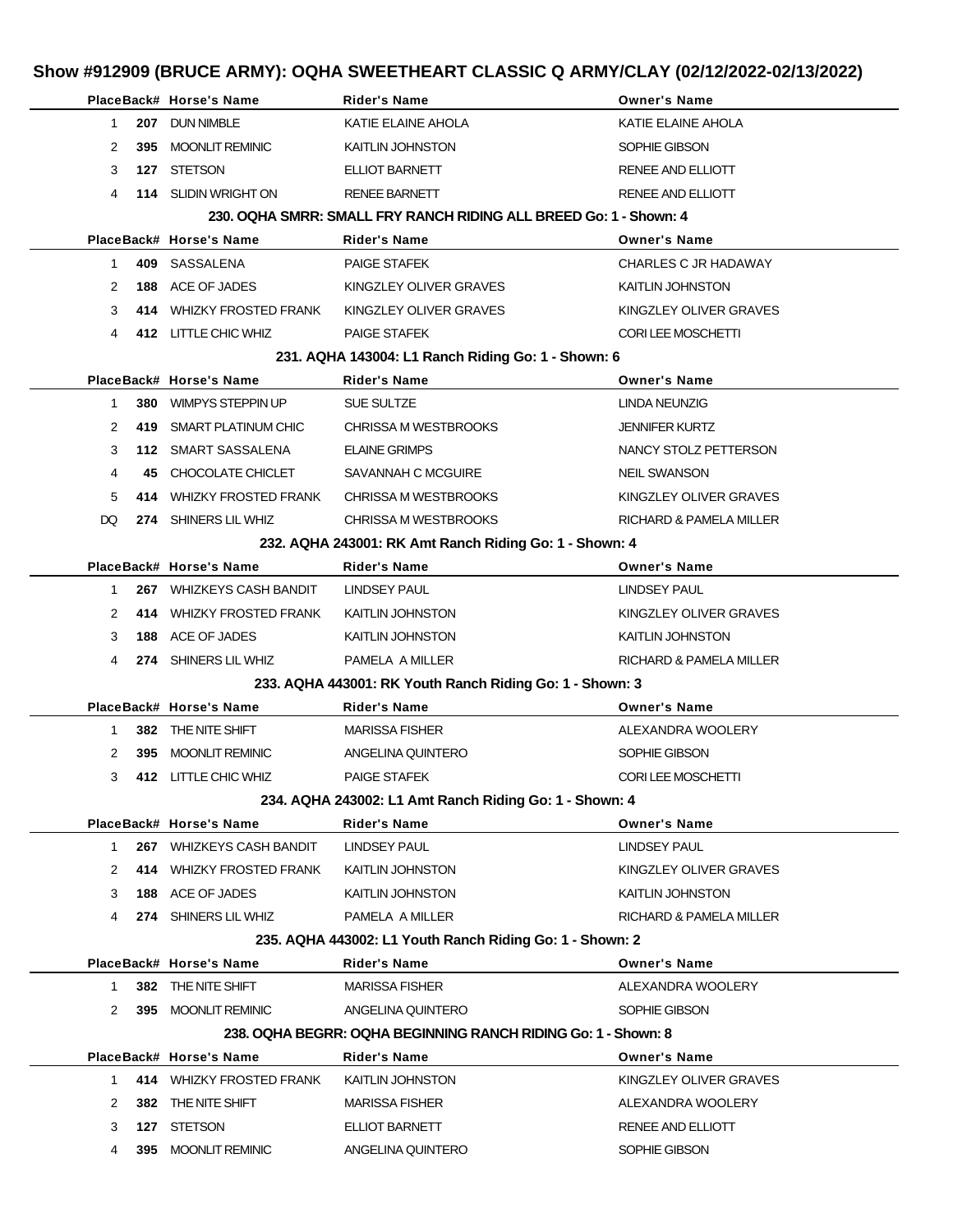|                                                                   |     | PlaceBack# Horse's Name  | <b>Rider's Name</b>                                           | <b>Owner's Name</b>     |  |  |
|-------------------------------------------------------------------|-----|--------------------------|---------------------------------------------------------------|-------------------------|--|--|
| $\mathbf{1}$                                                      |     | 207 DUN NIMBLE           | KATIE ELAINE AHOLA                                            | KATIE ELAINE AHOLA      |  |  |
| 2                                                                 | 395 | <b>MOONLIT REMINIC</b>   | KAITLIN JOHNSTON                                              | SOPHIE GIBSON           |  |  |
| 3                                                                 |     | 127 STETSON              | ELLIOT BARNETT                                                | RENEE AND ELLIOTT       |  |  |
| 4                                                                 |     | 114 SLIDIN WRIGHT ON     | <b>RENEE BARNETT</b>                                          | RENEE AND ELLIOTT       |  |  |
| 230, OQHA SMRR: SMALL FRY RANCH RIDING ALL BREED Go: 1 - Shown: 4 |     |                          |                                                               |                         |  |  |
|                                                                   |     | PlaceBack# Horse's Name  | <b>Rider's Name</b>                                           | <b>Owner's Name</b>     |  |  |
| $\mathbf{1}$                                                      |     | 409 SASSALENA            | <b>PAIGE STAFEK</b>                                           | CHARLES C JR HADAWAY    |  |  |
| 2                                                                 | 188 | ACE OF JADES             | KINGZLEY OLIVER GRAVES                                        | <b>KAITLIN JOHNSTON</b> |  |  |
| 3                                                                 |     | 414 WHIZKY FROSTED FRANK | KINGZLEY OLIVER GRAVES                                        | KINGZLEY OLIVER GRAVES  |  |  |
| 4                                                                 |     | 412 LITTLE CHIC WHIZ     | <b>PAIGE STAFEK</b>                                           | CORI LEE MOSCHETTI      |  |  |
|                                                                   |     |                          | 231. AQHA 143004: L1 Ranch Riding Go: 1 - Shown: 6            |                         |  |  |
|                                                                   |     | PlaceBack# Horse's Name  | <b>Rider's Name</b>                                           | <b>Owner's Name</b>     |  |  |
| $\mathbf{1}$                                                      | 380 | WIMPYS STEPPIN UP        | SUE SULTZE                                                    | LINDA NEUNZIG           |  |  |
| 2                                                                 | 419 | SMART PLATINUM CHIC      | CHRISSA M WESTBROOKS                                          | <b>JENNIFER KURTZ</b>   |  |  |
| 3                                                                 |     | 112 SMART SASSALENA      | <b>ELAINE GRIMPS</b>                                          | NANCY STOLZ PETTERSON   |  |  |
| 4                                                                 | 45. | CHOCOLATE CHICLET        | SAVANNAH C MCGUIRE                                            | <b>NEIL SWANSON</b>     |  |  |
| 5                                                                 |     | 414 WHIZKY FROSTED FRANK | CHRISSA M WESTBROOKS                                          | KINGZLEY OLIVER GRAVES  |  |  |
| DQ                                                                |     | 274 SHINERS LIL WHIZ     | CHRISSA M WESTBROOKS                                          | RICHARD & PAMELA MILLER |  |  |
|                                                                   |     |                          | 232. AQHA 243001: RK Amt Ranch Riding Go: 1 - Shown: 4        |                         |  |  |
|                                                                   |     | PlaceBack# Horse's Name  | <b>Rider's Name</b>                                           | <b>Owner's Name</b>     |  |  |
| 1                                                                 |     | 267 WHIZKEYS CASH BANDIT | LINDSEY PAUL                                                  | <b>LINDSEY PAUL</b>     |  |  |
| 2                                                                 |     | 414 WHIZKY FROSTED FRANK | KAITLIN JOHNSTON                                              | KINGZLEY OLIVER GRAVES  |  |  |
| 3                                                                 | 188 | ACE OF JADES             | KAITLIN JOHNSTON                                              | <b>KAITLIN JOHNSTON</b> |  |  |
| 4                                                                 |     | 274 SHINERS LIL WHIZ     | PAMELA A MILLER                                               | RICHARD & PAMELA MILLER |  |  |
|                                                                   |     |                          | 233. AQHA 443001: RK Youth Ranch Riding Go: 1 - Shown: 3      |                         |  |  |
|                                                                   |     | PlaceBack# Horse's Name  | <b>Rider's Name</b>                                           | <b>Owner's Name</b>     |  |  |
| 1                                                                 | 382 | THE NITE SHIFT           | <b>MARISSA FISHER</b>                                         | ALEXANDRA WOOLERY       |  |  |
| 2                                                                 |     | 395 MOONLIT REMINIC      | ANGELINA QUINTERO                                             | SOPHIE GIBSON           |  |  |
| 3                                                                 |     | 412 LITTLE CHIC WHIZ     | <b>PAIGE STAFEK</b>                                           | CORI LEE MOSCHETTI      |  |  |
|                                                                   |     |                          | 234. AQHA 243002: L1 Amt Ranch Riding Go: 1 - Shown: 4        |                         |  |  |
|                                                                   |     | PlaceBack# Horse's Name  | <b>Rider's Name</b>                                           | <b>Owner's Name</b>     |  |  |
| $\mathbf{1}$                                                      |     | 267 WHIZKEYS CASH BANDIT | LINDSEY PAUL                                                  | <b>LINDSEY PAUL</b>     |  |  |
| 2                                                                 |     | 414 WHIZKY FROSTED FRANK | KAITLIN JOHNSTON                                              | KINGZLEY OLIVER GRAVES  |  |  |
| 3                                                                 | 188 | ACE OF JADES             | <b>KAITLIN JOHNSTON</b>                                       | KAITLIN JOHNSTON        |  |  |
| 4                                                                 |     | 274 SHINERS LIL WHIZ     | PAMELA A MILLER                                               | RICHARD & PAMELA MILLER |  |  |
|                                                                   |     |                          | 235. AQHA 443002: L1 Youth Ranch Riding Go: 1 - Shown: 2      |                         |  |  |
|                                                                   |     | PlaceBack# Horse's Name  | <b>Rider's Name</b>                                           | <b>Owner's Name</b>     |  |  |
| $\mathbf{1}$                                                      |     | 382 THE NITE SHIFT       | <b>MARISSA FISHER</b>                                         | ALEXANDRA WOOLERY       |  |  |
| 2                                                                 |     | 395 MOONLIT REMINIC      | ANGELINA QUINTERO                                             | SOPHIE GIBSON           |  |  |
|                                                                   |     |                          | 238, OQHA BEGRR: OQHA BEGINNING RANCH RIDING Go: 1 - Shown: 8 |                         |  |  |
|                                                                   |     | PlaceBack# Horse's Name  | Rider's Name                                                  | <b>Owner's Name</b>     |  |  |
| $\mathbf{1}$                                                      |     | 414 WHIZKY FROSTED FRANK | <b>KAITLIN JOHNSTON</b>                                       | KINGZLEY OLIVER GRAVES  |  |  |
| 2                                                                 | 382 | THE NITE SHIFT           | <b>MARISSA FISHER</b>                                         | ALEXANDRA WOOLERY       |  |  |
| 3                                                                 |     | 127 STETSON              | ELLIOT BARNETT                                                | RENEE AND ELLIOTT       |  |  |
| 4                                                                 |     | 395 MOONLIT REMINIC      | ANGELINA QUINTERO                                             | SOPHIE GIBSON           |  |  |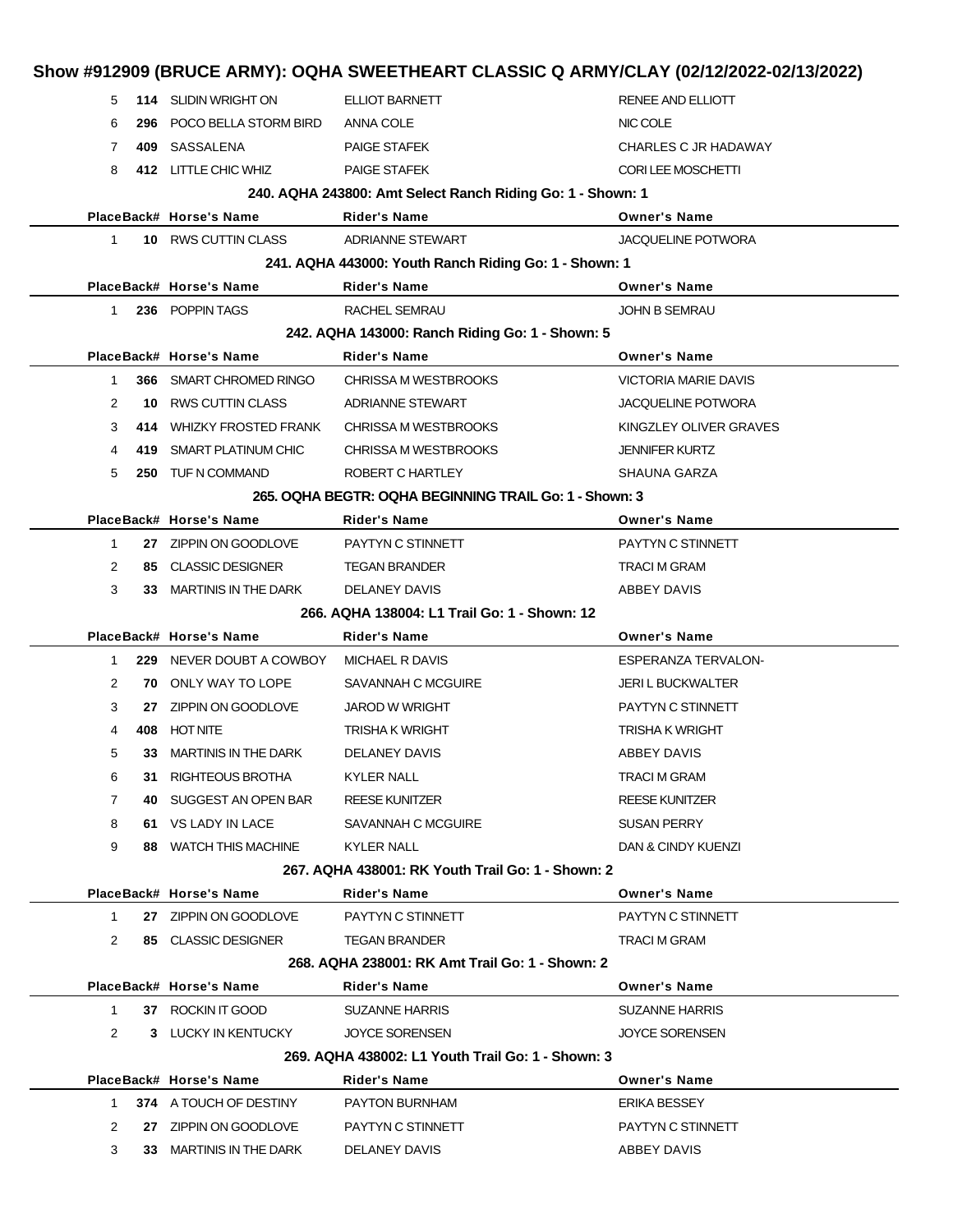| 5              |      | 114 SLIDIN WRIGHT ON        | ELLIOT BARNETT                                             | RENEE AND ELLIOTT           |
|----------------|------|-----------------------------|------------------------------------------------------------|-----------------------------|
| 6              | 296  | POCO BELLA STORM BIRD       | ANNA COLE                                                  | NIC COLE                    |
| 7              | 409  | SASSALENA                   | <b>PAIGE STAFEK</b>                                        | CHARLES C JR HADAWAY        |
| 8              |      | 412 LITTLE CHIC WHIZ        | <b>PAIGE STAFEK</b>                                        | CORI LEE MOSCHETTI          |
|                |      |                             | 240. AQHA 243800: Amt Select Ranch Riding Go: 1 - Shown: 1 |                             |
|                |      | PlaceBack# Horse's Name     | Rider's Name                                               | <b>Owner's Name</b>         |
| $\mathbf{1}$   |      | 10 RWS CUTTIN CLASS         | <b>ADRIANNE STEWART</b>                                    | JACQUELINE POTWORA          |
|                |      |                             | 241. AQHA 443000: Youth Ranch Riding Go: 1 - Shown: 1      |                             |
|                |      | PlaceBack# Horse's Name     | Rider's Name                                               | <b>Owner's Name</b>         |
| 1              |      | 236 POPPIN TAGS             | RACHEL SEMRAU                                              | <b>JOHN B SEMRAU</b>        |
|                |      |                             | 242. AQHA 143000: Ranch Riding Go: 1 - Shown: 5            |                             |
|                |      | PlaceBack# Horse's Name     | Rider's Name                                               | <b>Owner's Name</b>         |
| $\mathbf{1}$   |      | 366 SMART CHROMED RINGO     | <b>CHRISSA M WESTBROOKS</b>                                | <b>VICTORIA MARIE DAVIS</b> |
| 2              | 10   | RWS CUTTIN CLASS            | ADRIANNE STEWART                                           | <b>JACQUELINE POTWORA</b>   |
| 3              | 414  | <b>WHIZKY FROSTED FRANK</b> | CHRISSA M WESTBROOKS                                       | KINGZLEY OLIVER GRAVES      |
| 4              | 419. | SMART PLATINUM CHIC         | <b>CHRISSA M WESTBROOKS</b>                                | <b>JENNIFER KURTZ</b>       |
| 5              |      | 250 TUF N COMMAND           | ROBERT C HARTLEY                                           | SHAUNA GARZA                |
|                |      |                             | 265. OQHA BEGTR: OQHA BEGINNING TRAIL Go: 1 - Shown: 3     |                             |
|                |      | PlaceBack# Horse's Name     | <b>Rider's Name</b>                                        | <b>Owner's Name</b>         |
| -1             |      | 27 ZIPPIN ON GOODLOVE       | PAYTYN C STINNETT                                          | PAYTYN C STINNETT           |
| 2              |      | 85 CLASSIC DESIGNER         | <b>TEGAN BRANDER</b>                                       | TRACI M GRAM                |
| 3              |      | 33 MARTINIS IN THE DARK     | DELANEY DAVIS                                              | ABBEY DAVIS                 |
|                |      |                             | 266, AQHA 138004: L1 Trail Go: 1 - Shown: 12               |                             |
|                |      | PlaceBack# Horse's Name     | Rider's Name                                               | <b>Owner's Name</b>         |
| $\mathbf{1}$   |      | 229 NEVER DOUBT A COWBOY    | MICHAEL R DAVIS                                            | <b>ESPERANZA TERVALON-</b>  |
| 2              |      | <b>70 ONLY WAY TO LOPE</b>  | SAVANNAH C MCGUIRE                                         | <b>JERI L BUCKWALTER</b>    |
| 3              | 27   | ZIPPIN ON GOODLOVE          | <b>JAROD W WRIGHT</b>                                      | PAYTYN C STINNETT           |
| 4              | 408  | <b>HOT NITE</b>             | TRISHA K WRIGHT                                            | TRISHA K WRIGHT             |
| 5              | 33   | <b>MARTINIS IN THE DARK</b> | DELANEY DAVIS                                              | ABBEY DAVIS                 |
| 6              | 31.  | RIGHTEOUS BROTHA            | KYLER NALL                                                 | TRACI M GRAM                |
| $\overline{7}$ | 40.  | SUGGEST AN OPEN BAR         | <b>REESE KUNITZER</b>                                      | <b>REESE KUNITZER</b>       |
|                |      |                             | SAVANNAH C MCGUIRE                                         | <b>SUSAN PERRY</b>          |
| 8              |      | 61 VS LADY IN LACE          |                                                            |                             |
| 9              | 88.  | <b>WATCH THIS MACHINE</b>   | <b>KYLER NALL</b>                                          | DAN & CINDY KUENZI          |
|                |      |                             | 267, AQHA 438001: RK Youth Trail Go: 1 - Shown: 2          |                             |
|                |      | PlaceBack# Horse's Name     | Rider's Name                                               | <b>Owner's Name</b>         |
|                |      |                             |                                                            |                             |
| $\mathbf{1}$   |      | 27 ZIPPIN ON GOODLOVE       | PAYTYN C STINNETT                                          | PAYTYN C STINNETT           |
| 2              |      | 85 CLASSIC DESIGNER         | <b>TEGAN BRANDER</b>                                       | TRACI M GRAM                |
|                |      |                             | 268. AQHA 238001: RK Amt Trail Go: 1 - Shown: 2            |                             |
|                |      | PlaceBack# Horse's Name     | Rider's Name                                               | <b>Owner's Name</b>         |
| $\mathbf{1}$   |      | 37 ROCKIN IT GOOD           | <b>SUZANNE HARRIS</b>                                      | <b>SUZANNE HARRIS</b>       |
| 2              |      | 3 LUCKY IN KENTUCKY         | <b>JOYCE SORENSEN</b>                                      | <b>JOYCE SORENSEN</b>       |
|                |      |                             | 269. AQHA 438002: L1 Youth Trail Go: 1 - Shown: 3          |                             |
|                |      | PlaceBack# Horse's Name     | Rider's Name                                               | <b>Owner's Name</b>         |
| 1              |      | 374 A TOUCH OF DESTINY      | PAYTON BURNHAM                                             | ERIKA BESSEY                |
| 2              | 27   | ZIPPIN ON GOODLOVE          | PAYTYN C STINNETT                                          | PAYTYN C STINNETT           |
| 3              |      | 33 MARTINIS IN THE DARK     | DELANEY DAVIS                                              | ABBEY DAVIS                 |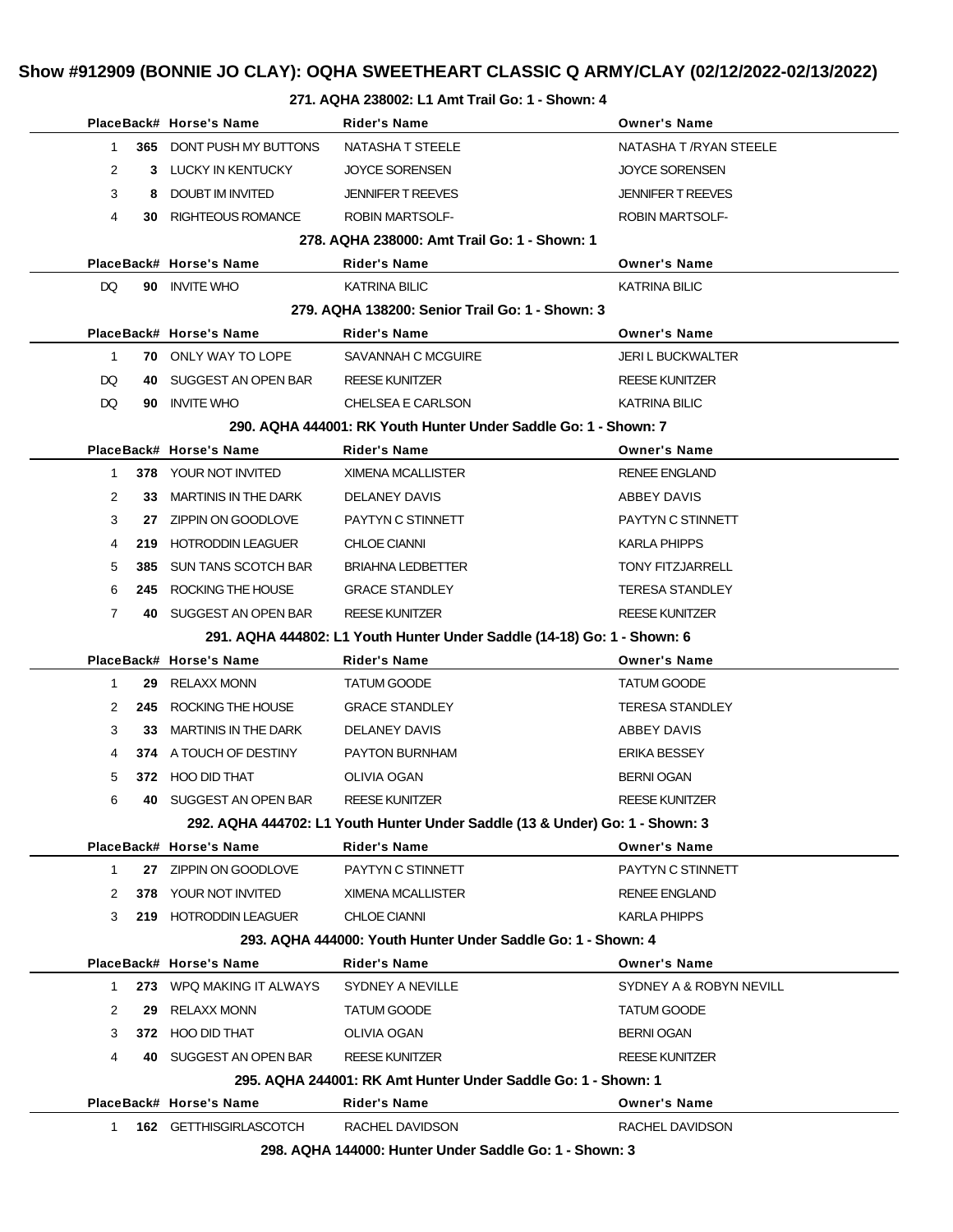#### **271. AQHA 238002: L1 Amt Trail Go: 1 - Shown: 4**

|              |      | PlaceBack# Horse's Name     | <b>Rider's Name</b>                                                          | <b>Owner's Name</b>      |
|--------------|------|-----------------------------|------------------------------------------------------------------------------|--------------------------|
| 1            |      | 365 DONT PUSH MY BUTTONS    | NATASHA T STEELE                                                             | NATASHA T / RYAN STEELE  |
| 2            |      | 3 LUCKY IN KENTUCKY         | <b>JOYCE SORENSEN</b>                                                        | <b>JOYCE SORENSEN</b>    |
| 3            | 8    | DOUBT IM INVITED            | <b>JENNIFER T REEVES</b>                                                     | <b>JENNIFER T REEVES</b> |
| 4            | 30   | RIGHTEOUS ROMANCE           | <b>ROBIN MARTSOLF-</b>                                                       | <b>ROBIN MARTSOLF-</b>   |
|              |      |                             | 278, AQHA 238000: Amt Trail Go: 1 - Shown: 1                                 |                          |
|              |      | PlaceBack# Horse's Name     | Rider's Name                                                                 | <b>Owner's Name</b>      |
| DQ.          |      | 90 INVITE WHO               | <b>KATRINA BILIC</b>                                                         | KATRINA BILIC            |
|              |      |                             | 279. AQHA 138200: Senior Trail Go: 1 - Shown: 3                              |                          |
|              |      | PlaceBack# Horse's Name     | Rider's Name                                                                 | <b>Owner's Name</b>      |
| $\mathbf{1}$ |      | <b>70 ONLY WAY TO LOPE</b>  | SAVANNAH C MCGUIRE                                                           | <b>JERI L BUCKWALTER</b> |
| DQ           |      | 40 SUGGEST AN OPEN BAR      | <b>REESE KUNITZER</b>                                                        | <b>REESE KUNITZER</b>    |
| DQ           | 90.  | <b>INVITE WHO</b>           | <b>CHELSEA E CARLSON</b>                                                     | KATRINA BILIC            |
|              |      |                             | 290. AQHA 444001: RK Youth Hunter Under Saddle Go: 1 - Shown: 7              |                          |
|              |      | PlaceBack# Horse's Name     | <b>Rider's Name</b>                                                          | <b>Owner's Name</b>      |
| 1            |      | <b>378 YOUR NOT INVITED</b> | <b>XIMENA MCALLISTER</b>                                                     | <b>RENEE ENGLAND</b>     |
| 2            | 33   | <b>MARTINIS IN THE DARK</b> | DELANEY DAVIS                                                                | ABBEY DAVIS              |
| 3            | 27   | ZIPPIN ON GOODLOVE          | PAYTYN C STINNETT                                                            | PAYTYN C STINNETT        |
| 4            | 219  | <b>HOTRODDIN LEAGUER</b>    | <b>CHLOE CIANNI</b>                                                          | <b>KARLA PHIPPS</b>      |
| 5            | 385  | SUN TANS SCOTCH BAR         | <b>BRIAHNA LEDBETTER</b>                                                     | <b>TONY FITZJARRELL</b>  |
| 6            | 245  | ROCKING THE HOUSE           | <b>GRACE STANDLEY</b>                                                        | <b>TERESA STANDLEY</b>   |
| 7            |      | 40 SUGGEST AN OPEN BAR      | <b>REESE KUNITZER</b>                                                        | <b>REESE KUNITZER</b>    |
|              |      |                             | 291. AQHA 444802: L1 Youth Hunter Under Saddle (14-18) Go: 1 - Shown: 6      |                          |
|              |      | PlaceBack# Horse's Name     | Rider's Name                                                                 | <b>Owner's Name</b>      |
| $\mathbf{1}$ | 29   | <b>RELAXX MONN</b>          | <b>TATUM GOODE</b>                                                           | TATUM GOODE              |
| 2            |      | 245 ROCKING THE HOUSE       | <b>GRACE STANDLEY</b>                                                        | <b>TERESA STANDLEY</b>   |
| 3            | 33   | <b>MARTINIS IN THE DARK</b> | DELANEY DAVIS                                                                | ABBEY DAVIS              |
| 4            |      | 374 A TOUCH OF DESTINY      | <b>PAYTON BURNHAM</b>                                                        | <b>ERIKA BESSEY</b>      |
| 5            | 372  | HOO DID THAT                | OLIVIA OGAN                                                                  | <b>BERNI OGAN</b>        |
| 6            | 40   | SUGGEST AN OPEN BAR         | <b>REESE KUNITZER</b>                                                        | <b>REESE KUNITZER</b>    |
|              |      |                             | 292. AQHA 444702: L1 Youth Hunter Under Saddle (13 & Under) Go: 1 - Shown: 3 |                          |
|              |      | PlaceBack# Horse's Name     | Rider's Name                                                                 | <b>Owner's Name</b>      |
| $\mathbf{1}$ |      | 27 ZIPPIN ON GOODLOVE       | PAYTYN C STINNETT                                                            | PAYTYN C STINNETT        |
| 2            | 378  | YOUR NOT INVITED            | <b>XIMENA MCALLISTER</b>                                                     | <b>RENEE ENGLAND</b>     |
| 3            | 219. | <b>HOTRODDIN LEAGUER</b>    | <b>CHLOE CIANNI</b>                                                          | <b>KARLA PHIPPS</b>      |
|              |      |                             | 293. AQHA 444000: Youth Hunter Under Saddle Go: 1 - Shown: 4                 |                          |
|              |      | PlaceBack# Horse's Name     | <b>Rider's Name</b>                                                          | <b>Owner's Name</b>      |
| 1            |      | 273 WPQ MAKING IT ALWAYS    | SYDNEY A NEVILLE                                                             | SYDNEY A & ROBYN NEVILL  |
| 2            | 29   | <b>RELAXX MONN</b>          | <b>TATUM GOODE</b>                                                           | <b>TATUM GOODE</b>       |
| 3            |      | 372 HOO DID THAT            | OLIVIA OGAN                                                                  | <b>BERNI OGAN</b>        |
| 4            | 40.  | SUGGEST AN OPEN BAR         | <b>REESE KUNITZER</b>                                                        | <b>REESE KUNITZER</b>    |
|              |      |                             | 295. AQHA 244001: RK Amt Hunter Under Saddle Go: 1 - Shown: 1                |                          |
|              |      | PlaceBack# Horse's Name     | Rider's Name                                                                 | <b>Owner's Name</b>      |
| 1            |      | 162 GETTHISGIRLASCOTCH      | RACHEL DAVIDSON                                                              | RACHEL DAVIDSON          |
|              |      |                             | 298. AQHA 144000: Hunter Under Saddle Go: 1 - Shown: 3                       |                          |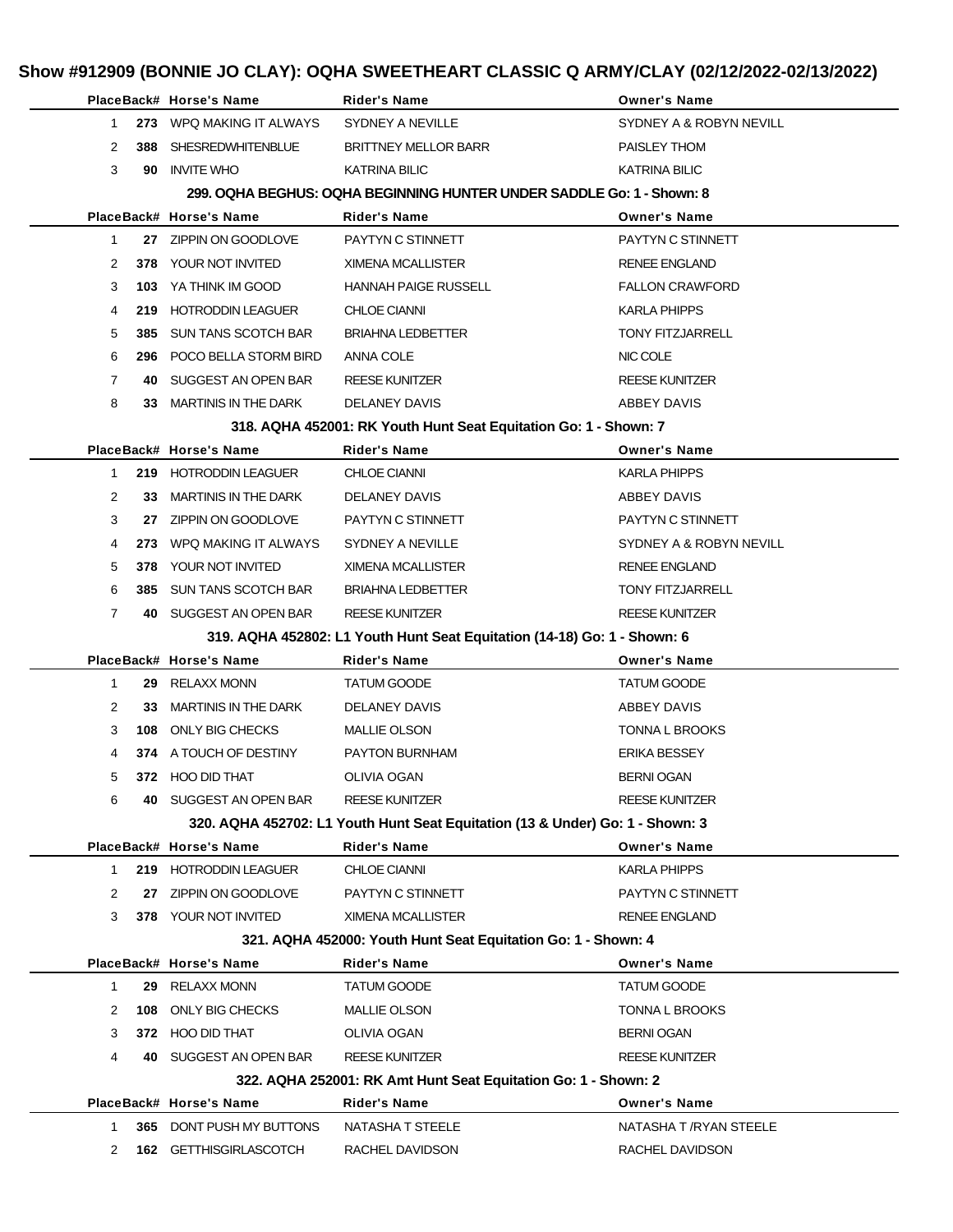|                                                                       |     | PlaceBack# Horse's Name                                   | Rider's Name                                                                  | <b>Owner's Name</b>                       |  |  |
|-----------------------------------------------------------------------|-----|-----------------------------------------------------------|-------------------------------------------------------------------------------|-------------------------------------------|--|--|
| $\mathbf{1}$                                                          |     | 273 WPQ MAKING IT ALWAYS                                  | SYDNEY A NEVILLE                                                              | SYDNEY A & ROBYN NEVILL                   |  |  |
| 2                                                                     |     | 388 SHESREDWHITENBLUE                                     | <b>BRITTNEY MELLOR BARR</b>                                                   | PAISLEY THOM                              |  |  |
| 3                                                                     |     | 90 INVITE WHO                                             | <b>KATRINA BILIC</b>                                                          | <b>KATRINA BILIC</b>                      |  |  |
| 299. OQHA BEGHUS: OQHA BEGINNING HUNTER UNDER SADDLE Go: 1 - Shown: 8 |     |                                                           |                                                                               |                                           |  |  |
|                                                                       |     | PlaceBack# Horse's Name                                   | <b>Rider's Name</b>                                                           | <b>Owner's Name</b>                       |  |  |
| $\mathbf{1}$                                                          |     | 27 ZIPPIN ON GOODLOVE                                     | PAYTYN C STINNETT                                                             | PAYTYN C STINNETT                         |  |  |
| 2                                                                     |     | 378 YOUR NOT INVITED                                      | <b>XIMENA MCALLISTER</b>                                                      | <b>RENEE ENGLAND</b>                      |  |  |
| 3                                                                     | 103 | YA THINK IM GOOD                                          | <b>HANNAH PAIGE RUSSELL</b>                                                   | <b>FALLON CRAWFORD</b>                    |  |  |
| 4                                                                     |     | 219 HOTRODDIN LEAGUER                                     | <b>CHLOE CIANNI</b>                                                           | <b>KARLA PHIPPS</b>                       |  |  |
| 5                                                                     |     | 385 SUN TANS SCOTCH BAR                                   | <b>BRIAHNA LEDBETTER</b>                                                      | <b>TONY FITZJARRELL</b>                   |  |  |
| 6                                                                     |     | 296 POCO BELLA STORM BIRD                                 | ANNA COLE                                                                     | NIC COLE                                  |  |  |
| $\overline{7}$                                                        |     | 40 SUGGEST AN OPEN BAR                                    | <b>REESE KUNITZER</b>                                                         | <b>REESE KUNITZER</b>                     |  |  |
| 8                                                                     |     | 33 MARTINIS IN THE DARK                                   | <b>DELANEY DAVIS</b>                                                          | ABBEY DAVIS                               |  |  |
|                                                                       |     |                                                           | 318. AQHA 452001: RK Youth Hunt Seat Equitation Go: 1 - Shown: 7              |                                           |  |  |
|                                                                       |     | PlaceBack# Horse's Name                                   | <b>Rider's Name</b>                                                           | <b>Owner's Name</b>                       |  |  |
| 1                                                                     |     | 219 HOTRODDIN LEAGUER                                     | <b>CHLOE CIANNI</b>                                                           | <b>KARLA PHIPPS</b>                       |  |  |
| 2                                                                     |     | 33 MARTINIS IN THE DARK                                   | DELANEY DAVIS                                                                 | ABBEY DAVIS                               |  |  |
| 3                                                                     |     | 27 ZIPPIN ON GOODLOVE                                     | PAYTYN C STINNETT                                                             | PAYTYN C STINNETT                         |  |  |
| 4                                                                     | 273 | WPQ MAKING IT ALWAYS                                      | SYDNEY A NEVILLE                                                              | SYDNEY A & ROBYN NEVILL                   |  |  |
| 5                                                                     |     | <b>378 YOUR NOT INVITED</b>                               | XIMENA MCALLISTER                                                             | <b>RENEE ENGLAND</b>                      |  |  |
| 6                                                                     |     | 385 SUN TANS SCOTCH BAR                                   | <b>BRIAHNA LEDBETTER</b>                                                      | <b>TONY FITZJARRELL</b>                   |  |  |
| $\overline{7}$                                                        |     | 40 SUGGEST AN OPEN BAR                                    | <b>REESE KUNITZER</b>                                                         | <b>REESE KUNITZER</b>                     |  |  |
|                                                                       |     |                                                           | 319. AQHA 452802: L1 Youth Hunt Seat Equitation (14-18) Go: 1 - Shown: 6      |                                           |  |  |
|                                                                       |     | PlaceBack# Horse's Name                                   | <b>Rider's Name</b>                                                           | <b>Owner's Name</b>                       |  |  |
|                                                                       |     |                                                           | <b>TATUM GOODE</b>                                                            | <b>TATUM GOODE</b>                        |  |  |
| $\mathbf{1}$                                                          |     | 29 RELAXX MONN                                            |                                                                               |                                           |  |  |
| 2                                                                     |     | 33 MARTINIS IN THE DARK                                   | <b>DELANEY DAVIS</b>                                                          | ABBEY DAVIS                               |  |  |
| 3                                                                     | 108 | ONLY BIG CHECKS                                           | MALLIE OLSON                                                                  | <b>TONNA L BROOKS</b>                     |  |  |
| 4                                                                     |     | 374 A TOUCH OF DESTINY                                    | <b>PAYTON BURNHAM</b>                                                         | <b>ERIKA BESSEY</b>                       |  |  |
| 5                                                                     |     | 372 HOO DID THAT                                          | OLIVIA OGAN                                                                   | <b>BERNI OGAN</b>                         |  |  |
| 6                                                                     |     | 40 SUGGEST AN OPEN BAR                                    | <b>REESE KUNITZER</b>                                                         | <b>REESE KUNITZER</b>                     |  |  |
|                                                                       |     |                                                           | 320. AQHA 452702: L1 Youth Hunt Seat Equitation (13 & Under) Go: 1 - Shown: 3 |                                           |  |  |
|                                                                       |     | PlaceBack# Horse's Name                                   | <b>Rider's Name</b>                                                           | <b>Owner's Name</b>                       |  |  |
| 1.                                                                    |     | 219 HOTRODDIN LEAGUER                                     | <b>CHLOE CIANNI</b>                                                           | <b>KARLA PHIPPS</b>                       |  |  |
| 2                                                                     |     | 27 ZIPPIN ON GOODLOVE                                     | PAYTYN C STINNETT                                                             | PAYTYN C STINNETT                         |  |  |
| 3                                                                     |     | 378 YOUR NOT INVITED                                      | <b>XIMENA MCALLISTER</b>                                                      | <b>RENEE ENGLAND</b>                      |  |  |
|                                                                       |     |                                                           | 321. AQHA 452000: Youth Hunt Seat Equitation Go: 1 - Shown: 4                 |                                           |  |  |
|                                                                       |     | PlaceBack# Horse's Name                                   | <b>Rider's Name</b>                                                           | <b>Owner's Name</b>                       |  |  |
| 1                                                                     |     | 29 RELAXX MONN                                            | <b>TATUM GOODE</b>                                                            | TATUM GOODE                               |  |  |
| 2                                                                     | 108 | ONLY BIG CHECKS                                           | <b>MALLIE OLSON</b>                                                           | <b>TONNA L BROOKS</b>                     |  |  |
| 3                                                                     |     | 372 HOO DID THAT                                          | OLIVIA OGAN                                                                   | <b>BERNI OGAN</b>                         |  |  |
| 4                                                                     | 40. | SUGGEST AN OPEN BAR                                       | <b>REESE KUNITZER</b>                                                         | <b>REESE KUNITZER</b>                     |  |  |
|                                                                       |     |                                                           | 322. AQHA 252001: RK Amt Hunt Seat Equitation Go: 1 - Shown: 2                |                                           |  |  |
| 1                                                                     |     | PlaceBack# Horse's Name                                   | <b>Rider's Name</b>                                                           | <b>Owner's Name</b>                       |  |  |
| 2                                                                     |     | <b>365 DONT PUSH MY BUTTONS</b><br>162 GETTHISGIRLASCOTCH | NATASHA T STEELE<br>RACHEL DAVIDSON                                           | NATASHA T /RYAN STEELE<br>RACHEL DAVIDSON |  |  |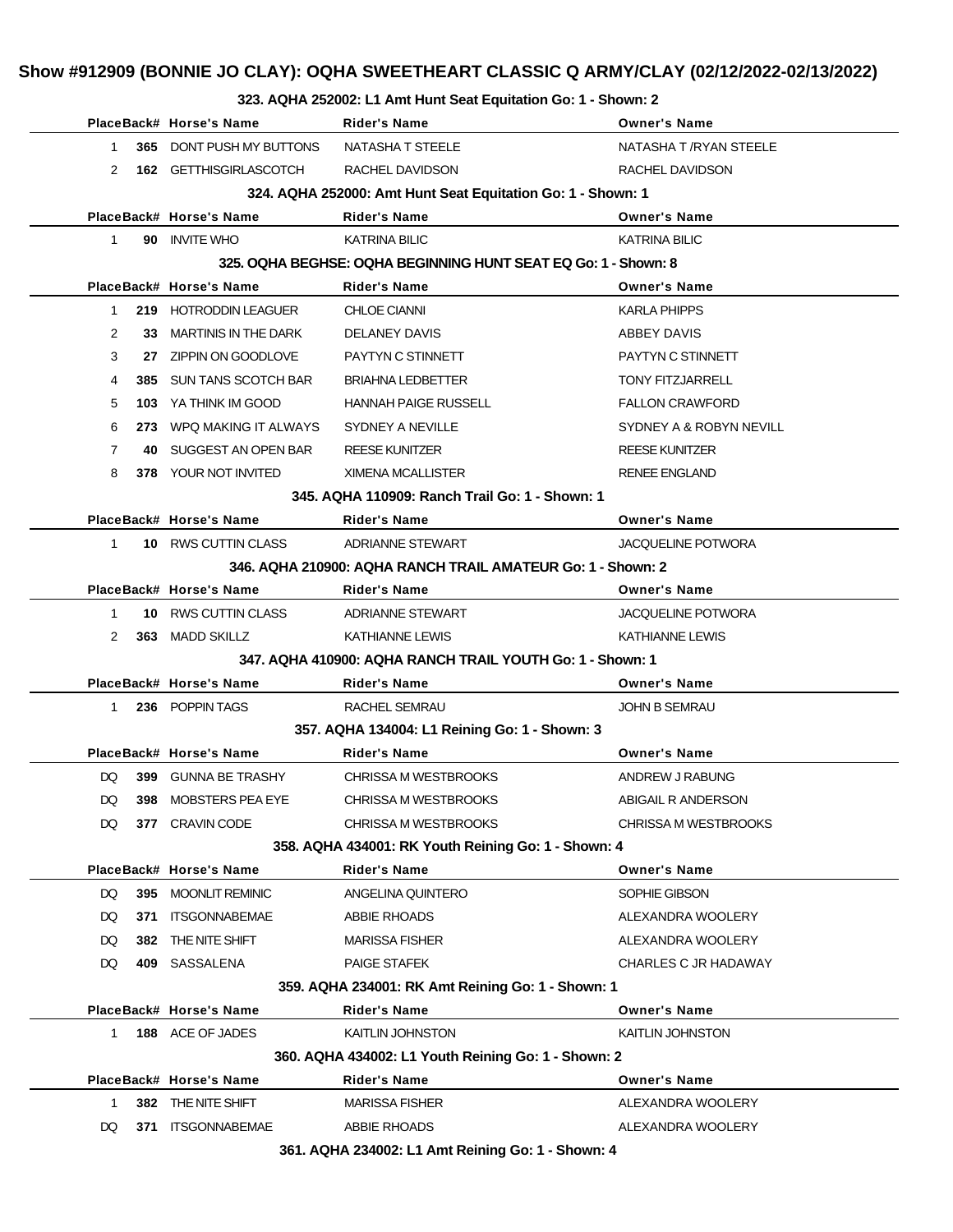#### **323. AQHA 252002: L1 Amt Hunt Seat Equitation Go: 1 - Shown: 2**

|              |                                                             | PlaceBack# Horse's Name         | Rider's Name                                                   | <b>Owner's Name</b>         |  |  |
|--------------|-------------------------------------------------------------|---------------------------------|----------------------------------------------------------------|-----------------------------|--|--|
| 1            |                                                             | <b>365 DONT PUSH MY BUTTONS</b> | NATASHA T STEELE                                               | NATASHA T /RYAN STEELE      |  |  |
| 2            |                                                             | <b>162 GETTHISGIRLASCOTCH</b>   | RACHEL DAVIDSON                                                | RACHEL DAVIDSON             |  |  |
|              | 324. AQHA 252000: Amt Hunt Seat Equitation Go: 1 - Shown: 1 |                                 |                                                                |                             |  |  |
|              |                                                             | PlaceBack# Horse's Name         | <b>Rider's Name</b>                                            | <b>Owner's Name</b>         |  |  |
| $\mathbf 1$  |                                                             | 90 INVITE WHO                   | <b>KATRINA BILIC</b>                                           | <b>KATRINA BILIC</b>        |  |  |
|              |                                                             |                                 | 325. OQHA BEGHSE: OQHA BEGINNING HUNT SEAT EQ Go: 1 - Shown: 8 |                             |  |  |
|              |                                                             | PlaceBack# Horse's Name         | Rider's Name                                                   | <b>Owner's Name</b>         |  |  |
| 1            |                                                             | 219 HOTRODDIN LEAGUER           | <b>CHLOE CIANNI</b>                                            | <b>KARLA PHIPPS</b>         |  |  |
| 2            |                                                             | 33 MARTINIS IN THE DARK         | <b>DELANEY DAVIS</b>                                           | ABBEY DAVIS                 |  |  |
| 3            |                                                             | 27 ZIPPIN ON GOODLOVE           | PAYTYN C STINNETT                                              | PAYTYN C STINNETT           |  |  |
| 4            |                                                             | 385 SUN TANS SCOTCH BAR         | <b>BRIAHNA LEDBETTER</b>                                       | <b>TONY FITZJARRELL</b>     |  |  |
| 5            |                                                             | 103 YA THINK IM GOOD            | <b>HANNAH PAIGE RUSSELL</b>                                    | <b>FALLON CRAWFORD</b>      |  |  |
| 6            |                                                             | 273 WPQ MAKING IT ALWAYS        | SYDNEY A NEVILLE                                               | SYDNEY A & ROBYN NEVILL     |  |  |
| $\mathbf{7}$ |                                                             | 40 SUGGEST AN OPEN BAR          | REESE KUNITZER                                                 | <b>REESE KUNITZER</b>       |  |  |
| 8            |                                                             | 378 YOUR NOT INVITED            | XIMENA MCALLISTER                                              | <b>RENEE ENGLAND</b>        |  |  |
|              |                                                             |                                 | 345, AQHA 110909: Ranch Trail Go: 1 - Shown: 1                 |                             |  |  |
|              |                                                             | PlaceBack# Horse's Name         | Rider's Name                                                   | <b>Owner's Name</b>         |  |  |
| 1            |                                                             | 10 RWS CUTTIN CLASS             | ADRIANNE STEWART                                               | <b>JACQUELINE POTWORA</b>   |  |  |
|              |                                                             |                                 | 346. AQHA 210900: AQHA RANCH TRAIL AMATEUR Go: 1 - Shown: 2    |                             |  |  |
|              |                                                             | PlaceBack# Horse's Name         | <b>Rider's Name</b>                                            | <b>Owner's Name</b>         |  |  |
| $\mathbf 1$  |                                                             | 10 RWS CUTTIN CLASS             | ADRIANNE STEWART                                               | <b>JACQUELINE POTWORA</b>   |  |  |
| 2            |                                                             | 363 MADD SKILLZ                 | KATHIANNE LEWIS                                                | KATHIANNE LEWIS             |  |  |
|              |                                                             |                                 | 347, AQHA 410900: AQHA RANCH TRAIL YOUTH Go: 1 - Shown: 1      |                             |  |  |
|              |                                                             | PlaceBack# Horse's Name         | <b>Rider's Name</b>                                            | <b>Owner's Name</b>         |  |  |
| 1            |                                                             | 236 POPPIN TAGS                 | RACHEL SEMRAU                                                  | <b>JOHN B SEMRAU</b>        |  |  |
|              |                                                             |                                 | 357. AQHA 134004: L1 Reining Go: 1 - Shown: 3                  |                             |  |  |
|              |                                                             | PlaceBack# Horse's Name         | Rider's Name                                                   | <b>Owner's Name</b>         |  |  |
| DQ.          |                                                             | 399 GUNNA BE TRASHY             | CHRISSA M WESTBROOKS                                           | ANDREW J RABUNG             |  |  |
| DQ           |                                                             | 398 MOBSTERS PEA EYE            | CHRISSA M WESTBROOKS                                           | ABIGAIL R ANDERSON          |  |  |
| DQ           |                                                             | 377 CRAVIN CODE                 | <b>CHRISSA M WESTBROOKS</b>                                    | <b>CHRISSA M WESTBROOKS</b> |  |  |
|              |                                                             |                                 | 358. AQHA 434001: RK Youth Reining Go: 1 - Shown: 4            |                             |  |  |
|              |                                                             | PlaceBack# Horse's Name         | Rider's Name                                                   | <b>Owner's Name</b>         |  |  |
| DQ           |                                                             | 395 MOONLIT REMINIC             | ANGELINA QUINTERO                                              | SOPHIE GIBSON               |  |  |
| DQ           | 371                                                         | <b>ITSGONNABEMAE</b>            | ABBIE RHOADS                                                   | ALEXANDRA WOOLERY           |  |  |
| DQ           |                                                             | 382 THE NITE SHIFT              | <b>MARISSA FISHER</b>                                          | ALEXANDRA WOOLERY           |  |  |
| DQ           |                                                             | 409 SASSALENA                   | <b>PAIGE STAFEK</b>                                            | CHARLES C JR HADAWAY        |  |  |
|              |                                                             |                                 | 359. AQHA 234001: RK Amt Reining Go: 1 - Shown: 1              |                             |  |  |
|              |                                                             | PlaceBack# Horse's Name         | Rider's Name                                                   | <b>Owner's Name</b>         |  |  |
| 1            |                                                             | 188 ACE OF JADES                | KAITLIN JOHNSTON                                               | KAITLIN JOHNSTON            |  |  |
|              |                                                             |                                 | 360. AQHA 434002: L1 Youth Reining Go: 1 - Shown: 2            |                             |  |  |
|              |                                                             | PlaceBack# Horse's Name         | Rider's Name                                                   | <b>Owner's Name</b>         |  |  |
| $\mathbf{1}$ |                                                             | 382 THE NITE SHIFT              | <b>MARISSA FISHER</b>                                          | ALEXANDRA WOOLERY           |  |  |
| DQ           | 371                                                         | <b>ITSGONNABEMAE</b>            | ABBIE RHOADS                                                   | ALEXANDRA WOOLERY           |  |  |
|              |                                                             |                                 | 361. AQHA 234002: L1 Amt Reining Go: 1 - Shown: 4              |                             |  |  |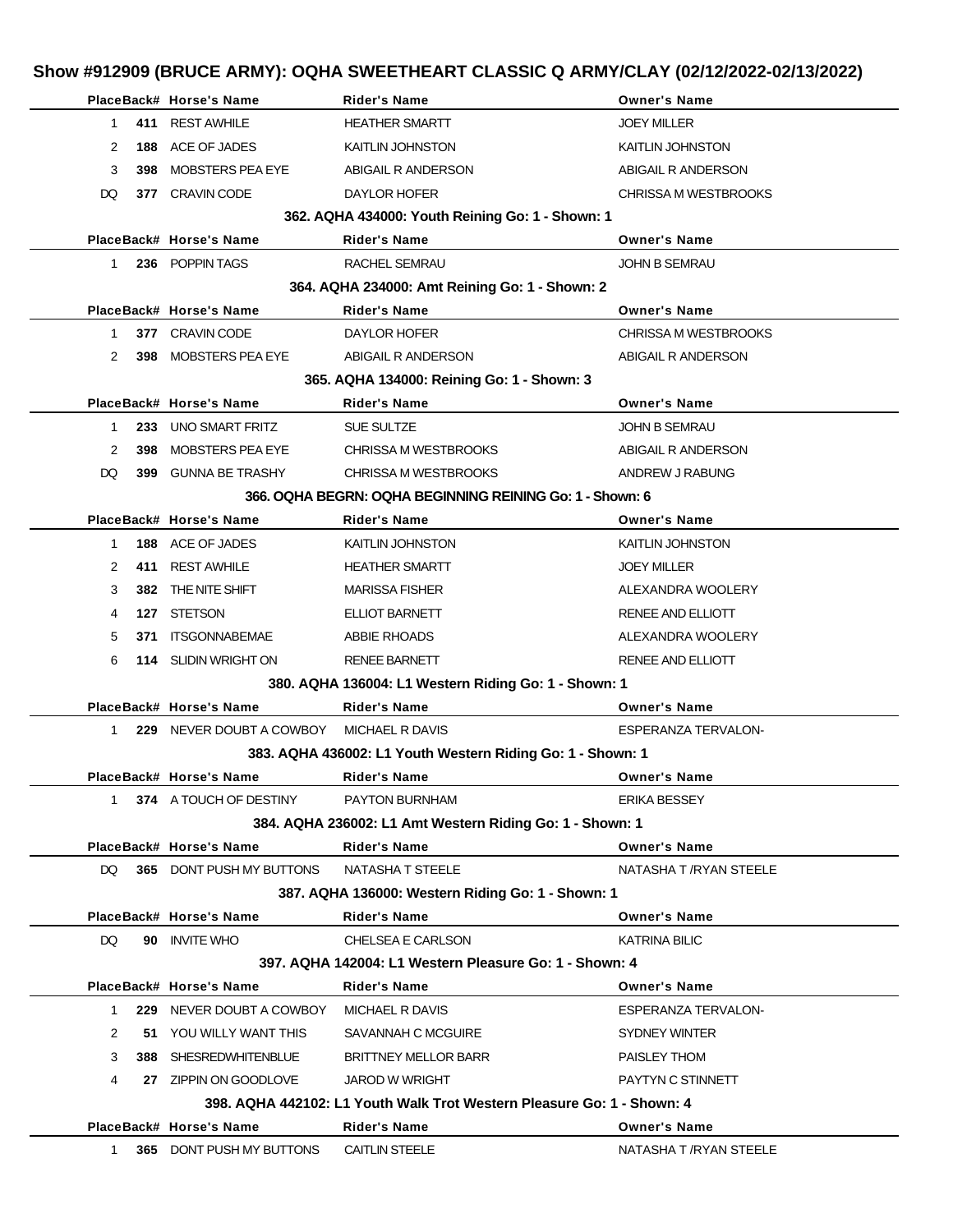| Show #912909 (BRUCE ARMY): OQHA SWEETHEART CLASSIC Q ARMY/CLAY (02/12/2022-02/13/2022) |                                            |                                          |                                                                        |                             |  |  |
|----------------------------------------------------------------------------------------|--------------------------------------------|------------------------------------------|------------------------------------------------------------------------|-----------------------------|--|--|
|                                                                                        |                                            | PlaceBack# Horse's Name                  | <b>Rider's Name</b>                                                    | <b>Owner's Name</b>         |  |  |
| 1.                                                                                     |                                            | 411 REST AWHILE                          | <b>HEATHER SMARTT</b>                                                  | <b>JOEY MILLER</b>          |  |  |
| 2                                                                                      | 188                                        | ACE OF JADES                             | <b>KAITLIN JOHNSTON</b>                                                | <b>KAITLIN JOHNSTON</b>     |  |  |
| 3                                                                                      | 398                                        | MOBSTERS PEA EYE                         | ABIGAIL R ANDERSON                                                     | ABIGAIL R ANDERSON          |  |  |
| DQ                                                                                     |                                            | 377 CRAVIN CODE                          | DAYLOR HOFER                                                           | <b>CHRISSA M WESTBROOKS</b> |  |  |
|                                                                                        |                                            |                                          | 362. AQHA 434000: Youth Reining Go: 1 - Shown: 1                       |                             |  |  |
|                                                                                        |                                            | PlaceBack# Horse's Name                  | <b>Rider's Name</b>                                                    | <b>Owner's Name</b>         |  |  |
| $1 \quad$                                                                              |                                            | 236 POPPIN TAGS                          | <b>RACHEL SEMRAU</b>                                                   | <b>JOHN B SEMRAU</b>        |  |  |
|                                                                                        |                                            |                                          | 364. AQHA 234000: Amt Reining Go: 1 - Shown: 2                         |                             |  |  |
|                                                                                        |                                            | PlaceBack# Horse's Name                  | <b>Rider's Name</b>                                                    | <b>Owner's Name</b>         |  |  |
| $\mathbf 1$                                                                            |                                            | 377 CRAVIN CODE                          | DAYLOR HOFER                                                           | <b>CHRISSA M WESTBROOKS</b> |  |  |
| 2                                                                                      |                                            | 398 MOBSTERS PEA EYE                     | ABIGAIL R ANDERSON                                                     | ABIGAIL R ANDERSON          |  |  |
|                                                                                        | 365. AQHA 134000: Reining Go: 1 - Shown: 3 |                                          |                                                                        |                             |  |  |
|                                                                                        |                                            | PlaceBack# Horse's Name                  | <b>Rider's Name</b>                                                    | <b>Owner's Name</b>         |  |  |
| 1                                                                                      |                                            | 233 UNO SMART FRITZ                      | SUE SULTZE                                                             | <b>JOHN B SEMRAU</b>        |  |  |
| 2                                                                                      | 398                                        | MOBSTERS PEA EYE                         | CHRISSA M WESTBROOKS                                                   | ABIGAIL R ANDERSON          |  |  |
| DQ                                                                                     |                                            | 399 GUNNA BE TRASHY                      | <b>CHRISSA M WESTBROOKS</b>                                            | ANDREW J RABUNG             |  |  |
|                                                                                        |                                            |                                          | 366, OQHA BEGRN: OQHA BEGINNING REINING Go: 1 - Shown: 6               |                             |  |  |
|                                                                                        |                                            | PlaceBack# Horse's Name                  | <b>Rider's Name</b>                                                    | <b>Owner's Name</b>         |  |  |
| 1                                                                                      |                                            | 188 ACE OF JADES                         | <b>KAITLIN JOHNSTON</b>                                                | <b>KAITLIN JOHNSTON</b>     |  |  |
| 2                                                                                      |                                            | 411 REST AWHILE                          | <b>HEATHER SMARTT</b>                                                  | <b>JOEY MILLER</b>          |  |  |
| 3                                                                                      |                                            | 382 THE NITE SHIFT                       | <b>MARISSA FISHER</b>                                                  | ALEXANDRA WOOLERY           |  |  |
| 4                                                                                      |                                            | 127 STETSON                              | ELLIOT BARNETT                                                         | RENEE AND ELLIOTT           |  |  |
| 5                                                                                      | 371                                        | ITSGONNABEMAE                            | ABBIE RHOADS                                                           | ALEXANDRA WOOLERY           |  |  |
| 6                                                                                      |                                            | 114 SLIDIN WRIGHT ON                     | <b>RENEE BARNETT</b>                                                   | RENEE AND ELLIOTT           |  |  |
|                                                                                        |                                            |                                          | 380. AQHA 136004: L1 Western Riding Go: 1 - Shown: 1                   |                             |  |  |
|                                                                                        |                                            | PlaceBack# Horse's Name                  | <b>Rider's Name</b>                                                    | <b>Owner's Name</b>         |  |  |
| 1                                                                                      |                                            | 229 NEVER DOUBT A COWBOY MICHAEL R DAVIS |                                                                        | <b>ESPERANZA TERVALON-</b>  |  |  |
|                                                                                        |                                            |                                          | 383. AQHA 436002: L1 Youth Western Riding Go: 1 - Shown: 1             |                             |  |  |
|                                                                                        |                                            | PlaceBack# Horse's Name                  | <b>Rider's Name</b>                                                    | <b>Owner's Name</b>         |  |  |
|                                                                                        |                                            | 1 374 A TOUCH OF DESTINY                 | <b>PAYTON BURNHAM</b>                                                  | <b>ERIKA BESSEY</b>         |  |  |
|                                                                                        |                                            |                                          | 384. AQHA 236002: L1 Amt Western Riding Go: 1 - Shown: 1               |                             |  |  |
|                                                                                        |                                            | PlaceBack# Horse's Name                  | <b>Rider's Name</b>                                                    | <b>Owner's Name</b>         |  |  |
| DQ.                                                                                    |                                            | 365 DONT PUSH MY BUTTONS                 | NATASHA T STEELE                                                       | NATASHA T / RYAN STEELE     |  |  |
|                                                                                        |                                            |                                          | 387. AQHA 136000: Western Riding Go: 1 - Shown: 1                      |                             |  |  |
|                                                                                        |                                            | PlaceBack# Horse's Name                  | <b>Rider's Name</b>                                                    | <b>Owner's Name</b>         |  |  |
| DQ.                                                                                    |                                            | 90 INVITE WHO                            | CHELSEA E CARLSON                                                      | <b>KATRINA BILIC</b>        |  |  |
|                                                                                        |                                            |                                          | 397. AQHA 142004: L1 Western Pleasure Go: 1 - Shown: 4                 |                             |  |  |
|                                                                                        |                                            | PlaceBack# Horse's Name                  | <b>Rider's Name</b>                                                    | <b>Owner's Name</b>         |  |  |
| 1.                                                                                     |                                            | 229 NEVER DOUBT A COWBOY                 | MICHAEL R DAVIS                                                        | <b>ESPERANZA TERVALON-</b>  |  |  |
| 2                                                                                      |                                            | 51 YOU WILLY WANT THIS                   | SAVANNAH C MCGUIRE                                                     | SYDNEY WINTER               |  |  |
| 3                                                                                      |                                            | 388 SHESREDWHITENBLUE                    | <b>BRITTNEY MELLOR BARR</b>                                            | PAISLEY THOM                |  |  |
| 4                                                                                      |                                            | 27 ZIPPIN ON GOODLOVE                    | <b>JAROD W WRIGHT</b>                                                  | PAYTYN C STINNETT           |  |  |
|                                                                                        |                                            |                                          | 398. AQHA 442102: L1 Youth Walk Trot Western Pleasure Go: 1 - Shown: 4 |                             |  |  |
|                                                                                        |                                            | PlaceBack# Horse's Name                  | Rider's Name                                                           | <b>Owner's Name</b>         |  |  |
| $1 \quad$                                                                              |                                            | 365 DONT PUSH MY BUTTONS                 | <b>CAITLIN STEELE</b>                                                  | NATASHA T / RYAN STEELE     |  |  |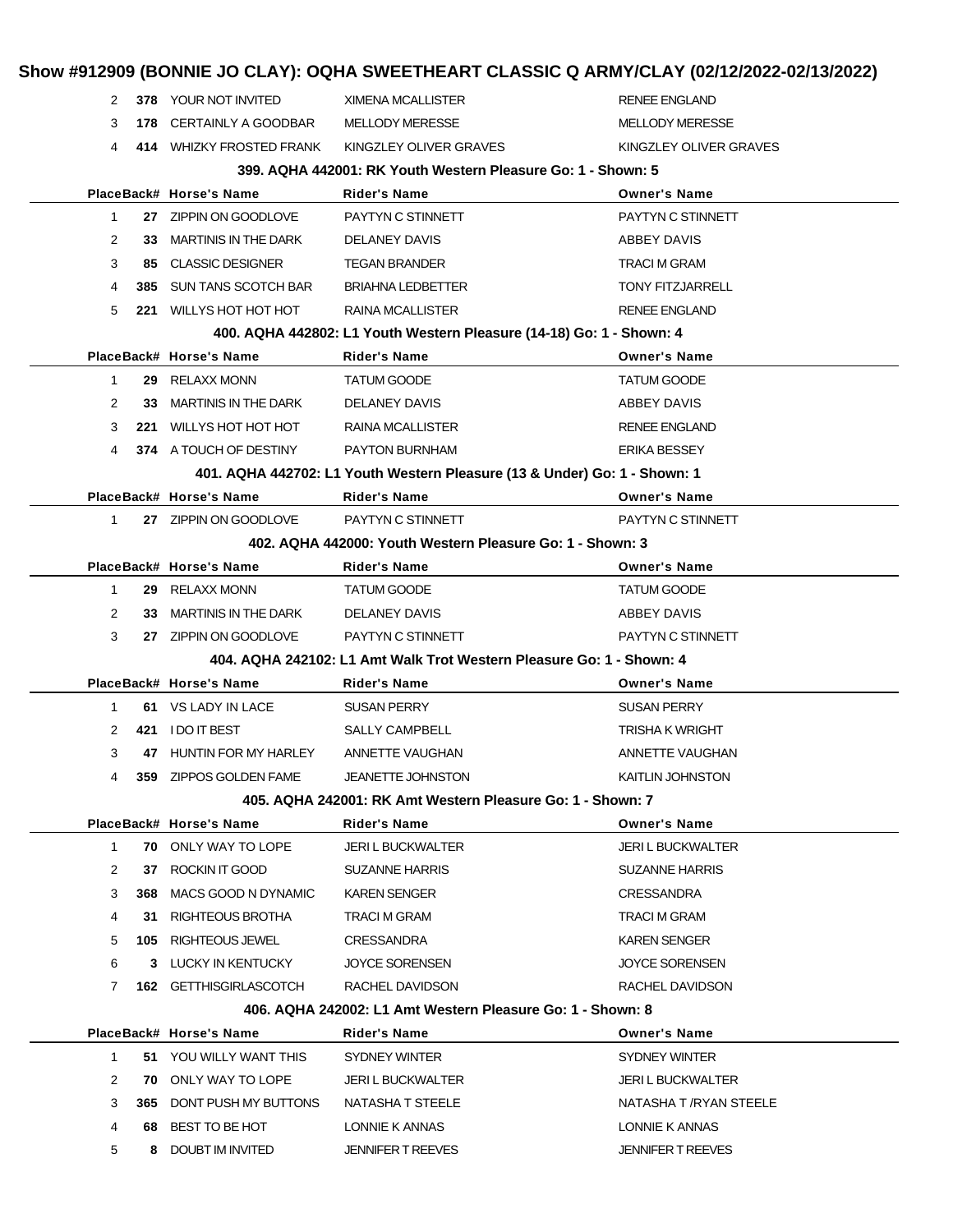| KINGZLEY OLIVER GRAVES |
|------------------------|
|                        |
|                        |
|                        |
|                        |
|                        |
|                        |
|                        |
|                        |
|                        |
|                        |
|                        |
|                        |
|                        |
|                        |
|                        |
|                        |
|                        |
|                        |
|                        |
|                        |
|                        |
|                        |
|                        |
|                        |
|                        |
|                        |
|                        |
|                        |
|                        |
|                        |
|                        |
|                        |
|                        |
|                        |
|                        |
|                        |
|                        |
|                        |
|                        |
|                        |
|                        |
| NATASHA T /RYAN STEELE |
|                        |
|                        |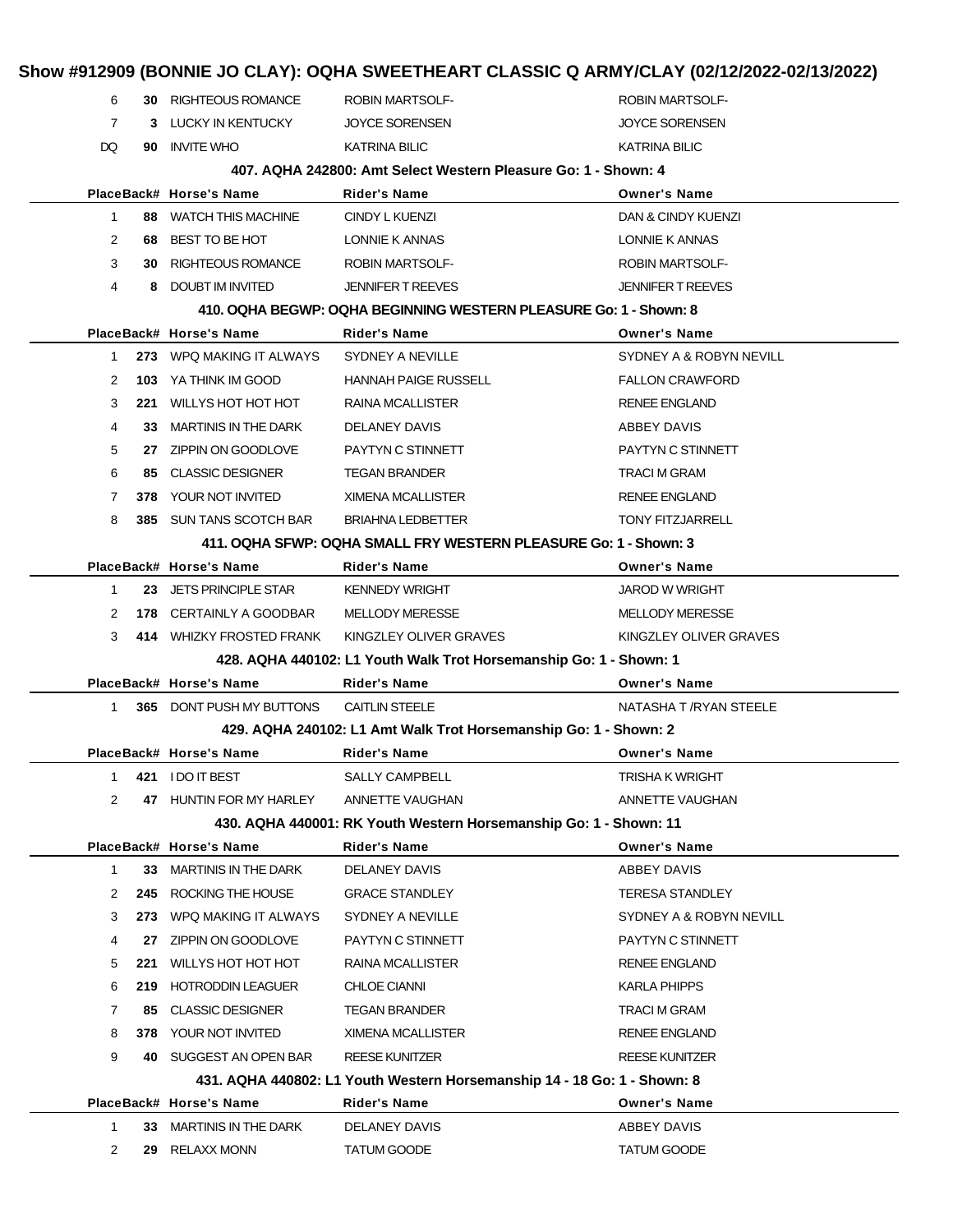|                |     |                                 | Show #912909 (BONNIE JO CLAY): OQHA SWEETHEART CLASSIC Q ARMY/CLAY (02/12/2022-02/13/2022) |                          |
|----------------|-----|---------------------------------|--------------------------------------------------------------------------------------------|--------------------------|
| 6              |     | 30 RIGHTEOUS ROMANCE            | <b>ROBIN MARTSOLF-</b>                                                                     | <b>ROBIN MARTSOLF-</b>   |
| $\overline{7}$ |     | 3 LUCKY IN KENTUCKY             | <b>JOYCE SORENSEN</b>                                                                      | <b>JOYCE SORENSEN</b>    |
| DQ             | 90  | <b>INVITE WHO</b>               | <b>KATRINA BILIC</b>                                                                       | KATRINA BILIC            |
|                |     |                                 | 407, AQHA 242800: Amt Select Western Pleasure Go: 1 - Shown: 4                             |                          |
|                |     | PlaceBack# Horse's Name         | <b>Rider's Name</b>                                                                        | <b>Owner's Name</b>      |
| $\mathbf 1$    |     | 88 WATCH THIS MACHINE           | CINDY L KUENZI                                                                             | DAN & CINDY KUENZI       |
| $\overline{2}$ | 68. | BEST TO BE HOT                  | LONNIE K ANNAS                                                                             | LONNIE K ANNAS           |
| 3              |     | <b>30 RIGHTEOUS ROMANCE</b>     | <b>ROBIN MARTSOLF-</b>                                                                     | <b>ROBIN MARTSOLF-</b>   |
| 4              | 8   | DOUBT IM INVITED                | <b>JENNIFER T REEVES</b>                                                                   | <b>JENNIFER T REEVES</b> |
|                |     |                                 | 410. OQHA BEGWP: OQHA BEGINNING WESTERN PLEASURE Go: 1 - Shown: 8                          |                          |
|                |     | PlaceBack# Horse's Name         | <b>Rider's Name</b>                                                                        | <b>Owner's Name</b>      |
| 1              |     | 273 WPQ MAKING IT ALWAYS        | SYDNEY A NEVILLE                                                                           | SYDNEY A & ROBYN NEVILL  |
| 2              |     | 103 YA THINK IM GOOD            | <b>HANNAH PAIGE RUSSELL</b>                                                                | <b>FALLON CRAWFORD</b>   |
| 3              |     | 221 WILLYS HOT HOT HOT          | <b>RAINA MCALLISTER</b>                                                                    | <b>RENEE ENGLAND</b>     |
| 4              | 33  | <b>MARTINIS IN THE DARK</b>     | DELANEY DAVIS                                                                              | <b>ABBEY DAVIS</b>       |
| 5              |     | 27 ZIPPIN ON GOODLOVE           | PAYTYN C STINNETT                                                                          | PAYTYN C STINNETT        |
| 6              |     | 85 CLASSIC DESIGNER             | <b>TEGAN BRANDER</b>                                                                       | <b>TRACI M GRAM</b>      |
| $\overline{7}$ |     | 378 YOUR NOT INVITED            | <b>XIMENA MCALLISTER</b>                                                                   | <b>RENEE ENGLAND</b>     |
| 8              |     | 385 SUN TANS SCOTCH BAR         | <b>BRIAHNA LEDBETTER</b>                                                                   | <b>TONY FITZJARRELL</b>  |
|                |     |                                 | 411. OQHA SFWP: OQHA SMALL FRY WESTERN PLEASURE Go: 1 - Shown: 3                           |                          |
|                |     | PlaceBack# Horse's Name         | Rider's Name                                                                               | <b>Owner's Name</b>      |
| $\mathbf{1}$   |     | 23 JETS PRINCIPLE STAR          | <b>KENNEDY WRIGHT</b>                                                                      | <b>JAROD W WRIGHT</b>    |
| 2              |     | 178 CERTAINLY A GOODBAR         | <b>MELLODY MERESSE</b>                                                                     | <b>MELLODY MERESSE</b>   |
| 3              |     | 414 WHIZKY FROSTED FRANK        | KINGZLEY OLIVER GRAVES                                                                     | KINGZLEY OLIVER GRAVES   |
|                |     |                                 | 428. AQHA 440102: L1 Youth Walk Trot Horsemanship Go: 1 - Shown: 1                         |                          |
|                |     | PlaceBack# Horse's Name         | <b>Rider's Name</b>                                                                        | <b>Owner's Name</b>      |
| $\mathbf{1}$   |     | <b>365 DONT PUSH MY BUTTONS</b> | <b>CAITLIN STEELE</b>                                                                      | NATASHA T / RYAN STEELE  |
|                |     |                                 | 429. AQHA 240102: L1 Amt Walk Trot Horsemanship Go: 1 - Shown: 2                           |                          |
|                |     | PlaceBack# Horse's Name         | Rider's Name                                                                               | <b>Owner's Name</b>      |
| 1              |     | 421 IDO IT BEST                 | <b>SALLY CAMPBELL</b>                                                                      | <b>TRISHA K WRIGHT</b>   |
| 2              | 47  | <b>HUNTIN FOR MY HARLEY</b>     | ANNETTE VAUGHAN                                                                            | ANNETTE VAUGHAN          |
|                |     |                                 | 430. AQHA 440001: RK Youth Western Horsemanship Go: 1 - Shown: 11                          |                          |
|                |     | PlaceBack# Horse's Name         | <b>Rider's Name</b>                                                                        | <b>Owner's Name</b>      |
| 1              | 33. | <b>MARTINIS IN THE DARK</b>     | <b>DELANEY DAVIS</b>                                                                       | ABBEY DAVIS              |
| 2              | 245 | ROCKING THE HOUSE               | <b>GRACE STANDLEY</b>                                                                      | <b>TERESA STANDLEY</b>   |
| 3              | 273 | WPQ MAKING IT ALWAYS            | SYDNEY A NEVILLE                                                                           | SYDNEY A & ROBYN NEVILL  |
| 4              | 27  | ZIPPIN ON GOODLOVE              | PAYTYN C STINNETT                                                                          | PAYTYN C STINNETT        |
| 5              | 221 | WILLYS HOT HOT HOT              | RAINA MCALLISTER                                                                           | <b>RENEE ENGLAND</b>     |
| 6              | 219 | <b>HOTRODDIN LEAGUER</b>        | <b>CHLOE CIANNI</b>                                                                        | <b>KARLA PHIPPS</b>      |
| 7              | 85  | <b>CLASSIC DESIGNER</b>         | <b>TEGAN BRANDER</b>                                                                       | TRACI M GRAM             |
| 8              |     | 378 YOUR NOT INVITED            | XIMENA MCALLISTER                                                                          | <b>RENEE ENGLAND</b>     |
| 9              | 40. | SUGGEST AN OPEN BAR             | <b>REESE KUNITZER</b>                                                                      | <b>REESE KUNITZER</b>    |
|                |     |                                 | 431. AQHA 440802: L1 Youth Western Horsemanship 14 - 18 Go: 1 - Shown: 8                   |                          |
|                |     | PlaceBack# Horse's Name         | <b>Rider's Name</b>                                                                        | <b>Owner's Name</b>      |
| $\mathbf{1}$   | 33  | <b>MARTINIS IN THE DARK</b>     | DELANEY DAVIS                                                                              | ABBEY DAVIS              |
| 2              | 29. | <b>RELAXX MONN</b>              | TATUM GOODE                                                                                | TATUM GOODE              |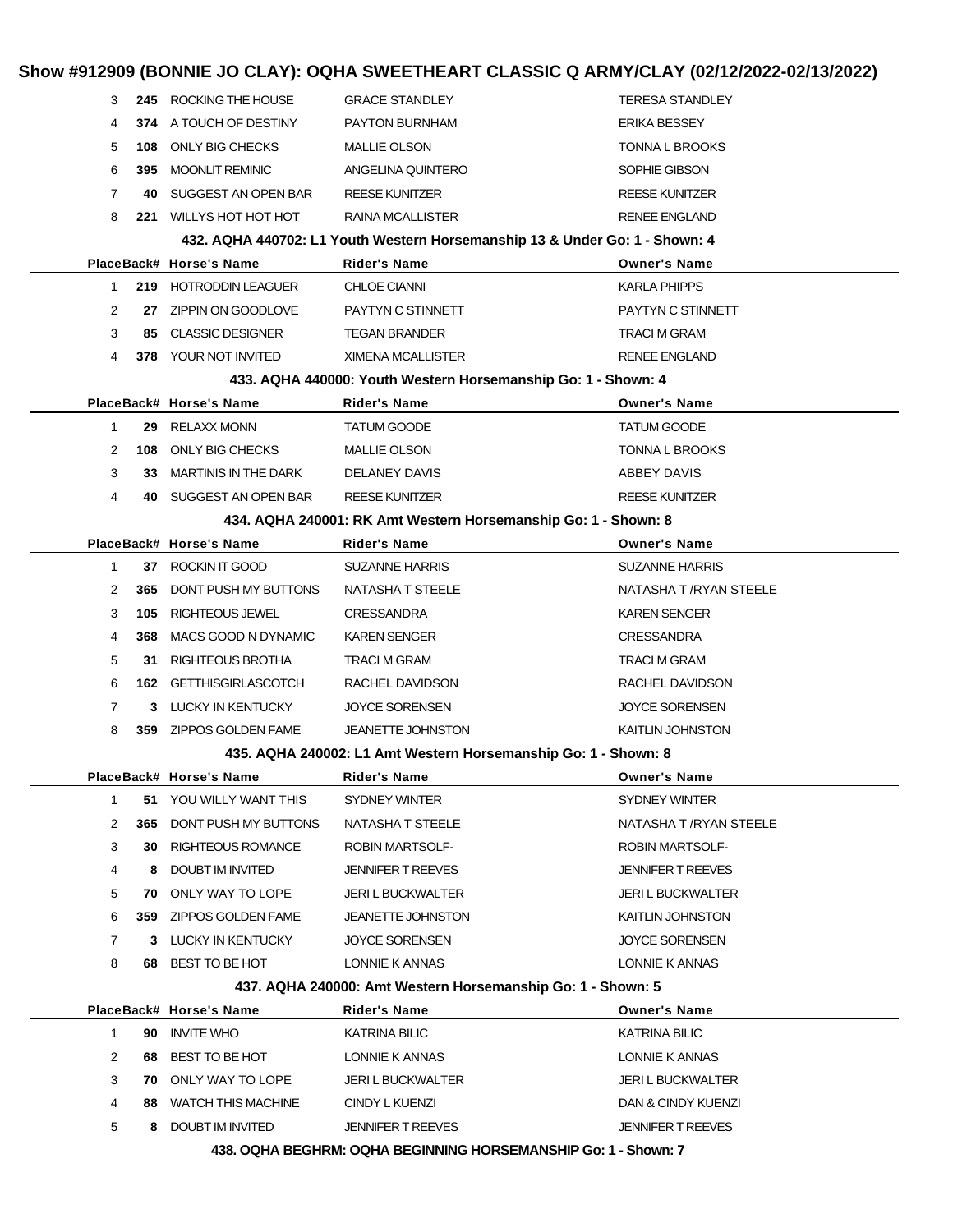|                |     |                             |                                                                             | Show #912909 (BONNIE JO CLAY): OQHA SWEETHEART CLASSIC Q ARMY/CLAY (02/12/2022-02/13/2022) |
|----------------|-----|-----------------------------|-----------------------------------------------------------------------------|--------------------------------------------------------------------------------------------|
| 3              |     | 245 ROCKING THE HOUSE       | <b>GRACE STANDLEY</b>                                                       | <b>TERESA STANDLEY</b>                                                                     |
| 4              |     | 374 A TOUCH OF DESTINY      | PAYTON BURNHAM                                                              | <b>ERIKA BESSEY</b>                                                                        |
| 5              | 108 | ONLY BIG CHECKS             | <b>MALLIE OLSON</b>                                                         | <b>TONNA L BROOKS</b>                                                                      |
| 6              | 395 | <b>MOONLIT REMINIC</b>      | ANGELINA QUINTERO                                                           | SOPHIE GIBSON                                                                              |
| $\overline{7}$ | 40  | SUGGEST AN OPEN BAR         | <b>REESE KUNITZER</b>                                                       | <b>REESE KUNITZER</b>                                                                      |
| 8              | 221 | WILLYS HOT HOT HOT          | RAINA MCALLISTER                                                            | <b>RENEE ENGLAND</b>                                                                       |
|                |     |                             | 432. AQHA 440702: L1 Youth Western Horsemanship 13 & Under Go: 1 - Shown: 4 |                                                                                            |
|                |     | PlaceBack# Horse's Name     | Rider's Name                                                                | <b>Owner's Name</b>                                                                        |
| $\mathbf 1$    |     | 219 HOTRODDIN LEAGUER       | <b>CHLOE CIANNI</b>                                                         | <b>KARLA PHIPPS</b>                                                                        |
| 2              | 27  | ZIPPIN ON GOODLOVE          | PAYTYN C STINNETT                                                           | PAYTYN C STINNETT                                                                          |
| 3              | 85  | <b>CLASSIC DESIGNER</b>     | <b>TEGAN BRANDER</b>                                                        | <b>TRACI M GRAM</b>                                                                        |
| 4              |     | <b>378 YOUR NOT INVITED</b> | <b>XIMENA MCALLISTER</b>                                                    | <b>RENEE ENGLAND</b>                                                                       |
|                |     |                             | 433. AQHA 440000: Youth Western Horsemanship Go: 1 - Shown: 4               |                                                                                            |
|                |     | PlaceBack# Horse's Name     | Rider's Name                                                                | <b>Owner's Name</b>                                                                        |
| 1              | 29  | <b>RELAXX MONN</b>          | <b>TATUM GOODE</b>                                                          | <b>TATUM GOODE</b>                                                                         |
| 2              | 108 | ONLY BIG CHECKS             | <b>MALLIE OLSON</b>                                                         | <b>TONNA L BROOKS</b>                                                                      |
| 3              | 33  | <b>MARTINIS IN THE DARK</b> | <b>DELANEY DAVIS</b>                                                        | ABBEY DAVIS                                                                                |
| 4              | 40  | SUGGEST AN OPEN BAR         | <b>REESE KUNITZER</b>                                                       | <b>REESE KUNITZER</b>                                                                      |
|                |     |                             | 434. AQHA 240001: RK Amt Western Horsemanship Go: 1 - Shown: 8              |                                                                                            |
|                |     | PlaceBack# Horse's Name     | Rider's Name                                                                | <b>Owner's Name</b>                                                                        |
| $\mathbf{1}$   |     | 37 ROCKIN IT GOOD           | <b>SUZANNE HARRIS</b>                                                       | <b>SUZANNE HARRIS</b>                                                                      |
| 2              | 365 | DONT PUSH MY BUTTONS        | NATASHA T STEELE                                                            | NATASHA T /RYAN STEELE                                                                     |
| 3              | 105 | <b>RIGHTEOUS JEWEL</b>      | <b>CRESSANDRA</b>                                                           | <b>KAREN SENGER</b>                                                                        |
| 4              | 368 | MACS GOOD N DYNAMIC         | KAREN SENGER                                                                | CRESSANDRA                                                                                 |
| 5              | 31  | RIGHTEOUS BROTHA            | TRACI M GRAM                                                                | <b>TRACI M GRAM</b>                                                                        |
| 6              | 162 | <b>GETTHISGIRLASCOTCH</b>   | RACHEL DAVIDSON                                                             | RACHEL DAVIDSON                                                                            |
| 7              |     | 3 LUCKY IN KENTUCKY         | <b>JOYCE SORENSEN</b>                                                       | <b>JOYCE SORENSEN</b>                                                                      |
| 8              | 359 | ZIPPOS GOLDEN FAME          | JEANETTE JOHNSTON                                                           | KAITLIN JOHNSTON                                                                           |
|                |     |                             | 435. AQHA 240002: L1 Amt Western Horsemanship Go: 1 - Shown: 8              |                                                                                            |
|                |     | PlaceBack# Horse's Name     | Rider's Name                                                                | <b>Owner's Name</b>                                                                        |
| 1              |     | 51 YOU WILLY WANT THIS      | SYDNEY WINTER                                                               | SYDNEY WINTER                                                                              |
| 2              | 365 | DONT PUSH MY BUTTONS        | NATASHA T STEELE                                                            | NATASHA T /RYAN STEELE                                                                     |
| 3              | 30  | <b>RIGHTEOUS ROMANCE</b>    | ROBIN MARTSOLF-                                                             | <b>ROBIN MARTSOLF-</b>                                                                     |
| 4              | 8   | DOUBT IM INVITED            | JENNIFER T REEVES                                                           | <b>JENNIFER T REEVES</b>                                                                   |
| 5              | 70  | ONLY WAY TO LOPE            | JERI L BUCKWALTER                                                           | JERI L BUCKWALTER                                                                          |
| 6              | 359 | ZIPPOS GOLDEN FAME          | <b>JEANETTE JOHNSTON</b>                                                    | KAITLIN JOHNSTON                                                                           |
| 7              |     | 3 LUCKY IN KENTUCKY         | JOYCE SORENSEN                                                              | JOYCE SORENSEN                                                                             |
| 8              | 68  | BEST TO BE HOT              | LONNIE K ANNAS                                                              | LONNIE K ANNAS                                                                             |
|                |     |                             | 437. AQHA 240000: Amt Western Horsemanship Go: 1 - Shown: 5                 |                                                                                            |
|                |     | PlaceBack# Horse's Name     | Rider's Name                                                                | <b>Owner's Name</b>                                                                        |
| 1              | 90  | <b>INVITE WHO</b>           | <b>KATRINA BILIC</b>                                                        | KATRINA BILIC                                                                              |
| 2              | 68  | BEST TO BE HOT              | LONNIE K ANNAS                                                              | LONNIE K ANNAS                                                                             |
| 3              | 70  | ONLY WAY TO LOPE            | JERI L BUCKWALTER                                                           | JERI L BUCKWALTER                                                                          |
| 4              | 88. | <b>WATCH THIS MACHINE</b>   | CINDY L KUENZI                                                              | DAN & CINDY KUENZI                                                                         |
| 5              | 8.  | DOUBT IM INVITED            | JENNIFER T REEVES                                                           | JENNIFER T REEVES                                                                          |

**438. OQHA BEGHRM: OQHA BEGINNING HORSEMANSHIP Go: 1 - Shown: 7**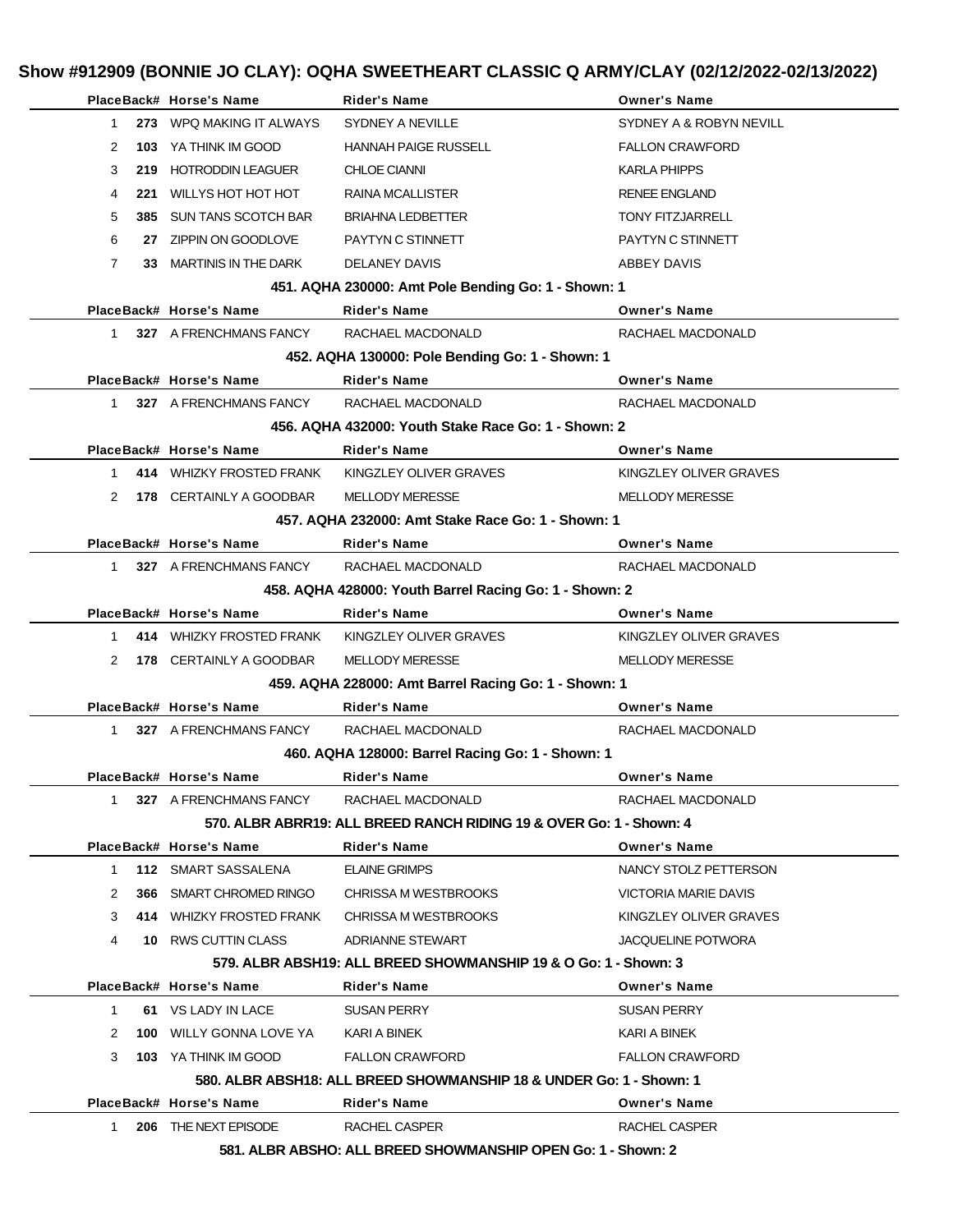|                | PlaceBack# Horse's Name                     | Rider's Name                                                        | <b>Owner's Name</b>         |
|----------------|---------------------------------------------|---------------------------------------------------------------------|-----------------------------|
| $\mathbf{1}$   | 273 WPQ MAKING IT ALWAYS                    | SYDNEY A NEVILLE                                                    | SYDNEY A & ROBYN NEVILL     |
| 2              | <b>103</b> YA THINK IM GOOD                 | <b>HANNAH PAIGE RUSSELL</b>                                         | <b>FALLON CRAWFORD</b>      |
| 3              | 219 HOTRODDIN LEAGUER                       | <b>CHLOE CIANNI</b>                                                 | <b>KARLA PHIPPS</b>         |
| 4              | 221 WILLYS HOT HOT HOT                      | <b>RAINA MCALLISTER</b>                                             | <b>RENEE ENGLAND</b>        |
| 5              | 385 SUN TANS SCOTCH BAR                     | <b>BRIAHNA LEDBETTER</b>                                            | <b>TONY FITZJARRELL</b>     |
| 6              | 27 ZIPPIN ON GOODLOVE                       | PAYTYN C STINNETT                                                   | PAYTYN C STINNETT           |
| $\overline{7}$ | 33 MARTINIS IN THE DARK                     | DELANEY DAVIS                                                       | ABBEY DAVIS                 |
|                |                                             | 451. AQHA 230000: Amt Pole Bending Go: 1 - Shown: 1                 |                             |
|                | PlaceBack# Horse's Name                     | <b>Rider's Name</b>                                                 | <b>Owner's Name</b>         |
| $\mathbf{1}$   | 327 A FRENCHMANS FANCY                      | RACHAEL MACDONALD                                                   | RACHAEL MACDONALD           |
|                |                                             | 452. AQHA 130000: Pole Bending Go: 1 - Shown: 1                     |                             |
|                | PlaceBack# Horse's Name                     | <b>Rider's Name</b>                                                 | <b>Owner's Name</b>         |
| 1              | 327 A FRENCHMANS FANCY                      | RACHAEL MACDONALD                                                   | RACHAEL MACDONALD           |
|                |                                             | 456. AQHA 432000: Youth Stake Race Go: 1 - Shown: 2                 |                             |
|                | PlaceBack# Horse's Name                     | <b>Rider's Name</b>                                                 | <b>Owner's Name</b>         |
| $\mathbf{1}$   | 414 WHIZKY FROSTED FRANK                    | KINGZLEY OLIVER GRAVES                                              | KINGZLEY OLIVER GRAVES      |
| 2              | <b>178 CERTAINLY A GOODBAR</b>              | <b>MELLODY MERESSE</b>                                              | <b>MELLODY MERESSE</b>      |
|                |                                             | 457. AQHA 232000: Amt Stake Race Go: 1 - Shown: 1                   |                             |
|                | PlaceBack# Horse's Name                     | Rider's Name                                                        | <b>Owner's Name</b>         |
| $\mathbf{1}$   | 327 A FRENCHMANS FANCY                      | RACHAEL MACDONALD                                                   | RACHAEL MACDONALD           |
|                |                                             | 458. AQHA 428000: Youth Barrel Racing Go: 1 - Shown: 2              |                             |
|                | PlaceBack# Horse's Name                     | <b>Rider's Name</b>                                                 | <b>Owner's Name</b>         |
| $\mathbf{1}$   | 414 WHIZKY FROSTED FRANK                    | KINGZLEY OLIVER GRAVES                                              | KINGZLEY OLIVER GRAVES      |
| 2              | <b>178 CERTAINLY A GOODBAR</b>              | <b>MELLODY MERESSE</b>                                              | <b>MELLODY MERESSE</b>      |
|                |                                             | 459. AQHA 228000: Amt Barrel Racing Go: 1 - Shown: 1                |                             |
|                | PlaceBack# Horse's Name                     | Rider's Name                                                        | <b>Owner's Name</b>         |
| 1.             | 327 A FRENCHMANS FANCY                      | RACHAEL MACDONALD                                                   | RACHAEL MACDONALD           |
|                |                                             | 460. AQHA 128000: Barrel Racing Go: 1 - Shown: 1                    |                             |
|                | PlaceBack# Horse's Name                     | Rider's Name                                                        | <b>Owner's Name</b>         |
| 1              | 327 A FRENCHMANS FANCY                      | RACHAEL MACDONALD                                                   | RACHAEL MACDONALD           |
|                |                                             | 570. ALBR ABRR19: ALL BREED RANCH RIDING 19 & OVER Go: 1 - Shown: 4 |                             |
|                | PlaceBack# Horse's Name                     | Rider's Name                                                        | <b>Owner's Name</b>         |
| $\mathbf{1}$   | <b>112 SMART SASSALENA</b>                  | <b>ELAINE GRIMPS</b>                                                | NANCY STOLZ PETTERSON       |
| 2              | 366 SMART CHROMED RINGO                     | CHRISSA M WESTBROOKS                                                | <b>VICTORIA MARIE DAVIS</b> |
| 3              | 414 WHIZKY FROSTED FRANK                    | CHRISSA M WESTBROOKS                                                | KINGZLEY OLIVER GRAVES      |
| 4              | 10 RWS CUTTIN CLASS                         | ADRIANNE STEWART                                                    | <b>JACQUELINE POTWORA</b>   |
|                |                                             | 579. ALBR ABSH19: ALL BREED SHOWMANSHIP 19 & O Go: 1 - Shown: 3     |                             |
|                | PlaceBack# Horse's Name                     | Rider's Name                                                        | <b>Owner's Name</b>         |
|                | 61 VS LADY IN LACE                          |                                                                     |                             |
| 1              |                                             | <b>SUSAN PERRY</b>                                                  | <b>SUSAN PERRY</b>          |
| 2              | <b>100 WILLY GONNA LOVE YA KARI A BINEK</b> |                                                                     | KARI A BINEK                |
| 3              | <b>103</b> YA THINK IM GOOD                 | <b>FALLON CRAWFORD</b>                                              | <b>FALLON CRAWFORD</b>      |
|                |                                             | 580. ALBR ABSH18: ALL BREED SHOWMANSHIP 18 & UNDER Go: 1 - Shown: 1 |                             |
|                | PlaceBack# Horse's Name                     | <b>Rider's Name</b>                                                 | <b>Owner's Name</b>         |
| 1              | 206 THE NEXT EPISODE                        | RACHEL CASPER                                                       | RACHEL CASPER               |
|                |                                             | 581. ALBR ABSHO: ALL BREED SHOWMANSHIP OPEN Go: 1 - Shown: 2        |                             |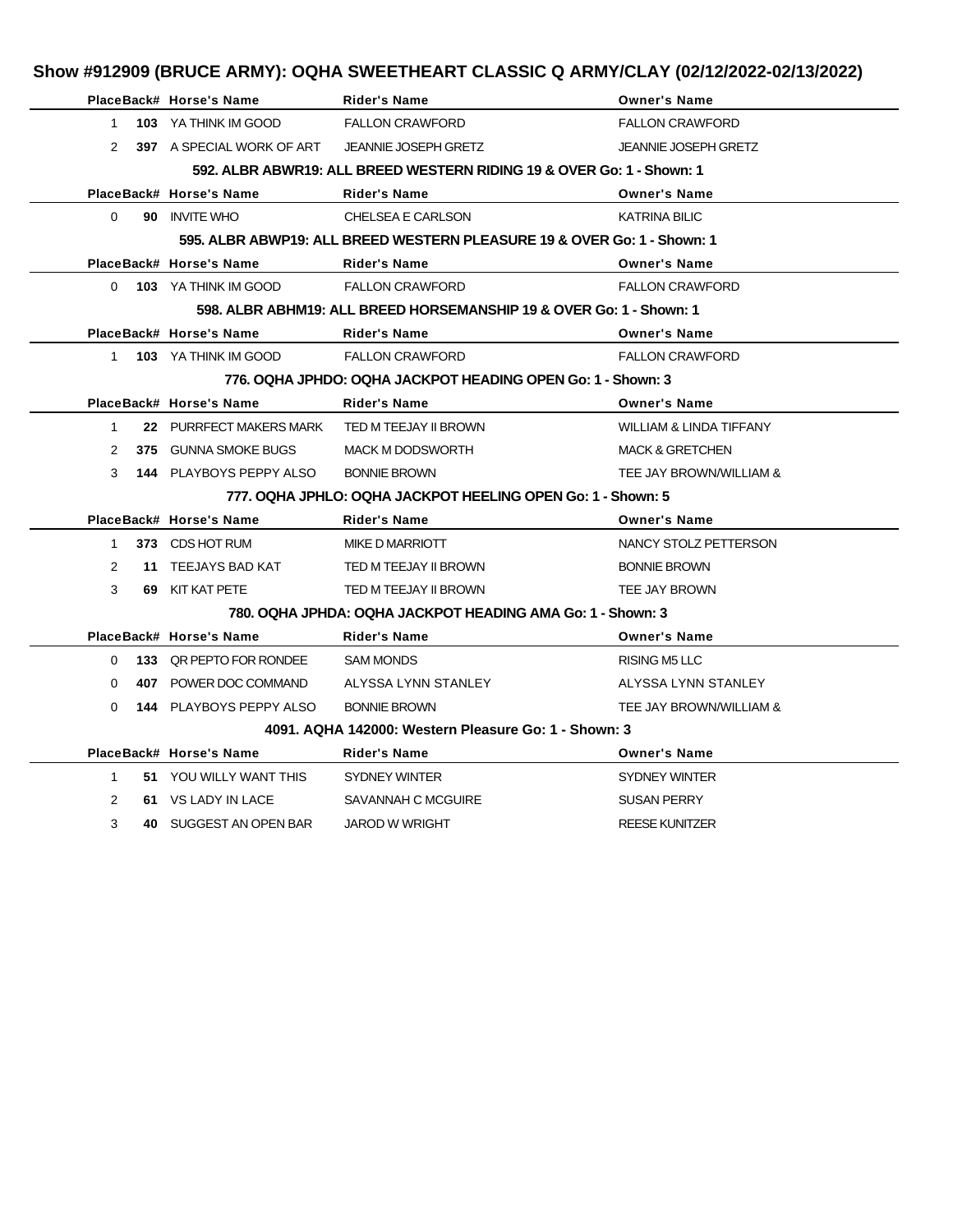|                |  |                                                  |                                                                     | Show #912909 (BRUCE ARMY): OQHA SWEETHEART CLASSIC Q ARMY/CLAY (02/12/2022-02/13/2022) |
|----------------|--|--------------------------------------------------|---------------------------------------------------------------------|----------------------------------------------------------------------------------------|
|                |  | PlaceBack# Horse's Name                          | <b>Rider's Name</b>                                                 | <b>Owner's Name</b>                                                                    |
| $\mathbf{1}$   |  | 103 YA THINK IM GOOD                             | <b>FALLON CRAWFORD</b>                                              | <b>FALLON CRAWFORD</b>                                                                 |
|                |  | 2 397 A SPECIAL WORK OF ART JEANNIE JOSEPH GRETZ |                                                                     | <b>JEANNIE JOSEPH GRETZ</b>                                                            |
|                |  |                                                  |                                                                     | 592. ALBR ABWR19: ALL BREED WESTERN RIDING 19 & OVER Go: 1 - Shown: 1                  |
|                |  | PlaceBack# Horse's Name                          | <b>Rider's Name</b>                                                 | <b>Owner's Name</b>                                                                    |
| $\Omega$       |  | 90 INVITE WHO                                    | <b>CHELSEA E CARLSON</b>                                            | <b>KATRINA BILIC</b>                                                                   |
|                |  |                                                  |                                                                     | 595, ALBR ABWP19: ALL BREED WESTERN PLEASURE 19 & OVER Go: 1 - Shown: 1                |
|                |  | PlaceBack# Horse's Name                          | <b>Rider's Name</b>                                                 | <b>Owner's Name</b>                                                                    |
|                |  | 0 103 YA THINK IM GOOD                           | <b>FALLON CRAWFORD</b>                                              | <b>FALLON CRAWFORD</b>                                                                 |
|                |  |                                                  | 598. ALBR ABHM19: ALL BREED HORSEMANSHIP 19 & OVER Go: 1 - Shown: 1 |                                                                                        |
|                |  | PlaceBack# Horse's Name                          | <b>Rider's Name</b>                                                 | <b>Owner's Name</b>                                                                    |
|                |  | 1 103 YA THINK IM GOOD                           | <b>FALLON CRAWFORD</b>                                              | <b>FALLON CRAWFORD</b>                                                                 |
|                |  |                                                  | 776, OQHA JPHDO: OQHA JACKPOT HEADING OPEN Go: 1 - Shown: 3         |                                                                                        |
|                |  | PlaceBack# Horse's Name                          | Rider's Name                                                        | <b>Owner's Name</b>                                                                    |
| $\mathbf{1}$   |  | 22 PURRFECT MAKERS MARK TED M TEEJAY II BROWN    |                                                                     | <b>WILLIAM &amp; LINDA TIFFANY</b>                                                     |
| $\mathcal{P}$  |  | 375 GUNNA SMOKE BUGS                             | <b>MACK M DODSWORTH</b>                                             | <b>MACK &amp; GRETCHEN</b>                                                             |
| 3              |  | <b>144 PLAYBOYS PEPPY ALSO</b>                   | <b>BONNIE BROWN</b>                                                 | TEE JAY BROWN/WILLIAM &                                                                |
|                |  |                                                  | 777, OQHA JPHLO: OQHA JACKPOT HEELING OPEN Go: 1 - Shown: 5         |                                                                                        |
|                |  | PlaceBack# Horse's Name                          | <b>Rider's Name</b>                                                 | <b>Owner's Name</b>                                                                    |
|                |  | 1 373 CDS HOT RUM                                | MIKE D MARRIOTT                                                     | NANCY STOLZ PETTERSON                                                                  |
| 2              |  | 11 TEEJAYS BAD KAT                               | TED M TEEJAY II BROWN                                               | <b>BONNIE BROWN</b>                                                                    |
| 3              |  | 69 KIT KAT PETE                                  | TED M TEEJAY II BROWN                                               | <b>TEE JAY BROWN</b>                                                                   |
|                |  |                                                  | 780, OQHA JPHDA: OQHA JACKPOT HEADING AMA Go: 1 - Shown: 3          |                                                                                        |
|                |  | PlaceBack# Horse's Name                          | <b>Rider's Name</b>                                                 | <b>Owner's Name</b>                                                                    |
| 0              |  | <b>133 QR PEPTO FOR RONDEE</b>                   | <b>SAM MONDS</b>                                                    | <b>RISING M5 LLC</b>                                                                   |
| 0              |  | 407 POWER DOC COMMAND ALYSSA LYNN STANLEY        |                                                                     | ALYSSA LYNN STANLEY                                                                    |
| $\Omega$       |  | 144 PLAYBOYS PEPPY ALSO                          | <b>BONNIE BROWN</b>                                                 | TEE JAY BROWN/WILLIAM &                                                                |
|                |  |                                                  | 4091, AQHA 142000: Western Pleasure Go: 1 - Shown: 3                |                                                                                        |
|                |  | PlaceBack# Horse's Name                          | Rider's Name                                                        | <b>Owner's Name</b>                                                                    |
| $\mathbf{1}$   |  | 51 YOU WILLY WANT THIS                           | SYDNEY WINTER                                                       | <b>SYDNEY WINTER</b>                                                                   |
| $\overline{2}$ |  | 61 VS LADY IN LACE                               | SAVANNAH C MCGUIRE                                                  | <b>SUSAN PERRY</b>                                                                     |
| 3              |  | 40 SUGGEST AN OPEN BAR                           | <b>JAROD W WRIGHT</b>                                               | <b>REESE KUNITZER</b>                                                                  |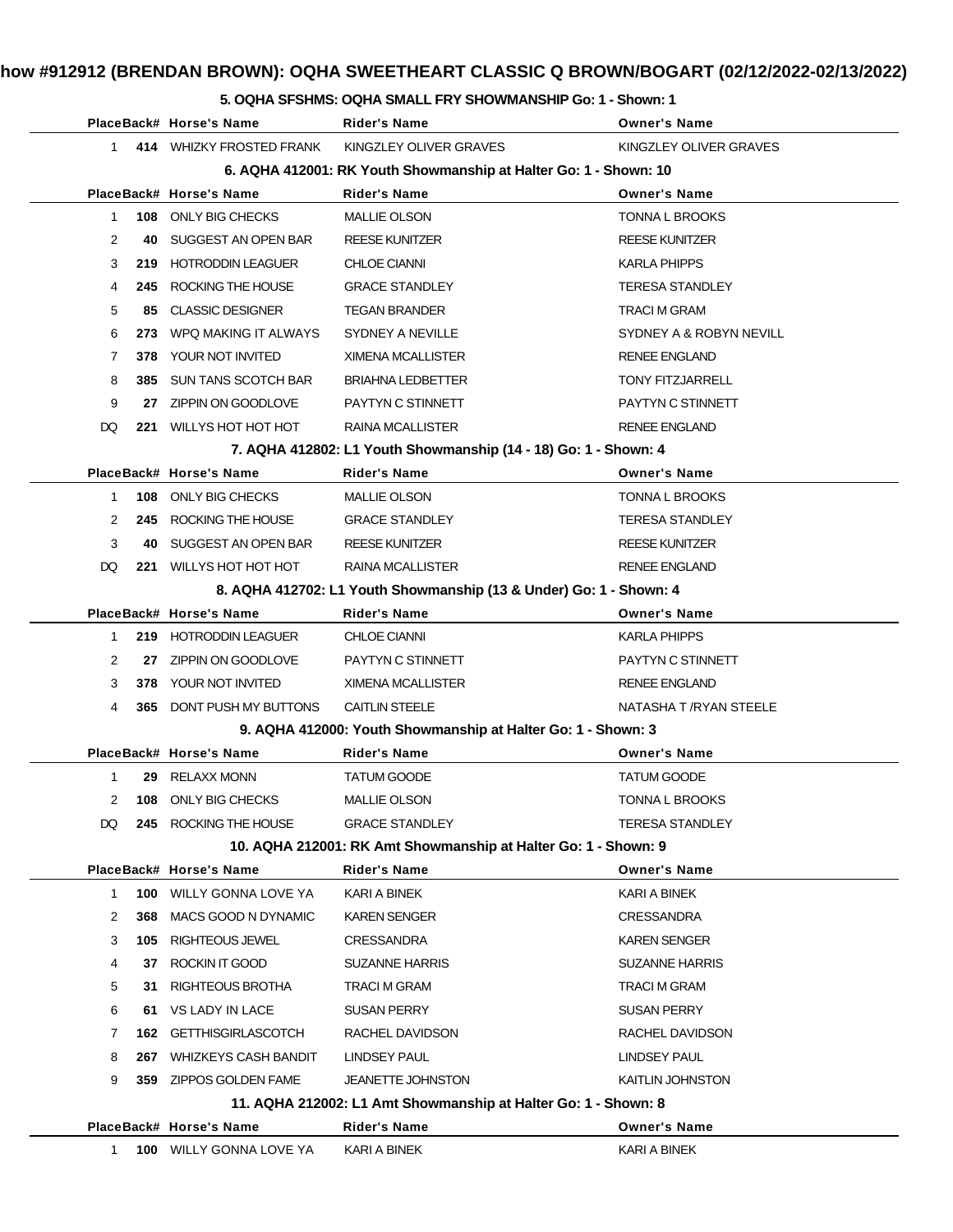### **5. OQHA SFSHMS: OQHA SMALL FRY SHOWMANSHIP Go: 1 - Shown: 1**

|                |     | PlaceBack# Horse's Name         | Rider's Name                                                       | <b>Owner's Name</b>     |
|----------------|-----|---------------------------------|--------------------------------------------------------------------|-------------------------|
| $\mathbf{1}$   |     | 414 WHIZKY FROSTED FRANK        | KINGZLEY OLIVER GRAVES                                             | KINGZLEY OLIVER GRAVES  |
|                |     |                                 | 6. AQHA 412001: RK Youth Showmanship at Halter Go: 1 - Shown: 10   |                         |
|                |     | PlaceBack# Horse's Name         | <b>Rider's Name</b>                                                | <b>Owner's Name</b>     |
| $\mathbf{1}$   |     | 108 ONLY BIG CHECKS             | <b>MALLIE OLSON</b>                                                | <b>TONNA L BROOKS</b>   |
| $\overline{2}$ | 40  | SUGGEST AN OPEN BAR             | <b>REESE KUNITZER</b>                                              | <b>REESE KUNITZER</b>   |
| 3              |     | 219 HOTRODDIN LEAGUER           | <b>CHLOE CIANNI</b>                                                | <b>KARLA PHIPPS</b>     |
| 4              | 245 | ROCKING THE HOUSE               | <b>GRACE STANDLEY</b>                                              | <b>TERESA STANDLEY</b>  |
| 5              | 85. | <b>CLASSIC DESIGNER</b>         | <b>TEGAN BRANDER</b>                                               | <b>TRACI M GRAM</b>     |
| 6              | 273 | WPQ MAKING IT ALWAYS            | SYDNEY A NEVILLE                                                   | SYDNEY A & ROBYN NEVILL |
| 7              | 378 | YOUR NOT INVITED                | XIMENA MCALLISTER                                                  | <b>RENEE ENGLAND</b>    |
| 8              | 385 | <b>SUN TANS SCOTCH BAR</b>      | <b>BRIAHNA LEDBETTER</b>                                           | <b>TONY FITZJARRELL</b> |
| 9              |     | 27 ZIPPIN ON GOODLOVE           | PAYTYN C STINNETT                                                  | PAYTYN C STINNETT       |
| DQ             | 221 | WILLYS HOT HOT HOT              | <b>RAINA MCALLISTER</b>                                            | <b>RENEE ENGLAND</b>    |
|                |     |                                 | 7. AQHA 412802: L1 Youth Showmanship (14 - 18) Go: 1 - Shown: 4    |                         |
|                |     | PlaceBack# Horse's Name         | Rider's Name                                                       | <b>Owner's Name</b>     |
| $\mathbf{1}$   |     | 108 ONLY BIG CHECKS             | <b>MALLIE OLSON</b>                                                | TONNA L BROOKS          |
| $\overline{2}$ |     | 245 ROCKING THE HOUSE           | <b>GRACE STANDLEY</b>                                              | <b>TERESA STANDLEY</b>  |
| 3              | 40. | SUGGEST AN OPEN BAR             | <b>REESE KUNITZER</b>                                              | <b>REESE KUNITZER</b>   |
| DQ.            |     | 221 WILLYS HOT HOT HOT          | RAINA MCALLISTER                                                   | <b>RENEE ENGLAND</b>    |
|                |     |                                 | 8. AQHA 412702: L1 Youth Showmanship (13 & Under) Go: 1 - Shown: 4 |                         |
|                |     | PlaceBack# Horse's Name         | <b>Rider's Name</b>                                                | <b>Owner's Name</b>     |
| $\mathbf 1$    |     | 219 HOTRODDIN LEAGUER           | <b>CHLOE CIANNI</b>                                                | <b>KARLA PHIPPS</b>     |
| 2              | 27  | ZIPPIN ON GOODLOVE              | PAYTYN C STINNETT                                                  | PAYTYN C STINNETT       |
| 3              |     | 378 YOUR NOT INVITED            | XIMENA MCALLISTER                                                  | <b>RENEE ENGLAND</b>    |
| 4              |     | <b>365 DONT PUSH MY BUTTONS</b> | <b>CAITLIN STEELE</b>                                              | NATASHA T / RYAN STEELE |
|                |     |                                 | 9. AQHA 412000: Youth Showmanship at Halter Go: 1 - Shown: 3       |                         |
|                |     | PlaceBack# Horse's Name         | Rider's Name                                                       | <b>Owner's Name</b>     |
| 1              |     | 29 RELAXX MONN                  | <b>TATUM GOODE</b>                                                 | <b>TATUM GOODE</b>      |
|                |     | 2 108 ONLY BIG CHECKS           | <b>MALLIE OLSON</b>                                                | <b>TONNA L BROOKS</b>   |
| DQ.            |     | 245 ROCKING THE HOUSE           | <b>GRACE STANDLEY</b>                                              | <b>TERESA STANDLEY</b>  |
|                |     |                                 | 10. AQHA 212001: RK Amt Showmanship at Halter Go: 1 - Shown: 9     |                         |
|                |     | PlaceBack# Horse's Name         | <b>Rider's Name</b>                                                | <b>Owner's Name</b>     |
| 1              | 100 | WILLY GONNA LOVE YA             | KARI A BINEK                                                       | KARI A BINEK            |
| 2              | 368 | MACS GOOD N DYNAMIC             | <b>KAREN SENGER</b>                                                | <b>CRESSANDRA</b>       |
| 3              | 105 | <b>RIGHTEOUS JEWEL</b>          | <b>CRESSANDRA</b>                                                  | <b>KAREN SENGER</b>     |
| 4              | 37  | ROCKIN IT GOOD                  | <b>SUZANNE HARRIS</b>                                              | <b>SUZANNE HARRIS</b>   |
| 5              | 31  | RIGHTEOUS BROTHA                | TRACI M GRAM                                                       | <b>TRACI M GRAM</b>     |
| 6              | 61. | VS LADY IN LACE                 | <b>SUSAN PERRY</b>                                                 | <b>SUSAN PERRY</b>      |
| 7              | 162 | <b>GETTHISGIRLASCOTCH</b>       | RACHEL DAVIDSON                                                    | RACHEL DAVIDSON         |
| 8              | 267 | <b>WHIZKEYS CASH BANDIT</b>     | LINDSEY PAUL                                                       | LINDSEY PAUL            |
| 9              | 359 | ZIPPOS GOLDEN FAME              | <b>JEANETTE JOHNSTON</b>                                           | <b>KAITLIN JOHNSTON</b> |
|                |     |                                 | 11. AQHA 212002: L1 Amt Showmanship at Halter Go: 1 - Shown: 8     |                         |
|                |     | PlaceBack# Horse's Name         | <b>Rider's Name</b>                                                | <b>Owner's Name</b>     |
| 1.             |     | <b>100 WILLY GONNA LOVE YA</b>  | KARI A BINEK                                                       | KARI A BINEK            |
|                |     |                                 |                                                                    |                         |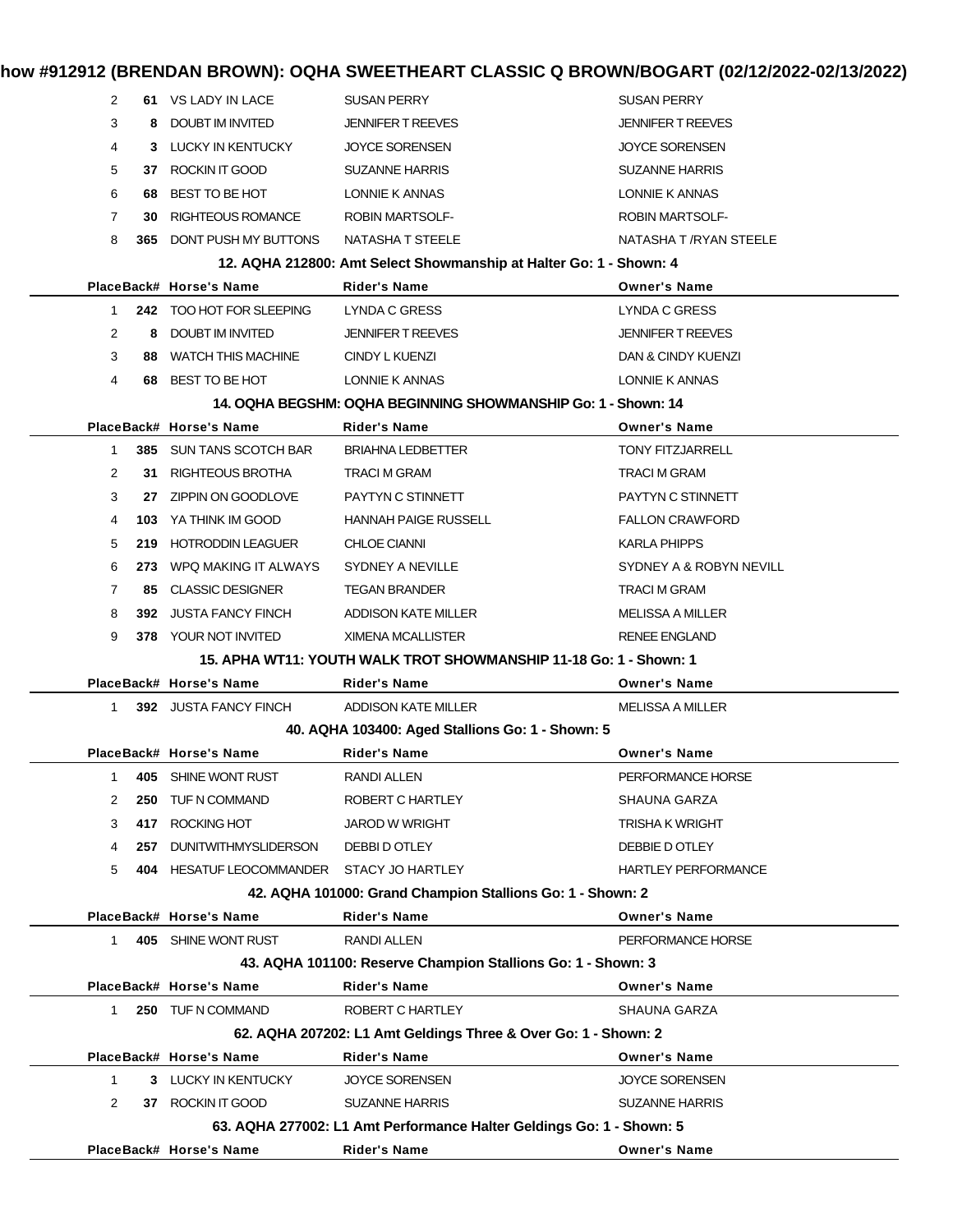| 2              |     | 61 VS LADY IN LACE                       | <b>SUSAN PERRY</b>                                                   | <b>SUSAN PERRY</b>         |
|----------------|-----|------------------------------------------|----------------------------------------------------------------------|----------------------------|
| 3              | 8.  | DOUBT IM INVITED                         | <b>JENNIFER T REEVES</b>                                             | <b>JENNIFER T REEVES</b>   |
| 4              |     | 3 LUCKY IN KENTUCKY                      | <b>JOYCE SORENSEN</b>                                                | <b>JOYCE SORENSEN</b>      |
| 5              | 37  | ROCKIN IT GOOD                           | <b>SUZANNE HARRIS</b>                                                | <b>SUZANNE HARRIS</b>      |
| 6              | 68  | BEST TO BE HOT                           | LONNIE K ANNAS                                                       | LONNIE K ANNAS             |
| $\overline{7}$ | 30  | <b>RIGHTEOUS ROMANCE</b>                 | <b>ROBIN MARTSOLF-</b>                                               | <b>ROBIN MARTSOLF-</b>     |
| 8              | 365 | DONT PUSH MY BUTTONS                     | NATASHA T STEELE                                                     | NATASHA T /RYAN STEELE     |
|                |     |                                          | 12. AQHA 212800: Amt Select Showmanship at Halter Go: 1 - Shown: 4   |                            |
|                |     | PlaceBack# Horse's Name                  | <b>Rider's Name</b>                                                  | <b>Owner's Name</b>        |
| $\mathbf{1}$   |     | 242 TOO HOT FOR SLEEPING                 | LYNDA C GRESS                                                        | <b>LYNDA C GRESS</b>       |
| $\overline{2}$ |     | 8 DOUBT IM INVITED                       | <b>JENNIFER T REEVES</b>                                             | <b>JENNIFER T REEVES</b>   |
| 3              | 88  | <b>WATCH THIS MACHINE</b>                | CINDY L KUENZI                                                       | DAN & CINDY KUENZI         |
| 4              | 68  | BEST TO BE HOT                           | LONNIE K ANNAS                                                       | LONNIE K ANNAS             |
|                |     |                                          | 14. OQHA BEGSHM: OQHA BEGINNING SHOWMANSHIP Go: 1 - Shown: 14        |                            |
|                |     | PlaceBack# Horse's Name                  | <b>Rider's Name</b>                                                  | <b>Owner's Name</b>        |
| $\mathbf{1}$   |     | 385 SUN TANS SCOTCH BAR                  | <b>BRIAHNA LEDBETTER</b>                                             | <b>TONY FITZJARRELL</b>    |
| $\overline{2}$ | 31. | RIGHTEOUS BROTHA                         | <b>TRACI M GRAM</b>                                                  | TRACI M GRAM               |
| 3              | 27  | ZIPPIN ON GOODLOVE                       | PAYTYN C STINNETT                                                    | PAYTYN C STINNETT          |
| 4              |     | <b>103</b> YA THINK IM GOOD              | <b>HANNAH PAIGE RUSSELL</b>                                          | <b>FALLON CRAWFORD</b>     |
| 5              | 219 | <b>HOTRODDIN LEAGUER</b>                 | <b>CHLOE CIANNI</b>                                                  | <b>KARLA PHIPPS</b>        |
| 6              | 273 | WPQ MAKING IT ALWAYS                     | SYDNEY A NEVILLE                                                     | SYDNEY A & ROBYN NEVILL    |
| $\overline{7}$ | 85. | <b>CLASSIC DESIGNER</b>                  | <b>TEGAN BRANDER</b>                                                 | TRACI M GRAM               |
| 8              | 392 | <b>JUSTA FANCY FINCH</b>                 | ADDISON KATE MILLER                                                  | MELISSA A MILLER           |
| 9              |     | 378 YOUR NOT INVITED                     | XIMENA MCALLISTER                                                    | <b>RENEE ENGLAND</b>       |
|                |     |                                          | 15. APHA WT11: YOUTH WALK TROT SHOWMANSHIP 11-18 Go: 1 - Shown: 1    |                            |
|                |     | PlaceBack# Horse's Name                  | <b>Rider's Name</b>                                                  | <b>Owner's Name</b>        |
| 1.             |     | 392 JUSTA FANCY FINCH                    | <b>ADDISON KATE MILLER</b>                                           | MELISSA A MILLER           |
|                |     |                                          | 40. AQHA 103400: Aged Stallions Go: 1 - Shown: 5                     |                            |
|                |     | PlaceBack# Horse's Name                  | <b>Rider's Name</b>                                                  | <b>Owner's Name</b>        |
|                |     | 405 SHINE WONT RUST                      | RANDI ALLEN                                                          | PERFORMANCE HORSE          |
| 2              | 250 | TUF N COMMAND                            | ROBERT C HARTLEY                                                     | SHAUNA GARZA               |
| 3              | 417 | ROCKING HOT                              | <b>JAROD W WRIGHT</b>                                                | <b>TRISHA K WRIGHT</b>     |
| 4              | 257 | <b>DUNITWITHMYSLIDERSON</b>              | DEBBI D OTLEY                                                        | DEBBIE D OTLEY             |
| 5              | 404 | HESATUF LEOCOMMANDER STACY JO HARTLEY    |                                                                      | <b>HARTLEY PERFORMANCE</b> |
|                |     |                                          | 42. AQHA 101000: Grand Champion Stallions Go: 1 - Shown: 2           |                            |
|                |     | PlaceBack# Horse's Name                  | <b>Rider's Name</b>                                                  | <b>Owner's Name</b>        |
| 1              |     | 405 SHINE WONT RUST                      | <b>RANDI ALLEN</b>                                                   | PERFORMANCE HORSE          |
|                |     |                                          | 43. AQHA 101100: Reserve Champion Stallions Go: 1 - Shown: 3         |                            |
|                |     | PlaceBack# Horse's Name                  | <b>Rider's Name</b>                                                  | <b>Owner's Name</b>        |
| 1.             |     | 250 TUF N COMMAND                        | ROBERT C HARTLEY                                                     | SHAUNA GARZA               |
|                |     |                                          | 62. AQHA 207202: L1 Amt Geldings Three & Over Go: 1 - Shown: 2       |                            |
|                |     | PlaceBack# Horse's Name                  | <b>Rider's Name</b>                                                  | <b>Owner's Name</b>        |
| $\mathbf{1}$   |     | 3 LUCKY IN KENTUCKY<br>37 ROCKIN IT GOOD | <b>JOYCE SORENSEN</b>                                                | <b>JOYCE SORENSEN</b>      |
| 2              |     |                                          | <b>SUZANNE HARRIS</b>                                                | <b>SUZANNE HARRIS</b>      |
|                |     | PlaceBack# Horse's Name                  | 63. AQHA 277002: L1 Amt Performance Halter Geldings Go: 1 - Shown: 5 |                            |
|                |     |                                          | Rider's Name                                                         | <b>Owner's Name</b>        |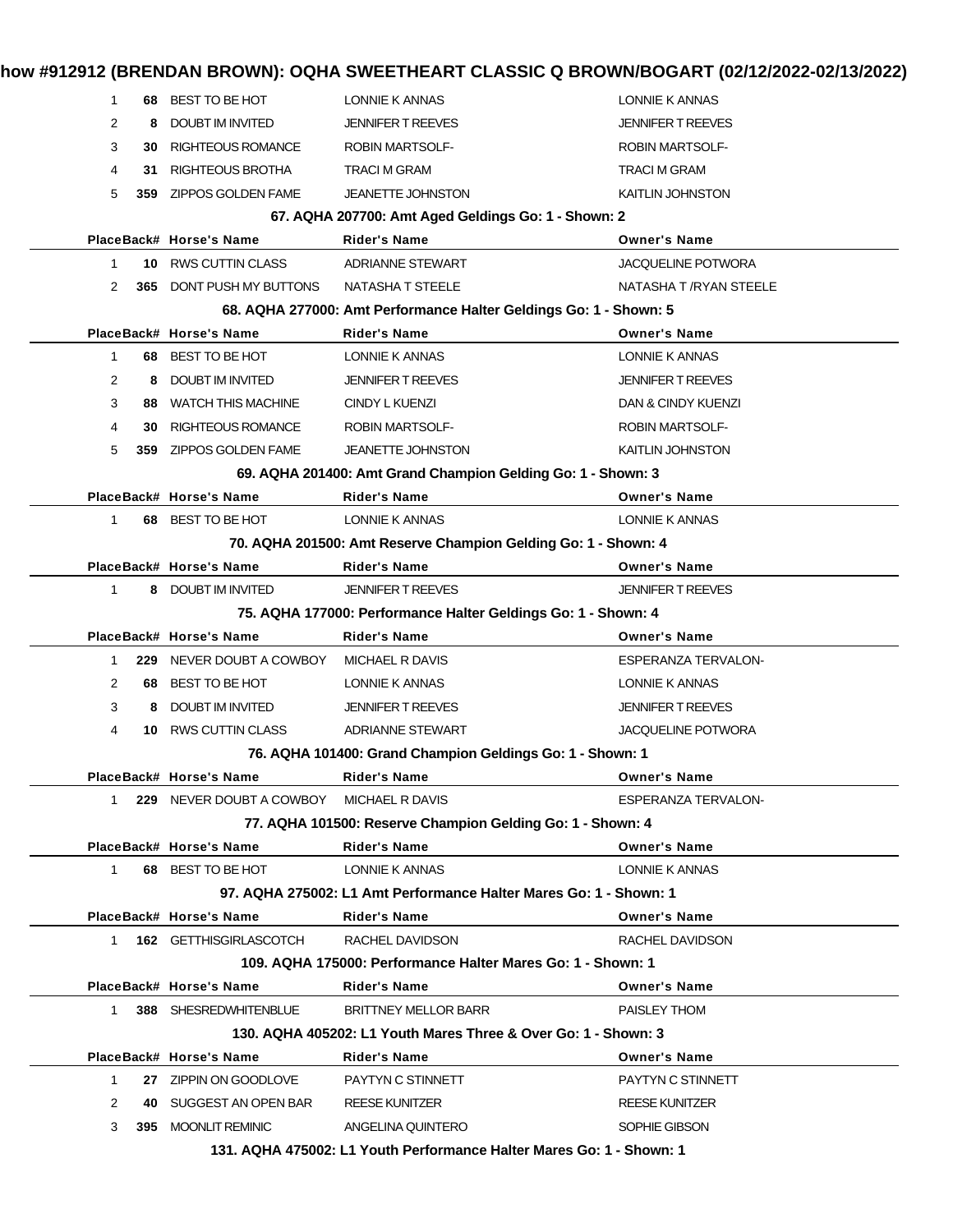| 1            |      | 68 BEST TO BE HOT                        | LONNIE K ANNAS                                                                            | LONNIE K ANNAS            |
|--------------|------|------------------------------------------|-------------------------------------------------------------------------------------------|---------------------------|
| 2            | 8    | <b>DOUBT IM INVITED</b>                  | <b>JENNIFER T REEVES</b>                                                                  | <b>JENNIFER T REEVES</b>  |
| 3            | 30   | <b>RIGHTEOUS ROMANCE</b>                 | <b>ROBIN MARTSOLF-</b>                                                                    | <b>ROBIN MARTSOLF-</b>    |
| 4            | 31   | RIGHTEOUS BROTHA                         | <b>TRACI M GRAM</b>                                                                       | <b>TRACI M GRAM</b>       |
| 5            | 359. | ZIPPOS GOLDEN FAME                       | <b>JEANETTE JOHNSTON</b>                                                                  | <b>KAITLIN JOHNSTON</b>   |
|              |      |                                          | 67. AQHA 207700: Amt Aged Geldings Go: 1 - Shown: 2                                       |                           |
|              |      | PlaceBack# Horse's Name                  | <b>Rider's Name</b>                                                                       | <b>Owner's Name</b>       |
| $\mathbf 1$  | 10.  | RWS CUTTIN CLASS                         | <b>ADRIANNE STEWART</b>                                                                   | <b>JACQUELINE POTWORA</b> |
| 2            |      | <b>365 DONT PUSH MY BUTTONS</b>          | NATASHA T STEELE                                                                          | NATASHA T /RYAN STEELE    |
|              |      |                                          | 68. AQHA 277000: Amt Performance Halter Geldings Go: 1 - Shown: 5                         |                           |
|              |      | PlaceBack# Horse's Name                  | <b>Rider's Name</b>                                                                       | <b>Owner's Name</b>       |
| $\mathbf{1}$ |      | 68 BEST TO BE HOT                        | LONNIE K ANNAS                                                                            | LONNIE K ANNAS            |
| 2            | 8    | <b>DOUBT IM INVITED</b>                  | <b>JENNIFER T REEVES</b>                                                                  | <b>JENNIFER T REEVES</b>  |
| 3            | 88   | <b>WATCH THIS MACHINE</b>                | <b>CINDY L KUENZI</b>                                                                     | DAN & CINDY KUENZI        |
| 4            | 30   | <b>RIGHTEOUS ROMANCE</b>                 | <b>ROBIN MARTSOLF-</b>                                                                    | <b>ROBIN MARTSOLF-</b>    |
| 5            | 359. | ZIPPOS GOLDEN FAME                       | <b>JEANETTE JOHNSTON</b>                                                                  | <b>KAITLIN JOHNSTON</b>   |
|              |      |                                          | 69. AQHA 201400: Amt Grand Champion Gelding Go: 1 - Shown: 3                              |                           |
|              |      | PlaceBack# Horse's Name                  | <b>Rider's Name</b>                                                                       | <b>Owner's Name</b>       |
| 1            |      | 68 BEST TO BE HOT                        | LONNIE K ANNAS                                                                            | LONNIE K ANNAS            |
|              |      |                                          | 70. AQHA 201500: Amt Reserve Champion Gelding Go: 1 - Shown: 4                            |                           |
|              |      | PlaceBack# Horse's Name                  | <b>Rider's Name</b>                                                                       | <b>Owner's Name</b>       |
| $\mathbf{1}$ |      | 8 DOUBT IM INVITED                       | <b>JENNIFER T REEVES</b>                                                                  | <b>JENNIFER T REEVES</b>  |
|              |      |                                          | 75. AQHA 177000: Performance Halter Geldings Go: 1 - Shown: 4                             |                           |
|              |      | PlaceBack# Horse's Name                  | <b>Rider's Name</b>                                                                       | <b>Owner's Name</b>       |
| $\mathbf{1}$ |      | 229 NEVER DOUBT A COWBOY                 | MICHAEL R DAVIS                                                                           | ESPERANZA TERVALON-       |
| 2            | 68.  | BEST TO BE HOT                           | <b>LONNIE K ANNAS</b>                                                                     | LONNIE K ANNAS            |
| 3            | 8    | <b>DOUBT IM INVITED</b>                  | <b>JENNIFER T REEVES</b>                                                                  | <b>JENNIFER T REEVES</b>  |
| 4            | 10   | <b>RWS CUTTIN CLASS</b>                  | <b>ADRIANNE STEWART</b>                                                                   | JACQUELINE POTWORA        |
|              |      |                                          | 76. AQHA 101400: Grand Champion Geldings Go: 1 - Shown: 1                                 |                           |
|              |      | PlaceBack# Horse's Name                  | <b>Rider's Name</b>                                                                       | <b>Owner's Name</b>       |
| 1            |      | 229 NEVER DOUBT A COWBOY MICHAEL R DAVIS |                                                                                           | ESPERANZA TERVALON-       |
|              |      |                                          | 77. AQHA 101500: Reserve Champion Gelding Go: 1 - Shown: 4                                |                           |
|              |      | PlaceBack# Horse's Name                  | <b>Rider's Name</b>                                                                       | <b>Owner's Name</b>       |
| $\mathbf{1}$ |      | 68 BEST TO BE HOT                        | LONNIE K ANNAS                                                                            | LONNIE K ANNAS            |
|              |      |                                          | 97. AQHA 275002: L1 Amt Performance Halter Mares Go: 1 - Shown: 1                         |                           |
|              |      | PlaceBack# Horse's Name                  | <b>Rider's Name</b>                                                                       | <b>Owner's Name</b>       |
| $1 \quad$    |      | <b>162 GETTHISGIRLASCOTCH</b>            | RACHEL DAVIDSON                                                                           | RACHEL DAVIDSON           |
|              |      |                                          | 109. AQHA 175000: Performance Halter Mares Go: 1 - Shown: 1                               |                           |
|              |      | PlaceBack# Horse's Name                  | <b>Rider's Name</b>                                                                       | <b>Owner's Name</b>       |
| $\mathbf{1}$ |      | 388 SHESREDWHITENBLUE                    | <b>BRITTNEY MELLOR BARR</b>                                                               | PAISLEY THOM              |
|              |      |                                          | 130, AQHA 405202: L1 Youth Mares Three & Over Go: 1 - Shown: 3                            |                           |
|              |      | PlaceBack# Horse's Name                  | <b>Rider's Name</b>                                                                       | <b>Owner's Name</b>       |
| $\mathbf{1}$ |      | 27 ZIPPIN ON GOODLOVE                    | PAYTYN C STINNETT                                                                         | PAYTYN C STINNETT         |
| 2            |      | 40 SUGGEST AN OPEN BAR                   | <b>REESE KUNITZER</b>                                                                     | <b>REESE KUNITZER</b>     |
| 3            |      | 395 MOONLIT REMINIC                      | ANGELINA QUINTERO<br>131. AQHA 475002: L1 Youth Performance Halter Mares Go: 1 - Shown: 1 | SOPHIE GIBSON             |
|              |      |                                          |                                                                                           |                           |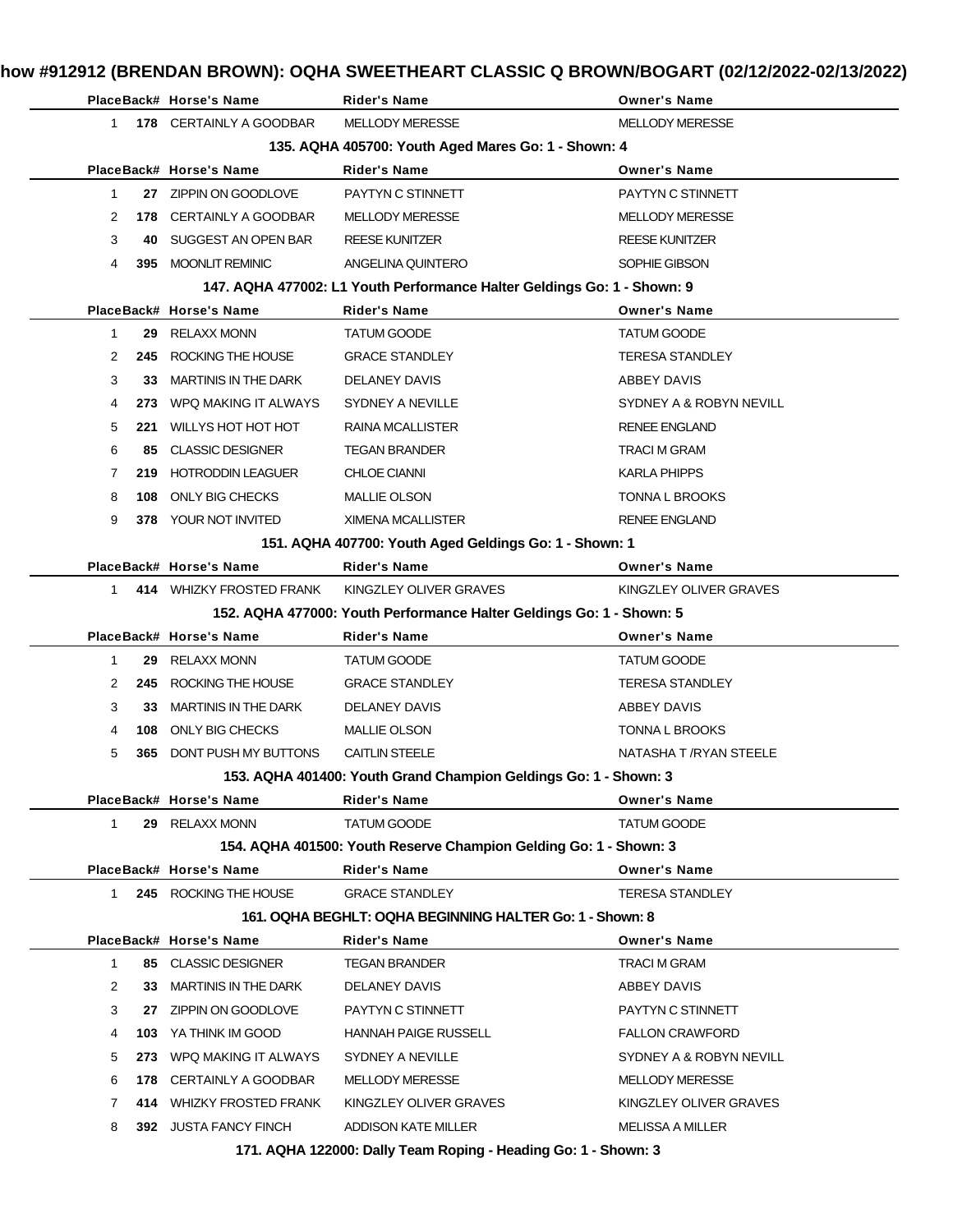|                |     | PlaceBack# Horse's Name                           | <b>Rider's Name</b>                                                                      | <b>Owner's Name</b>                               |
|----------------|-----|---------------------------------------------------|------------------------------------------------------------------------------------------|---------------------------------------------------|
| $\mathbf{1}$   |     | 178 CERTAINLY A GOODBAR                           | <b>MELLODY MERESSE</b>                                                                   | <b>MELLODY MERESSE</b>                            |
|                |     |                                                   | 135. AQHA 405700: Youth Aged Mares Go: 1 - Shown: 4                                      |                                                   |
|                |     | PlaceBack# Horse's Name                           | <b>Rider's Name</b>                                                                      | <b>Owner's Name</b>                               |
| $\mathbf{1}$   |     | 27 ZIPPIN ON GOODLOVE                             | PAYTYN C STINNETT                                                                        | PAYTYN C STINNETT                                 |
| 2              |     | 178 CERTAINLY A GOODBAR                           | <b>MELLODY MERESSE</b>                                                                   | <b>MELLODY MERESSE</b>                            |
| 3              | 40  | SUGGEST AN OPEN BAR                               | <b>REESE KUNITZER</b>                                                                    | <b>REESE KUNITZER</b>                             |
| 4              | 395 | <b>MOONLIT REMINIC</b>                            | ANGELINA QUINTERO                                                                        | SOPHIE GIBSON                                     |
|                |     |                                                   | 147. AQHA 477002: L1 Youth Performance Halter Geldings Go: 1 - Shown: 9                  |                                                   |
|                |     | PlaceBack# Horse's Name                           | <b>Rider's Name</b>                                                                      | <b>Owner's Name</b>                               |
| $\mathbf{1}$   | 29  | <b>RELAXX MONN</b>                                | <b>TATUM GOODE</b>                                                                       | <b>TATUM GOODE</b>                                |
| $\overline{2}$ | 245 | ROCKING THE HOUSE                                 | <b>GRACE STANDLEY</b>                                                                    | <b>TERESA STANDLEY</b>                            |
| 3              | 33  | <b>MARTINIS IN THE DARK</b>                       | <b>DELANEY DAVIS</b>                                                                     | ABBEY DAVIS                                       |
| 4              |     | 273 WPQ MAKING IT ALWAYS                          | <b>SYDNEY A NEVILLE</b>                                                                  | SYDNEY A & ROBYN NEVILL                           |
| 5              |     | 221 WILLYS HOT HOT HOT                            | <b>RAINA MCALLISTER</b>                                                                  | <b>RENEE ENGLAND</b>                              |
| 6              | 85  | <b>CLASSIC DESIGNER</b>                           | <b>TEGAN BRANDER</b>                                                                     | <b>TRACI M GRAM</b>                               |
| $\mathbf{7}$   | 219 | <b>HOTRODDIN LEAGUER</b>                          | <b>CHLOE CIANNI</b>                                                                      | <b>KARLA PHIPPS</b>                               |
| 8              | 108 | ONLY BIG CHECKS                                   | <b>MALLIE OLSON</b>                                                                      | <b>TONNA L BROOKS</b>                             |
| 9              |     | 378 YOUR NOT INVITED                              | <b>XIMENA MCALLISTER</b>                                                                 | <b>RENEE ENGLAND</b>                              |
|                |     |                                                   | 151. AQHA 407700: Youth Aged Geldings Go: 1 - Shown: 1                                   |                                                   |
|                |     | PlaceBack# Horse's Name                           | <b>Rider's Name</b>                                                                      | <b>Owner's Name</b>                               |
| 1.             |     | 414 WHIZKY FROSTED FRANK                          | KINGZLEY OLIVER GRAVES                                                                   | KINGZLEY OLIVER GRAVES                            |
|                |     |                                                   | 152. AQHA 477000: Youth Performance Halter Geldings Go: 1 - Shown: 5                     |                                                   |
|                |     | PlaceBack# Horse's Name                           | <b>Rider's Name</b>                                                                      | <b>Owner's Name</b>                               |
| $\mathbf{1}$   | 29  | <b>RELAXX MONN</b>                                | TATUM GOODE                                                                              | TATUM GOODE                                       |
| 2              | 245 | ROCKING THE HOUSE                                 | <b>GRACE STANDLEY</b>                                                                    | <b>TERESA STANDLEY</b>                            |
| 3              | 33. | <b>MARTINIS IN THE DARK</b>                       | <b>DELANEY DAVIS</b>                                                                     | ABBEY DAVIS                                       |
| 4              | 108 | ONLY BIG CHECKS                                   | <b>MALLIE OLSON</b>                                                                      | <b>TONNA L BROOKS</b>                             |
| 5              | 365 | DONT PUSH MY BUTTONS                              | <b>CAITLIN STEELE</b>                                                                    | NATASHA T /RYAN STEELE                            |
|                |     |                                                   | 153. AQHA 401400: Youth Grand Champion Geldings Go: 1 - Shown: 3                         |                                                   |
|                |     | PlaceBack# Horse's Name                           | <b>Rider's Name</b>                                                                      | <b>Owner's Name</b>                               |
|                |     |                                                   |                                                                                          |                                                   |
| $\mathbf{1}$   |     | 29 RELAXX MONN                                    |                                                                                          |                                                   |
|                |     |                                                   | <b>TATUM GOODE</b>                                                                       | TATUM GOODE                                       |
|                |     | PlaceBack# Horse's Name                           | 154. AQHA 401500: Youth Reserve Champion Gelding Go: 1 - Shown: 3<br><b>Rider's Name</b> |                                                   |
| 1              |     | 245 ROCKING THE HOUSE                             | <b>GRACE STANDLEY</b>                                                                    | <b>Owner's Name</b><br><b>TERESA STANDLEY</b>     |
|                |     |                                                   | 161. OQHA BEGHLT: OQHA BEGINNING HALTER Go: 1 - Shown: 8                                 |                                                   |
|                |     | PlaceBack# Horse's Name                           | <b>Rider's Name</b>                                                                      | <b>Owner's Name</b>                               |
| $\mathbf{1}$   |     | 85 CLASSIC DESIGNER                               | <b>TEGAN BRANDER</b>                                                                     | TRACI M GRAM                                      |
| $\overline{2}$ | 33  |                                                   |                                                                                          |                                                   |
|                |     | <b>MARTINIS IN THE DARK</b>                       | <b>DELANEY DAVIS</b>                                                                     | ABBEY DAVIS                                       |
| 3              | 27  | ZIPPIN ON GOODLOVE                                | PAYTYN C STINNETT                                                                        | PAYTYN C STINNETT                                 |
| 4              | 103 | YA THINK IM GOOD                                  | <b>HANNAH PAIGE RUSSELL</b>                                                              | <b>FALLON CRAWFORD</b>                            |
| 5              |     | 273 WPQ MAKING IT ALWAYS                          | SYDNEY A NEVILLE                                                                         | SYDNEY A & ROBYN NEVILL                           |
| 6              |     | 178 CERTAINLY A GOODBAR                           | <b>MELLODY MERESSE</b>                                                                   | <b>MELLODY MERESSE</b>                            |
| 7<br>8         |     | 414 WHIZKY FROSTED FRANK<br>392 JUSTA FANCY FINCH | KINGZLEY OLIVER GRAVES<br>ADDISON KATE MILLER                                            | KINGZLEY OLIVER GRAVES<br><b>MELISSA A MILLER</b> |

**171. AQHA 122000: Dally Team Roping - Heading Go: 1 - Shown: 3**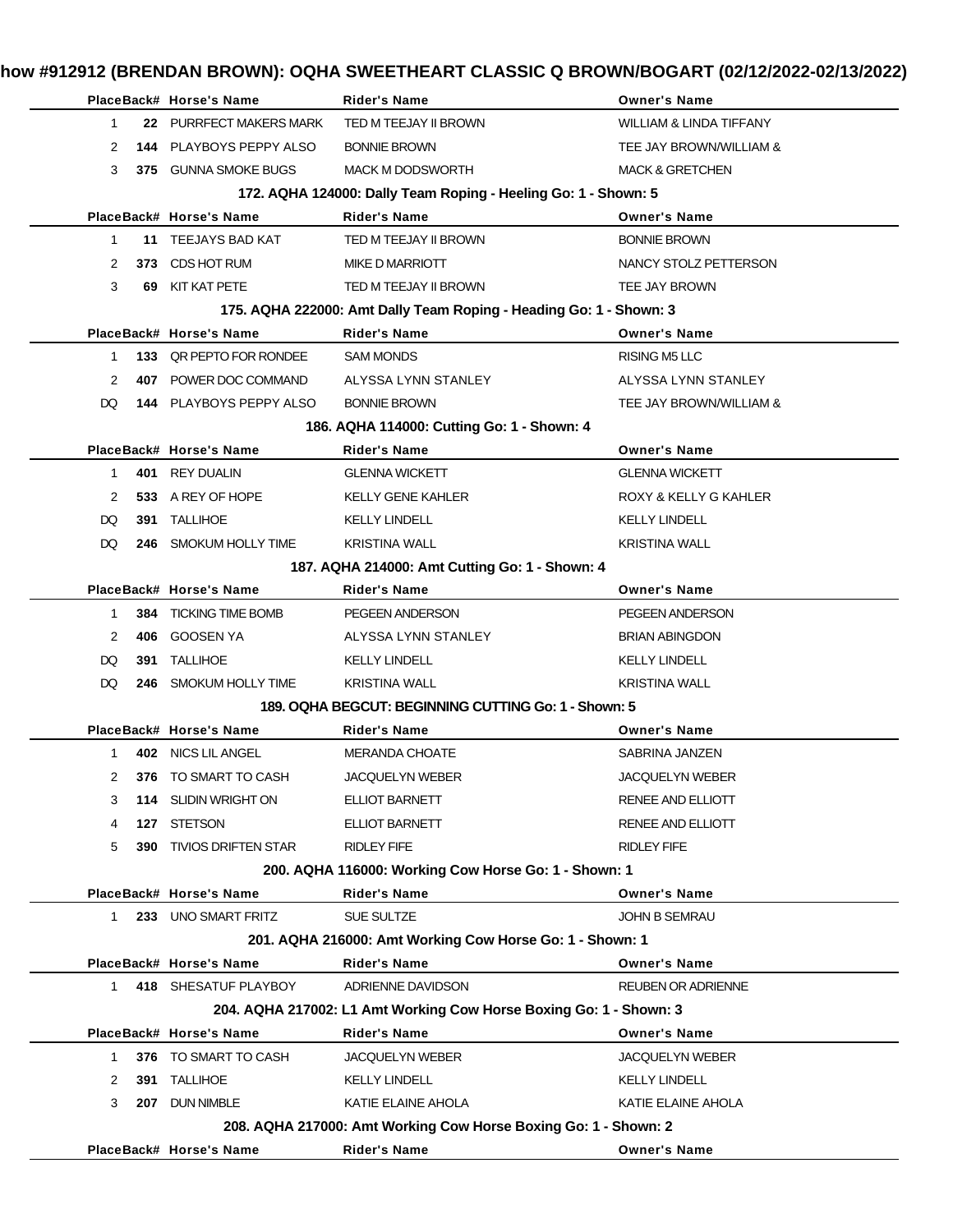|              |              | PlaceBack# Horse's Name        | <b>Rider's Name</b>                                                | <b>Owner's Name</b>                |
|--------------|--------------|--------------------------------|--------------------------------------------------------------------|------------------------------------|
| $\mathbf{1}$ |              | 22 PURRFECT MAKERS MARK        | TED M TEEJAY II BROWN                                              | <b>WILLIAM &amp; LINDA TIFFANY</b> |
| 2            | 144          | PLAYBOYS PEPPY ALSO            | <b>BONNIE BROWN</b>                                                | TEE JAY BROWN/WILLIAM &            |
| 3            |              | 375 GUNNA SMOKE BUGS           | <b>MACK M DODSWORTH</b>                                            | <b>MACK &amp; GRETCHEN</b>         |
|              |              |                                | 172. AQHA 124000: Dally Team Roping - Heeling Go: 1 - Shown: 5     |                                    |
|              |              | PlaceBack# Horse's Name        | <b>Rider's Name</b>                                                | <b>Owner's Name</b>                |
| $\mathbf{1}$ |              | 11 TEEJAYS BAD KAT             | TED M TEEJAY II BROWN                                              | <b>BONNIE BROWN</b>                |
| 2            | 373.         | CDS HOT RUM                    | MIKE D MARRIOTT                                                    | NANCY STOLZ PETTERSON              |
| 3            |              | 69 KIT KAT PETE                | TED M TEEJAY II BROWN                                              | TEE JAY BROWN                      |
|              |              |                                | 175. AQHA 222000: Amt Dally Team Roping - Heading Go: 1 - Shown: 3 |                                    |
|              |              | PlaceBack# Horse's Name        | <b>Rider's Name</b>                                                | <b>Owner's Name</b>                |
| $\mathbf 1$  |              | 133 QR PEPTO FOR RONDEE        | <b>SAM MONDS</b>                                                   | <b>RISING M5 LLC</b>               |
| 2            |              | 407 POWER DOC COMMAND          | ALYSSA LYNN STANLEY                                                | ALYSSA LYNN STANLEY                |
| DQ.          |              | 144 PLAYBOYS PEPPY ALSO        | <b>BONNIE BROWN</b>                                                | TEE JAY BROWN/WILLIAM &            |
|              |              |                                | 186. AQHA 114000: Cutting Go: 1 - Shown: 4                         |                                    |
|              |              | PlaceBack# Horse's Name        | <b>Rider's Name</b>                                                | <b>Owner's Name</b>                |
| $\mathbf 1$  |              | 401 REY DUALIN                 | <b>GLENNA WICKETT</b>                                              | <b>GLENNA WICKETT</b>              |
| 2            |              | 533 A REY OF HOPE              | <b>KELLY GENE KAHLER</b>                                           | ROXY & KELLY G KAHLER              |
| DQ.          |              | 391 TALLIHOE                   | <b>KELLY LINDELL</b>                                               | <b>KELLY LINDELL</b>               |
| DQ.          |              | 246 SMOKUM HOLLY TIME          | <b>KRISTINA WALL</b>                                               | <b>KRISTINA WALL</b>               |
|              |              |                                | 187. AQHA 214000: Amt Cutting Go: 1 - Shown: 4                     |                                    |
|              |              | PlaceBack# Horse's Name        | <b>Rider's Name</b>                                                | <b>Owner's Name</b>                |
| $\mathbf 1$  |              | <b>384 TICKING TIME BOMB</b>   | PEGEEN ANDERSON                                                    | PEGEEN ANDERSON                    |
| 2            |              | 406 GOOSEN YA                  | ALYSSA LYNN STANLEY                                                | <b>BRIAN ABINGDON</b>              |
| DQ.          | 391          | TALLIHOE                       | <b>KELLY LINDELL</b>                                               | <b>KELLY LINDELL</b>               |
| DQ.          |              | 246 SMOKUM HOLLY TIME          | <b>KRISTINA WALL</b>                                               | <b>KRISTINA WALL</b>               |
|              |              |                                | 189. OQHA BEGCUT: BEGINNING CUTTING Go: 1 - Shown: 5               |                                    |
|              |              | PlaceBack# Horse's Name        | <b>Rider's Name</b>                                                | <b>Owner's Name</b>                |
|              | $\mathbf{1}$ | 402 NICS LIL ANGEL             | <b>MERANDA CHOATE</b>                                              | SABRINA JANZEN                     |
| 2            |              | 376 TO SMART TO CASH           | <b>JACQUELYN WEBER</b>                                             | <b>JACQUELYN WEBER</b>             |
| 3            |              | 114 SLIDIN WRIGHT ON           | ELLIOT BARNETT                                                     | RENEE AND ELLIOTT                  |
| 4            | 127          | STETSON                        | ELLIOT BARNETT                                                     | RENEE AND ELLIOTT                  |
| 5            |              | <b>390 TIVIOS DRIFTEN STAR</b> | <b>RIDLEY FIFE</b>                                                 | <b>RIDLEY FIFE</b>                 |
|              |              |                                | 200. AQHA 116000: Working Cow Horse Go: 1 - Shown: 1               |                                    |
|              |              | PlaceBack# Horse's Name        | <b>Rider's Name</b>                                                | <b>Owner's Name</b>                |
| $\mathbf{1}$ |              | 233 UNO SMART FRITZ            | <b>SUE SULTZE</b>                                                  | <b>JOHN B SEMRAU</b>               |
|              |              |                                | 201. AQHA 216000: Amt Working Cow Horse Go: 1 - Shown: 1           |                                    |
|              |              | PlaceBack# Horse's Name        | <b>Rider's Name</b>                                                | <b>Owner's Name</b>                |
|              | 1            | 418 SHESATUF PLAYBOY           | ADRIENNE DAVIDSON                                                  | <b>REUBEN OR ADRIENNE</b>          |
|              |              |                                | 204. AQHA 217002: L1 Amt Working Cow Horse Boxing Go: 1 - Shown: 3 |                                    |
|              |              | PlaceBack# Horse's Name        | <b>Rider's Name</b>                                                | <b>Owner's Name</b>                |
| 1            |              | 376 TO SMART TO CASH           | <b>JACQUELYN WEBER</b>                                             | <b>JACQUELYN WEBER</b>             |
| 2            |              | 391 TALLIHOE                   | <b>KELLY LINDELL</b>                                               | <b>KELLY LINDELL</b>               |
| 3            |              | 207 DUN NIMBLE                 | KATIE ELAINE AHOLA                                                 | KATIE ELAINE AHOLA                 |
|              |              |                                | 208. AQHA 217000: Amt Working Cow Horse Boxing Go: 1 - Shown: 2    |                                    |
|              |              | PlaceBack# Horse's Name        | <b>Rider's Name</b>                                                | <b>Owner's Name</b>                |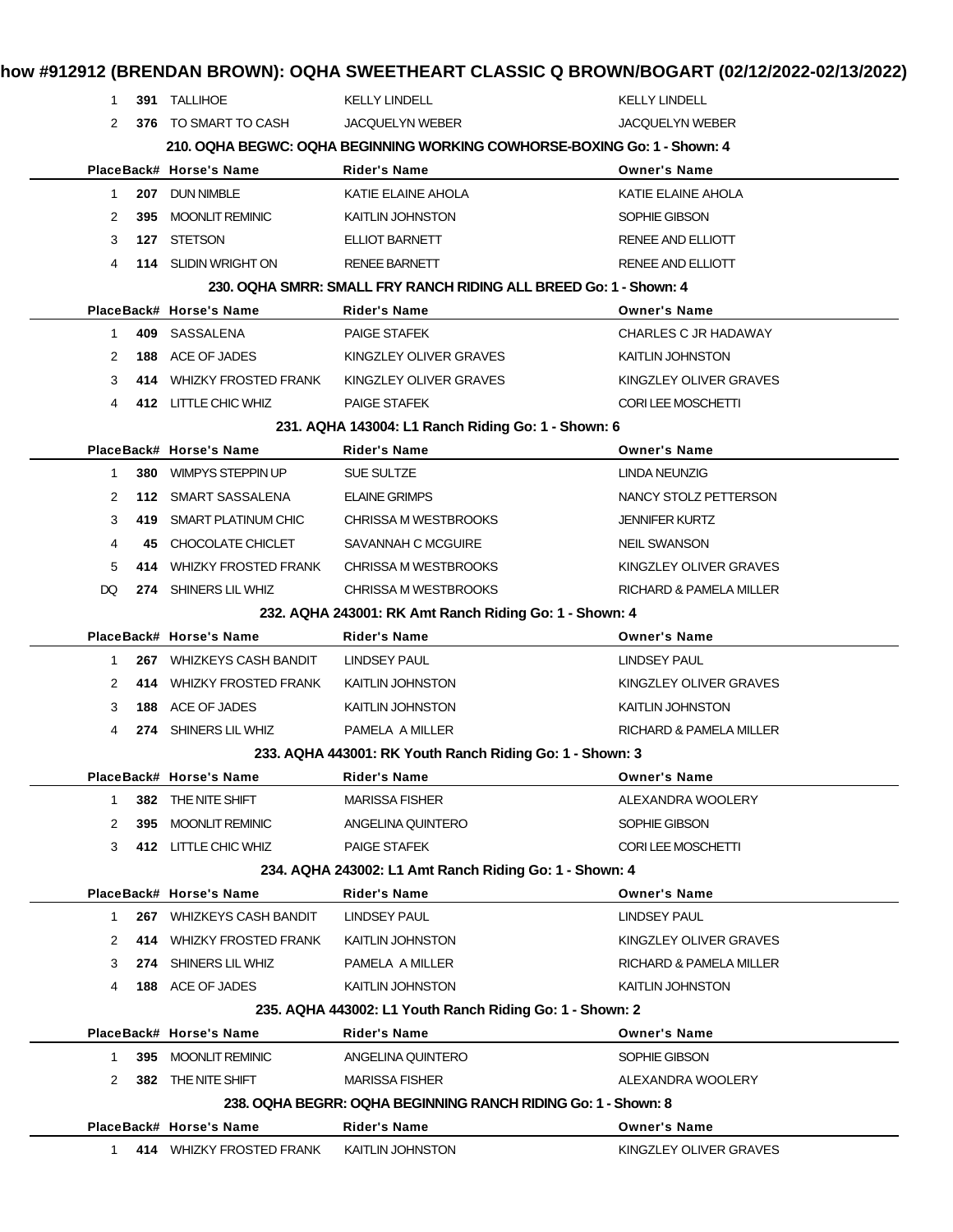| 1.                 | 391 TALLIHOE                | <b>KELLY LINDELL</b>                                                     | <b>KELLY LINDELL</b>     |
|--------------------|-----------------------------|--------------------------------------------------------------------------|--------------------------|
| 2                  | 376 TO SMART TO CASH        | <b>JACQUELYN WEBER</b>                                                   | <b>JACQUELYN WEBER</b>   |
|                    |                             | 210. OQHA BEGWC: OQHA BEGINNING WORKING COWHORSE-BOXING Go: 1 - Shown: 4 |                          |
|                    | PlaceBack# Horse's Name     | <b>Rider's Name</b>                                                      | <b>Owner's Name</b>      |
| $\mathbf 1$<br>207 | <b>DUN NIMBLE</b>           | KATIE ELAINE AHOLA                                                       | KATIE ELAINE AHOLA       |
| 2<br>395           | <b>MOONLIT REMINIC</b>      | KAITLIN JOHNSTON                                                         | SOPHIE GIBSON            |
| 3<br>127           | <b>STETSON</b>              | ELLIOT BARNETT                                                           | <b>RENEE AND ELLIOTT</b> |
| 4                  | 114 SLIDIN WRIGHT ON        | <b>RENEE BARNETT</b>                                                     | RENEE AND ELLIOTT        |
|                    |                             | 230, OQHA SMRR: SMALL FRY RANCH RIDING ALL BREED Go: 1 - Shown: 4        |                          |
|                    | PlaceBack# Horse's Name     | Rider's Name                                                             | <b>Owner's Name</b>      |
| 1                  | 409 SASSALENA               | <b>PAIGE STAFEK</b>                                                      | CHARLES C JR HADAWAY     |
| 2                  | 188 ACE OF JADES            | KINGZLEY OLIVER GRAVES                                                   | KAITLIN JOHNSTON         |
| 3                  | 414 WHIZKY FROSTED FRANK    | KINGZLEY OLIVER GRAVES                                                   | KINGZLEY OLIVER GRAVES   |
| 4                  | 412 LITTLE CHIC WHIZ        | <b>PAIGE STAFEK</b>                                                      | CORI LEE MOSCHETTI       |
|                    |                             | 231. AQHA 143004: L1 Ranch Riding Go: 1 - Shown: 6                       |                          |
|                    | PlaceBack# Horse's Name     | <b>Rider's Name</b>                                                      | <b>Owner's Name</b>      |
| $\mathbf{1}$       | 380 WIMPYS STEPPIN UP       | SUE SULTZE                                                               | <b>LINDA NEUNZIG</b>     |
| 2                  | 112 SMART SASSALENA         | <b>ELAINE GRIMPS</b>                                                     | NANCY STOLZ PETTERSON    |
| 3<br>419           | SMART PLATINUM CHIC         | CHRISSA M WESTBROOKS                                                     | <b>JENNIFER KURTZ</b>    |
| 4<br>45            | CHOCOLATE CHICLET           | SAVANNAH C MCGUIRE                                                       | <b>NEIL SWANSON</b>      |
| 5<br>414           | <b>WHIZKY FROSTED FRANK</b> | CHRISSA M WESTBROOKS                                                     | KINGZLEY OLIVER GRAVES   |
| DQ                 | 274 SHINERS LIL WHIZ        | CHRISSA M WESTBROOKS                                                     | RICHARD & PAMELA MILLER  |
|                    |                             | 232. AQHA 243001: RK Amt Ranch Riding Go: 1 - Shown: 4                   |                          |
|                    | PlaceBack# Horse's Name     | Rider's Name                                                             | <b>Owner's Name</b>      |
| $\mathbf{1}$       | 267 WHIZKEYS CASH BANDIT    | LINDSEY PAUL                                                             | <b>LINDSEY PAUL</b>      |
| 2                  | 414 WHIZKY FROSTED FRANK    | KAITLIN JOHNSTON                                                         | KINGZLEY OLIVER GRAVES   |
| 3                  | 188 ACE OF JADES            | <b>KAITLIN JOHNSTON</b>                                                  | <b>KAITLIN JOHNSTON</b>  |
| 4                  | 274 SHINERS LIL WHIZ        | PAMELA A MILLER                                                          | RICHARD & PAMELA MILLER  |
|                    |                             | 233. AQHA 443001: RK Youth Ranch Riding Go: 1 - Shown: 3                 |                          |
|                    | PlaceBack# Horse's Name     | <b>Rider's Name</b>                                                      | <b>Owner's Name</b>      |
| $\mathbf{1}$       | 382 THE NITE SHIFT          | <b>MARISSA FISHER</b>                                                    | ALEXANDRA WOOLERY        |
| 2<br>395           | <b>MOONLIT REMINIC</b>      | ANGELINA QUINTERO                                                        | SOPHIE GIBSON            |
| 3                  | 412 LITTLE CHIC WHIZ        | <b>PAIGE STAFEK</b>                                                      | CORI LEE MOSCHETTI       |
|                    |                             | 234. AQHA 243002: L1 Amt Ranch Riding Go: 1 - Shown: 4                   |                          |
|                    | PlaceBack# Horse's Name     | Rider's Name                                                             | <b>Owner's Name</b>      |
| $\mathbf 1$        | 267 WHIZKEYS CASH BANDIT    | <b>LINDSEY PAUL</b>                                                      | <b>LINDSEY PAUL</b>      |
| 2<br>414           | <b>WHIZKY FROSTED FRANK</b> | <b>KAITLIN JOHNSTON</b>                                                  | KINGZLEY OLIVER GRAVES   |
| 3                  | 274 SHINERS LIL WHIZ        | PAMELA A MILLER                                                          | RICHARD & PAMELA MILLER  |
| 4                  | 188 ACE OF JADES            | <b>KAITLIN JOHNSTON</b>                                                  | KAITLIN JOHNSTON         |
|                    |                             | 235. AQHA 443002: L1 Youth Ranch Riding Go: 1 - Shown: 2                 |                          |
|                    | PlaceBack# Horse's Name     | <b>Rider's Name</b>                                                      | <b>Owner's Name</b>      |
| 1                  | 395 MOONLIT REMINIC         | ANGELINA QUINTERO                                                        | SOPHIE GIBSON            |
| 2                  | 382 THE NITE SHIFT          | <b>MARISSA FISHER</b>                                                    | ALEXANDRA WOOLERY        |
|                    |                             | 238. OQHA BEGRR: OQHA BEGINNING RANCH RIDING Go: 1 - Shown: 8            |                          |
|                    | PlaceBack# Horse's Name     | <b>Rider's Name</b>                                                      | <b>Owner's Name</b>      |
| 1.                 | 414 WHIZKY FROSTED FRANK    | KAITLIN JOHNSTON                                                         | KINGZLEY OLIVER GRAVES   |
|                    |                             |                                                                          |                          |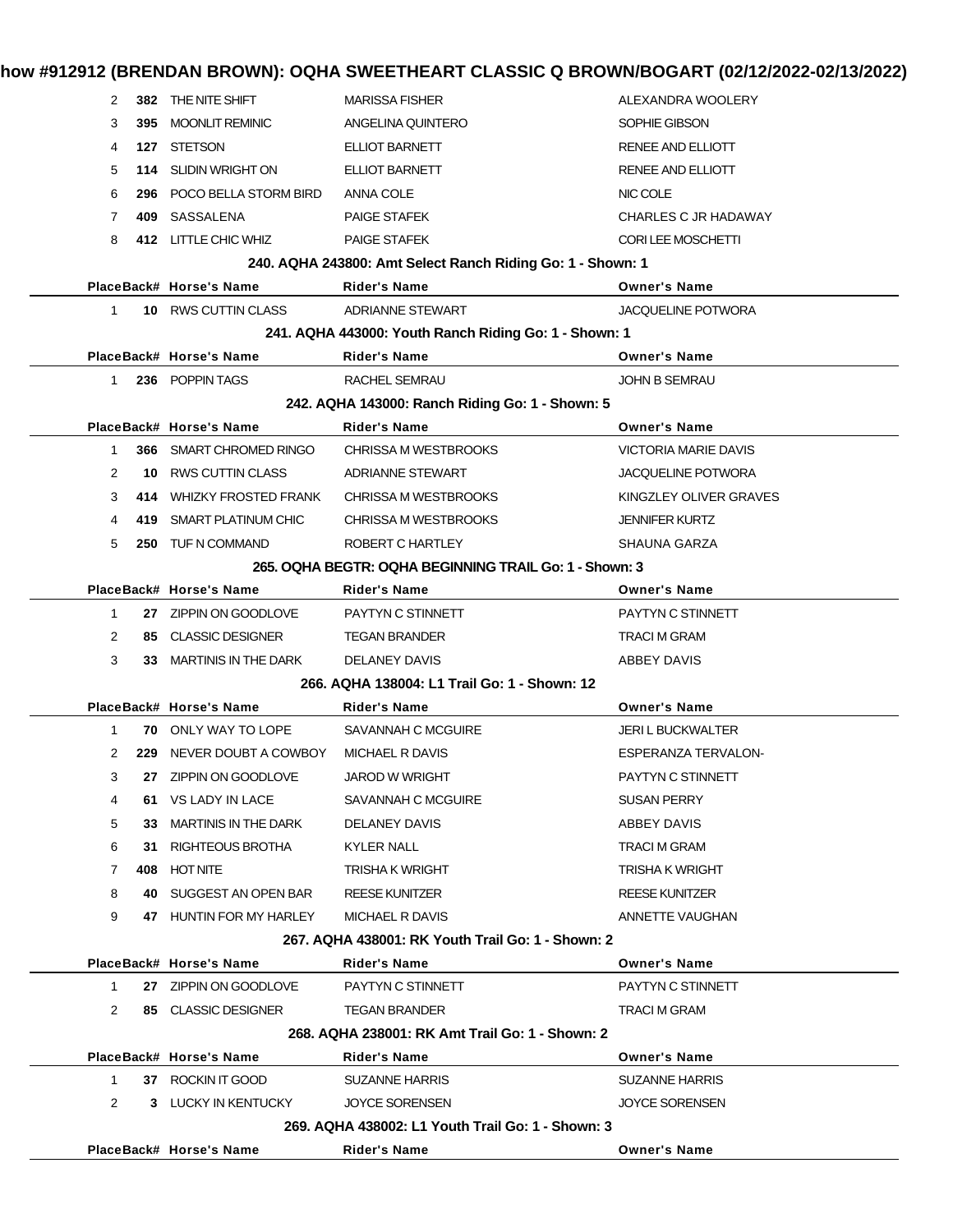|  | how #912912 (BRENDAN BROWN): OQHA SWEETHEART CLASSIC Q BROWN/BOGART (02/12/2022-02/13/2022) |  |
|--|---------------------------------------------------------------------------------------------|--|
|--|---------------------------------------------------------------------------------------------|--|

| 382 THE NITE SHIFT<br><b>MARISSA FISHER</b><br>ALEXANDRA WOOLERY<br>2<br>3<br>395 MOONLIT REMINIC<br>ANGELINA QUINTERO<br>SOPHIE GIBSON<br>4<br>127 STETSON<br>ELLIOT BARNETT<br>RENEE AND ELLIOTT<br>5<br><b>SLIDIN WRIGHT ON</b><br>ELLIOT BARNETT<br>RENEE AND ELLIOTT<br>114<br>6<br>296 POCO BELLA STORM BIRD<br>NIC COLE<br>ANNA COLE<br>$\overline{7}$<br>409 SASSALENA<br><b>PAIGE STAFEK</b><br>CHARLES C JR HADAWAY<br>412 LITTLE CHIC WHIZ<br>CORI LEE MOSCHETTI<br>8<br><b>PAIGE STAFEK</b><br>240. AQHA 243800: Amt Select Ranch Riding Go: 1 - Shown: 1<br>PlaceBack# Horse's Name<br><b>Rider's Name</b><br><b>Owner's Name</b><br>10 RWS CUTTIN CLASS<br>ADRIANNE STEWART<br><b>JACQUELINE POTWORA</b><br>$\mathbf{1}$<br>241. AQHA 443000: Youth Ranch Riding Go: 1 - Shown: 1<br>PlaceBack# Horse's Name<br><b>Rider's Name</b><br><b>Owner's Name</b><br>236 POPPIN TAGS<br>RACHEL SEMRAU<br><b>JOHN B SEMRAU</b><br>1<br>242. AQHA 143000: Ranch Riding Go: 1 - Shown: 5<br>PlaceBack# Horse's Name<br><b>Rider's Name</b><br><b>Owner's Name</b><br>366 SMART CHROMED RINGO<br>CHRISSA M WESTBROOKS<br><b>VICTORIA MARIE DAVIS</b><br>$\mathbf{1}$<br>$\overline{2}$<br>10 RWS CUTTIN CLASS<br><b>ADRIANNE STEWART</b><br><b>JACQUELINE POTWORA</b><br>414 WHIZKY FROSTED FRANK<br>CHRISSA M WESTBROOKS<br>KINGZLEY OLIVER GRAVES<br>3<br>419 SMART PLATINUM CHIC<br>4<br>CHRISSA M WESTBROOKS<br><b>JENNIFER KURTZ</b><br>5<br>250 TUF N COMMAND<br>SHAUNA GARZA<br>ROBERT C HARTLEY<br>265. OQHA BEGTR: OQHA BEGINNING TRAIL Go: 1 - Shown: 3<br>PlaceBack# Horse's Name<br><b>Rider's Name</b><br><b>Owner's Name</b><br>PAYTYN C STINNETT<br>PAYTYN C STINNETT<br>$\mathbf{1}$<br>27 ZIPPIN ON GOODLOVE<br>$\overline{2}$<br>85 CLASSIC DESIGNER<br><b>TRACI M GRAM</b><br><b>TEGAN BRANDER</b><br>3<br>33 MARTINIS IN THE DARK<br><b>DELANEY DAVIS</b><br>ABBEY DAVIS<br>266, AQHA 138004: L1 Trail Go: 1 - Shown: 12<br>PlaceBack# Horse's Name<br><b>Owner's Name</b><br>Rider's Name<br>$\mathbf{1}$<br><b>70 ONLY WAY TO LOPE</b><br><b>JERI L BUCKWALTER</b><br>SAVANNAH C MCGUIRE<br>229 NEVER DOUBT A COWBOY<br>MICHAEL R DAVIS<br><b>ESPERANZA TERVALON-</b><br>2<br>27 ZIPPIN ON GOODLOVE<br>JAROD W WRIGHT<br>PAYTYN C STINNETT<br>3<br>61 VS LADY IN LACE<br>4<br>SAVANNAH C MCGUIRE<br><b>SUSAN PERRY</b><br>5<br>33 MARTINIS IN THE DARK<br>DELANEY DAVIS<br>ABBEY DAVIS<br>6<br>31 RIGHTEOUS BROTHA<br><b>KYLER NALL</b><br><b>TRACI M GRAM</b><br>$\overline{7}$<br>408 HOT NITE<br><b>TRISHA K WRIGHT</b><br><b>TRISHA K WRIGHT</b><br>8<br>40 SUGGEST AN OPEN BAR<br><b>REESE KUNITZER</b><br><b>REESE KUNITZER</b><br>9<br>47 HUNTIN FOR MY HARLEY<br>ANNETTE VAUGHAN<br>MICHAEL R DAVIS<br>267. AQHA 438001: RK Youth Trail Go: 1 - Shown: 2<br>PlaceBack# Horse's Name<br><b>Owner's Name</b><br>Rider's Name<br>27 ZIPPIN ON GOODLOVE<br>PAYTYN C STINNETT<br>$\mathbf{1}$<br>PAYTYN C STINNETT<br>$\overline{2}$<br>85 CLASSIC DESIGNER<br><b>TEGAN BRANDER</b><br><b>TRACI M GRAM</b><br>268. AQHA 238001: RK Amt Trail Go: 1 - Shown: 2<br>PlaceBack# Horse's Name<br><b>Owner's Name</b><br>Rider's Name<br>37 ROCKIN IT GOOD<br><b>SUZANNE HARRIS</b><br>$\mathbf{1}$<br><b>SUZANNE HARRIS</b><br>$\overline{2}$<br>3 LUCKY IN KENTUCKY<br><b>JOYCE SORENSEN</b><br><b>JOYCE SORENSEN</b><br>269, AQHA 438002: L1 Youth Trail Go: 1 - Shown: 3 |  |  |
|----------------------------------------------------------------------------------------------------------------------------------------------------------------------------------------------------------------------------------------------------------------------------------------------------------------------------------------------------------------------------------------------------------------------------------------------------------------------------------------------------------------------------------------------------------------------------------------------------------------------------------------------------------------------------------------------------------------------------------------------------------------------------------------------------------------------------------------------------------------------------------------------------------------------------------------------------------------------------------------------------------------------------------------------------------------------------------------------------------------------------------------------------------------------------------------------------------------------------------------------------------------------------------------------------------------------------------------------------------------------------------------------------------------------------------------------------------------------------------------------------------------------------------------------------------------------------------------------------------------------------------------------------------------------------------------------------------------------------------------------------------------------------------------------------------------------------------------------------------------------------------------------------------------------------------------------------------------------------------------------------------------------------------------------------------------------------------------------------------------------------------------------------------------------------------------------------------------------------------------------------------------------------------------------------------------------------------------------------------------------------------------------------------------------------------------------------------------------------------------------------------------------------------------------------------------------------------------------------------------------------------------------------------------------------------------------------------------------------------------------------------------------------------------------------------------------------------------------------------------------------------------------------------------------------------------------------------------------------------------------------------------------------------------------------------------------------------------------------------------------------------------------------------------------------------------------------------------------------------------------------------------------------------------------------------------------------------------------------------------------------------------------------|--|--|
|                                                                                                                                                                                                                                                                                                                                                                                                                                                                                                                                                                                                                                                                                                                                                                                                                                                                                                                                                                                                                                                                                                                                                                                                                                                                                                                                                                                                                                                                                                                                                                                                                                                                                                                                                                                                                                                                                                                                                                                                                                                                                                                                                                                                                                                                                                                                                                                                                                                                                                                                                                                                                                                                                                                                                                                                                                                                                                                                                                                                                                                                                                                                                                                                                                                                                                                                                                                                    |  |  |
|                                                                                                                                                                                                                                                                                                                                                                                                                                                                                                                                                                                                                                                                                                                                                                                                                                                                                                                                                                                                                                                                                                                                                                                                                                                                                                                                                                                                                                                                                                                                                                                                                                                                                                                                                                                                                                                                                                                                                                                                                                                                                                                                                                                                                                                                                                                                                                                                                                                                                                                                                                                                                                                                                                                                                                                                                                                                                                                                                                                                                                                                                                                                                                                                                                                                                                                                                                                                    |  |  |
|                                                                                                                                                                                                                                                                                                                                                                                                                                                                                                                                                                                                                                                                                                                                                                                                                                                                                                                                                                                                                                                                                                                                                                                                                                                                                                                                                                                                                                                                                                                                                                                                                                                                                                                                                                                                                                                                                                                                                                                                                                                                                                                                                                                                                                                                                                                                                                                                                                                                                                                                                                                                                                                                                                                                                                                                                                                                                                                                                                                                                                                                                                                                                                                                                                                                                                                                                                                                    |  |  |
|                                                                                                                                                                                                                                                                                                                                                                                                                                                                                                                                                                                                                                                                                                                                                                                                                                                                                                                                                                                                                                                                                                                                                                                                                                                                                                                                                                                                                                                                                                                                                                                                                                                                                                                                                                                                                                                                                                                                                                                                                                                                                                                                                                                                                                                                                                                                                                                                                                                                                                                                                                                                                                                                                                                                                                                                                                                                                                                                                                                                                                                                                                                                                                                                                                                                                                                                                                                                    |  |  |
|                                                                                                                                                                                                                                                                                                                                                                                                                                                                                                                                                                                                                                                                                                                                                                                                                                                                                                                                                                                                                                                                                                                                                                                                                                                                                                                                                                                                                                                                                                                                                                                                                                                                                                                                                                                                                                                                                                                                                                                                                                                                                                                                                                                                                                                                                                                                                                                                                                                                                                                                                                                                                                                                                                                                                                                                                                                                                                                                                                                                                                                                                                                                                                                                                                                                                                                                                                                                    |  |  |
|                                                                                                                                                                                                                                                                                                                                                                                                                                                                                                                                                                                                                                                                                                                                                                                                                                                                                                                                                                                                                                                                                                                                                                                                                                                                                                                                                                                                                                                                                                                                                                                                                                                                                                                                                                                                                                                                                                                                                                                                                                                                                                                                                                                                                                                                                                                                                                                                                                                                                                                                                                                                                                                                                                                                                                                                                                                                                                                                                                                                                                                                                                                                                                                                                                                                                                                                                                                                    |  |  |
|                                                                                                                                                                                                                                                                                                                                                                                                                                                                                                                                                                                                                                                                                                                                                                                                                                                                                                                                                                                                                                                                                                                                                                                                                                                                                                                                                                                                                                                                                                                                                                                                                                                                                                                                                                                                                                                                                                                                                                                                                                                                                                                                                                                                                                                                                                                                                                                                                                                                                                                                                                                                                                                                                                                                                                                                                                                                                                                                                                                                                                                                                                                                                                                                                                                                                                                                                                                                    |  |  |
|                                                                                                                                                                                                                                                                                                                                                                                                                                                                                                                                                                                                                                                                                                                                                                                                                                                                                                                                                                                                                                                                                                                                                                                                                                                                                                                                                                                                                                                                                                                                                                                                                                                                                                                                                                                                                                                                                                                                                                                                                                                                                                                                                                                                                                                                                                                                                                                                                                                                                                                                                                                                                                                                                                                                                                                                                                                                                                                                                                                                                                                                                                                                                                                                                                                                                                                                                                                                    |  |  |
|                                                                                                                                                                                                                                                                                                                                                                                                                                                                                                                                                                                                                                                                                                                                                                                                                                                                                                                                                                                                                                                                                                                                                                                                                                                                                                                                                                                                                                                                                                                                                                                                                                                                                                                                                                                                                                                                                                                                                                                                                                                                                                                                                                                                                                                                                                                                                                                                                                                                                                                                                                                                                                                                                                                                                                                                                                                                                                                                                                                                                                                                                                                                                                                                                                                                                                                                                                                                    |  |  |
|                                                                                                                                                                                                                                                                                                                                                                                                                                                                                                                                                                                                                                                                                                                                                                                                                                                                                                                                                                                                                                                                                                                                                                                                                                                                                                                                                                                                                                                                                                                                                                                                                                                                                                                                                                                                                                                                                                                                                                                                                                                                                                                                                                                                                                                                                                                                                                                                                                                                                                                                                                                                                                                                                                                                                                                                                                                                                                                                                                                                                                                                                                                                                                                                                                                                                                                                                                                                    |  |  |
|                                                                                                                                                                                                                                                                                                                                                                                                                                                                                                                                                                                                                                                                                                                                                                                                                                                                                                                                                                                                                                                                                                                                                                                                                                                                                                                                                                                                                                                                                                                                                                                                                                                                                                                                                                                                                                                                                                                                                                                                                                                                                                                                                                                                                                                                                                                                                                                                                                                                                                                                                                                                                                                                                                                                                                                                                                                                                                                                                                                                                                                                                                                                                                                                                                                                                                                                                                                                    |  |  |
|                                                                                                                                                                                                                                                                                                                                                                                                                                                                                                                                                                                                                                                                                                                                                                                                                                                                                                                                                                                                                                                                                                                                                                                                                                                                                                                                                                                                                                                                                                                                                                                                                                                                                                                                                                                                                                                                                                                                                                                                                                                                                                                                                                                                                                                                                                                                                                                                                                                                                                                                                                                                                                                                                                                                                                                                                                                                                                                                                                                                                                                                                                                                                                                                                                                                                                                                                                                                    |  |  |
|                                                                                                                                                                                                                                                                                                                                                                                                                                                                                                                                                                                                                                                                                                                                                                                                                                                                                                                                                                                                                                                                                                                                                                                                                                                                                                                                                                                                                                                                                                                                                                                                                                                                                                                                                                                                                                                                                                                                                                                                                                                                                                                                                                                                                                                                                                                                                                                                                                                                                                                                                                                                                                                                                                                                                                                                                                                                                                                                                                                                                                                                                                                                                                                                                                                                                                                                                                                                    |  |  |
|                                                                                                                                                                                                                                                                                                                                                                                                                                                                                                                                                                                                                                                                                                                                                                                                                                                                                                                                                                                                                                                                                                                                                                                                                                                                                                                                                                                                                                                                                                                                                                                                                                                                                                                                                                                                                                                                                                                                                                                                                                                                                                                                                                                                                                                                                                                                                                                                                                                                                                                                                                                                                                                                                                                                                                                                                                                                                                                                                                                                                                                                                                                                                                                                                                                                                                                                                                                                    |  |  |
|                                                                                                                                                                                                                                                                                                                                                                                                                                                                                                                                                                                                                                                                                                                                                                                                                                                                                                                                                                                                                                                                                                                                                                                                                                                                                                                                                                                                                                                                                                                                                                                                                                                                                                                                                                                                                                                                                                                                                                                                                                                                                                                                                                                                                                                                                                                                                                                                                                                                                                                                                                                                                                                                                                                                                                                                                                                                                                                                                                                                                                                                                                                                                                                                                                                                                                                                                                                                    |  |  |
|                                                                                                                                                                                                                                                                                                                                                                                                                                                                                                                                                                                                                                                                                                                                                                                                                                                                                                                                                                                                                                                                                                                                                                                                                                                                                                                                                                                                                                                                                                                                                                                                                                                                                                                                                                                                                                                                                                                                                                                                                                                                                                                                                                                                                                                                                                                                                                                                                                                                                                                                                                                                                                                                                                                                                                                                                                                                                                                                                                                                                                                                                                                                                                                                                                                                                                                                                                                                    |  |  |
|                                                                                                                                                                                                                                                                                                                                                                                                                                                                                                                                                                                                                                                                                                                                                                                                                                                                                                                                                                                                                                                                                                                                                                                                                                                                                                                                                                                                                                                                                                                                                                                                                                                                                                                                                                                                                                                                                                                                                                                                                                                                                                                                                                                                                                                                                                                                                                                                                                                                                                                                                                                                                                                                                                                                                                                                                                                                                                                                                                                                                                                                                                                                                                                                                                                                                                                                                                                                    |  |  |
|                                                                                                                                                                                                                                                                                                                                                                                                                                                                                                                                                                                                                                                                                                                                                                                                                                                                                                                                                                                                                                                                                                                                                                                                                                                                                                                                                                                                                                                                                                                                                                                                                                                                                                                                                                                                                                                                                                                                                                                                                                                                                                                                                                                                                                                                                                                                                                                                                                                                                                                                                                                                                                                                                                                                                                                                                                                                                                                                                                                                                                                                                                                                                                                                                                                                                                                                                                                                    |  |  |
|                                                                                                                                                                                                                                                                                                                                                                                                                                                                                                                                                                                                                                                                                                                                                                                                                                                                                                                                                                                                                                                                                                                                                                                                                                                                                                                                                                                                                                                                                                                                                                                                                                                                                                                                                                                                                                                                                                                                                                                                                                                                                                                                                                                                                                                                                                                                                                                                                                                                                                                                                                                                                                                                                                                                                                                                                                                                                                                                                                                                                                                                                                                                                                                                                                                                                                                                                                                                    |  |  |
|                                                                                                                                                                                                                                                                                                                                                                                                                                                                                                                                                                                                                                                                                                                                                                                                                                                                                                                                                                                                                                                                                                                                                                                                                                                                                                                                                                                                                                                                                                                                                                                                                                                                                                                                                                                                                                                                                                                                                                                                                                                                                                                                                                                                                                                                                                                                                                                                                                                                                                                                                                                                                                                                                                                                                                                                                                                                                                                                                                                                                                                                                                                                                                                                                                                                                                                                                                                                    |  |  |
|                                                                                                                                                                                                                                                                                                                                                                                                                                                                                                                                                                                                                                                                                                                                                                                                                                                                                                                                                                                                                                                                                                                                                                                                                                                                                                                                                                                                                                                                                                                                                                                                                                                                                                                                                                                                                                                                                                                                                                                                                                                                                                                                                                                                                                                                                                                                                                                                                                                                                                                                                                                                                                                                                                                                                                                                                                                                                                                                                                                                                                                                                                                                                                                                                                                                                                                                                                                                    |  |  |
|                                                                                                                                                                                                                                                                                                                                                                                                                                                                                                                                                                                                                                                                                                                                                                                                                                                                                                                                                                                                                                                                                                                                                                                                                                                                                                                                                                                                                                                                                                                                                                                                                                                                                                                                                                                                                                                                                                                                                                                                                                                                                                                                                                                                                                                                                                                                                                                                                                                                                                                                                                                                                                                                                                                                                                                                                                                                                                                                                                                                                                                                                                                                                                                                                                                                                                                                                                                                    |  |  |
|                                                                                                                                                                                                                                                                                                                                                                                                                                                                                                                                                                                                                                                                                                                                                                                                                                                                                                                                                                                                                                                                                                                                                                                                                                                                                                                                                                                                                                                                                                                                                                                                                                                                                                                                                                                                                                                                                                                                                                                                                                                                                                                                                                                                                                                                                                                                                                                                                                                                                                                                                                                                                                                                                                                                                                                                                                                                                                                                                                                                                                                                                                                                                                                                                                                                                                                                                                                                    |  |  |
|                                                                                                                                                                                                                                                                                                                                                                                                                                                                                                                                                                                                                                                                                                                                                                                                                                                                                                                                                                                                                                                                                                                                                                                                                                                                                                                                                                                                                                                                                                                                                                                                                                                                                                                                                                                                                                                                                                                                                                                                                                                                                                                                                                                                                                                                                                                                                                                                                                                                                                                                                                                                                                                                                                                                                                                                                                                                                                                                                                                                                                                                                                                                                                                                                                                                                                                                                                                                    |  |  |
|                                                                                                                                                                                                                                                                                                                                                                                                                                                                                                                                                                                                                                                                                                                                                                                                                                                                                                                                                                                                                                                                                                                                                                                                                                                                                                                                                                                                                                                                                                                                                                                                                                                                                                                                                                                                                                                                                                                                                                                                                                                                                                                                                                                                                                                                                                                                                                                                                                                                                                                                                                                                                                                                                                                                                                                                                                                                                                                                                                                                                                                                                                                                                                                                                                                                                                                                                                                                    |  |  |
|                                                                                                                                                                                                                                                                                                                                                                                                                                                                                                                                                                                                                                                                                                                                                                                                                                                                                                                                                                                                                                                                                                                                                                                                                                                                                                                                                                                                                                                                                                                                                                                                                                                                                                                                                                                                                                                                                                                                                                                                                                                                                                                                                                                                                                                                                                                                                                                                                                                                                                                                                                                                                                                                                                                                                                                                                                                                                                                                                                                                                                                                                                                                                                                                                                                                                                                                                                                                    |  |  |
|                                                                                                                                                                                                                                                                                                                                                                                                                                                                                                                                                                                                                                                                                                                                                                                                                                                                                                                                                                                                                                                                                                                                                                                                                                                                                                                                                                                                                                                                                                                                                                                                                                                                                                                                                                                                                                                                                                                                                                                                                                                                                                                                                                                                                                                                                                                                                                                                                                                                                                                                                                                                                                                                                                                                                                                                                                                                                                                                                                                                                                                                                                                                                                                                                                                                                                                                                                                                    |  |  |
|                                                                                                                                                                                                                                                                                                                                                                                                                                                                                                                                                                                                                                                                                                                                                                                                                                                                                                                                                                                                                                                                                                                                                                                                                                                                                                                                                                                                                                                                                                                                                                                                                                                                                                                                                                                                                                                                                                                                                                                                                                                                                                                                                                                                                                                                                                                                                                                                                                                                                                                                                                                                                                                                                                                                                                                                                                                                                                                                                                                                                                                                                                                                                                                                                                                                                                                                                                                                    |  |  |
|                                                                                                                                                                                                                                                                                                                                                                                                                                                                                                                                                                                                                                                                                                                                                                                                                                                                                                                                                                                                                                                                                                                                                                                                                                                                                                                                                                                                                                                                                                                                                                                                                                                                                                                                                                                                                                                                                                                                                                                                                                                                                                                                                                                                                                                                                                                                                                                                                                                                                                                                                                                                                                                                                                                                                                                                                                                                                                                                                                                                                                                                                                                                                                                                                                                                                                                                                                                                    |  |  |
|                                                                                                                                                                                                                                                                                                                                                                                                                                                                                                                                                                                                                                                                                                                                                                                                                                                                                                                                                                                                                                                                                                                                                                                                                                                                                                                                                                                                                                                                                                                                                                                                                                                                                                                                                                                                                                                                                                                                                                                                                                                                                                                                                                                                                                                                                                                                                                                                                                                                                                                                                                                                                                                                                                                                                                                                                                                                                                                                                                                                                                                                                                                                                                                                                                                                                                                                                                                                    |  |  |
|                                                                                                                                                                                                                                                                                                                                                                                                                                                                                                                                                                                                                                                                                                                                                                                                                                                                                                                                                                                                                                                                                                                                                                                                                                                                                                                                                                                                                                                                                                                                                                                                                                                                                                                                                                                                                                                                                                                                                                                                                                                                                                                                                                                                                                                                                                                                                                                                                                                                                                                                                                                                                                                                                                                                                                                                                                                                                                                                                                                                                                                                                                                                                                                                                                                                                                                                                                                                    |  |  |
|                                                                                                                                                                                                                                                                                                                                                                                                                                                                                                                                                                                                                                                                                                                                                                                                                                                                                                                                                                                                                                                                                                                                                                                                                                                                                                                                                                                                                                                                                                                                                                                                                                                                                                                                                                                                                                                                                                                                                                                                                                                                                                                                                                                                                                                                                                                                                                                                                                                                                                                                                                                                                                                                                                                                                                                                                                                                                                                                                                                                                                                                                                                                                                                                                                                                                                                                                                                                    |  |  |
|                                                                                                                                                                                                                                                                                                                                                                                                                                                                                                                                                                                                                                                                                                                                                                                                                                                                                                                                                                                                                                                                                                                                                                                                                                                                                                                                                                                                                                                                                                                                                                                                                                                                                                                                                                                                                                                                                                                                                                                                                                                                                                                                                                                                                                                                                                                                                                                                                                                                                                                                                                                                                                                                                                                                                                                                                                                                                                                                                                                                                                                                                                                                                                                                                                                                                                                                                                                                    |  |  |
|                                                                                                                                                                                                                                                                                                                                                                                                                                                                                                                                                                                                                                                                                                                                                                                                                                                                                                                                                                                                                                                                                                                                                                                                                                                                                                                                                                                                                                                                                                                                                                                                                                                                                                                                                                                                                                                                                                                                                                                                                                                                                                                                                                                                                                                                                                                                                                                                                                                                                                                                                                                                                                                                                                                                                                                                                                                                                                                                                                                                                                                                                                                                                                                                                                                                                                                                                                                                    |  |  |
|                                                                                                                                                                                                                                                                                                                                                                                                                                                                                                                                                                                                                                                                                                                                                                                                                                                                                                                                                                                                                                                                                                                                                                                                                                                                                                                                                                                                                                                                                                                                                                                                                                                                                                                                                                                                                                                                                                                                                                                                                                                                                                                                                                                                                                                                                                                                                                                                                                                                                                                                                                                                                                                                                                                                                                                                                                                                                                                                                                                                                                                                                                                                                                                                                                                                                                                                                                                                    |  |  |
|                                                                                                                                                                                                                                                                                                                                                                                                                                                                                                                                                                                                                                                                                                                                                                                                                                                                                                                                                                                                                                                                                                                                                                                                                                                                                                                                                                                                                                                                                                                                                                                                                                                                                                                                                                                                                                                                                                                                                                                                                                                                                                                                                                                                                                                                                                                                                                                                                                                                                                                                                                                                                                                                                                                                                                                                                                                                                                                                                                                                                                                                                                                                                                                                                                                                                                                                                                                                    |  |  |
|                                                                                                                                                                                                                                                                                                                                                                                                                                                                                                                                                                                                                                                                                                                                                                                                                                                                                                                                                                                                                                                                                                                                                                                                                                                                                                                                                                                                                                                                                                                                                                                                                                                                                                                                                                                                                                                                                                                                                                                                                                                                                                                                                                                                                                                                                                                                                                                                                                                                                                                                                                                                                                                                                                                                                                                                                                                                                                                                                                                                                                                                                                                                                                                                                                                                                                                                                                                                    |  |  |
|                                                                                                                                                                                                                                                                                                                                                                                                                                                                                                                                                                                                                                                                                                                                                                                                                                                                                                                                                                                                                                                                                                                                                                                                                                                                                                                                                                                                                                                                                                                                                                                                                                                                                                                                                                                                                                                                                                                                                                                                                                                                                                                                                                                                                                                                                                                                                                                                                                                                                                                                                                                                                                                                                                                                                                                                                                                                                                                                                                                                                                                                                                                                                                                                                                                                                                                                                                                                    |  |  |
|                                                                                                                                                                                                                                                                                                                                                                                                                                                                                                                                                                                                                                                                                                                                                                                                                                                                                                                                                                                                                                                                                                                                                                                                                                                                                                                                                                                                                                                                                                                                                                                                                                                                                                                                                                                                                                                                                                                                                                                                                                                                                                                                                                                                                                                                                                                                                                                                                                                                                                                                                                                                                                                                                                                                                                                                                                                                                                                                                                                                                                                                                                                                                                                                                                                                                                                                                                                                    |  |  |
|                                                                                                                                                                                                                                                                                                                                                                                                                                                                                                                                                                                                                                                                                                                                                                                                                                                                                                                                                                                                                                                                                                                                                                                                                                                                                                                                                                                                                                                                                                                                                                                                                                                                                                                                                                                                                                                                                                                                                                                                                                                                                                                                                                                                                                                                                                                                                                                                                                                                                                                                                                                                                                                                                                                                                                                                                                                                                                                                                                                                                                                                                                                                                                                                                                                                                                                                                                                                    |  |  |
|                                                                                                                                                                                                                                                                                                                                                                                                                                                                                                                                                                                                                                                                                                                                                                                                                                                                                                                                                                                                                                                                                                                                                                                                                                                                                                                                                                                                                                                                                                                                                                                                                                                                                                                                                                                                                                                                                                                                                                                                                                                                                                                                                                                                                                                                                                                                                                                                                                                                                                                                                                                                                                                                                                                                                                                                                                                                                                                                                                                                                                                                                                                                                                                                                                                                                                                                                                                                    |  |  |
|                                                                                                                                                                                                                                                                                                                                                                                                                                                                                                                                                                                                                                                                                                                                                                                                                                                                                                                                                                                                                                                                                                                                                                                                                                                                                                                                                                                                                                                                                                                                                                                                                                                                                                                                                                                                                                                                                                                                                                                                                                                                                                                                                                                                                                                                                                                                                                                                                                                                                                                                                                                                                                                                                                                                                                                                                                                                                                                                                                                                                                                                                                                                                                                                                                                                                                                                                                                                    |  |  |
|                                                                                                                                                                                                                                                                                                                                                                                                                                                                                                                                                                                                                                                                                                                                                                                                                                                                                                                                                                                                                                                                                                                                                                                                                                                                                                                                                                                                                                                                                                                                                                                                                                                                                                                                                                                                                                                                                                                                                                                                                                                                                                                                                                                                                                                                                                                                                                                                                                                                                                                                                                                                                                                                                                                                                                                                                                                                                                                                                                                                                                                                                                                                                                                                                                                                                                                                                                                                    |  |  |
|                                                                                                                                                                                                                                                                                                                                                                                                                                                                                                                                                                                                                                                                                                                                                                                                                                                                                                                                                                                                                                                                                                                                                                                                                                                                                                                                                                                                                                                                                                                                                                                                                                                                                                                                                                                                                                                                                                                                                                                                                                                                                                                                                                                                                                                                                                                                                                                                                                                                                                                                                                                                                                                                                                                                                                                                                                                                                                                                                                                                                                                                                                                                                                                                                                                                                                                                                                                                    |  |  |
|                                                                                                                                                                                                                                                                                                                                                                                                                                                                                                                                                                                                                                                                                                                                                                                                                                                                                                                                                                                                                                                                                                                                                                                                                                                                                                                                                                                                                                                                                                                                                                                                                                                                                                                                                                                                                                                                                                                                                                                                                                                                                                                                                                                                                                                                                                                                                                                                                                                                                                                                                                                                                                                                                                                                                                                                                                                                                                                                                                                                                                                                                                                                                                                                                                                                                                                                                                                                    |  |  |
| PlaceBack# Horse's Name<br><b>Rider's Name</b><br><b>Owner's Name</b>                                                                                                                                                                                                                                                                                                                                                                                                                                                                                                                                                                                                                                                                                                                                                                                                                                                                                                                                                                                                                                                                                                                                                                                                                                                                                                                                                                                                                                                                                                                                                                                                                                                                                                                                                                                                                                                                                                                                                                                                                                                                                                                                                                                                                                                                                                                                                                                                                                                                                                                                                                                                                                                                                                                                                                                                                                                                                                                                                                                                                                                                                                                                                                                                                                                                                                                              |  |  |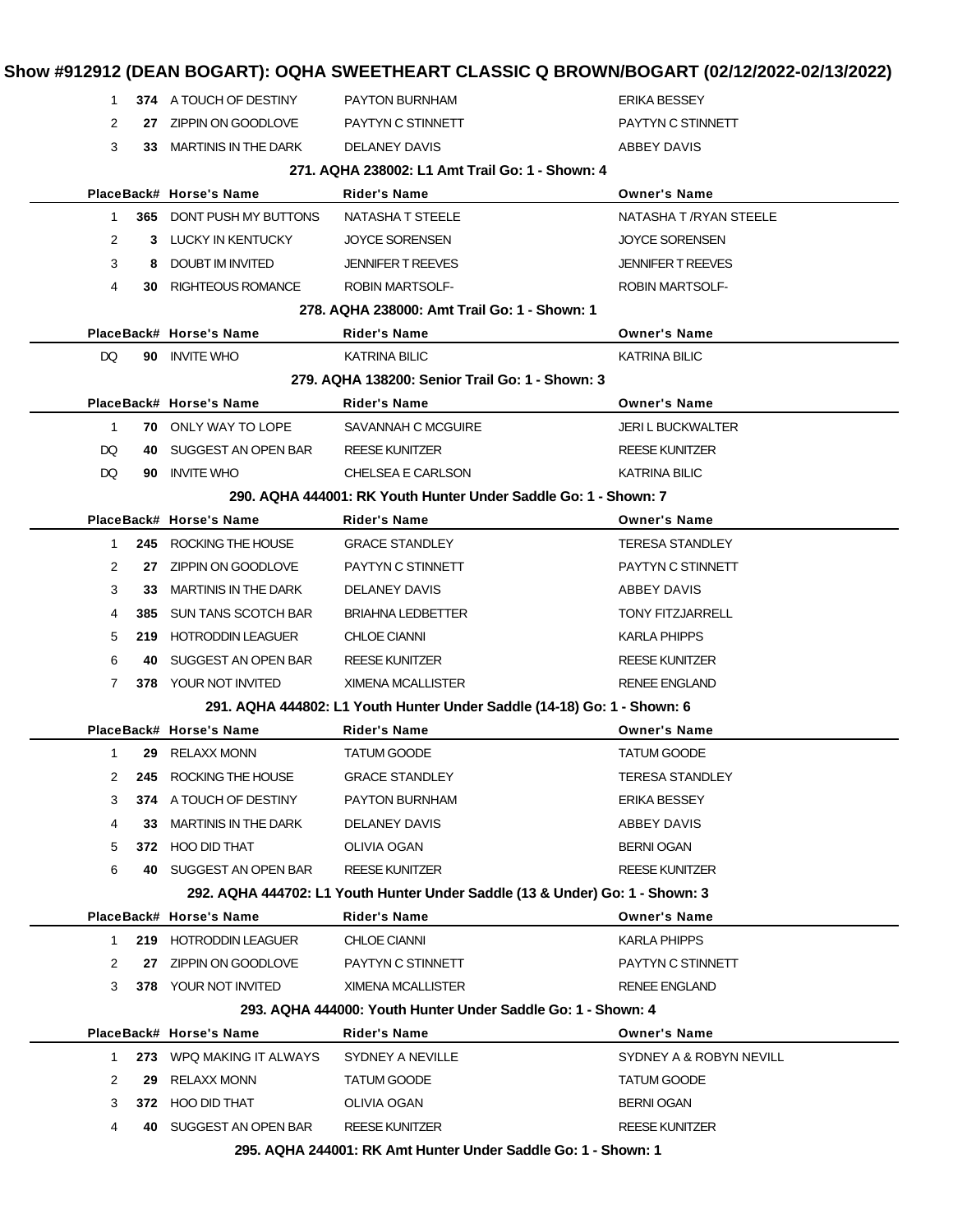| 1                    |     | 374 A TOUCH OF DESTINY          | <b>PAYTON BURNHAM</b>                                                        | <b>ERIKA BESSEY</b>      |
|----------------------|-----|---------------------------------|------------------------------------------------------------------------------|--------------------------|
| 2                    |     | 27 ZIPPIN ON GOODLOVE           | PAYTYN C STINNETT                                                            | PAYTYN C STINNETT        |
| 3                    |     | 33 MARTINIS IN THE DARK         | DELANEY DAVIS                                                                | ABBEY DAVIS              |
|                      |     |                                 | 271, AQHA 238002: L1 Amt Trail Go: 1 - Shown: 4                              |                          |
|                      |     | PlaceBack# Horse's Name         | <b>Rider's Name</b>                                                          | <b>Owner's Name</b>      |
| 1                    |     | <b>365 DONT PUSH MY BUTTONS</b> | NATASHA T STEELE                                                             | NATASHA T /RYAN STEELE   |
| $\mathbf{2}^{\circ}$ |     | 3 LUCKY IN KENTUCKY             | <b>JOYCE SORENSEN</b>                                                        | <b>JOYCE SORENSEN</b>    |
| 3                    |     | 8 DOUBT IM INVITED              | <b>JENNIFER T REEVES</b>                                                     | <b>JENNIFER T REEVES</b> |
| 4                    |     | 30 RIGHTEOUS ROMANCE            | <b>ROBIN MARTSOLF-</b>                                                       | <b>ROBIN MARTSOLF-</b>   |
|                      |     |                                 | 278. AQHA 238000: Amt Trail Go: 1 - Shown: 1                                 |                          |
|                      |     | PlaceBack# Horse's Name         | Rider's Name                                                                 | <b>Owner's Name</b>      |
| DQ.                  |     | 90 INVITE WHO                   | <b>KATRINA BILIC</b>                                                         | <b>KATRINA BILIC</b>     |
|                      |     |                                 | 279. AQHA 138200: Senior Trail Go: 1 - Shown: 3                              |                          |
|                      |     | PlaceBack# Horse's Name         | <b>Rider's Name</b>                                                          | <b>Owner's Name</b>      |
| $\mathbf{1}$         |     | <b>70 ONLY WAY TO LOPE</b>      | SAVANNAH C MCGUIRE                                                           | <b>JERI L BUCKWALTER</b> |
| DQ.                  |     | 40 SUGGEST AN OPEN BAR          | <b>REESE KUNITZER</b>                                                        | <b>REESE KUNITZER</b>    |
| DQ.                  |     | 90 INVITE WHO                   | CHELSEA E CARLSON                                                            | KATRINA BILIC            |
|                      |     |                                 | 290, AQHA 444001: RK Youth Hunter Under Saddle Go: 1 - Shown: 7              |                          |
|                      |     | PlaceBack# Horse's Name         | <b>Rider's Name</b>                                                          | <b>Owner's Name</b>      |
| $1 \quad$            |     | 245 ROCKING THE HOUSE           | <b>GRACE STANDLEY</b>                                                        | <b>TERESA STANDLEY</b>   |
| $\mathbf{2}^{\circ}$ |     | 27 ZIPPIN ON GOODLOVE           | PAYTYN C STINNETT                                                            | PAYTYN C STINNETT        |
| 3                    |     | 33 MARTINIS IN THE DARK         | DELANEY DAVIS                                                                | ABBEY DAVIS              |
| 4                    |     | 385 SUN TANS SCOTCH BAR         | <b>BRIAHNA LEDBETTER</b>                                                     | <b>TONY FITZJARRELL</b>  |
| 5                    |     | 219 HOTRODDIN LEAGUER           | <b>CHLOE CIANNI</b>                                                          | <b>KARLA PHIPPS</b>      |
| 6                    | 40. | SUGGEST AN OPEN BAR             | <b>REESE KUNITZER</b>                                                        | <b>REESE KUNITZER</b>    |
| $\overline{7}$       |     | <b>378 YOUR NOT INVITED</b>     | XIMENA MCALLISTER                                                            | <b>RENEE ENGLAND</b>     |
|                      |     |                                 | 291. AQHA 444802: L1 Youth Hunter Under Saddle (14-18) Go: 1 - Shown: 6      |                          |
|                      |     | PlaceBack# Horse's Name         | <b>Rider's Name</b>                                                          | <b>Owner's Name</b>      |
| $\mathbf{1}$         |     | 29 RELAXX MONN                  | <b>TATUM GOODE</b>                                                           | <b>TATUM GOODE</b>       |
|                      |     | 2 245 ROCKING THE HOUSE         | <b>GRACE STANDLEY</b>                                                        | <b>TERESA STANDLEY</b>   |
| 3                    |     | 374 A TOUCH OF DESTINY          | <b>PAYTON BURNHAM</b>                                                        | <b>ERIKA BESSEY</b>      |
| 4                    | 33. | <b>MARTINIS IN THE DARK</b>     | DELANEY DAVIS                                                                | ABBEY DAVIS              |
| 5                    |     | 372 HOO DID THAT                | <b>OLIVIA OGAN</b>                                                           | <b>BERNI OGAN</b>        |
| 6                    |     | 40 SUGGEST AN OPEN BAR          | <b>REESE KUNITZER</b>                                                        | <b>REESE KUNITZER</b>    |
|                      |     |                                 | 292. AQHA 444702: L1 Youth Hunter Under Saddle (13 & Under) Go: 1 - Shown: 3 |                          |
|                      |     | PlaceBack# Horse's Name         | <b>Rider's Name</b>                                                          | <b>Owner's Name</b>      |
| 1                    |     | 219 HOTRODDIN LEAGUER           | <b>CHLOE CIANNI</b>                                                          | KARLA PHIPPS             |
| 2                    | 27  | ZIPPIN ON GOODLOVE              | PAYTYN C STINNETT                                                            | PAYTYN C STINNETT        |
| 3                    |     | 378 YOUR NOT INVITED            | XIMENA MCALLISTER                                                            | <b>RENEE ENGLAND</b>     |
|                      |     |                                 | 293. AQHA 444000: Youth Hunter Under Saddle Go: 1 - Shown: 4                 |                          |
|                      |     | PlaceBack# Horse's Name         | Rider's Name                                                                 | <b>Owner's Name</b>      |
| 1.                   |     | 273 WPQ MAKING IT ALWAYS        | SYDNEY A NEVILLE                                                             | SYDNEY A & ROBYN NEVILL  |
| 2                    | 29. | RELAXX MONN                     | TATUM GOODE                                                                  | TATUM GOODE              |
| 3                    |     | 372 HOO DID THAT                | OLIVIA OGAN                                                                  | <b>BERNI OGAN</b>        |
| 4                    |     | 40 SUGGEST AN OPEN BAR          | <b>REESE KUNITZER</b>                                                        | REESE KUNITZER           |
|                      |     |                                 | 295 AOHA 244001: RK Amt Hunter Under Saddle Go: 1 - Shown: 1                 |                          |

**295. AQHA 244001: RK Amt Hunter Under Saddle Go: 1 - Shown: 1**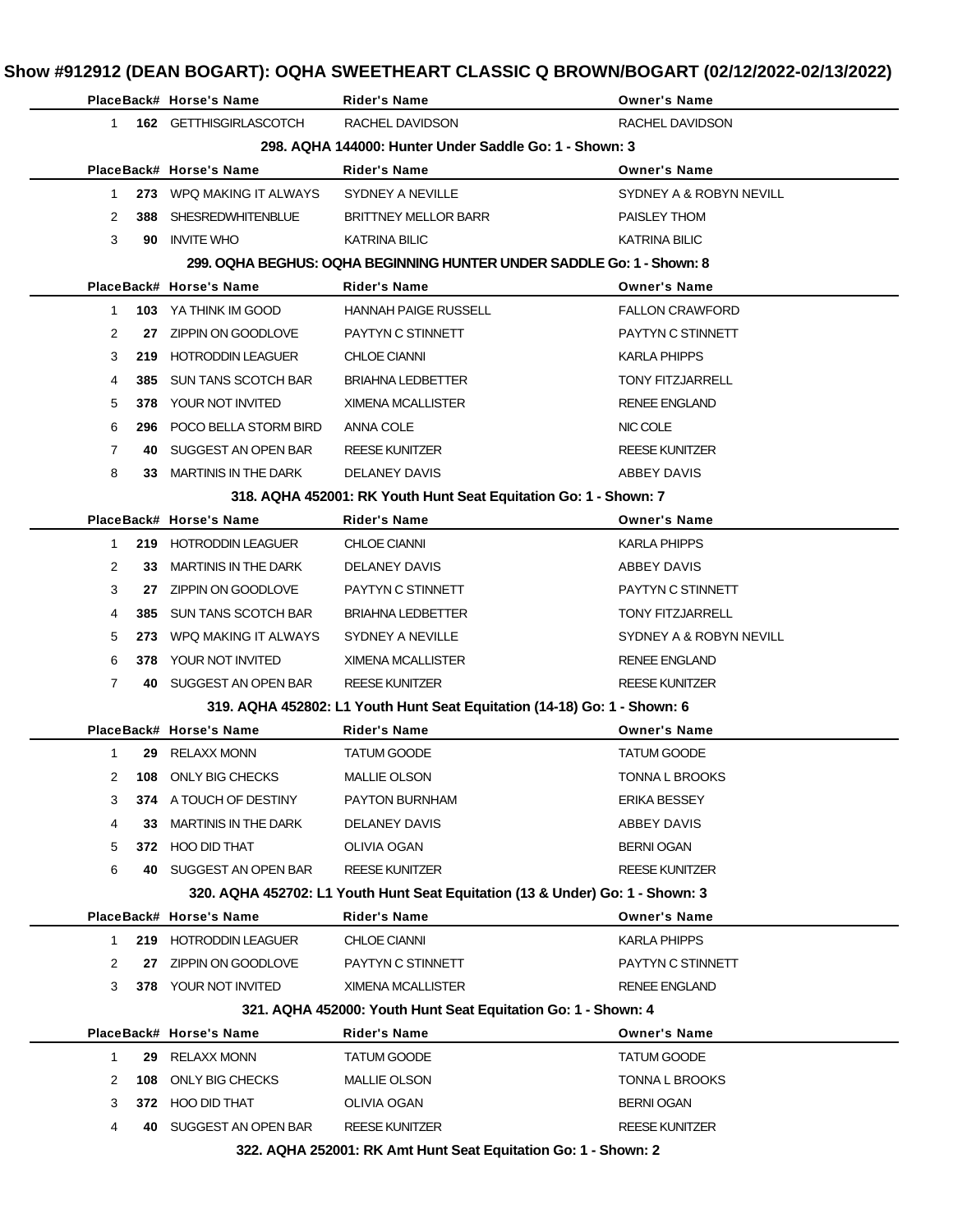|                   | PlaceBack# Horse's Name     | Rider's Name                                                                  | <b>Owner's Name</b>     |
|-------------------|-----------------------------|-------------------------------------------------------------------------------|-------------------------|
| 1                 | 162 GETTHISGIRLASCOTCH      | RACHEL DAVIDSON                                                               | RACHEL DAVIDSON         |
|                   |                             | 298. AQHA 144000: Hunter Under Saddle Go: 1 - Shown: 3                        |                         |
|                   | PlaceBack# Horse's Name     | <b>Rider's Name</b>                                                           | <b>Owner's Name</b>     |
| $\mathbf 1$       | 273 WPQ MAKING IT ALWAYS    | <b>SYDNEY A NEVILLE</b>                                                       | SYDNEY A & ROBYN NEVILL |
| 2<br>388          | SHESREDWHITENBLUE           | <b>BRITTNEY MELLOR BARR</b>                                                   | PAISLEY THOM            |
| 3<br>90           | <b>INVITE WHO</b>           | <b>KATRINA BILIC</b>                                                          | <b>KATRINA BILIC</b>    |
|                   |                             | 299, OQHA BEGHUS: OQHA BEGINNING HUNTER UNDER SADDLE Go: 1 - Shown: 8         |                         |
|                   | PlaceBack# Horse's Name     | <b>Rider's Name</b>                                                           | <b>Owner's Name</b>     |
| 1                 | <b>103</b> YA THINK IM GOOD | HANNAH PAIGE RUSSELL                                                          | <b>FALLON CRAWFORD</b>  |
| 2                 | 27 ZIPPIN ON GOODLOVE       | PAYTYN C STINNETT                                                             | PAYTYN C STINNETT       |
| 3                 | 219 HOTRODDIN LEAGUER       | <b>CHLOE CIANNI</b>                                                           | <b>KARLA PHIPPS</b>     |
| 4<br>385          | SUN TANS SCOTCH BAR         | <b>BRIAHNA LEDBETTER</b>                                                      | <b>TONY FITZJARRELL</b> |
| 5<br>378          | YOUR NOT INVITED            | XIMENA MCALLISTER                                                             | <b>RENEE ENGLAND</b>    |
| 6                 | 296 POCO BELLA STORM BIRD   | ANNA COLE                                                                     | NIC COLE                |
| 7<br>40           | SUGGEST AN OPEN BAR         | <b>REESE KUNITZER</b>                                                         | <b>REESE KUNITZER</b>   |
| 8<br>33.          | MARTINIS IN THE DARK        | DELANEY DAVIS                                                                 | ABBEY DAVIS             |
|                   |                             | 318. AQHA 452001: RK Youth Hunt Seat Equitation Go: 1 - Shown: 7              |                         |
|                   | PlaceBack# Horse's Name     | <b>Rider's Name</b>                                                           | <b>Owner's Name</b>     |
| $\mathbf{1}$      | 219 HOTRODDIN LEAGUER       | <b>CHLOE CIANNI</b>                                                           | KARLA PHIPPS            |
| 2<br>33           | MARTINIS IN THE DARK        | DELANEY DAVIS                                                                 | ABBEY DAVIS             |
| 3                 | 27 ZIPPIN ON GOODLOVE       | PAYTYN C STINNETT                                                             | PAYTYN C STINNETT       |
| 4                 | 385 SUN TANS SCOTCH BAR     | <b>BRIAHNA LEDBETTER</b>                                                      | <b>TONY FITZJARRELL</b> |
| 5<br>273          | WPQ MAKING IT ALWAYS        | SYDNEY A NEVILLE                                                              | SYDNEY A & ROBYN NEVILL |
| 6<br>378          | YOUR NOT INVITED            | XIMENA MCALLISTER                                                             | <b>RENEE ENGLAND</b>    |
| 7                 | 40 SUGGEST AN OPEN BAR      | <b>REESE KUNITZER</b>                                                         | REESE KUNITZER          |
|                   |                             | 319. AQHA 452802: L1 Youth Hunt Seat Equitation (14-18) Go: 1 - Shown: 6      |                         |
|                   | PlaceBack# Horse's Name     | Rider's Name                                                                  | <b>Owner's Name</b>     |
| $\mathbf{1}$      | 29 RELAXX MONN              | <b>TATUM GOODE</b>                                                            | <b>TATUM GOODE</b>      |
| 2                 | 108 ONLY BIG CHECKS         | MALLIE OLSON                                                                  | <b>TONNA L BROOKS</b>   |
| 3                 | 374 A TOUCH OF DESTINY      | PAYTON BURNHAM                                                                | ERIKA BESSEY            |
| 4<br>33           | <b>MARTINIS IN THE DARK</b> | DELANEY DAVIS                                                                 | ABBEY DAVIS             |
| 5                 | 372 HOO DID THAT            | OLIVIA OGAN                                                                   | <b>BERNI OGAN</b>       |
| 6                 | 40 SUGGEST AN OPEN BAR      | <b>REESE KUNITZER</b>                                                         | REESE KUNITZER          |
|                   |                             | 320. AQHA 452702: L1 Youth Hunt Seat Equitation (13 & Under) Go: 1 - Shown: 3 |                         |
|                   | PlaceBack# Horse's Name     | <b>Rider's Name</b>                                                           | <b>Owner's Name</b>     |
| 1.                | 219 HOTRODDIN LEAGUER       | <b>CHLOE CIANNI</b>                                                           | <b>KARLA PHIPPS</b>     |
| 2                 | 27 ZIPPIN ON GOODLOVE       | PAYTYN C STINNETT                                                             | PAYTYN C STINNETT       |
| 3                 | 378 YOUR NOT INVITED        | XIMENA MCALLISTER                                                             | <b>RENEE ENGLAND</b>    |
|                   |                             | 321. AQHA 452000: Youth Hunt Seat Equitation Go: 1 - Shown: 4                 |                         |
|                   | PlaceBack# Horse's Name     | <b>Rider's Name</b>                                                           | <b>Owner's Name</b>     |
| $\mathbf 1$<br>29 | RELAXX MONN                 | TATUM GOODE                                                                   | <b>TATUM GOODE</b>      |
| 2<br>108          | ONLY BIG CHECKS             | <b>MALLIE OLSON</b>                                                           | <b>TONNA L BROOKS</b>   |
| 3                 | 372 HOO DID THAT            | <b>OLIVIA OGAN</b>                                                            | <b>BERNI OGAN</b>       |
| 4<br>40.          | SUGGEST AN OPEN BAR         | <b>REESE KUNITZER</b>                                                         | REESE KUNITZER          |
|                   |                             | 322. AQHA 252001: RK Amt Hunt Seat Equitation Go: 1 - Shown: 2                |                         |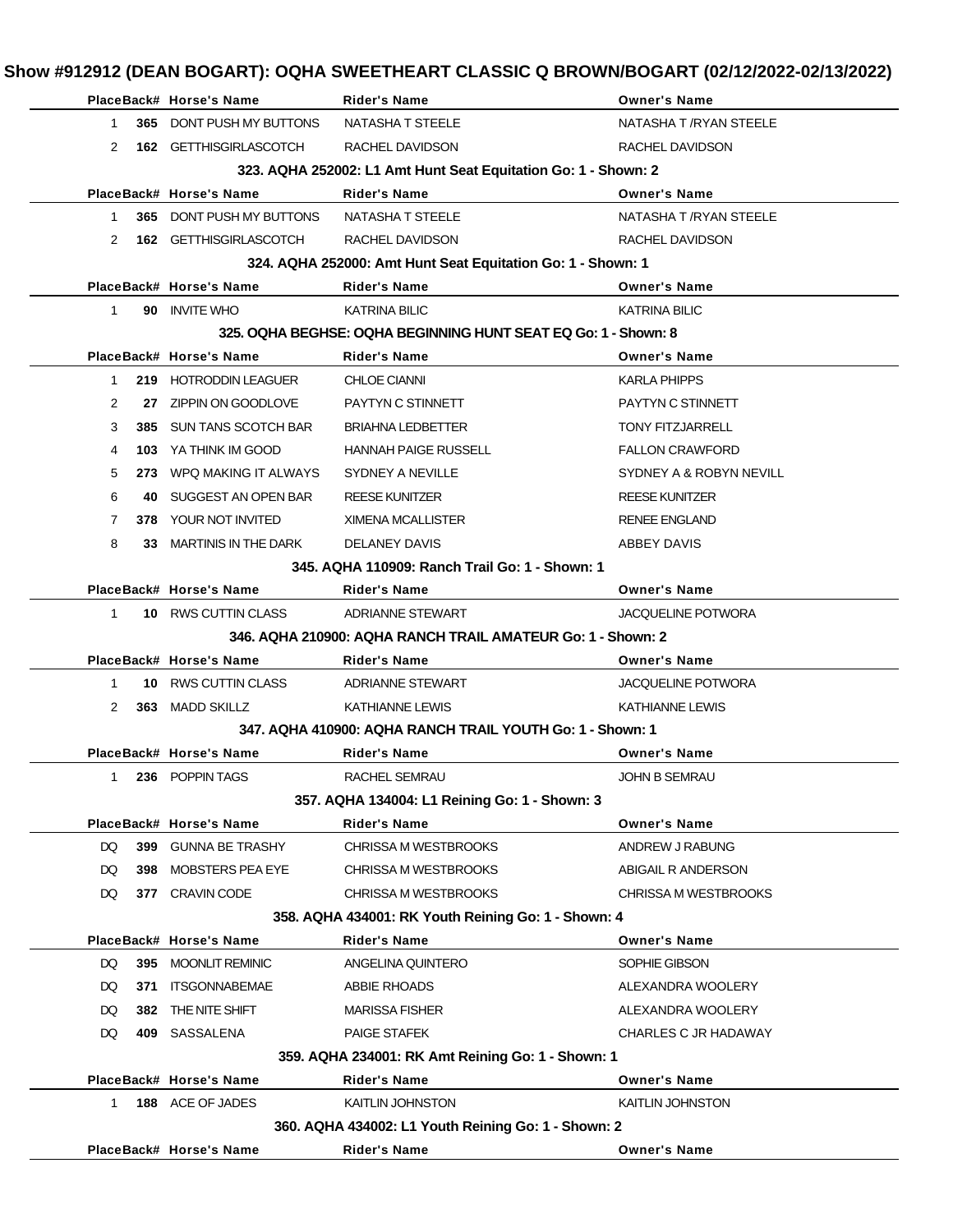|                    | PlaceBack# Horse's Name | <b>Rider's Name</b>                                            | <b>Owner's Name</b>       |
|--------------------|-------------------------|----------------------------------------------------------------|---------------------------|
| $\mathbf 1$<br>365 | DONT PUSH MY BUTTONS    | NATASHA T STEELE                                               | NATASHA T / RYAN STEELE   |
| 2                  | 162 GETTHISGIRLASCOTCH  | RACHEL DAVIDSON                                                | RACHEL DAVIDSON           |
|                    |                         | 323. AQHA 252002: L1 Amt Hunt Seat Equitation Go: 1 - Shown: 2 |                           |
|                    | PlaceBack# Horse's Name | <b>Rider's Name</b>                                            | <b>Owner's Name</b>       |
| 365<br>1           | DONT PUSH MY BUTTONS    | NATASHA T STEELE                                               | NATASHA T / RYAN STEELE   |
| 2                  | 162 GETTHISGIRLASCOTCH  | RACHEL DAVIDSON                                                | RACHEL DAVIDSON           |
|                    |                         | 324. AQHA 252000: Amt Hunt Seat Equitation Go: 1 - Shown: 1    |                           |
|                    | PlaceBack# Horse's Name | <b>Rider's Name</b>                                            | <b>Owner's Name</b>       |
| $\mathbf 1$        | 90 INVITE WHO           | <b>KATRINA BILIC</b>                                           | <b>KATRINA BILIC</b>      |
|                    |                         | 325. OQHA BEGHSE: OQHA BEGINNING HUNT SEAT EQ Go: 1 - Shown: 8 |                           |
|                    | PlaceBack# Horse's Name | Rider's Name                                                   | <b>Owner's Name</b>       |
| 1                  | 219 HOTRODDIN LEAGUER   | <b>CHLOE CIANNI</b>                                            | <b>KARLA PHIPPS</b>       |
| 2<br>27            | ZIPPIN ON GOODLOVE      | PAYTYN C STINNETT                                              | PAYTYN C STINNETT         |
| 3<br>385           | SUN TANS SCOTCH BAR     | <b>BRIAHNA LEDBETTER</b>                                       | <b>TONY FITZJARRELL</b>   |
| 4<br>103           | YA THINK IM GOOD        | <b>HANNAH PAIGE RUSSELL</b>                                    | <b>FALLON CRAWFORD</b>    |
| 5<br>273           | WPQ MAKING IT ALWAYS    | <b>SYDNEY A NEVILLE</b>                                        | SYDNEY A & ROBYN NEVILL   |
| 6<br>40            | SUGGEST AN OPEN BAR     | <b>REESE KUNITZER</b>                                          | <b>REESE KUNITZER</b>     |
| 7<br>378           | YOUR NOT INVITED        | XIMENA MCALLISTER                                              | <b>RENEE ENGLAND</b>      |
| 8<br>33            | MARTINIS IN THE DARK    | DELANEY DAVIS                                                  | ABBEY DAVIS               |
|                    |                         | 345, AQHA 110909: Ranch Trail Go: 1 - Shown: 1                 |                           |
|                    | PlaceBack# Horse's Name | <b>Rider's Name</b>                                            | <b>Owner's Name</b>       |
| $\mathbf{1}$       | 10 RWS CUTTIN CLASS     | ADRIANNE STEWART                                               | <b>JACQUELINE POTWORA</b> |
|                    |                         | 346, AQHA 210900: AQHA RANCH TRAIL AMATEUR Go: 1 - Shown: 2    |                           |
|                    | PlaceBack# Horse's Name | Rider's Name                                                   | <b>Owner's Name</b>       |
| $\mathbf 1$<br>10  | RWS CUTTIN CLASS        | <b>ADRIANNE STEWART</b>                                        | <b>JACQUELINE POTWORA</b> |
| 2                  | 363 MADD SKILLZ         | KATHIANNE LEWIS                                                | <b>KATHIANNE LEWIS</b>    |
|                    |                         | 347. AQHA 410900: AQHA RANCH TRAIL YOUTH Go: 1 - Shown: 1      |                           |
|                    | PlaceBack# Horse's Name | Rider's Name                                                   | <b>Owner's Name</b>       |
| 1                  | 236 POPPIN TAGS         | RACHEL SEMRAU                                                  | <b>JOHN B SEMRAU</b>      |
|                    |                         | 357. AQHA 134004: L1 Reining Go: 1 - Shown: 3                  |                           |
|                    | PlaceBack# Horse's Name | <b>Rider's Name</b>                                            | <b>Owner's Name</b>       |
| DQ<br>399          | <b>GUNNA BE TRASHY</b>  | <b>CHRISSA M WESTBROOKS</b>                                    | ANDREW J RABUNG           |
| DQ<br>398          | <b>MOBSTERS PEA EYE</b> | CHRISSA M WESTBROOKS                                           | ABIGAIL R ANDERSON        |
| DQ                 | 377 CRAVIN CODE         | CHRISSA M WESTBROOKS                                           | CHRISSA M WESTBROOKS      |
|                    |                         | 358. AQHA 434001: RK Youth Reining Go: 1 - Shown: 4            |                           |
|                    | PlaceBack# Horse's Name | Rider's Name                                                   | <b>Owner's Name</b>       |
| DQ<br>395          | <b>MOONLIT REMINIC</b>  | ANGELINA QUINTERO                                              | SOPHIE GIBSON             |
| DQ<br>371          | <b>ITSGONNABEMAE</b>    | ABBIE RHOADS                                                   | ALEXANDRA WOOLERY         |
| DQ<br>382          | THE NITE SHIFT          | <b>MARISSA FISHER</b>                                          | ALEXANDRA WOOLERY         |
| DQ                 | 409 SASSALENA           | PAIGE STAFEK                                                   | CHARLES C JR HADAWAY      |
|                    |                         | 359. AQHA 234001: RK Amt Reining Go: 1 - Shown: 1              |                           |
|                    | PlaceBack# Horse's Name | <b>Rider's Name</b>                                            | <b>Owner's Name</b>       |
| $\mathbf{1}$       | 188 ACE OF JADES        | KAITLIN JOHNSTON                                               | KAITLIN JOHNSTON          |
|                    |                         | 360. AQHA 434002: L1 Youth Reining Go: 1 - Shown: 2            |                           |
|                    | PlaceBack# Horse's Name | Rider's Name                                                   | <b>Owner's Name</b>       |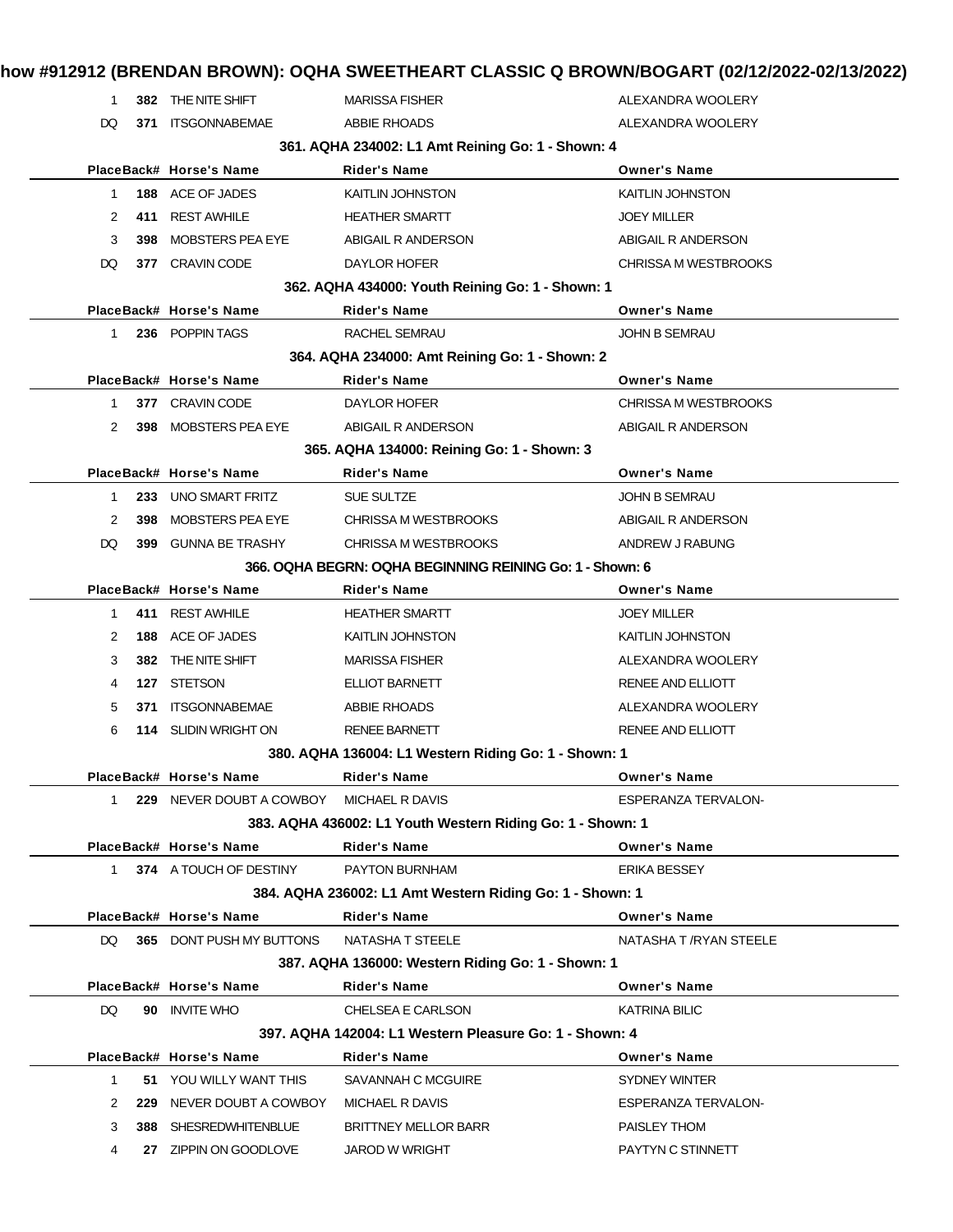|              |            | 382 THE NITE SHIFT                               | <b>MARISSA FISHER</b>                                                    | ALEXANDRA WOOLERY                             |
|--------------|------------|--------------------------------------------------|--------------------------------------------------------------------------|-----------------------------------------------|
| DQ           | 371        | <b>ITSGONNABEMAE</b>                             | <b>ABBIE RHOADS</b>                                                      | ALEXANDRA WOOLERY                             |
|              |            |                                                  | 361. AQHA 234002: L1 Amt Reining Go: 1 - Shown: 4                        |                                               |
|              |            | PlaceBack# Horse's Name                          | <b>Rider's Name</b>                                                      | <b>Owner's Name</b>                           |
| $\mathbf{1}$ |            | 188 ACE OF JADES                                 | <b>KAITLIN JOHNSTON</b>                                                  | KAITLIN JOHNSTON                              |
| 2            | 411        | <b>REST AWHILE</b>                               | <b>HEATHER SMARTT</b>                                                    | <b>JOEY MILLER</b>                            |
| 3            | 398        | <b>MOBSTERS PEA EYE</b>                          | ABIGAIL R ANDERSON                                                       | ABIGAIL R ANDERSON                            |
| DQ           |            | 377 CRAVIN CODE                                  | DAYLOR HOFER                                                             | <b>CHRISSA M WESTBROOKS</b>                   |
|              |            |                                                  | 362. AQHA 434000: Youth Reining Go: 1 - Shown: 1                         |                                               |
|              |            | PlaceBack# Horse's Name                          | Rider's Name                                                             | <b>Owner's Name</b>                           |
| 1            |            | 236 POPPIN TAGS                                  | RACHEL SEMRAU                                                            | <b>JOHN B SEMRAU</b>                          |
|              |            |                                                  | 364. AQHA 234000: Amt Reining Go: 1 - Shown: 2                           |                                               |
|              |            | PlaceBack# Horse's Name                          | <b>Rider's Name</b>                                                      | <b>Owner's Name</b>                           |
| 1.           |            | 377 CRAVIN CODE                                  | DAYLOR HOFER                                                             | <b>CHRISSA M WESTBROOKS</b>                   |
| 2            |            | 398 MOBSTERS PEA EYE                             | ABIGAIL R ANDERSON                                                       | ABIGAIL R ANDERSON                            |
|              |            |                                                  | 365. AQHA 134000: Reining Go: 1 - Shown: 3                               |                                               |
|              |            | PlaceBack# Horse's Name                          | <b>Rider's Name</b>                                                      | <b>Owner's Name</b>                           |
| 1            |            | 233 UNO SMART FRITZ                              | <b>SUE SULTZE</b>                                                        | JOHN B SEMRAU                                 |
| 2            | 398        | MOBSTERS PEA EYE                                 | <b>CHRISSA M WESTBROOKS</b>                                              | ABIGAIL R ANDERSON                            |
| DQ.          | 399        | <b>GUNNA BE TRASHY</b>                           | CHRISSA M WESTBROOKS                                                     | ANDREW J RABUNG                               |
|              |            |                                                  | 366. OQHA BEGRN: OQHA BEGINNING REINING Go: 1 - Shown: 6                 |                                               |
|              |            | PlaceBack# Horse's Name                          | Rider's Name                                                             | <b>Owner's Name</b>                           |
| 1            |            | 411 REST AWHILE                                  | <b>HEATHER SMARTT</b>                                                    | <b>JOEY MILLER</b>                            |
| 2            |            | 188 ACE OF JADES                                 | KAITLIN JOHNSTON                                                         | KAITLIN JOHNSTON                              |
| 3            |            | 382 THE NITE SHIFT                               | <b>MARISSA FISHER</b>                                                    | ALEXANDRA WOOLERY                             |
| 4            | 127        | <b>STETSON</b>                                   | ELLIOT BARNETT                                                           | RENEE AND ELLIOTT                             |
| 5            | 371        | <b>ITSGONNABEMAE</b>                             | <b>ABBIE RHOADS</b>                                                      | ALEXANDRA WOOLERY                             |
| 6            |            | 114 SLIDIN WRIGHT ON                             | <b>RENEE BARNETT</b>                                                     | RENEE AND ELLIOTT                             |
|              |            |                                                  | 380. AQHA 136004: L1 Western Riding Go: 1 - Shown: 1                     |                                               |
|              |            | PlaceBack# Horse's Name                          | Rider's Name                                                             | <b>Owner's Name</b>                           |
| 1            |            | 229 NEVER DOUBT A COWBOY                         | MICHAEL R DAVIS                                                          | <b>ESPERANZA TERVALON-</b>                    |
|              |            |                                                  | 383. AQHA 436002: L1 Youth Western Riding Go: 1 - Shown: 1               |                                               |
|              |            | PlaceBack# Horse's Name                          | <b>Rider's Name</b>                                                      | <b>Owner's Name</b>                           |
|              |            |                                                  |                                                                          |                                               |
| 1.           |            | 374 A TOUCH OF DESTINY                           | <b>PAYTON BURNHAM</b>                                                    | <b>ERIKA BESSEY</b>                           |
|              |            |                                                  |                                                                          |                                               |
|              |            | PlaceBack# Horse's Name                          | 384. AQHA 236002: L1 Amt Western Riding Go: 1 - Shown: 1                 |                                               |
| DQ.          |            | 365 DONT PUSH MY BUTTONS                         | <b>Rider's Name</b><br>NATASHA T STEELE                                  | <b>Owner's Name</b><br>NATASHA T /RYAN STEELE |
|              |            |                                                  |                                                                          |                                               |
|              |            | PlaceBack# Horse's Name                          | 387. AQHA 136000: Western Riding Go: 1 - Shown: 1<br><b>Rider's Name</b> | <b>Owner's Name</b>                           |
| DQ           | 90         | <b>INVITE WHO</b>                                | CHELSEA E CARLSON                                                        | <b>KATRINA BILIC</b>                          |
|              |            |                                                  | 397. AQHA 142004: L1 Western Pleasure Go: 1 - Shown: 4                   |                                               |
|              |            |                                                  |                                                                          |                                               |
|              |            | PlaceBack# Horse's Name                          | Rider's Name                                                             | <b>Owner's Name</b>                           |
| $\mathbf{1}$ |            | 51 YOU WILLY WANT THIS                           | SAVANNAH C MCGUIRE                                                       | <b>SYDNEY WINTER</b>                          |
| 2<br>3       | 229<br>388 | NEVER DOUBT A COWBOY<br><b>SHESREDWHITENBLUE</b> | MICHAEL R DAVIS<br><b>BRITTNEY MELLOR BARR</b>                           | ESPERANZA TERVALON-<br>PAISLEY THOM           |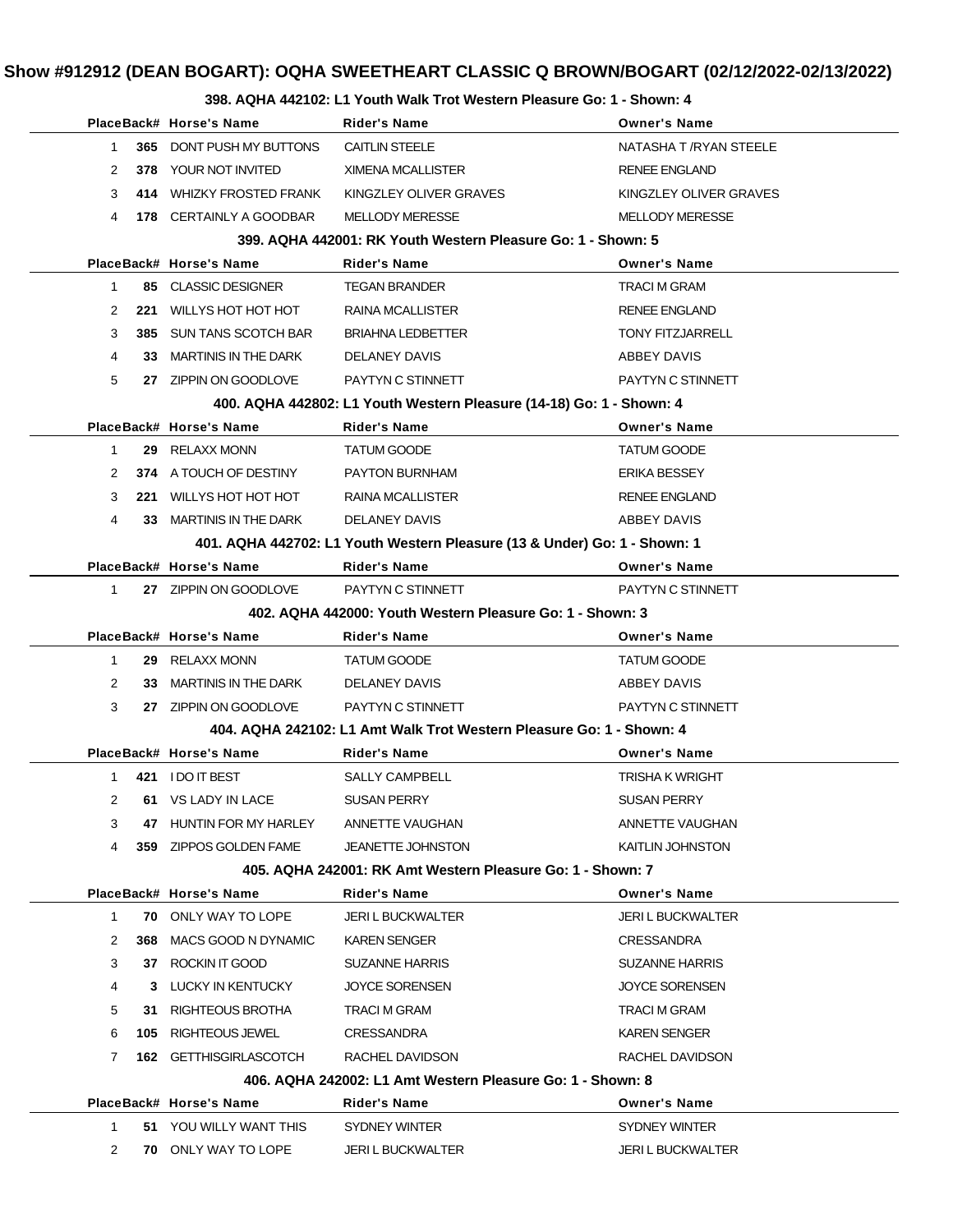### **398. AQHA 442102: L1 Youth Walk Trot Western Pleasure Go: 1 - Shown: 4**

| IN THE IVE. LT TURNIT WAIR TIUL WESTERN FIGUOUSE OU. T |     |                             |                                                                           |                          |  |
|--------------------------------------------------------|-----|-----------------------------|---------------------------------------------------------------------------|--------------------------|--|
|                                                        |     | PlaceBack# Horse's Name     | <b>Rider's Name</b>                                                       | <b>Owner's Name</b>      |  |
| $\mathbf{1}$                                           |     | 365 DONT PUSH MY BUTTONS    | <b>CAITLIN STEELE</b>                                                     | NATASHA T / RYAN STEELE  |  |
| 2                                                      |     | 378 YOUR NOT INVITED        | XIMENA MCALLISTER                                                         | <b>RENEE ENGLAND</b>     |  |
| 3                                                      | 414 | <b>WHIZKY FROSTED FRANK</b> | KINGZLEY OLIVER GRAVES                                                    | KINGZLEY OLIVER GRAVES   |  |
| 4                                                      |     | 178 CERTAINLY A GOODBAR     | <b>MELLODY MERESSE</b>                                                    | <b>MELLODY MERESSE</b>   |  |
|                                                        |     |                             | 399. AQHA 442001: RK Youth Western Pleasure Go: 1 - Shown: 5              |                          |  |
|                                                        |     | PlaceBack# Horse's Name     | <b>Rider's Name</b>                                                       | <b>Owner's Name</b>      |  |
| $\mathbf{1}$                                           |     | 85 CLASSIC DESIGNER         | <b>TEGAN BRANDER</b>                                                      | <b>TRACI M GRAM</b>      |  |
| 2                                                      | 221 | WILLYS HOT HOT HOT          | RAINA MCALLISTER                                                          | <b>RENEE ENGLAND</b>     |  |
| 3                                                      |     | 385 SUN TANS SCOTCH BAR     | <b>BRIAHNA LEDBETTER</b>                                                  | <b>TONY FITZJARRELL</b>  |  |
| 4                                                      |     | 33 MARTINIS IN THE DARK     | DELANEY DAVIS                                                             | ABBEY DAVIS              |  |
| 5                                                      |     | 27 ZIPPIN ON GOODLOVE       | PAYTYN C STINNETT                                                         | PAYTYN C STINNETT        |  |
|                                                        |     |                             | 400. AQHA 442802: L1 Youth Western Pleasure (14-18) Go: 1 - Shown: 4      |                          |  |
|                                                        |     | PlaceBack# Horse's Name     | <b>Rider's Name</b>                                                       | <b>Owner's Name</b>      |  |
| $\mathbf{1}$                                           |     | 29 RELAXX MONN              | <b>TATUM GOODE</b>                                                        | <b>TATUM GOODE</b>       |  |
| 2                                                      |     | 374 A TOUCH OF DESTINY      | <b>PAYTON BURNHAM</b>                                                     | <b>ERIKA BESSEY</b>      |  |
| 3                                                      | 221 | WILLYS HOT HOT HOT          | <b>RAINA MCALLISTER</b>                                                   | <b>RENEE ENGLAND</b>     |  |
| 4                                                      |     | 33 MARTINIS IN THE DARK     | <b>DELANEY DAVIS</b>                                                      | ABBEY DAVIS              |  |
|                                                        |     |                             | 401. AQHA 442702: L1 Youth Western Pleasure (13 & Under) Go: 1 - Shown: 1 |                          |  |
|                                                        |     | PlaceBack# Horse's Name     | <b>Rider's Name</b>                                                       | <b>Owner's Name</b>      |  |
| $\mathbf{1}$                                           |     | 27 ZIPPIN ON GOODLOVE       | PAYTYN C STINNETT                                                         | PAYTYN C STINNETT        |  |
|                                                        |     |                             | 402. AQHA 442000: Youth Western Pleasure Go: 1 - Shown: 3                 |                          |  |
|                                                        |     | PlaceBack# Horse's Name     | <b>Rider's Name</b>                                                       | <b>Owner's Name</b>      |  |
| $\mathbf{1}$                                           |     | 29 RELAXX MONN              | TATUM GOODE                                                               | <b>TATUM GOODE</b>       |  |
| 2                                                      | 33  | MARTINIS IN THE DARK        | DELANEY DAVIS                                                             | ABBEY DAVIS              |  |
| 3                                                      |     | 27 ZIPPIN ON GOODLOVE       | PAYTYN C STINNETT                                                         | PAYTYN C STINNETT        |  |
|                                                        |     |                             | 404. AQHA 242102: L1 Amt Walk Trot Western Pleasure Go: 1 - Shown: 4      |                          |  |
|                                                        |     | PlaceBack# Horse's Name     | <b>Rider's Name</b>                                                       | <b>Owner's Name</b>      |  |
| 1.                                                     |     | 421 IDO IT BEST             | <b>SALLY CAMPBELL</b>                                                     | <b>TRISHA K WRIGHT</b>   |  |
| $\mathbf{2}$                                           |     | 61 VS LADY IN LACE          | SUSAN PERRY                                                               | <b>SUSAN PERRY</b>       |  |
| 3                                                      |     | 47 HUNTIN FOR MY HARLEY     | ANNETTE VAUGHAN                                                           | ANNETTE VAUGHAN          |  |
| 4                                                      |     | 359 ZIPPOS GOLDEN FAME      | <b>JEANETTE JOHNSTON</b>                                                  | KAITLIN JOHNSTON         |  |
|                                                        |     |                             | 405, AQHA 242001: RK Amt Western Pleasure Go: 1 - Shown: 7                |                          |  |
|                                                        |     | PlaceBack# Horse's Name     | <b>Rider's Name</b>                                                       | <b>Owner's Name</b>      |  |
| $\mathbf{1}$                                           |     | <b>70 ONLY WAY TO LOPE</b>  | <b>JERI L BUCKWALTER</b>                                                  | <b>JERI L BUCKWALTER</b> |  |
| 2                                                      | 368 | MACS GOOD N DYNAMIC         | <b>KAREN SENGER</b>                                                       | <b>CRESSANDRA</b>        |  |
| 3                                                      |     | 37 ROCKIN IT GOOD           | <b>SUZANNE HARRIS</b>                                                     | <b>SUZANNE HARRIS</b>    |  |
| 4                                                      |     | 3 LUCKY IN KENTUCKY         | <b>JOYCE SORENSEN</b>                                                     | <b>JOYCE SORENSEN</b>    |  |
| 5                                                      | 31. | RIGHTEOUS BROTHA            | TRACI M GRAM                                                              | <b>TRACI M GRAM</b>      |  |
| 6                                                      | 105 | RIGHTEOUS JEWEL             | CRESSANDRA                                                                | <b>KAREN SENGER</b>      |  |
| 7                                                      |     | 162 GETTHISGIRLASCOTCH      | RACHEL DAVIDSON                                                           | RACHEL DAVIDSON          |  |
|                                                        |     |                             | 406. AQHA 242002: L1 Amt Western Pleasure Go: 1 - Shown: 8                |                          |  |
|                                                        |     | PlaceBack# Horse's Name     | <b>Rider's Name</b>                                                       | <b>Owner's Name</b>      |  |
| $\mathbf{1}$                                           |     | 51 YOU WILLY WANT THIS      | SYDNEY WINTER                                                             | SYDNEY WINTER            |  |
| 2                                                      |     | <b>70 ONLY WAY TO LOPE</b>  | <b>JERI L BUCKWALTER</b>                                                  | <b>JERI L BUCKWALTER</b> |  |
|                                                        |     |                             |                                                                           |                          |  |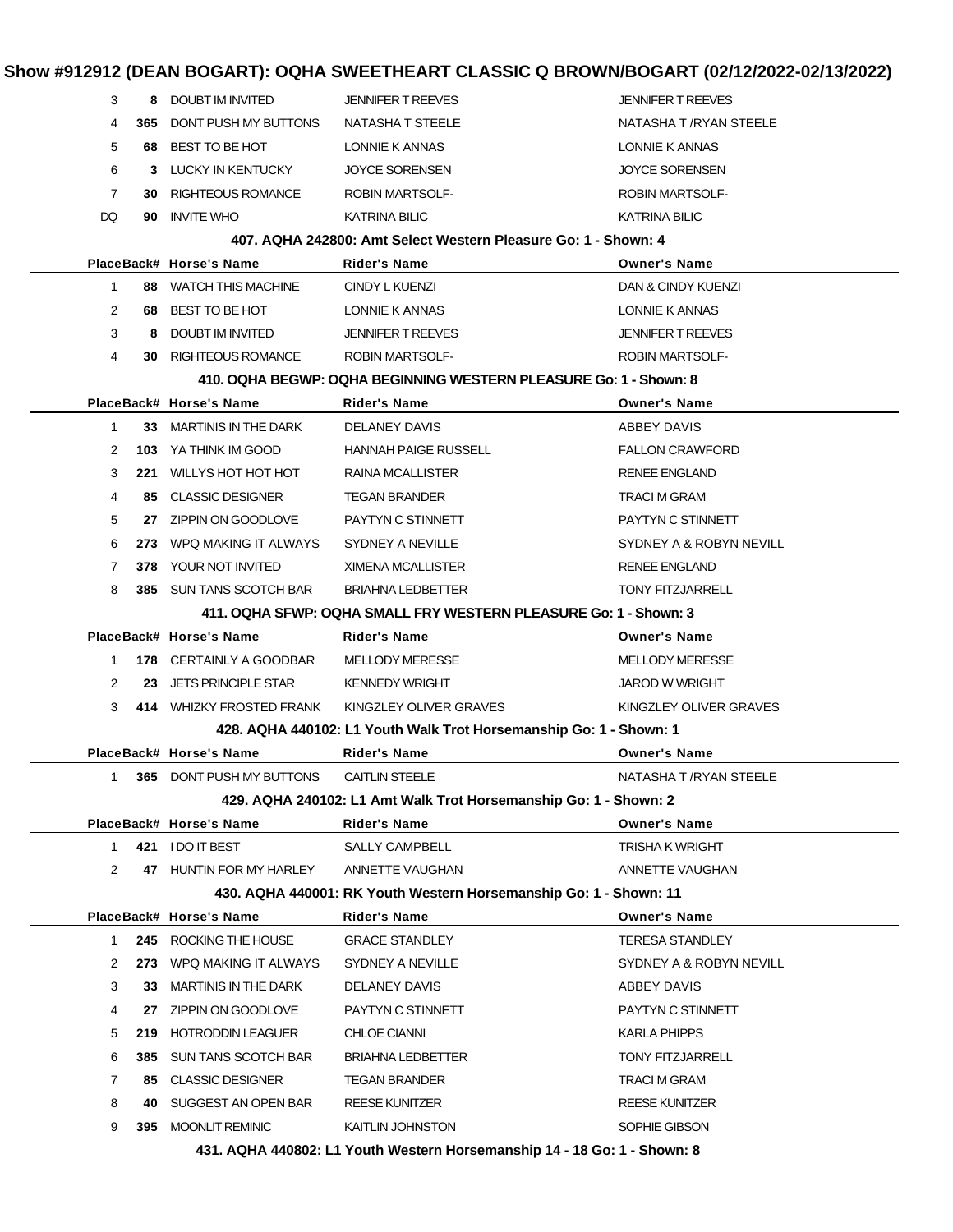| Show #912912 (DEAN BOGART): OQHA SWEETHEART CLASSIC Q BROWN/BOGART (02/12/2022-02/13/2022) |                       |                             |                                                                    |                          |  |
|--------------------------------------------------------------------------------------------|-----------------------|-----------------------------|--------------------------------------------------------------------|--------------------------|--|
|                                                                                            | 3<br>8                | DOUBT IM INVITED            | <b>JENNIFER T REEVES</b>                                           | <b>JENNIFER T REEVES</b> |  |
|                                                                                            | 4<br>365              | DONT PUSH MY BUTTONS        | NATASHA T STEELE                                                   | NATASHA T /RYAN STEELE   |  |
|                                                                                            | 5<br>68               | BEST TO BE HOT              | LONNIE K ANNAS                                                     | LONNIE K ANNAS           |  |
|                                                                                            | 6<br>3                | LUCKY IN KENTUCKY           | <b>JOYCE SORENSEN</b>                                              | <b>JOYCE SORENSEN</b>    |  |
|                                                                                            | $\overline{7}$<br>30. | <b>RIGHTEOUS ROMANCE</b>    | <b>ROBIN MARTSOLF-</b>                                             | <b>ROBIN MARTSOLF-</b>   |  |
| DQ                                                                                         | 90                    | <b>INVITE WHO</b>           | <b>KATRINA BILIC</b>                                               | <b>KATRINA BILIC</b>     |  |
|                                                                                            |                       |                             | 407. AQHA 242800: Amt Select Western Pleasure Go: 1 - Shown: 4     |                          |  |
|                                                                                            |                       | PlaceBack# Horse's Name     | Rider's Name                                                       | <b>Owner's Name</b>      |  |
|                                                                                            | $\mathbf{1}$          | 88 WATCH THIS MACHINE       | CINDY L KUENZI                                                     | DAN & CINDY KUENZI       |  |
|                                                                                            | 2<br>68               | BEST TO BE HOT              | LONNIE K ANNAS                                                     | LONNIE K ANNAS           |  |
|                                                                                            | 3<br>8                | DOUBT IM INVITED            | <b>JENNIFER T REEVES</b>                                           | <b>JENNIFER T REEVES</b> |  |
|                                                                                            | 4                     | 30 RIGHTEOUS ROMANCE        | <b>ROBIN MARTSOLF-</b>                                             | <b>ROBIN MARTSOLF-</b>   |  |
|                                                                                            |                       |                             | 410. OQHA BEGWP: OQHA BEGINNING WESTERN PLEASURE Go: 1 - Shown: 8  |                          |  |
|                                                                                            |                       | PlaceBack# Horse's Name     | <b>Rider's Name</b>                                                | <b>Owner's Name</b>      |  |
|                                                                                            | $\mathbf{1}$          | 33 MARTINIS IN THE DARK     | DELANEY DAVIS                                                      | ABBEY DAVIS              |  |
|                                                                                            | 2<br>103              | YA THINK IM GOOD            | <b>HANNAH PAIGE RUSSELL</b>                                        | <b>FALLON CRAWFORD</b>   |  |
|                                                                                            | 3<br>221              | WILLYS HOT HOT HOT          | <b>RAINA MCALLISTER</b>                                            | <b>RENEE ENGLAND</b>     |  |
|                                                                                            | 4<br>85.              | <b>CLASSIC DESIGNER</b>     | <b>TEGAN BRANDER</b>                                               | TRACI M GRAM             |  |
|                                                                                            | 5                     | 27 ZIPPIN ON GOODLOVE       | PAYTYN C STINNETT                                                  | PAYTYN C STINNETT        |  |
|                                                                                            | 6<br>273              | WPQ MAKING IT ALWAYS        | SYDNEY A NEVILLE                                                   | SYDNEY A & ROBYN NEVILL  |  |
|                                                                                            | 7<br>378              | YOUR NOT INVITED            | <b>XIMENA MCALLISTER</b>                                           | <b>RENEE ENGLAND</b>     |  |
|                                                                                            | 8<br>385.             | SUN TANS SCOTCH BAR         | <b>BRIAHNA LEDBETTER</b>                                           | <b>TONY FITZJARRELL</b>  |  |
|                                                                                            |                       |                             | 411. OQHA SFWP: OQHA SMALL FRY WESTERN PLEASURE Go: 1 - Shown: 3   |                          |  |
|                                                                                            |                       | PlaceBack# Horse's Name     | Rider's Name                                                       | <b>Owner's Name</b>      |  |
|                                                                                            | 1                     | 178 CERTAINLY A GOODBAR     | <b>MELLODY MERESSE</b>                                             | <b>MELLODY MERESSE</b>   |  |
|                                                                                            | 2<br>23               | <b>JETS PRINCIPLE STAR</b>  | <b>KENNEDY WRIGHT</b>                                              | <b>JAROD W WRIGHT</b>    |  |
|                                                                                            | 3                     | 414 WHIZKY FROSTED FRANK    | KINGZLEY OLIVER GRAVES                                             | KINGZLEY OLIVER GRAVES   |  |
|                                                                                            |                       |                             | 428. AQHA 440102: L1 Youth Walk Trot Horsemanship Go: 1 - Shown: 1 |                          |  |
|                                                                                            |                       | PlaceBack# Horse's Name     | Rider's Name                                                       | <b>Owner's Name</b>      |  |
|                                                                                            | 1                     | 365 DONT PUSH MY BUTTONS    | <b>CAITLIN STEELE</b>                                              | NATASHA T / RYAN STEELE  |  |
|                                                                                            |                       |                             | 429. AQHA 240102: L1 Amt Walk Trot Horsemanship Go: 1 - Shown: 2   |                          |  |
|                                                                                            |                       | PlaceBack# Horse's Name     | <b>Rider's Name</b>                                                | <b>Owner's Name</b>      |  |
|                                                                                            | 1.                    | 421 IDO IT BEST             | <b>SALLY CAMPBELL</b>                                              | <b>TRISHA K WRIGHT</b>   |  |
|                                                                                            | 2                     | 47 HUNTIN FOR MY HARLEY     | ANNETTE VAUGHAN                                                    | ANNETTE VAUGHAN          |  |
|                                                                                            |                       |                             | 430. AQHA 440001: RK Youth Western Horsemanship Go: 1 - Shown: 11  |                          |  |
|                                                                                            |                       | PlaceBack# Horse's Name     | <b>Rider's Name</b>                                                | <b>Owner's Name</b>      |  |
|                                                                                            | 1.                    | 245 ROCKING THE HOUSE       | <b>GRACE STANDLEY</b>                                              | <b>TERESA STANDLEY</b>   |  |
|                                                                                            | 2<br>273              | WPQ MAKING IT ALWAYS        | SYDNEY A NEVILLE                                                   | SYDNEY A & ROBYN NEVILL  |  |
|                                                                                            | 3<br>33.              | <b>MARTINIS IN THE DARK</b> | DELANEY DAVIS                                                      | ABBEY DAVIS              |  |
|                                                                                            | 4<br>27               | ZIPPIN ON GOODLOVE          | PAYTYN C STINNETT                                                  | PAYTYN C STINNETT        |  |
|                                                                                            | 5<br>219              | <b>HOTRODDIN LEAGUER</b>    | <b>CHLOE CIANNI</b>                                                | KARLA PHIPPS             |  |
|                                                                                            | 6<br>385              | <b>SUN TANS SCOTCH BAR</b>  | <b>BRIAHNA LEDBETTER</b>                                           | <b>TONY FITZJARRELL</b>  |  |
|                                                                                            | 7<br>85.              | <b>CLASSIC DESIGNER</b>     | TEGAN BRANDER                                                      | TRACI M GRAM             |  |
|                                                                                            | 8<br>40               | SUGGEST AN OPEN BAR         | <b>REESE KUNITZER</b>                                              | <b>REESE KUNITZER</b>    |  |
|                                                                                            | 9                     | 395 MOONLIT REMINIC         | KAITLIN JOHNSTON                                                   | SOPHIE GIBSON            |  |

**431. AQHA 440802: L1 Youth Western Horsemanship 14 - 18 Go: 1 - Shown: 8**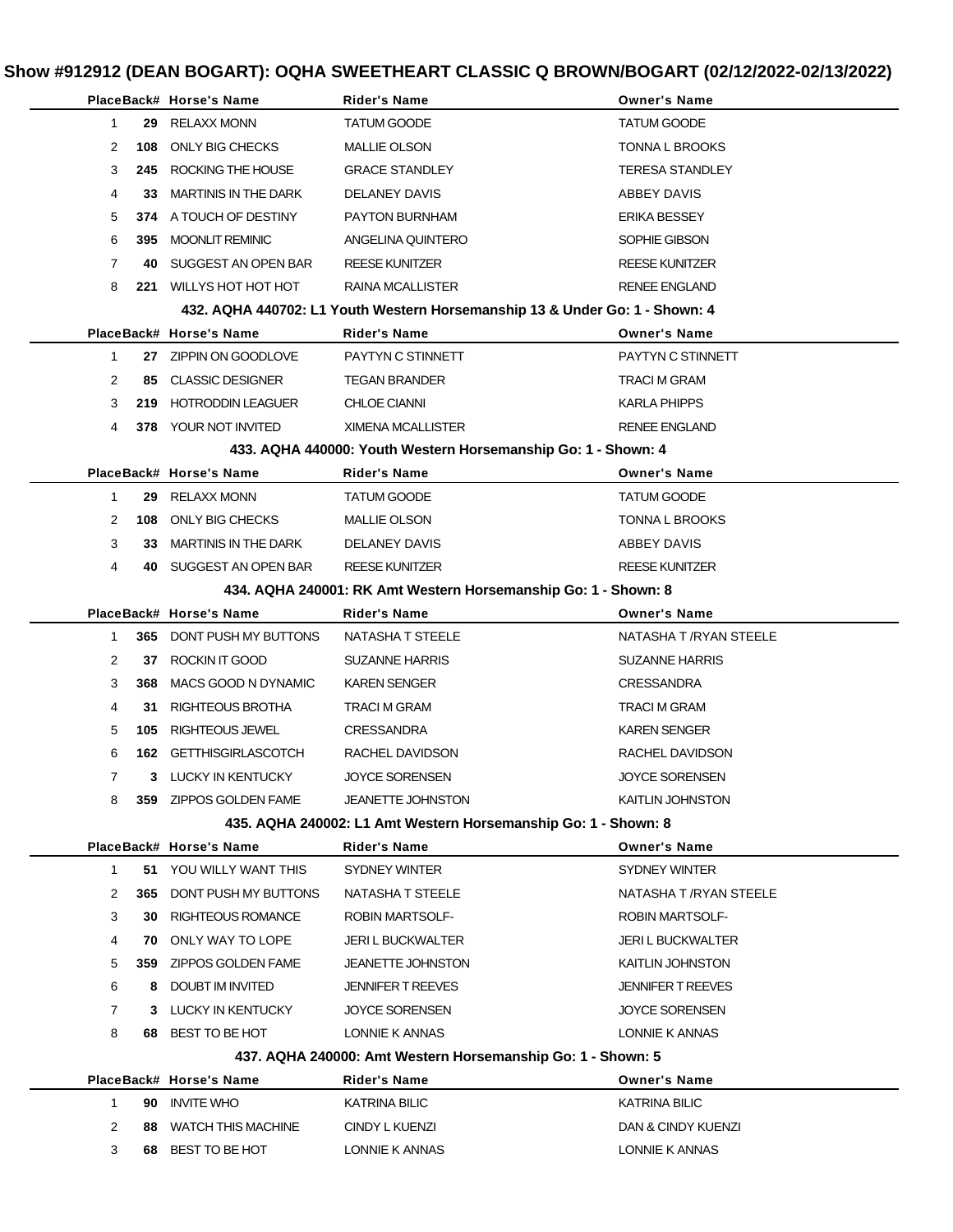|              |     | PlaceBack# Horse's Name     | Rider's Name                                                                | <b>Owner's Name</b>      |
|--------------|-----|-----------------------------|-----------------------------------------------------------------------------|--------------------------|
| $\mathbf{1}$ |     | 29 RELAXX MONN              | <b>TATUM GOODE</b>                                                          | <b>TATUM GOODE</b>       |
| 2            | 108 | ONLY BIG CHECKS             | <b>MALLIE OLSON</b>                                                         | <b>TONNA L BROOKS</b>    |
| 3            | 245 | ROCKING THE HOUSE           | <b>GRACE STANDLEY</b>                                                       | <b>TERESA STANDLEY</b>   |
| 4            | 33  | <b>MARTINIS IN THE DARK</b> | <b>DELANEY DAVIS</b>                                                        | ABBEY DAVIS              |
| 5            |     | 374 A TOUCH OF DESTINY      | PAYTON BURNHAM                                                              | <b>ERIKA BESSEY</b>      |
| 6            | 395 | <b>MOONLIT REMINIC</b>      | ANGELINA QUINTERO                                                           | SOPHIE GIBSON            |
| 7            | 40  | SUGGEST AN OPEN BAR         | <b>REESE KUNITZER</b>                                                       | <b>REESE KUNITZER</b>    |
| 8            | 221 | WILLYS HOT HOT HOT          | RAINA MCALLISTER                                                            | <b>RENEE ENGLAND</b>     |
|              |     |                             | 432. AQHA 440702: L1 Youth Western Horsemanship 13 & Under Go: 1 - Shown: 4 |                          |
|              |     | PlaceBack# Horse's Name     | Rider's Name                                                                | <b>Owner's Name</b>      |
| $\mathbf{1}$ |     | 27 ZIPPIN ON GOODLOVE       | PAYTYN C STINNETT                                                           | PAYTYN C STINNETT        |
| 2            | 85  | <b>CLASSIC DESIGNER</b>     | <b>TEGAN BRANDER</b>                                                        | <b>TRACI M GRAM</b>      |
| 3            | 219 | <b>HOTRODDIN LEAGUER</b>    | <b>CHLOE CIANNI</b>                                                         | KARLA PHIPPS             |
| 4            |     | <b>378 YOUR NOT INVITED</b> | <b>XIMENA MCALLISTER</b>                                                    | <b>RENEE ENGLAND</b>     |
|              |     |                             | 433. AQHA 440000: Youth Western Horsemanship Go: 1 - Shown: 4               |                          |
|              |     | PlaceBack# Horse's Name     | Rider's Name                                                                | <b>Owner's Name</b>      |
| 1            | 29  | RELAXX MONN                 | <b>TATUM GOODE</b>                                                          | <b>TATUM GOODE</b>       |
| 2            | 108 | ONLY BIG CHECKS             | <b>MALLIE OLSON</b>                                                         | TONNA L BROOKS           |
| 3            | 33  | <b>MARTINIS IN THE DARK</b> | DELANEY DAVIS                                                               | ABBEY DAVIS              |
| 4            | 40  | SUGGEST AN OPEN BAR         | <b>REESE KUNITZER</b>                                                       | <b>REESE KUNITZER</b>    |
|              |     |                             | 434. AQHA 240001: RK Amt Western Horsemanship Go: 1 - Shown: 8              |                          |
|              |     | PlaceBack# Horse's Name     | Rider's Name                                                                | <b>Owner's Name</b>      |
| 1            |     | 365 DONT PUSH MY BUTTONS    | NATASHA T STEELE                                                            | NATASHA T /RYAN STEELE   |
| 2            | 37  | ROCKIN IT GOOD              | <b>SUZANNE HARRIS</b>                                                       | <b>SUZANNE HARRIS</b>    |
| 3            | 368 | MACS GOOD N DYNAMIC         | <b>KAREN SENGER</b>                                                         | <b>CRESSANDRA</b>        |
| 4            | 31  | RIGHTEOUS BROTHA            | <b>TRACI M GRAM</b>                                                         | TRACI M GRAM             |
| 5            | 105 | RIGHTEOUS JEWEL             | <b>CRESSANDRA</b>                                                           | <b>KAREN SENGER</b>      |
| 6            |     | 162 GETTHISGIRLASCOTCH      | RACHEL DAVIDSON                                                             | RACHEL DAVIDSON          |
| 7            |     | 3 LUCKY IN KENTUCKY         | <b>JOYCE SORENSEN</b>                                                       | JOYCE SORENSEN           |
| 8            |     | 359 ZIPPOS GOLDEN FAME      | <b>JEANETTE JOHNSTON</b>                                                    | KAITLIN JOHNSTON         |
|              |     |                             | 435. AQHA 240002: L1 Amt Western Horsemanship Go: 1 - Shown: 8              |                          |
|              |     | PlaceBack# Horse's Name     | Rider's Name                                                                | <b>Owner's Name</b>      |
| $\mathbf{1}$ |     | 51 YOU WILLY WANT THIS      | SYDNEY WINTER                                                               | SYDNEY WINTER            |
| 2            |     | 365 DONT PUSH MY BUTTONS    | NATASHA T STEELE                                                            | NATASHA T /RYAN STEELE   |
| 3            | 30  | <b>RIGHTEOUS ROMANCE</b>    | <b>ROBIN MARTSOLF-</b>                                                      | <b>ROBIN MARTSOLF-</b>   |
| 4            | 70  | ONLY WAY TO LOPE            | <b>JERI L BUCKWALTER</b>                                                    | <b>JERI L BUCKWALTER</b> |
| 5            | 359 | ZIPPOS GOLDEN FAME          | <b>JEANETTE JOHNSTON</b>                                                    | <b>KAITLIN JOHNSTON</b>  |
| 6            | 8   | DOUBT IM INVITED            | <b>JENNIFER T REEVES</b>                                                    | <b>JENNIFER T REEVES</b> |
| 7            | 3   | LUCKY IN KENTUCKY           | JOYCE SORENSEN                                                              | <b>JOYCE SORENSEN</b>    |
| 8            |     | 68 BEST TO BE HOT           | LONNIE K ANNAS                                                              | LONNIE K ANNAS           |
|              |     |                             | 437. AQHA 240000: Amt Western Horsemanship Go: 1 - Shown: 5                 |                          |
|              |     | PlaceBack# Horse's Name     | Rider's Name                                                                | <b>Owner's Name</b>      |
| $\mathbf{1}$ | 90  | <b>INVITE WHO</b>           | <b>KATRINA BILIC</b>                                                        | KATRINA BILIC            |
| 2            | 88  | <b>WATCH THIS MACHINE</b>   | CINDY L KUENZI                                                              | DAN & CINDY KUENZI       |
| 3            | 68  | BEST TO BE HOT              | LONNIE K ANNAS                                                              | LONNIE K ANNAS           |
|              |     |                             |                                                                             |                          |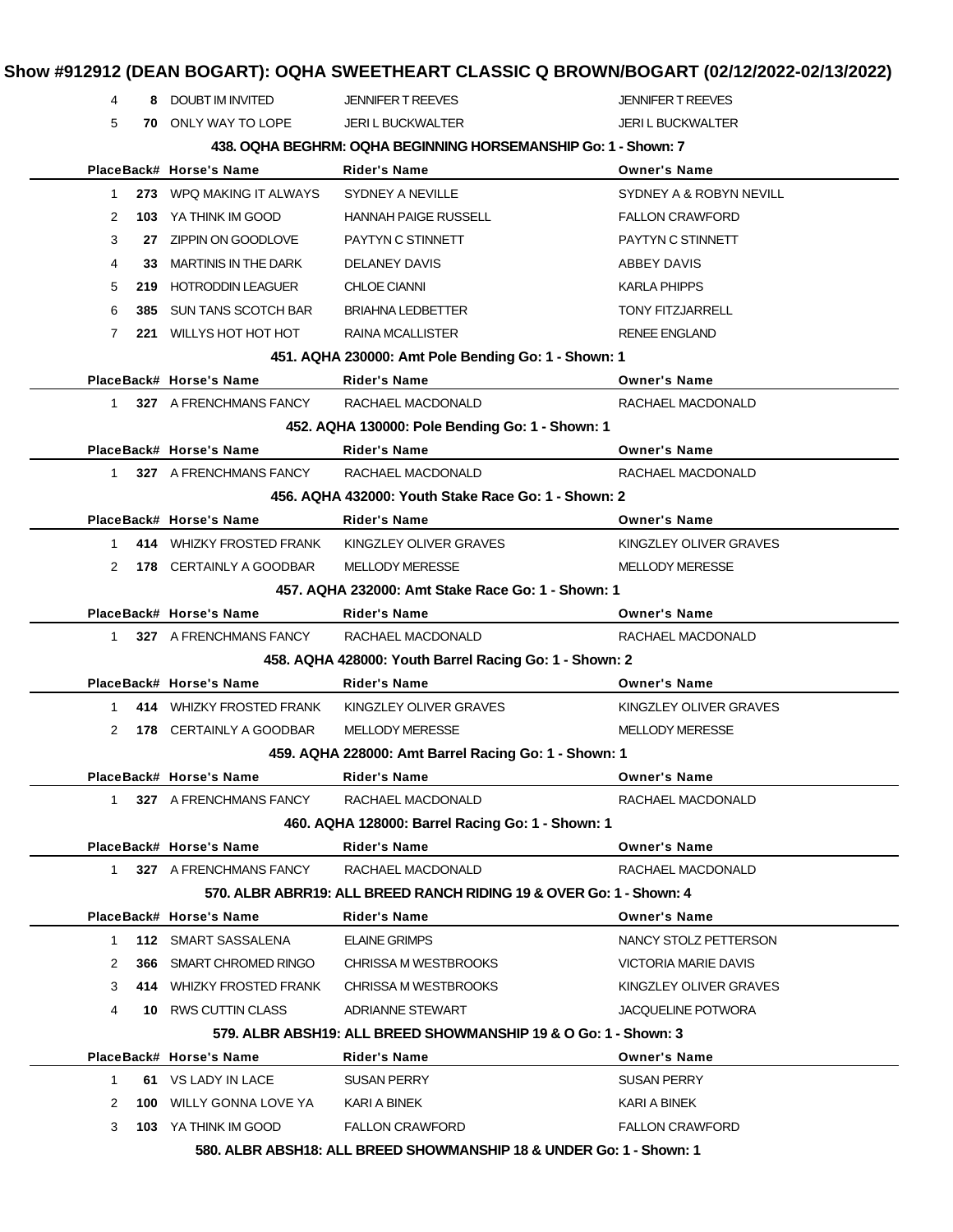## **Show #912912 (DEAN BOGART): OQHA SWEETHEART CLASSIC Q BROWN/BOGART (02/12/2022-02/13/2022)** 4 **8** DOUBT IM INVITED JENNIFER T REEVES JENNIFER T REEVES 5 **70** ONLY WAY TO LOPE JERI L BUCKWALTER JERI L BUCKWALTER **438. OQHA BEGHRM: OQHA BEGINNING HORSEMANSHIP Go: 1 - Shown: 7 PlaceBack# Horse's Name Rider's Name Owner's Name** 1 **273** WPQ MAKING IT ALWAYS SYDNEY A NEVILLE SYDNEY A & ROBYN NEVILL 2 **103** YA THINK IM GOOD HANNAH PAIGE RUSSELL FALLON CRAWFORD 3 **27 ZIPPIN ON GOODLOVE PAYTYN C STINNETT** PAYTYN C STINNETT 4 **33** MARTINIS IN THE DARK DELANEY DAVIS **DELANEY DAVIS** ABBEY DAVIS 5 **219 HOTRODDIN LEAGUER CHLOE CIANNI** CHORE CHANNI KARLA PHIPPS 6 **385** SUN TANS SCOTCH BAR BRIAHNA LEDBETTER TONY FITZJARRELL 7 **221 WILLYS HOT HOT RAINA MCALLISTER RENE ENGLAND 451. AQHA 230000: Amt Pole Bending Go: 1 - Shown: 1 PlaceBack# Horse's Name Rider's Name Owner's Name** 1 **327** A FRENCHMANS FANCY RACHAEL MACDONALD RACHAEL MACDONALD **452. AQHA 130000: Pole Bending Go: 1 - Shown: 1 PlaceBack# Horse's Name Rider's Name Owner's Name** 1 **327** A FRENCHMANS FANCY RACHAEL MACDONALD RACHAEL MACDONALD **456. AQHA 432000: Youth Stake Race Go: 1 - Shown: 2 PlaceBack# Horse's Name Rider's Name Owner's Name** 1 **414** WHIZKY FROSTED FRANK KINGZLEY OLIVER GRAVES KINGZLEY OLIVER GRAVES 2 **178** CERTAINLY A GOODBAR MELLODY MERESSE MELLODY MELLODY MERESSE **457. AQHA 232000: Amt Stake Race Go: 1 - Shown: 1 PlaceBack# Horse's Name Rider's Name Owner's Name** 1 **327** A FRENCHMANS FANCY RACHAEL MACDONALD RACHAEL MACDONALD **458. AQHA 428000: Youth Barrel Racing Go: 1 - Shown: 2 PlaceBack# Horse's Name Rider's Name Owner's Name** 1 **414** WHIZKY FROSTED FRANK KINGZLEY OLIVER GRAVES KINGZLEY OLIVER GRAVES 2 **178** CERTAINLY A GOODBAR MELLODY MERESSE MELLODY MERESSE **459. AQHA 228000: Amt Barrel Racing Go: 1 - Shown: 1 PlaceBack# Horse's Name Rider's Name Owner's Name** 1 **327** A FRENCHMANS FANCY RACHAEL MACDONALD RACHAEL MACDONALD **460. AQHA 128000: Barrel Racing Go: 1 - Shown: 1 PlaceBack# Horse's Name Rider's Name Owner's Name** 1 **327** A FRENCHMANS FANCY RACHAEL MACDONALD RACHAEL MACDONALD **570. ALBR ABRR19: ALL BREED RANCH RIDING 19 & OVER Go: 1 - Shown: 4 PlaceBack# Horse's Name Rider's Name Owner's Name** 1 **112** SMART SASSALENA ELAINE GRIMPS NANCY STOLZ PETTERSON 2 **366** SMART CHROMED RINGO CHRISSA M WESTBROOKS VICTORIA MARIE DAVIS 3 **414** WHIZKY FROSTED FRANK CHRISSA M WESTBROOKS KINGZLEY OLIVER GRAVES **4 10 RWS CUTTIN CLASS ADRIANNE STEWART ADDITION CONTRACT AND ACQUELINE POTWORA 579. ALBR ABSH19: ALL BREED SHOWMANSHIP 19 & O Go: 1 - Shown: 3 PlaceBack# Horse's Name Rider's Name Owner's Name** 1 61 VS LADY IN LACE SUSAN PERRY SUSAN PERRY SUSAN PERRY 2 **100** WILLY GONNA LOVE YA KARI A BINEK KARI A BINEK KARI A BINEK 3 **103** YA THINK IM GOOD FALLON CRAWFORD FALLON CRAWFORD

**580. ALBR ABSH18: ALL BREED SHOWMANSHIP 18 & UNDER Go: 1 - Shown: 1**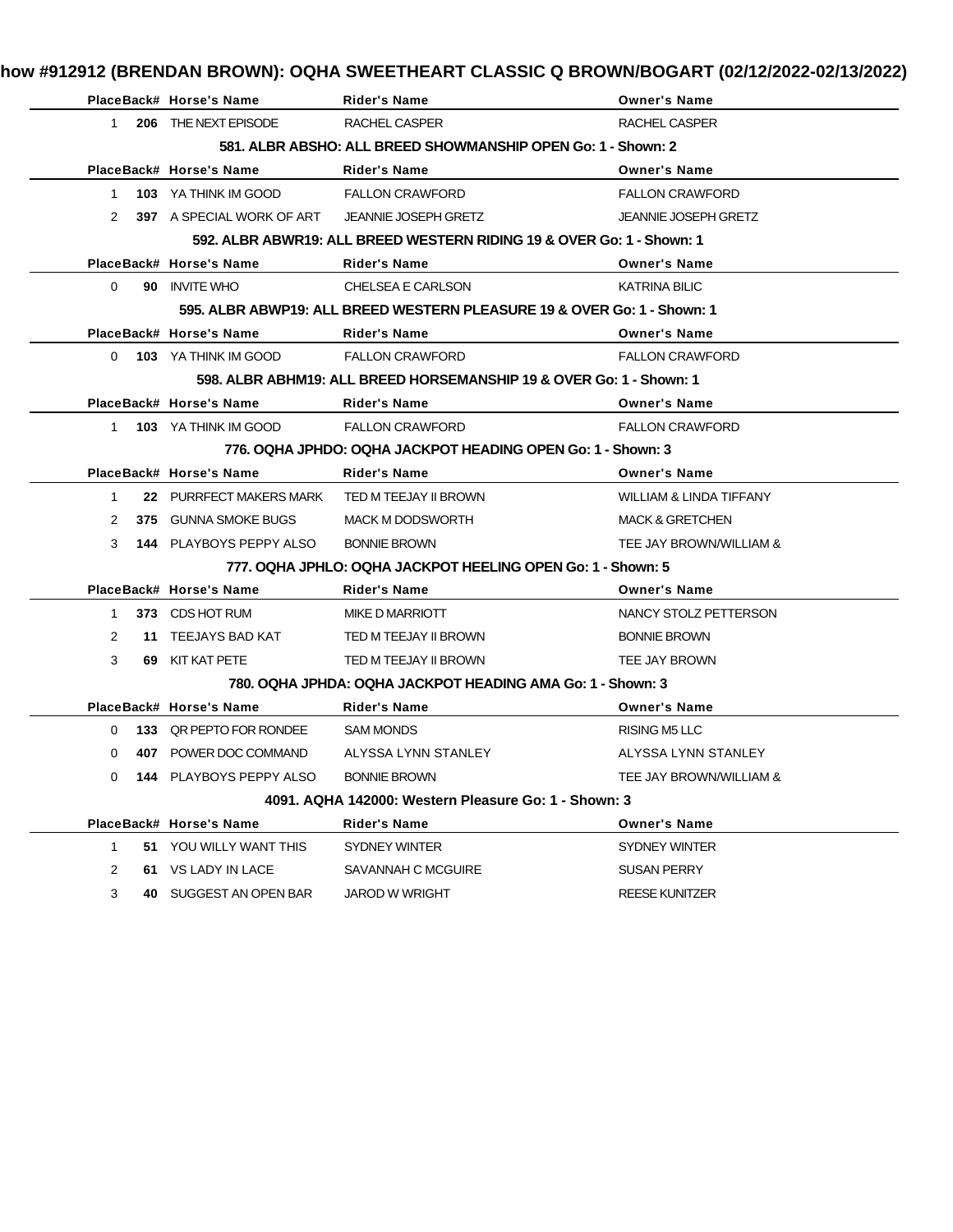| how #912912 (BRENDAN BROWN): OQHA SWEETHEART CLASSIC Q BROWN/BOGART (02/12/2022-02/13/2022) |  |  |  |
|---------------------------------------------------------------------------------------------|--|--|--|
|                                                                                             |  |  |  |

|              | PlaceBack# Horse's Name                          | <b>Rider's Name</b>                                                     | <b>Owner's Name</b>                |
|--------------|--------------------------------------------------|-------------------------------------------------------------------------|------------------------------------|
|              | 1 206 THE NEXT EPISODE                           | RACHEL CASPER                                                           | <b>RACHEL CASPER</b>               |
|              |                                                  | 581, ALBR ABSHO: ALL BREED SHOWMANSHIP OPEN Go: 1 - Shown: 2            |                                    |
|              | PlaceBack# Horse's Name                          | Rider's Name                                                            | <b>Owner's Name</b>                |
|              | 1 103 YA THINK IM GOOD                           | <b>FALLON CRAWFORD</b>                                                  | <b>FALLON CRAWFORD</b>             |
|              | 2 397 A SPECIAL WORK OF ART JEANNIE JOSEPH GRETZ |                                                                         | <b>JEANNIE JOSEPH GRETZ</b>        |
|              |                                                  | 592. ALBR ABWR19: ALL BREED WESTERN RIDING 19 & OVER Go: 1 - Shown: 1   |                                    |
|              | PlaceBack# Horse's Name                          | <b>Rider's Name</b>                                                     | <b>Owner's Name</b>                |
| $\Omega$     | 90 INVITE WHO                                    | CHELSEA E CARLSON                                                       | <b>KATRINA BILIC</b>               |
|              |                                                  | 595, ALBR ABWP19: ALL BREED WESTERN PLEASURE 19 & OVER Go: 1 - Shown: 1 |                                    |
|              | PlaceBack# Horse's Name                          | Rider's Name                                                            | <b>Owner's Name</b>                |
|              | 0 103 YA THINK IM GOOD                           | <b>FALLON CRAWFORD</b>                                                  | <b>FALLON CRAWFORD</b>             |
|              |                                                  | 598. ALBR ABHM19: ALL BREED HORSEMANSHIP 19 & OVER Go: 1 - Shown: 1     |                                    |
|              | PlaceBack# Horse's Name                          | <b>Rider's Name</b>                                                     | <b>Owner's Name</b>                |
|              | 1 103 YA THINK IM GOOD                           | <b>FALLON CRAWFORD</b>                                                  | <b>FALLON CRAWFORD</b>             |
|              |                                                  | 776, OQHA JPHDO: OQHA JACKPOT HEADING OPEN Go: 1 - Shown: 3             |                                    |
|              | PlaceBack# Horse's Name                          | <b>Rider's Name</b>                                                     | <b>Owner's Name</b>                |
| $\mathbf{1}$ | 22 PURRFECT MAKERS MARK TED M TEEJAY II BROWN    |                                                                         | <b>WILLIAM &amp; LINDA TIFFANY</b> |
| 2            | 375 GUNNA SMOKE BUGS                             | <b>MACK M DODSWORTH</b>                                                 | <b>MACK &amp; GRETCHEN</b>         |
|              | 3 144 PLAYBOYS PEPPY ALSO                        | <b>BONNIE BROWN</b>                                                     | TEE JAY BROWN/WILLIAM &            |
|              |                                                  | 777. OQHA JPHLO: OQHA JACKPOT HEELING OPEN Go: 1 - Shown: 5             |                                    |
|              | PlaceBack# Horse's Name                          | Rider's Name                                                            | <b>Owner's Name</b>                |
|              | 1 373 CDS HOT RUM                                | MIKE D MARRIOTT                                                         | NANCY STOLZ PETTERSON              |
| 2            | 11 TEEJAYS BAD KAT                               | TED M TEEJAY II BROWN                                                   | <b>BONNIE BROWN</b>                |
| 3            | 69 KIT KAT PETE                                  | TED M TEEJAY II BROWN                                                   | TEE JAY BROWN                      |
|              |                                                  | 780, OQHA JPHDA: OQHA JACKPOT HEADING AMA Go: 1 - Shown: 3              |                                    |
|              | PlaceBack# Horse's Name                          | <b>Rider's Name</b>                                                     | <b>Owner's Name</b>                |
|              |                                                  |                                                                         | RISING M5 LLC                      |
|              | 0 133 QR PEPTO FOR RONDEE SAM MONDS              |                                                                         |                                    |
| $\Omega$     | 407 POWER DOC COMMAND                            | ALYSSA LYNN STANLEY                                                     | ALYSSA LYNN STANLEY                |
|              | 0 144 PLAYBOYS PEPPY ALSO BONNIE BROWN           |                                                                         | TEE JAY BROWN/WILLIAM &            |
|              |                                                  | 4091. AQHA 142000: Western Pleasure Go: 1 - Shown: 3                    |                                    |
|              | PlaceBack# Horse's Name                          | <b>Rider's Name</b>                                                     | <b>Owner's Name</b>                |
| $\mathbf{1}$ | 51 YOU WILLY WANT THIS                           | SYDNEY WINTER                                                           | SYDNEY WINTER                      |
| 2            | 61 VS LADY IN LACE                               | SAVANNAH C MCGUIRE                                                      | <b>SUSAN PERRY</b>                 |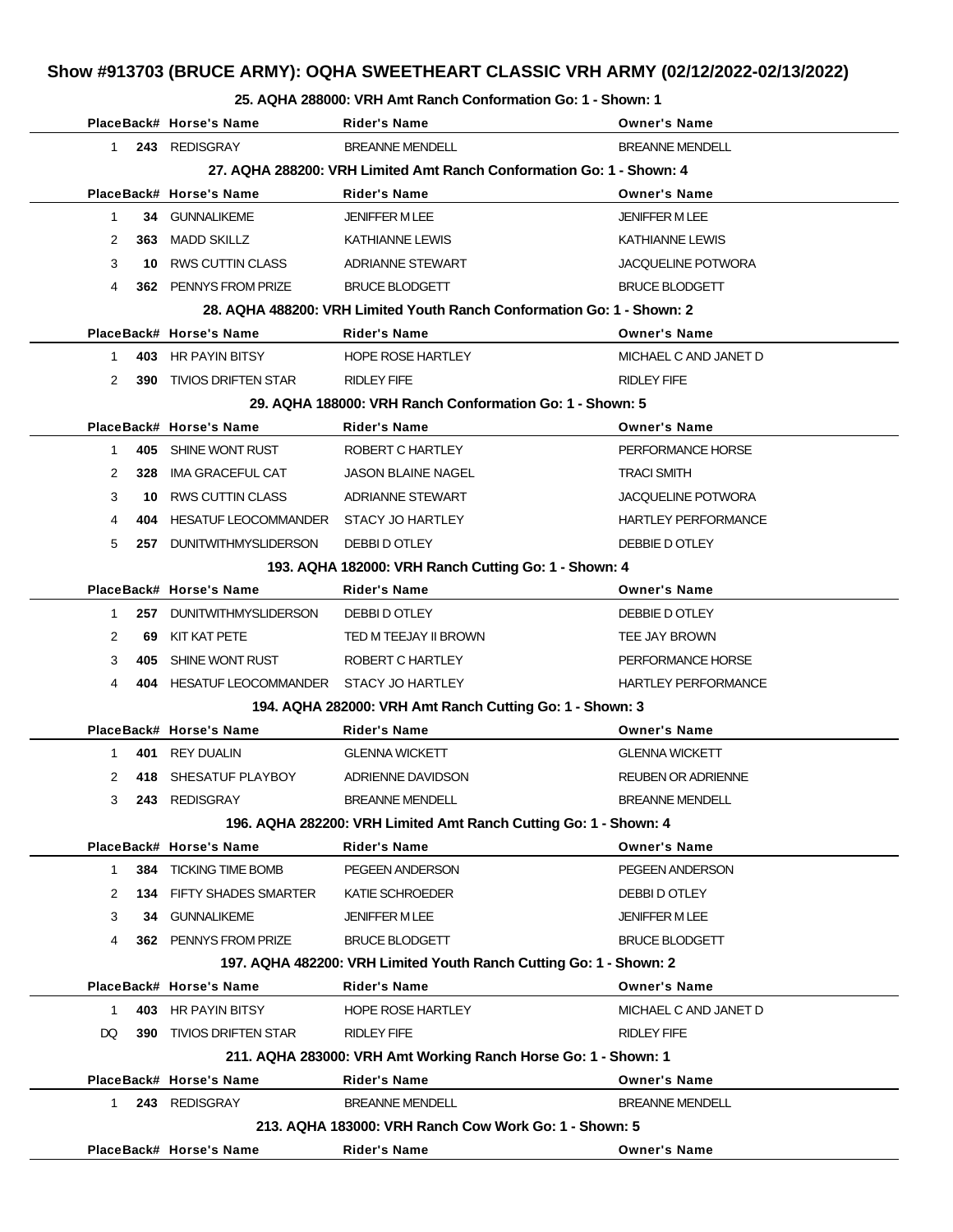#### **25. AQHA 288000: VRH Amt Ranch Conformation Go: 1 - Shown: 1**

|              |                                                                      | PlaceBack# Horse's Name                   | Rider's Name                                                           | <b>Owner's Name</b>        |  |  |  |
|--------------|----------------------------------------------------------------------|-------------------------------------------|------------------------------------------------------------------------|----------------------------|--|--|--|
| $1 \quad$    |                                                                      | 243 REDISGRAY                             | <b>BREANNE MENDELL</b>                                                 | <b>BREANNE MENDELL</b>     |  |  |  |
|              | 27. AQHA 288200: VRH Limited Amt Ranch Conformation Go: 1 - Shown: 4 |                                           |                                                                        |                            |  |  |  |
|              |                                                                      | PlaceBack# Horse's Name                   | Rider's Name                                                           | <b>Owner's Name</b>        |  |  |  |
| $\mathbf{1}$ |                                                                      | 34 GUNNALIKEME                            | <b>JENIFFER MLEE</b>                                                   | <b>JENIFFER MLEE</b>       |  |  |  |
| 2            |                                                                      | 363 MADD SKILLZ                           | <b>KATHIANNE LEWIS</b>                                                 | <b>KATHIANNE LEWIS</b>     |  |  |  |
| 3            |                                                                      | 10 RWS CUTTIN CLASS                       | <b>ADRIANNE STEWART</b>                                                | <b>JACQUELINE POTWORA</b>  |  |  |  |
| 4            |                                                                      | 362 PENNYS FROM PRIZE                     | <b>BRUCE BLODGETT</b>                                                  | <b>BRUCE BLODGETT</b>      |  |  |  |
|              |                                                                      |                                           | 28. AQHA 488200: VRH Limited Youth Ranch Conformation Go: 1 - Shown: 2 |                            |  |  |  |
|              |                                                                      | PlaceBack# Horse's Name                   | Rider's Name                                                           | <b>Owner's Name</b>        |  |  |  |
| $1 \quad$    |                                                                      | 403 HR PAYIN BITSY                        | <b>HOPE ROSE HARTLEY</b>                                               | MICHAEL C AND JANET D      |  |  |  |
| 2            |                                                                      | <b>390 TIVIOS DRIFTEN STAR</b>            | RIDLEY FIFE                                                            | <b>RIDLEY FIFE</b>         |  |  |  |
|              |                                                                      |                                           | 29. AQHA 188000: VRH Ranch Conformation Go: 1 - Shown: 5               |                            |  |  |  |
|              |                                                                      | PlaceBack# Horse's Name                   | Rider's Name                                                           | <b>Owner's Name</b>        |  |  |  |
| $\mathbf{1}$ |                                                                      | 405 SHINE WONT RUST                       | ROBERT C HARTLEY                                                       | PERFORMANCE HORSE          |  |  |  |
| 2            | 328                                                                  | IMA GRACEFUL CAT                          | <b>JASON BLAINE NAGEL</b>                                              | <b>TRACI SMITH</b>         |  |  |  |
| 3            |                                                                      | 10 RWS CUTTIN CLASS                       | ADRIANNE STEWART                                                       | <b>JACQUELINE POTWORA</b>  |  |  |  |
| 4            | 404                                                                  | HESATUF LEOCOMMANDER STACY JO HARTLEY     |                                                                        | <b>HARTLEY PERFORMANCE</b> |  |  |  |
| 5            |                                                                      | 257 DUNITWITHMYSLIDERSON                  | DEBBI D OTLEY                                                          | DEBBIE D OTLEY             |  |  |  |
|              |                                                                      |                                           | 193. AQHA 182000: VRH Ranch Cutting Go: 1 - Shown: 4                   |                            |  |  |  |
|              |                                                                      | PlaceBack# Horse's Name                   | Rider's Name                                                           | <b>Owner's Name</b>        |  |  |  |
| 1            |                                                                      | 257 DUNITWITHMYSLIDERSON                  | DEBBI D OTLEY                                                          | DEBBIE D OTLEY             |  |  |  |
| 2            | 69                                                                   | KIT KAT PETE                              | TED M TEEJAY II BROWN                                                  | TEE JAY BROWN              |  |  |  |
| 3            | 405                                                                  | SHINE WONT RUST                           | ROBERT C HARTLEY                                                       | PERFORMANCE HORSE          |  |  |  |
| 4            |                                                                      | 404 HESATUF LEOCOMMANDER STACY JO HARTLEY |                                                                        | <b>HARTLEY PERFORMANCE</b> |  |  |  |
|              |                                                                      |                                           | 194. AQHA 282000: VRH Amt Ranch Cutting Go: 1 - Shown: 3               |                            |  |  |  |
|              |                                                                      | PlaceBack# Horse's Name                   | <b>Rider's Name</b>                                                    | <b>Owner's Name</b>        |  |  |  |
| 1            |                                                                      | 401 REY DUALIN                            | <b>GLENNA WICKETT</b>                                                  | <b>GLENNA WICKETT</b>      |  |  |  |
| 2            |                                                                      | 418 SHESATUF PLAYBOY                      | ADRIENNE DAVIDSON                                                      | <b>REUBEN OR ADRIENNE</b>  |  |  |  |
| 3            | 243                                                                  | REDISGRAY                                 | <b>BREANNE MENDELL</b>                                                 | <b>BREANNE MENDELL</b>     |  |  |  |
|              |                                                                      |                                           | 196. AQHA 282200: VRH Limited Amt Ranch Cutting Go: 1 - Shown: 4       |                            |  |  |  |
|              |                                                                      | PlaceBack# Horse's Name                   | Rider's Name                                                           | <b>Owner's Name</b>        |  |  |  |
| 1            |                                                                      | 384 TICKING TIME BOMB                     | PEGEEN ANDERSON                                                        | PEGEEN ANDERSON            |  |  |  |
| 2            |                                                                      | <b>134 FIFTY SHADES SMARTER</b>           | KATIE SCHROEDER                                                        | DEBBI D OTLEY              |  |  |  |
| 3            |                                                                      | 34 GUNNALIKEME                            | <b>JENIFFER M LEE</b>                                                  | <b>JENIFFER M LEE</b>      |  |  |  |
| 4            |                                                                      | 362 PENNYS FROM PRIZE                     | <b>BRUCE BLODGETT</b>                                                  | <b>BRUCE BLODGETT</b>      |  |  |  |
|              |                                                                      |                                           | 197. AQHA 482200: VRH Limited Youth Ranch Cutting Go: 1 - Shown: 2     |                            |  |  |  |
|              |                                                                      | PlaceBack# Horse's Name                   | <b>Rider's Name</b>                                                    | <b>Owner's Name</b>        |  |  |  |
| $\mathbf{1}$ |                                                                      | 403 HR PAYIN BITSY                        | <b>HOPE ROSE HARTLEY</b>                                               | MICHAEL C AND JANET D      |  |  |  |
| DQ           |                                                                      | <b>390 TIVIOS DRIFTEN STAR</b>            | RIDLEY FIFE                                                            | <b>RIDLEY FIFE</b>         |  |  |  |
|              |                                                                      |                                           | 211. AQHA 283000: VRH Amt Working Ranch Horse Go: 1 - Shown: 1         |                            |  |  |  |
|              |                                                                      | PlaceBack# Horse's Name                   | <b>Rider's Name</b>                                                    | <b>Owner's Name</b>        |  |  |  |
| $1 \quad$    |                                                                      | 243 REDISGRAY                             | <b>BREANNE MENDELL</b>                                                 | <b>BREANNE MENDELL</b>     |  |  |  |
|              |                                                                      |                                           | 213. AQHA 183000: VRH Ranch Cow Work Go: 1 - Shown: 5                  |                            |  |  |  |
|              |                                                                      | PlaceBack# Horse's Name                   | Rider's Name                                                           | <b>Owner's Name</b>        |  |  |  |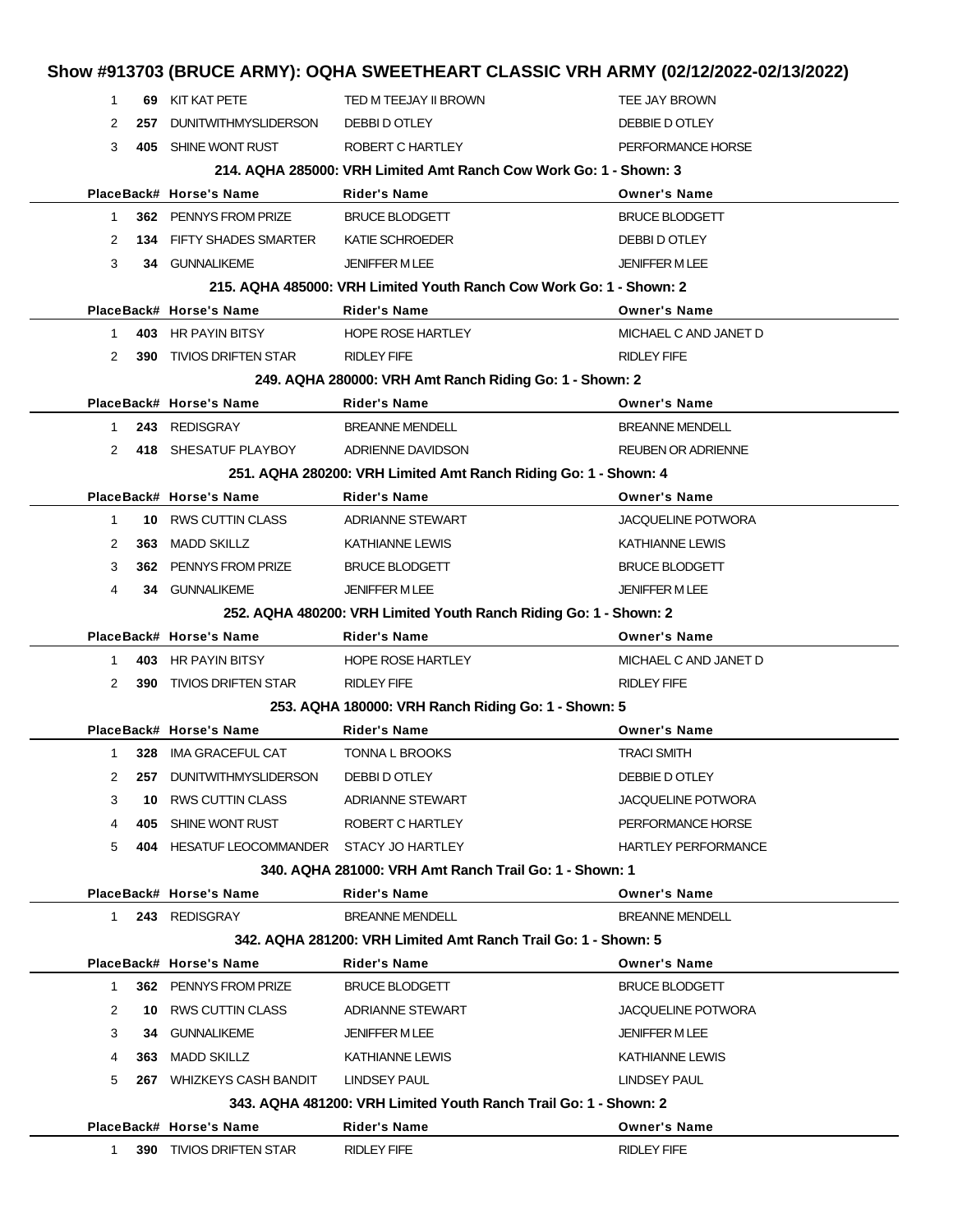|              |            | PlaceBack# Horse's Name                                           | Rider's Name                                                                                                                                      | <b>Owner's Name</b>                                  |  |
|--------------|------------|-------------------------------------------------------------------|---------------------------------------------------------------------------------------------------------------------------------------------------|------------------------------------------------------|--|
|              |            |                                                                   |                                                                                                                                                   |                                                      |  |
|              |            |                                                                   | 343. AQHA 481200: VRH Limited Youth Ranch Trail Go: 1 - Shown: 2                                                                                  |                                                      |  |
| 5            |            | 267 WHIZKEYS CASH BANDIT                                          | LINDSEY PAUL                                                                                                                                      | LINDSEY PAUL                                         |  |
| 4            |            | 363 MADD SKILLZ                                                   | KATHIANNE LEWIS                                                                                                                                   | <b>KATHIANNE LEWIS</b>                               |  |
| 3            | 34         | <b>GUNNALIKEME</b>                                                | <b>JENIFFER MLEE</b>                                                                                                                              | JENIFFER M LEE                                       |  |
| 2            |            | 10 RWS CUTTIN CLASS                                               | ADRIANNE STEWART                                                                                                                                  | <b>JACQUELINE POTWORA</b>                            |  |
| 1            |            | 362 PENNYS FROM PRIZE                                             | <b>BRUCE BLODGETT</b>                                                                                                                             | <b>BRUCE BLODGETT</b>                                |  |
|              |            | PlaceBack# Horse's Name                                           | Rider's Name                                                                                                                                      | <b>Owner's Name</b>                                  |  |
|              |            |                                                                   | 342, AQHA 281200: VRH Limited Amt Ranch Trail Go: 1 - Shown: 5                                                                                    |                                                      |  |
| $\mathbf{1}$ |            | 243 REDISGRAY                                                     | <b>BREANNE MENDELL</b>                                                                                                                            | <b>BREANNE MENDELL</b>                               |  |
|              |            | PlaceBack# Horse's Name                                           | Rider's Name                                                                                                                                      | <b>Owner's Name</b>                                  |  |
|              |            |                                                                   | 340, AQHA 281000: VRH Amt Ranch Trail Go: 1 - Shown: 1                                                                                            |                                                      |  |
| 5            |            | 404 HESATUF LEOCOMMANDER STACY JO HARTLEY                         |                                                                                                                                                   | <b>HARTLEY PERFORMANCE</b>                           |  |
| 4            |            | 405 SHINE WONT RUST                                               | ROBERT C HARTLEY                                                                                                                                  | PERFORMANCE HORSE                                    |  |
| 3            | 10         | RWS CUTTIN CLASS                                                  | ADRIANNE STEWART                                                                                                                                  | <b>JACQUELINE POTWORA</b>                            |  |
| 2            | 257.       | <b>DUNITWITHMYSLIDERSON</b>                                       | DEBBI D OTLEY                                                                                                                                     | DEBBIE D OTLEY                                       |  |
| 1            |            | 328 IMA GRACEFUL CAT                                              | TONNA L BROOKS                                                                                                                                    | <b>TRACI SMITH</b>                                   |  |
|              |            | PlaceBack# Horse's Name                                           | Rider's Name                                                                                                                                      | <b>Owner's Name</b>                                  |  |
|              |            |                                                                   | 253. AQHA 180000: VRH Ranch Riding Go: 1 - Shown: 5                                                                                               |                                                      |  |
| 2            |            | <b>390 TIVIOS DRIFTEN STAR</b>                                    | <b>RIDLEY FIFE</b>                                                                                                                                | <b>RIDLEY FIFE</b>                                   |  |
| 1            |            | 403 HR PAYIN BITSY                                                | <b>HOPE ROSE HARTLEY</b>                                                                                                                          | MICHAEL C AND JANET D                                |  |
|              |            |                                                                   | Rider's Name                                                                                                                                      | <b>Owner's Name</b>                                  |  |
|              |            | PlaceBack# Horse's Name                                           | 252. AQHA 480200: VRH Limited Youth Ranch Riding Go: 1 - Shown: 2                                                                                 |                                                      |  |
| 4            |            | <b>34 GUNNALIKEME</b>                                             | <b>JENIFFER MLEE</b>                                                                                                                              | <b>JENIFFER M LEE</b>                                |  |
|              |            |                                                                   | <b>BRUCE BLODGETT</b>                                                                                                                             |                                                      |  |
| 3            | 362        | PENNYS FROM PRIZE                                                 |                                                                                                                                                   | <b>BRUCE BLODGETT</b>                                |  |
| 2            | 363        | <b>MADD SKILLZ</b>                                                | KATHIANNE LEWIS                                                                                                                                   | <b>KATHIANNE LEWIS</b>                               |  |
| $\mathbf{1}$ |            | 10 RWS CUTTIN CLASS                                               | <b>ADRIANNE STEWART</b>                                                                                                                           | <b>JACQUELINE POTWORA</b>                            |  |
|              |            | PlaceBack# Horse's Name                                           | 251. AQHA 280200: VRH Limited Amt Ranch Riding Go: 1 - Shown: 4<br><b>Rider's Name</b>                                                            | <b>Owner's Name</b>                                  |  |
| 2            |            | 418 SHESATUF PLAYBOY                                              | ADRIENNE DAVIDSON                                                                                                                                 | <b>REUBEN OR ADRIENNE</b>                            |  |
| 1            |            | 243 REDISGRAY                                                     | <b>BREANNE MENDELL</b>                                                                                                                            | <b>BREANNE MENDELL</b>                               |  |
|              |            | PlaceBack# Horse's Name                                           | <b>Rider's Name</b>                                                                                                                               | <b>Owner's Name</b>                                  |  |
|              |            |                                                                   | 249. AQHA 280000: VRH Amt Ranch Riding Go: 1 - Shown: 2                                                                                           |                                                      |  |
| 2            |            | <b>390 TIVIOS DRIFTEN STAR</b>                                    | <b>RIDLEY FIFE</b>                                                                                                                                | <b>RIDLEY FIFE</b>                                   |  |
| 1            |            | 403 HR PAYIN BITSY                                                | <b>HOPE ROSE HARTLEY</b>                                                                                                                          | MICHAEL C AND JANET D                                |  |
|              |            | PlaceBack# Horse's Name                                           | Rider's Name                                                                                                                                      | <b>Owner's Name</b>                                  |  |
|              |            |                                                                   | 215, AQHA 485000: VRH Limited Youth Ranch Cow Work Go: 1 - Shown: 2                                                                               |                                                      |  |
| 3            |            | 34 GUNNALIKEME                                                    | <b>JENIFFER M LEE</b>                                                                                                                             | <b>JENIFFER M LEE</b>                                |  |
| 2            |            | <b>134 FIFTY SHADES SMARTER</b>                                   | KATIE SCHROEDER                                                                                                                                   | DEBBI D OTLEY                                        |  |
| 1            |            | 362 PENNYS FROM PRIZE                                             | <b>BRUCE BLODGETT</b>                                                                                                                             | <b>BRUCE BLODGETT</b>                                |  |
|              |            | PlaceBack# Horse's Name                                           | Rider's Name                                                                                                                                      | <b>Owner's Name</b>                                  |  |
|              |            |                                                                   | 214, AQHA 285000: VRH Limited Amt Ranch Cow Work Go: 1 - Shown: 3                                                                                 |                                                      |  |
|              |            |                                                                   |                                                                                                                                                   |                                                      |  |
|              |            |                                                                   |                                                                                                                                                   |                                                      |  |
|              |            |                                                                   |                                                                                                                                                   |                                                      |  |
|              |            |                                                                   |                                                                                                                                                   |                                                      |  |
| 1<br>2<br>3  | 257<br>405 | 69 KIT KAT PETE<br><b>DUNITWITHMYSLIDERSON</b><br>SHINE WONT RUST | Show #913703 (BRUCE ARMY): OQHA SWEETHEART CLASSIC VRH ARMY (02/12/2022-02/13/2022)<br>TED M TEEJAY II BROWN<br>DEBBI D OTLEY<br>ROBERT C HARTLEY | TEE JAY BROWN<br>DEBBIE D OTLEY<br>PERFORMANCE HORSE |  |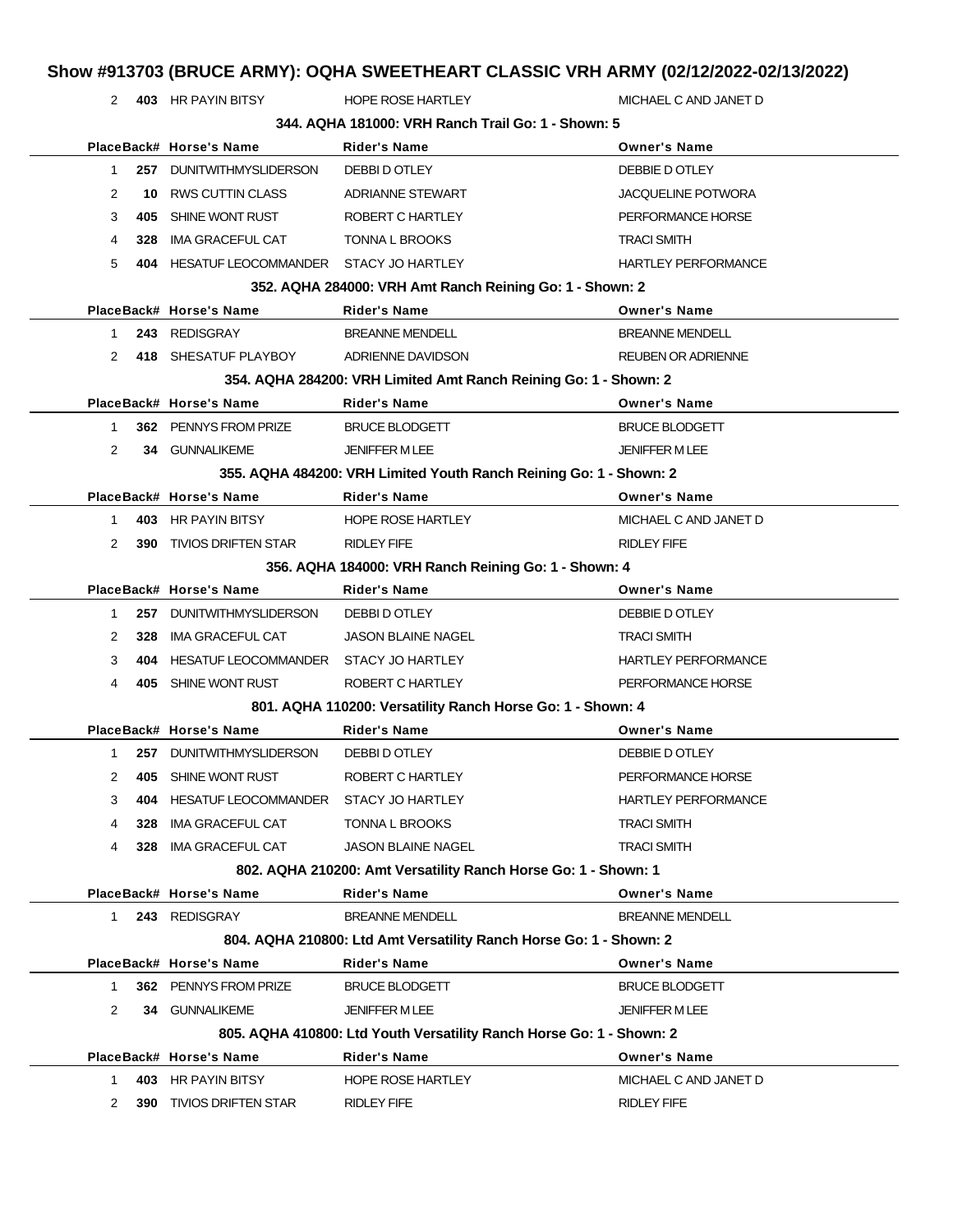2 **403** HR PAYIN BITSY HOPE ROSE HARTLEY MICHAEL C AND JANET D

| 344, AQHA 181000: VRH Ranch Trail Go: 1 - Shown: 5 |     |                                       |                                                                      |                            |  |
|----------------------------------------------------|-----|---------------------------------------|----------------------------------------------------------------------|----------------------------|--|
|                                                    |     | PlaceBack# Horse's Name               | <b>Rider's Name</b>                                                  | <b>Owner's Name</b>        |  |
| $\mathbf 1$                                        | 257 | <b>DUNITWITHMYSLIDERSON</b>           | DEBBI D OTLEY                                                        | DEBBIE D OTLEY             |  |
| 2                                                  | 10  | <b>RWS CUTTIN CLASS</b>               | <b>ADRIANNE STEWART</b>                                              | <b>JACQUELINE POTWORA</b>  |  |
| 3                                                  | 405 | SHINE WONT RUST                       | ROBERT C HARTLEY                                                     | PERFORMANCE HORSE          |  |
| 4                                                  | 328 | IMA GRACEFUL CAT                      | <b>TONNA L BROOKS</b>                                                | <b>TRACI SMITH</b>         |  |
| 5                                                  | 404 | HESATUF LEOCOMMANDER STACY JO HARTLEY |                                                                      | <b>HARTLEY PERFORMANCE</b> |  |
|                                                    |     |                                       | 352. AQHA 284000: VRH Amt Ranch Reining Go: 1 - Shown: 2             |                            |  |
|                                                    |     | PlaceBack# Horse's Name               | <b>Rider's Name</b>                                                  | <b>Owner's Name</b>        |  |
| $\mathbf{1}$                                       | 243 | <b>REDISGRAY</b>                      | <b>BREANNE MENDELL</b>                                               | <b>BREANNE MENDELL</b>     |  |
| 2                                                  |     | 418 SHESATUF PLAYBOY                  | ADRIENNE DAVIDSON                                                    | <b>REUBEN OR ADRIENNE</b>  |  |
|                                                    |     |                                       | 354. AQHA 284200: VRH Limited Amt Ranch Reining Go: 1 - Shown: 2     |                            |  |
|                                                    |     | PlaceBack# Horse's Name               | <b>Rider's Name</b>                                                  | <b>Owner's Name</b>        |  |
| $\mathbf{1}$                                       |     | 362 PENNYS FROM PRIZE                 | <b>BRUCE BLODGETT</b>                                                | <b>BRUCE BLODGETT</b>      |  |
| $\overline{2}$                                     |     | 34 GUNNALIKEME                        | <b>JENIFFER M LEE</b>                                                | <b>JENIFFER MLEE</b>       |  |
|                                                    |     |                                       | 355. AQHA 484200: VRH Limited Youth Ranch Reining Go: 1 - Shown: 2   |                            |  |
|                                                    |     | PlaceBack# Horse's Name               | <b>Rider's Name</b>                                                  | <b>Owner's Name</b>        |  |
| $\mathbf{1}$                                       | 403 | HR PAYIN BITSY                        | <b>HOPE ROSE HARTLEY</b>                                             | MICHAEL C AND JANET D      |  |
| 2                                                  | 390 | <b>TIVIOS DRIFTEN STAR</b>            | RIDLEY FIFE                                                          | <b>RIDLEY FIFE</b>         |  |
|                                                    |     |                                       | 356. AQHA 184000: VRH Ranch Reining Go: 1 - Shown: 4                 |                            |  |
|                                                    |     | PlaceBack# Horse's Name               | Rider's Name                                                         | <b>Owner's Name</b>        |  |
| $\mathbf{1}$                                       | 257 | <b>DUNITWITHMYSLIDERSON</b>           | DEBBI D OTLEY                                                        | DEBBIE D OTLEY             |  |
| 2                                                  | 328 | <b>IMA GRACEFUL CAT</b>               | <b>JASON BLAINE NAGEL</b>                                            | <b>TRACI SMITH</b>         |  |
| 3                                                  | 404 | HESATUF LEOCOMMANDER STACY JO HARTLEY |                                                                      | <b>HARTLEY PERFORMANCE</b> |  |
| 4                                                  | 405 | SHINE WONT RUST                       | ROBERT C HARTLEY                                                     | PERFORMANCE HORSE          |  |
|                                                    |     |                                       | 801. AQHA 110200: Versatility Ranch Horse Go: 1 - Shown: 4           |                            |  |
|                                                    |     | PlaceBack# Horse's Name               | <b>Rider's Name</b>                                                  | <b>Owner's Name</b>        |  |
| 1                                                  | 257 | <b>DUNITWITHMYSLIDERSON</b>           | DEBBI D OTLEY                                                        | DEBBIE D OTLEY             |  |
| 2                                                  | 405 | SHINE WONT RUST                       | ROBERT C HARTLEY                                                     | PERFORMANCE HORSE          |  |
| 3                                                  | 404 | HESATUF LEOCOMMANDER                  | <b>STACY JO HARTLEY</b>                                              | <b>HARTLEY PERFORMANCE</b> |  |
| 4                                                  | 328 | IMA GRACEFUL CAT                      | TONNA L BROOKS                                                       | <b>TRACI SMITH</b>         |  |
| 4                                                  | 328 | IMA GRACEFUL CAT                      | <b>JASON BLAINE NAGEL</b>                                            | <b>TRACI SMITH</b>         |  |
|                                                    |     |                                       | 802. AQHA 210200: Amt Versatility Ranch Horse Go: 1 - Shown: 1       |                            |  |
|                                                    |     | PlaceBack# Horse's Name               | <b>Rider's Name</b>                                                  | <b>Owner's Name</b>        |  |
| 1                                                  |     | 243 REDISGRAY                         | <b>BREANNE MENDELL</b>                                               | <b>BREANNE MENDELL</b>     |  |
|                                                    |     |                                       | 804. AQHA 210800: Ltd Amt Versatility Ranch Horse Go: 1 - Shown: 2   |                            |  |
|                                                    |     | PlaceBack# Horse's Name               | <b>Rider's Name</b>                                                  | <b>Owner's Name</b>        |  |
| 1                                                  |     | 362 PENNYS FROM PRIZE                 | <b>BRUCE BLODGETT</b>                                                | <b>BRUCE BLODGETT</b>      |  |
| 2                                                  |     | 34 GUNNALIKEME                        | <b>JENIFFER M LEE</b>                                                | JENIFFER M LEE             |  |
|                                                    |     |                                       | 805. AQHA 410800: Ltd Youth Versatility Ranch Horse Go: 1 - Shown: 2 |                            |  |
|                                                    |     | PlaceBack# Horse's Name               | <b>Rider's Name</b>                                                  | <b>Owner's Name</b>        |  |
| 1                                                  | 403 | HR PAYIN BITSY                        | <b>HOPE ROSE HARTLEY</b>                                             | MICHAEL C AND JANET D      |  |
| 2                                                  |     | 390 TIVIOS DRIFTEN STAR               | RIDLEY FIFE                                                          | RIDLEY FIFE                |  |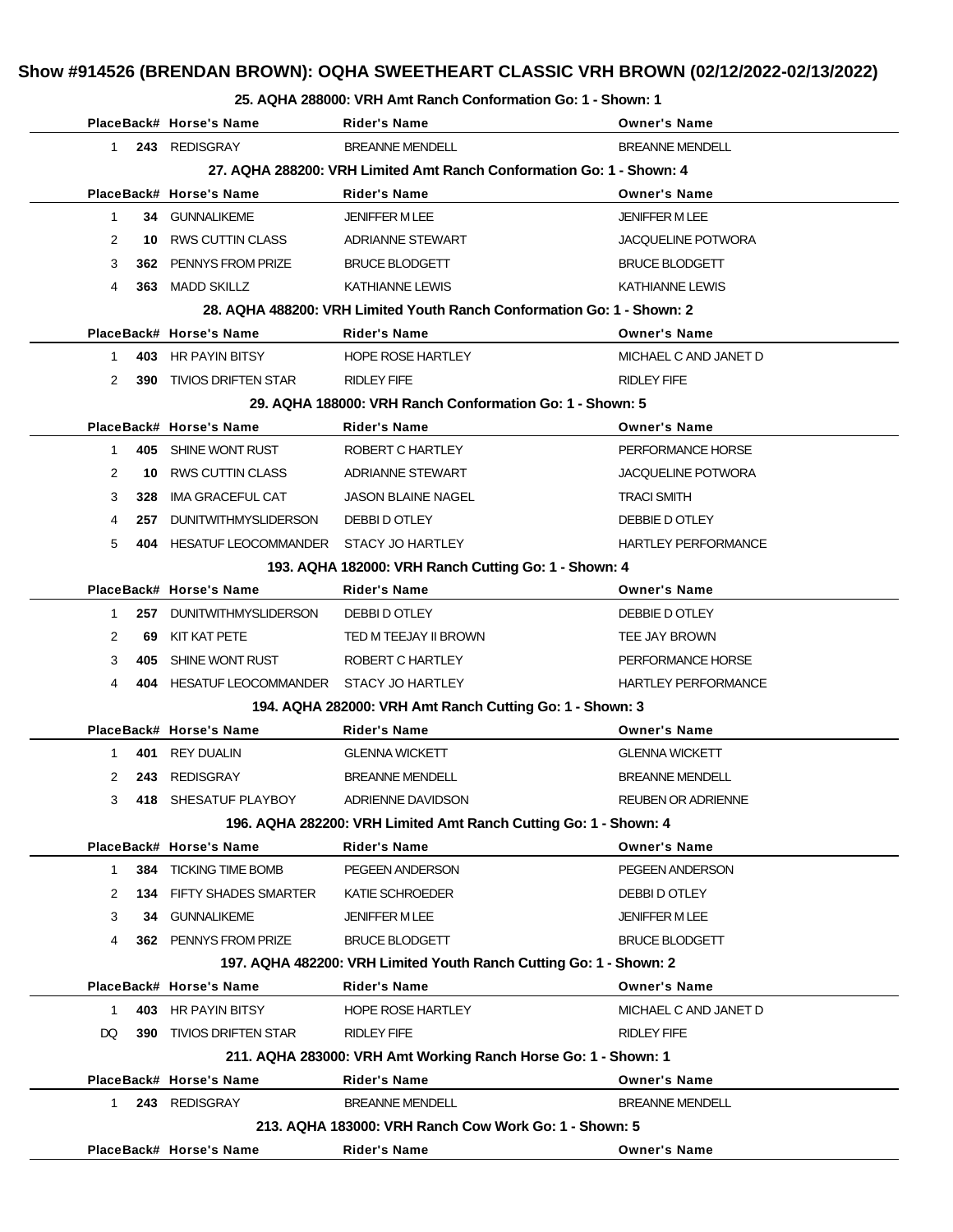#### **25. AQHA 288000: VRH Amt Ranch Conformation Go: 1 - Shown: 1**

|                |     | PlaceBack# Horse's Name                   | <b>Rider's Name</b>                                                    | <b>Owner's Name</b>        |
|----------------|-----|-------------------------------------------|------------------------------------------------------------------------|----------------------------|
| 1              |     | 243 REDISGRAY                             | <b>BREANNE MENDELL</b>                                                 | <b>BREANNE MENDELL</b>     |
|                |     |                                           | 27. AQHA 288200: VRH Limited Amt Ranch Conformation Go: 1 - Shown: 4   |                            |
|                |     | PlaceBack# Horse's Name                   | Rider's Name                                                           | <b>Owner's Name</b>        |
| $\mathbf{1}$   |     | 34 GUNNALIKEME                            | <b>JENIFFER M LEE</b>                                                  | <b>JENIFFER MLEE</b>       |
| 2              |     | 10 RWS CUTTIN CLASS                       | ADRIANNE STEWART                                                       | <b>JACQUELINE POTWORA</b>  |
| 3              |     | 362 PENNYS FROM PRIZE                     | <b>BRUCE BLODGETT</b>                                                  | <b>BRUCE BLODGETT</b>      |
| 4              |     | 363 MADD SKILLZ                           | KATHIANNE LEWIS                                                        | <b>KATHIANNE LEWIS</b>     |
|                |     |                                           | 28. AQHA 488200: VRH Limited Youth Ranch Conformation Go: 1 - Shown: 2 |                            |
|                |     | PlaceBack# Horse's Name                   | Rider's Name                                                           | <b>Owner's Name</b>        |
| 1              |     | 403 HR PAYIN BITSY                        | <b>HOPE ROSE HARTLEY</b>                                               | MICHAEL C AND JANET D      |
| 2              |     | 390 TIVIOS DRIFTEN STAR                   | <b>RIDLEY FIFE</b>                                                     | RIDLEY FIFE                |
|                |     |                                           | 29. AQHA 188000: VRH Ranch Conformation Go: 1 - Shown: 5               |                            |
|                |     | PlaceBack# Horse's Name                   | Rider's Name                                                           | <b>Owner's Name</b>        |
| 1.             |     | 405 SHINE WONT RUST                       | ROBERT C HARTLEY                                                       | PERFORMANCE HORSE          |
| 2              |     | 10 RWS CUTTIN CLASS                       | ADRIANNE STEWART                                                       | <b>JACQUELINE POTWORA</b>  |
| 3              | 328 | <b>IMA GRACEFUL CAT</b>                   | <b>JASON BLAINE NAGEL</b>                                              | <b>TRACI SMITH</b>         |
| 4              |     | 257 DUNITWITHMYSLIDERSON                  | DEBBI D OTLEY                                                          | DEBBIE D OTLEY             |
| 5              |     | 404 HESATUF LEOCOMMANDER STACY JO HARTLEY |                                                                        | HARTLEY PERFORMANCE        |
|                |     |                                           | 193. AQHA 182000: VRH Ranch Cutting Go: 1 - Shown: 4                   |                            |
|                |     | PlaceBack# Horse's Name                   | Rider's Name                                                           | <b>Owner's Name</b>        |
| 1.             |     | 257 DUNITWITHMYSLIDERSON                  | DEBBI D OTLEY                                                          | DEBBIE D OTLEY             |
| $\overline{2}$ |     | 69 KIT KAT PETE                           | TED M TEEJAY II BROWN                                                  | TEE JAY BROWN              |
| 3              | 405 | SHINE WONT RUST                           | ROBERT C HARTLEY                                                       | PERFORMANCE HORSE          |
| 4              |     | 404 HESATUF LEOCOMMANDER STACY JO HARTLEY |                                                                        | <b>HARTLEY PERFORMANCE</b> |
|                |     |                                           | 194. AQHA 282000: VRH Amt Ranch Cutting Go: 1 - Shown: 3               |                            |
|                |     | PlaceBack# Horse's Name                   | Rider's Name                                                           | <b>Owner's Name</b>        |
| 1.             |     | 401 REY DUALIN                            | <b>GLENNA WICKETT</b>                                                  | <b>GLENNA WICKETT</b>      |
| 2              |     | 243 REDISGRAY                             | <b>BREANNE MENDELL</b>                                                 | <b>BREANNE MENDELL</b>     |
| 3              |     | 418 SHESATUF PLAYBOY                      | ADRIENNE DAVIDSON                                                      | <b>REUBEN OR ADRIENNE</b>  |
|                |     |                                           | 196. AQHA 282200: VRH Limited Amt Ranch Cutting Go: 1 - Shown: 4       |                            |
|                |     | PlaceBack# Horse's Name                   | <b>Rider's Name</b>                                                    | <b>Owner's Name</b>        |
| $\mathbf{1}$   |     | <b>384 TICKING TIME BOMB</b>              | PEGEEN ANDERSON                                                        | PEGEEN ANDERSON            |
| 2              |     | <b>134 FIFTY SHADES SMARTER</b>           | KATIE SCHROEDER                                                        | DEBBI D OTLEY              |
| 3              |     | 34 GUNNALIKEME                            | <b>JENIFFER M LEE</b>                                                  | JENIFFER M LEE             |
| 4              |     | 362 PENNYS FROM PRIZE                     | <b>BRUCE BLODGETT</b>                                                  | <b>BRUCE BLODGETT</b>      |
|                |     |                                           | 197. AQHA 482200: VRH Limited Youth Ranch Cutting Go: 1 - Shown: 2     |                            |
|                |     | PlaceBack# Horse's Name                   | <b>Rider's Name</b>                                                    | <b>Owner's Name</b>        |
| $\mathbf{1}$   |     | 403 HR PAYIN BITSY                        | <b>HOPE ROSE HARTLEY</b>                                               | MICHAEL C AND JANET D      |
| DQ             | 390 | <b>TIVIOS DRIFTEN STAR</b>                | <b>RIDLEY FIFE</b>                                                     | <b>RIDLEY FIFE</b>         |
|                |     |                                           | 211. AQHA 283000: VRH Amt Working Ranch Horse Go: 1 - Shown: 1         |                            |
|                |     | PlaceBack# Horse's Name                   | <b>Rider's Name</b>                                                    | <b>Owner's Name</b>        |
| 1.             |     | 243 REDISGRAY                             | <b>BREANNE MENDELL</b>                                                 | <b>BREANNE MENDELL</b>     |
|                |     |                                           | 213. AQHA 183000: VRH Ranch Cow Work Go: 1 - Shown: 5                  |                            |
|                |     | PlaceBack# Horse's Name                   | Rider's Name                                                           | <b>Owner's Name</b>        |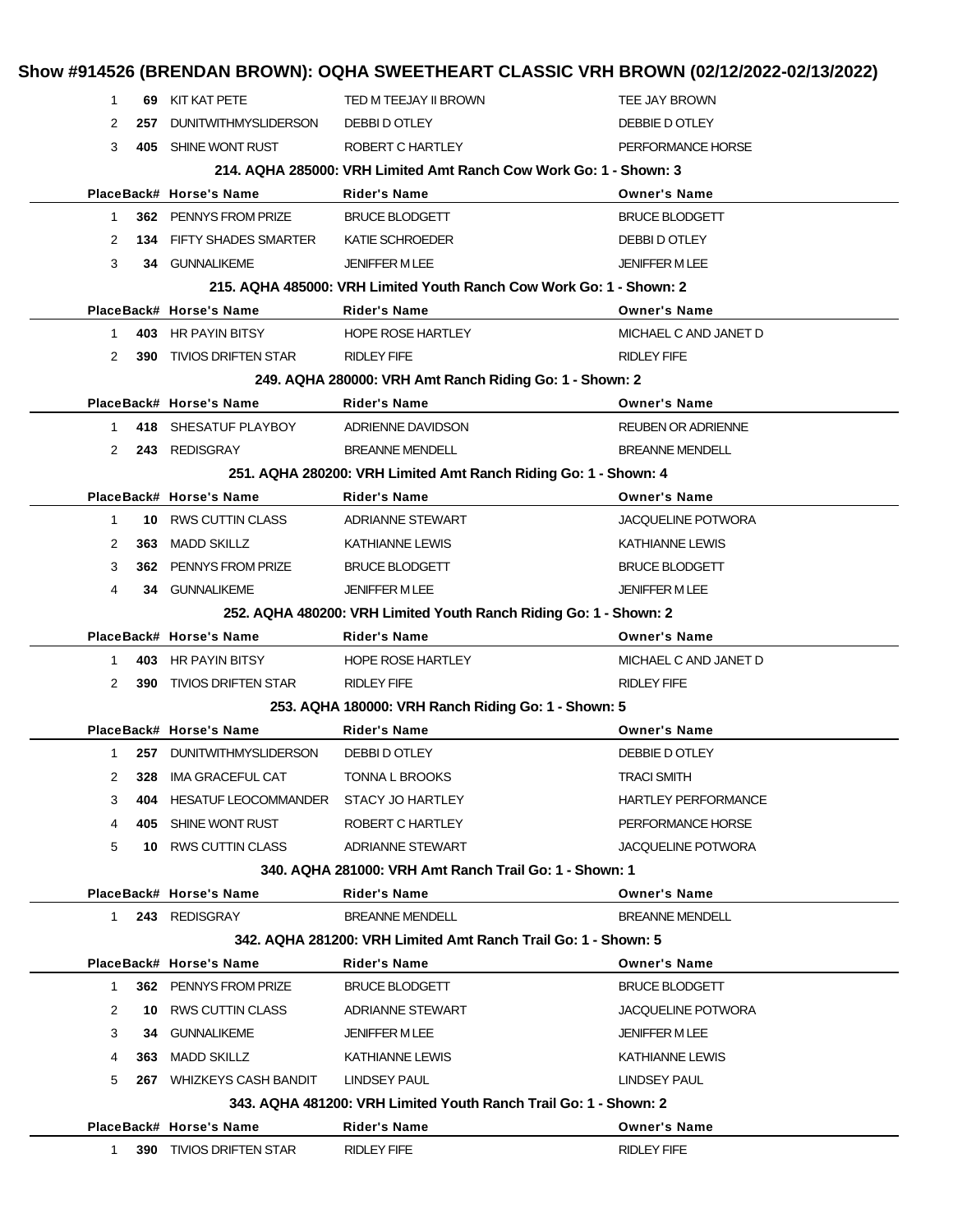| <b>DUNITWITHMYSLIDERSON</b><br>257<br>405 SHINE WONT RUST<br>PlaceBack# Horse's Name<br>362 PENNYS FROM PRIZE<br><b>134 FIFTY SHADES SMARTER</b><br>34 GUNNALIKEME | DEBBI D OTLEY<br>ROBERT C HARTLEY<br>214, AQHA 285000: VRH Limited Amt Ranch Cow Work Go: 1 - Shown: 3<br><b>Rider's Name</b><br><b>BRUCE BLODGETT</b><br>KATIE SCHROEDER                                                                                                                                                                                                                                                                    | DEBBIE DOTLEY<br>PERFORMANCE HORSE<br><b>Owner's Name</b><br><b>BRUCE BLODGETT</b><br>DEBBI D OTLEY                                                                                                                                                                                                                                      |
|--------------------------------------------------------------------------------------------------------------------------------------------------------------------|----------------------------------------------------------------------------------------------------------------------------------------------------------------------------------------------------------------------------------------------------------------------------------------------------------------------------------------------------------------------------------------------------------------------------------------------|------------------------------------------------------------------------------------------------------------------------------------------------------------------------------------------------------------------------------------------------------------------------------------------------------------------------------------------|
|                                                                                                                                                                    |                                                                                                                                                                                                                                                                                                                                                                                                                                              |                                                                                                                                                                                                                                                                                                                                          |
|                                                                                                                                                                    |                                                                                                                                                                                                                                                                                                                                                                                                                                              |                                                                                                                                                                                                                                                                                                                                          |
|                                                                                                                                                                    |                                                                                                                                                                                                                                                                                                                                                                                                                                              |                                                                                                                                                                                                                                                                                                                                          |
|                                                                                                                                                                    |                                                                                                                                                                                                                                                                                                                                                                                                                                              |                                                                                                                                                                                                                                                                                                                                          |
|                                                                                                                                                                    |                                                                                                                                                                                                                                                                                                                                                                                                                                              |                                                                                                                                                                                                                                                                                                                                          |
|                                                                                                                                                                    |                                                                                                                                                                                                                                                                                                                                                                                                                                              |                                                                                                                                                                                                                                                                                                                                          |
|                                                                                                                                                                    | <b>JENIFFER MLEE</b>                                                                                                                                                                                                                                                                                                                                                                                                                         | <b>JENIFFER M LEE</b>                                                                                                                                                                                                                                                                                                                    |
|                                                                                                                                                                    | 215, AQHA 485000: VRH Limited Youth Ranch Cow Work Go: 1 - Shown: 2                                                                                                                                                                                                                                                                                                                                                                          |                                                                                                                                                                                                                                                                                                                                          |
| PlaceBack# Horse's Name                                                                                                                                            | <b>Rider's Name</b>                                                                                                                                                                                                                                                                                                                                                                                                                          | <b>Owner's Name</b>                                                                                                                                                                                                                                                                                                                      |
| 403 HR PAYIN BITSY                                                                                                                                                 | <b>HOPE ROSE HARTLEY</b>                                                                                                                                                                                                                                                                                                                                                                                                                     | MICHAEL C AND JANET D                                                                                                                                                                                                                                                                                                                    |
|                                                                                                                                                                    | <b>RIDLEY FIFE</b>                                                                                                                                                                                                                                                                                                                                                                                                                           | <b>RIDLEY FIFE</b>                                                                                                                                                                                                                                                                                                                       |
|                                                                                                                                                                    |                                                                                                                                                                                                                                                                                                                                                                                                                                              |                                                                                                                                                                                                                                                                                                                                          |
|                                                                                                                                                                    | <b>Rider's Name</b>                                                                                                                                                                                                                                                                                                                                                                                                                          | <b>Owner's Name</b>                                                                                                                                                                                                                                                                                                                      |
|                                                                                                                                                                    | ADRIENNE DAVIDSON                                                                                                                                                                                                                                                                                                                                                                                                                            | <b>REUBEN OR ADRIENNE</b>                                                                                                                                                                                                                                                                                                                |
|                                                                                                                                                                    | <b>BREANNE MENDELL</b>                                                                                                                                                                                                                                                                                                                                                                                                                       | <b>BREANNE MENDELL</b>                                                                                                                                                                                                                                                                                                                   |
|                                                                                                                                                                    |                                                                                                                                                                                                                                                                                                                                                                                                                                              |                                                                                                                                                                                                                                                                                                                                          |
|                                                                                                                                                                    | <b>Rider's Name</b>                                                                                                                                                                                                                                                                                                                                                                                                                          | <b>Owner's Name</b>                                                                                                                                                                                                                                                                                                                      |
|                                                                                                                                                                    | <b>ADRIANNE STEWART</b>                                                                                                                                                                                                                                                                                                                                                                                                                      | <b>JACQUELINE POTWORA</b>                                                                                                                                                                                                                                                                                                                |
|                                                                                                                                                                    | <b>KATHIANNE LEWIS</b>                                                                                                                                                                                                                                                                                                                                                                                                                       | <b>KATHIANNE LEWIS</b>                                                                                                                                                                                                                                                                                                                   |
|                                                                                                                                                                    | <b>BRUCE BLODGETT</b>                                                                                                                                                                                                                                                                                                                                                                                                                        | <b>BRUCE BLODGETT</b>                                                                                                                                                                                                                                                                                                                    |
|                                                                                                                                                                    | <b>JENIFFER MLEE</b>                                                                                                                                                                                                                                                                                                                                                                                                                         | <b>JENIFFER MLEE</b>                                                                                                                                                                                                                                                                                                                     |
|                                                                                                                                                                    |                                                                                                                                                                                                                                                                                                                                                                                                                                              |                                                                                                                                                                                                                                                                                                                                          |
|                                                                                                                                                                    | Rider's Name                                                                                                                                                                                                                                                                                                                                                                                                                                 | <b>Owner's Name</b>                                                                                                                                                                                                                                                                                                                      |
|                                                                                                                                                                    | <b>HOPE ROSE HARTLEY</b>                                                                                                                                                                                                                                                                                                                                                                                                                     | MICHAEL C AND JANET D                                                                                                                                                                                                                                                                                                                    |
|                                                                                                                                                                    | <b>RIDLEY FIFE</b>                                                                                                                                                                                                                                                                                                                                                                                                                           | <b>RIDLEY FIFE</b>                                                                                                                                                                                                                                                                                                                       |
|                                                                                                                                                                    |                                                                                                                                                                                                                                                                                                                                                                                                                                              |                                                                                                                                                                                                                                                                                                                                          |
|                                                                                                                                                                    | Rider's Name                                                                                                                                                                                                                                                                                                                                                                                                                                 | <b>Owner's Name</b>                                                                                                                                                                                                                                                                                                                      |
|                                                                                                                                                                    | DEBBI D OTLEY                                                                                                                                                                                                                                                                                                                                                                                                                                | DEBBIE D OTLEY                                                                                                                                                                                                                                                                                                                           |
| <b>IMA GRACEFUL CAT</b>                                                                                                                                            | TONNA L BROOKS                                                                                                                                                                                                                                                                                                                                                                                                                               | <b>TRACI SMITH</b>                                                                                                                                                                                                                                                                                                                       |
|                                                                                                                                                                    | STACY JO HARTLEY                                                                                                                                                                                                                                                                                                                                                                                                                             | <b>HARTLEY PERFORMANCE</b>                                                                                                                                                                                                                                                                                                               |
|                                                                                                                                                                    | ROBERT C HARTLEY                                                                                                                                                                                                                                                                                                                                                                                                                             | PERFORMANCE HORSE                                                                                                                                                                                                                                                                                                                        |
|                                                                                                                                                                    | <b>ADRIANNE STEWART</b>                                                                                                                                                                                                                                                                                                                                                                                                                      | <b>JACQUELINE POTWORA</b>                                                                                                                                                                                                                                                                                                                |
|                                                                                                                                                                    |                                                                                                                                                                                                                                                                                                                                                                                                                                              |                                                                                                                                                                                                                                                                                                                                          |
|                                                                                                                                                                    | Rider's Name                                                                                                                                                                                                                                                                                                                                                                                                                                 | <b>Owner's Name</b>                                                                                                                                                                                                                                                                                                                      |
| 243 REDISGRAY                                                                                                                                                      | <b>BREANNE MENDELL</b>                                                                                                                                                                                                                                                                                                                                                                                                                       | <b>BREANNE MENDELL</b>                                                                                                                                                                                                                                                                                                                   |
|                                                                                                                                                                    | 342, AQHA 281200: VRH Limited Amt Ranch Trail Go: 1 - Shown: 5                                                                                                                                                                                                                                                                                                                                                                               |                                                                                                                                                                                                                                                                                                                                          |
|                                                                                                                                                                    | <b>Rider's Name</b>                                                                                                                                                                                                                                                                                                                                                                                                                          | <b>Owner's Name</b>                                                                                                                                                                                                                                                                                                                      |
| PlaceBack# Horse's Name                                                                                                                                            |                                                                                                                                                                                                                                                                                                                                                                                                                                              |                                                                                                                                                                                                                                                                                                                                          |
| 362 PENNYS FROM PRIZE                                                                                                                                              | <b>BRUCE BLODGETT</b>                                                                                                                                                                                                                                                                                                                                                                                                                        | <b>BRUCE BLODGETT</b>                                                                                                                                                                                                                                                                                                                    |
| 10 RWS CUTTIN CLASS                                                                                                                                                | ADRIANNE STEWART                                                                                                                                                                                                                                                                                                                                                                                                                             | <b>JACQUELINE POTWORA</b>                                                                                                                                                                                                                                                                                                                |
| <b>GUNNALIKEME</b><br>34                                                                                                                                           | <b>JENIFFER MLEE</b>                                                                                                                                                                                                                                                                                                                                                                                                                         | <b>JENIFFER MLEE</b>                                                                                                                                                                                                                                                                                                                     |
| MADD SKILLZ<br>363                                                                                                                                                 | <b>KATHIANNE LEWIS</b>                                                                                                                                                                                                                                                                                                                                                                                                                       | <b>KATHIANNE LEWIS</b>                                                                                                                                                                                                                                                                                                                   |
| 267 WHIZKEYS CASH BANDIT                                                                                                                                           | LINDSEY PAUL                                                                                                                                                                                                                                                                                                                                                                                                                                 | LINDSEY PAUL                                                                                                                                                                                                                                                                                                                             |
|                                                                                                                                                                    | 343. AQHA 481200: VRH Limited Youth Ranch Trail Go: 1 - Shown: 2                                                                                                                                                                                                                                                                                                                                                                             |                                                                                                                                                                                                                                                                                                                                          |
|                                                                                                                                                                    | <b>390 TIVIOS DRIFTEN STAR</b><br>PlaceBack# Horse's Name<br>418 SHESATUF PLAYBOY<br>243 REDISGRAY<br>PlaceBack# Horse's Name<br>10 RWS CUTTIN CLASS<br>363 MADD SKILLZ<br>362 PENNYS FROM PRIZE<br>34 GUNNALIKEME<br>PlaceBack# Horse's Name<br>403 HR PAYIN BITSY<br>390 TIVIOS DRIFTEN STAR<br>PlaceBack# Horse's Name<br>257 DUNITWITHMYSLIDERSON<br>328<br>404<br>405 SHINE WONT RUST<br>10 RWS CUTTIN CLASS<br>PlaceBack# Horse's Name | 249. AQHA 280000: VRH Amt Ranch Riding Go: 1 - Shown: 2<br>251. AQHA 280200: VRH Limited Amt Ranch Riding Go: 1 - Shown: 4<br>252. AQHA 480200: VRH Limited Youth Ranch Riding Go: 1 - Shown: 2<br>253. AQHA 180000: VRH Ranch Riding Go: 1 - Shown: 5<br>HESATUF LEOCOMMANDER<br>340. AQHA 281000: VRH Amt Ranch Trail Go: 1 - Shown: 1 |